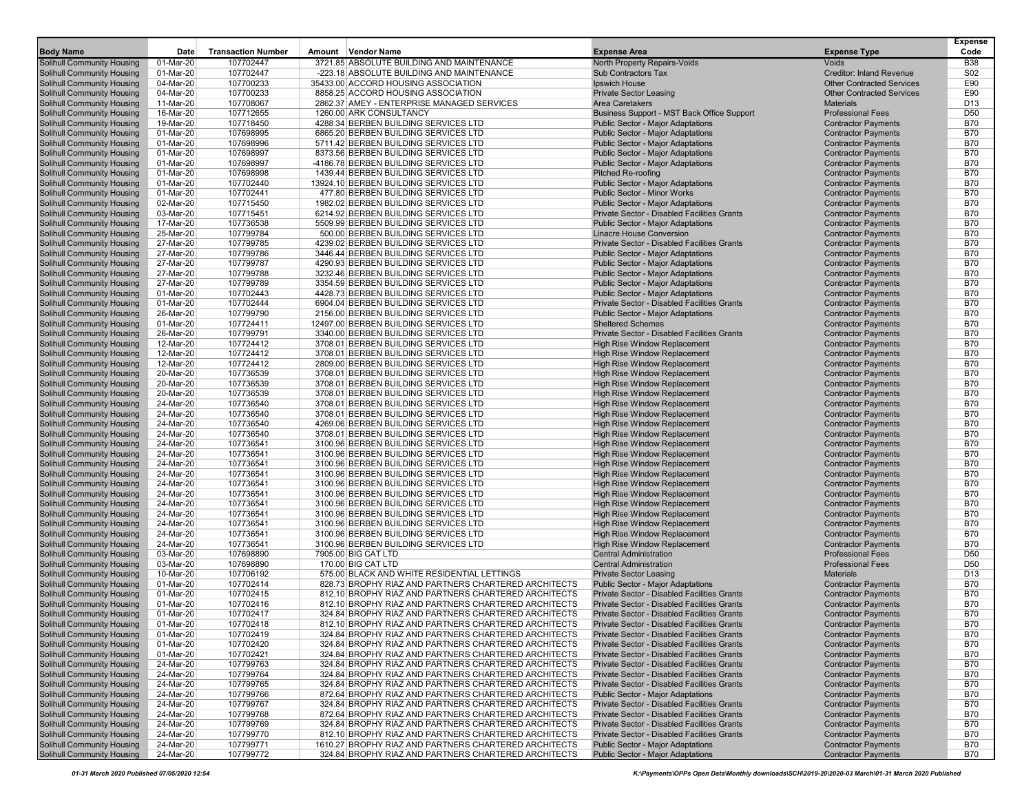| <b>Body Name</b>                                                | Date                   | <b>Transaction Number</b> | Amount | <b>Vendor Name</b>                                                           | <b>Expense Area</b>                                                 | <b>Expense Type</b>                                      | <b>Expense</b><br>Code   |
|-----------------------------------------------------------------|------------------------|---------------------------|--------|------------------------------------------------------------------------------|---------------------------------------------------------------------|----------------------------------------------------------|--------------------------|
| Solihull Community Housing                                      | 01-Mar-20              | 107702447                 |        | 3721.85 ABSOLUTE BUILDING AND MAINTENANCE                                    | North Property Repairs-Voids                                        | <b>Voids</b>                                             | <b>B38</b>               |
| Solihull Community Housing                                      | 01-Mar-20              | 107702447                 |        | -223.18 ABSOLUTE BUILDING AND MAINTENANCE                                    | <b>Sub Contractors Tax</b>                                          | <b>Creditor: Inland Revenue</b>                          | S02                      |
| <b>Solihull Community Housing</b>                               | 04-Mar-20              | 107700233                 |        | 35433.00 ACCORD HOUSING ASSOCIATION                                          | Ipswich House                                                       | <b>Other Contracted Services</b>                         | E90                      |
| Solihull Community Housing                                      | 04-Mar-20              | 107700233                 |        | 8858.25 ACCORD HOUSING ASSOCIATION                                           | <b>Private Sector Leasing</b>                                       | <b>Other Contracted Services</b>                         | E90                      |
| <b>Solihull Community Housing</b>                               | 11-Mar-20              | 107708067                 |        | 2862.37 AMEY - ENTERPRISE MANAGED SERVICES                                   | <b>Area Caretakers</b>                                              | <b>Materials</b>                                         | D <sub>13</sub>          |
| Solihull Community Housing                                      | 16-Mar-20              | 107712655                 |        | 1260.00 ARK CONSULTANCY                                                      | Business Support - MST Back Office Support                          | <b>Professional Fees</b>                                 | D <sub>50</sub>          |
| Solihull Community Housing                                      | 19-Mar-20              | 107718450                 |        | 4288.34 BERBEN BUILDING SERVICES LTD                                         | Public Sector - Major Adaptations                                   | <b>Contractor Payments</b>                               | <b>B70</b>               |
| <b>Solihull Community Housing</b>                               | 01-Mar-20              | 107698995                 |        | 6865.20 BERBEN BUILDING SERVICES LTD                                         | <b>Public Sector - Major Adaptations</b>                            | <b>Contractor Payments</b>                               | <b>B70</b>               |
| Solihull Community Housing                                      | 01-Mar-20              | 107698996                 |        | 5711.42 BERBEN BUILDING SERVICES LTD                                         | <b>Public Sector - Major Adaptations</b>                            | <b>Contractor Payments</b>                               | <b>B70</b>               |
| Solihull Community Housing                                      | 01-Mar-20              | 107698997                 |        | 8373.56 BERBEN BUILDING SERVICES LTD                                         | <b>Public Sector - Major Adaptations</b>                            | <b>Contractor Payments</b>                               | <b>B70</b>               |
| Solihull Community Housing                                      | 01-Mar-20              | 107698997                 |        | -4186.78 BERBEN BUILDING SERVICES LTD                                        | <b>Public Sector - Major Adaptations</b>                            | <b>Contractor Payments</b>                               | <b>B70</b>               |
| Solihull Community Housing                                      | 01-Mar-20              | 107698998                 |        | 1439.44 BERBEN BUILDING SERVICES LTD                                         | <b>Pitched Re-roofing</b>                                           | <b>Contractor Payments</b>                               | <b>B70</b>               |
| <b>Solihull Community Housing</b>                               | 01-Mar-20              | 107702440                 |        | 13924.10 BERBEN BUILDING SERVICES LTD                                        | <b>Public Sector - Major Adaptations</b>                            | <b>Contractor Payments</b>                               | <b>B70</b>               |
| Solihull Community Housing                                      | 01-Mar-20              | 107702441                 |        | 477.80 BERBEN BUILDING SERVICES LTD                                          | <b>Public Sector - Minor Works</b>                                  | <b>Contractor Payments</b>                               | <b>B70</b>               |
| <b>Solihull Community Housing</b>                               | 02-Mar-20              | 107715450                 |        | 1982.02 BERBEN BUILDING SERVICES LTD                                         | <b>Public Sector - Maior Adaptations</b>                            | <b>Contractor Payments</b>                               | <b>B70</b>               |
| Solihull Community Housing                                      | 03-Mar-20              | 107715451                 |        | 6214.92 BERBEN BUILDING SERVICES LTD                                         | Private Sector - Disabled Facilities Grants                         | <b>Contractor Payments</b>                               | <b>B70</b>               |
| Solihull Community Housing                                      | 17-Mar-20              | 107736538                 |        | 5509.99 BERBEN BUILDING SERVICES LTD                                         | <b>Public Sector - Major Adaptations</b>                            | <b>Contractor Payments</b>                               | <b>B70</b>               |
| Solihull Community Housing                                      | 25-Mar-20              | 107799784                 |        | 500.00 BERBEN BUILDING SERVICES LTD                                          | <b>Linacre House Conversion</b>                                     | <b>Contractor Payments</b>                               | <b>B70</b>               |
| Solihull Community Housing                                      | 27-Mar-20              | 107799785                 |        | 4239.02 BERBEN BUILDING SERVICES LTD                                         | Private Sector - Disabled Facilities Grants                         | <b>Contractor Payments</b>                               | <b>B70</b>               |
| Solihull Community Housing                                      | 27-Mar-20              | 107799786                 |        | 3446.44 BERBEN BUILDING SERVICES LTD                                         | Public Sector - Major Adaptations                                   | <b>Contractor Payments</b>                               | <b>B70</b>               |
| Solihull Community Housing                                      | 27-Mar-20              | 107799787                 |        | 4290.93 BERBEN BUILDING SERVICES LTD                                         | <b>Public Sector - Major Adaptations</b>                            | <b>Contractor Payments</b>                               | <b>B70</b>               |
| Solihull Community Housing                                      | 27-Mar-20              | 107799788                 |        | 3232.46 BERBEN BUILDING SERVICES LTD                                         | <b>Public Sector - Major Adaptations</b>                            | <b>Contractor Payments</b>                               | <b>B70</b>               |
| Solihull Community Housing                                      | 27-Mar-20              | 107799789                 |        | 3354.59 BERBEN BUILDING SERVICES LTD                                         | Public Sector - Major Adaptations                                   | <b>Contractor Payments</b>                               | <b>B70</b>               |
| Solihull Community Housing                                      | 01-Mar-20              | 107702443                 |        | 4428.73 BERBEN BUILDING SERVICES LTD                                         | <b>Public Sector - Major Adaptations</b>                            | <b>Contractor Payments</b>                               | <b>B70</b>               |
| Solihull Community Housing                                      | 01-Mar-20              | 107702444                 |        | 6904.04 BERBEN BUILDING SERVICES LTD                                         | <b>Private Sector - Disabled Facilities Grants</b>                  | <b>Contractor Payments</b>                               | <b>B70</b>               |
| <b>Solihull Community Housing</b>                               | 26-Mar-20              | 107799790                 |        | 2156.00 BERBEN BUILDING SERVICES LTD                                         | Public Sector - Major Adaptations                                   | <b>Contractor Payments</b>                               | <b>B70</b>               |
| Solihull Community Housing                                      | 01-Mar-20              | 107724411                 |        | 12497.00 BERBEN BUILDING SERVICES LTD                                        | <b>Sheltered Schemes</b>                                            | <b>Contractor Payments</b>                               | <b>B70</b>               |
| Solihull Community Housing                                      | 26-Mar-20              | 107799791                 |        | 3340.00 BERBEN BUILDING SERVICES LTD                                         | Private Sector - Disabled Facilities Grants                         | <b>Contractor Payments</b>                               | <b>B70</b>               |
| Solihull Community Housing                                      | 12-Mar-20              | 107724412                 |        | 3708.01 BERBEN BUILDING SERVICES LTD                                         | <b>High Rise Window Replacement</b>                                 | <b>Contractor Payments</b>                               | <b>B70</b>               |
| <b>Solihull Community Housing</b>                               | 12-Mar-20              | 107724412                 |        | 3708.01 BERBEN BUILDING SERVICES LTD                                         | <b>High Rise Window Replacement</b>                                 | <b>Contractor Payments</b>                               | <b>B70</b>               |
| Solihull Community Housing                                      | 12-Mar-20              | 107724412                 |        | 2809.00 BERBEN BUILDING SERVICES LTD                                         | <b>High Rise Window Replacement</b>                                 | <b>Contractor Payments</b>                               | <b>B70</b>               |
| Solihull Community Housing                                      | 20-Mar-20              | 107736539                 |        | 3708.01 BERBEN BUILDING SERVICES LTD                                         | <b>High Rise Window Replacement</b>                                 | <b>Contractor Payments</b>                               | <b>B70</b>               |
| <b>Solihull Community Housing</b>                               | 20-Mar-20              | 107736539                 |        | 3708.01 BERBEN BUILDING SERVICES LTD                                         | High Rise Window Replacement                                        | <b>Contractor Payments</b>                               | <b>B70</b>               |
| Solihull Community Housing                                      | 20-Mar-20              | 107736539                 |        | 3708.01 BERBEN BUILDING SERVICES LTD                                         | High Rise Window Replacement                                        | <b>Contractor Payments</b>                               | <b>B70</b>               |
| <b>Solihull Community Housing</b>                               | 24-Mar-20              | 107736540                 |        | 3708.01 BERBEN BUILDING SERVICES LTD                                         | <b>High Rise Window Replacement</b>                                 | <b>Contractor Payments</b>                               | <b>B70</b>               |
| Solihull Community Housing                                      | 24-Mar-20              | 107736540                 |        | 3708.01 BERBEN BUILDING SERVICES LTD                                         | <b>High Rise Window Replacement</b>                                 | <b>Contractor Payments</b>                               | <b>B70</b><br><b>B70</b> |
| Solihull Community Housing<br><b>Solihull Community Housing</b> | 24-Mar-20              | 107736540                 |        | 4269.06 BERBEN BUILDING SERVICES LTD                                         | High Rise Window Replacement                                        | <b>Contractor Payments</b>                               | <b>B70</b>               |
| Solihull Community Housing                                      | 24-Mar-20<br>24-Mar-20 | 107736540<br>107736541    |        | 3708.01 BERBEN BUILDING SERVICES LTD<br>3100.96 BERBEN BUILDING SERVICES LTD | <b>High Rise Window Replacement</b><br>High Rise Window Replacement | <b>Contractor Payments</b><br><b>Contractor Payments</b> | <b>B70</b>               |
|                                                                 | 24-Mar-20              | 107736541                 |        | 3100.96 BERBEN BUILDING SERVICES LTD                                         |                                                                     |                                                          | <b>B70</b>               |
| Solihull Community Housing<br>Solihull Community Housing        | 24-Mar-20              | 107736541                 |        | 3100.96 BERBEN BUILDING SERVICES LTD                                         | <b>High Rise Window Replacement</b><br>High Rise Window Replacement | <b>Contractor Payments</b><br><b>Contractor Payments</b> | <b>B70</b>               |
| Solihull Community Housing                                      | 24-Mar-20              | 107736541                 |        | 3100.96 BERBEN BUILDING SERVICES LTD                                         | <b>High Rise Window Replacement</b>                                 | <b>Contractor Payments</b>                               | <b>B70</b>               |
| Solihull Community Housing                                      | 24-Mar-20              | 107736541                 |        | 3100.96 BERBEN BUILDING SERVICES LTD                                         | <b>High Rise Window Replacement</b>                                 | <b>Contractor Payments</b>                               | <b>B70</b>               |
| Solihull Community Housing                                      | 24-Mar-20              | 107736541                 |        | 3100.96 BERBEN BUILDING SERVICES LTD                                         | <b>High Rise Window Replacement</b>                                 | <b>Contractor Payments</b>                               | <b>B70</b>               |
| Solihull Community Housing                                      | 24-Mar-20              | 107736541                 |        | 3100.96 BERBEN BUILDING SERVICES LTD                                         | <b>High Rise Window Replacement</b>                                 | <b>Contractor Payments</b>                               | <b>B70</b>               |
| Solihull Community Housing                                      | 24-Mar-20              | 107736541                 |        | 3100.96 BERBEN BUILDING SERVICES LTD                                         | <b>High Rise Window Replacement</b>                                 | <b>Contractor Payments</b>                               | <b>B70</b>               |
| Solihull Community Housing                                      | 24-Mar-20              | 107736541                 |        | 3100.96 BERBEN BUILDING SERVICES LTD                                         | <b>High Rise Window Replacement</b>                                 | <b>Contractor Payments</b>                               | <b>B70</b>               |
| Solihull Community Housing                                      | 24-Mar-20              | 107736541                 |        | 3100.96 BERBEN BUILDING SERVICES LTD                                         | High Rise Window Replacement                                        | <b>Contractor Payments</b>                               | <b>B70</b>               |
| Solihull Community Housing                                      | 24-Mar-20              | 107736541                 |        | 3100.96 BERBEN BUILDING SERVICES LTD                                         | <b>High Rise Window Replacement</b>                                 | <b>Contractor Payments</b>                               | <b>B70</b>               |
| Solihull Community Housing                                      | 03-Mar-20              | 107698890                 |        | 7905.00 BIG CAT LTD                                                          | <b>Central Administration</b>                                       | <b>Professional Fees</b>                                 | D <sub>50</sub>          |
| <b>Solihull Community Housing</b>                               | 03-Mar-20              | 107698890                 |        | 170.00 BIG CAT LTD                                                           | <b>Central Administration</b>                                       | <b>Professional Fees</b>                                 | D <sub>50</sub>          |
| Solihull Community Housing                                      | 10-Mar-20              | 107706192                 |        | 575.00 BLACK AND WHITE RESIDENTIAL LETTINGS                                  | <b>Private Sector Leasing</b>                                       | <b>Materials</b>                                         | D <sub>13</sub>          |
| Solihull Community Housing                                      | 01-Mar-20              | 107702414                 |        | 828.73 BROPHY RIAZ AND PARTNERS CHARTERED ARCHITECTS                         | <b>Public Sector - Maior Adaptations</b>                            | <b>Contractor Payments</b>                               | <b>B70</b>               |
| Solihull Community Housing                                      | 01-Mar-20              | 107702415                 |        | 812.10 BROPHY RIAZ AND PARTNERS CHARTERED ARCHITECTS                         | Private Sector - Disabled Facilities Grants                         | <b>Contractor Payments</b>                               | <b>B70</b>               |
| Solihull Community Housing                                      | 01-Mar-20              | 107702416                 |        | 812.10 BROPHY RIAZ AND PARTNERS CHARTERED ARCHITECTS                         | <b>Private Sector - Disabled Facilities Grants</b>                  | <b>Contractor Payments</b>                               | <b>B70</b>               |
| <b>Solihull Community Housing</b>                               | 01-Mar-20              | 107702417                 |        | 324.84 BROPHY RIAZ AND PARTNERS CHARTERED ARCHITECTS                         | Private Sector - Disabled Facilities Grants                         | <b>Contractor Payments</b>                               | <b>B70</b>               |
| <b>Solihull Community Housing</b>                               | 01-Mar-20              | 107702418                 |        | 812.10 BROPHY RIAZ AND PARTNERS CHARTERED ARCHITECTS                         | Private Sector - Disabled Facilities Grants                         | Contractor Payments                                      | <b>B70</b>               |
| Solihull Community Housing                                      | 01-Mar-20              | 107702419                 |        | 324.84 BROPHY RIAZ AND PARTNERS CHARTERED ARCHITECTS                         | Private Sector - Disabled Facilities Grants                         | <b>Contractor Payments</b>                               | <b>B70</b>               |
| <b>Solihull Community Housing</b>                               | 01-Mar-20              | 107702420                 |        | 324.84 BROPHY RIAZ AND PARTNERS CHARTERED ARCHITECTS                         | <b>Private Sector - Disabled Facilities Grants</b>                  | <b>Contractor Payments</b>                               | <b>B70</b>               |
| <b>Solihull Community Housing</b>                               | 01-Mar-20              | 107702421                 |        | 324.84 BROPHY RIAZ AND PARTNERS CHARTERED ARCHITECTS                         | Private Sector - Disabled Facilities Grants                         | <b>Contractor Payments</b>                               | <b>B70</b>               |
| Solihull Community Housing                                      | 24-Mar-20              | 107799763                 |        | 324.84 BROPHY RIAZ AND PARTNERS CHARTERED ARCHITECTS                         | Private Sector - Disabled Facilities Grants                         | <b>Contractor Payments</b>                               | <b>B70</b>               |
| <b>Solihull Community Housing</b>                               | 24-Mar-20              | 107799764                 |        | 324.84 BROPHY RIAZ AND PARTNERS CHARTERED ARCHITECTS                         | Private Sector - Disabled Facilities Grants                         | <b>Contractor Payments</b>                               | <b>B70</b>               |
| Solihull Community Housing                                      | 24-Mar-20              | 107799765                 |        | 324.84 BROPHY RIAZ AND PARTNERS CHARTERED ARCHITECTS                         | <b>Private Sector - Disabled Facilities Grants</b>                  | <b>Contractor Payments</b>                               | <b>B70</b>               |
| Solihull Community Housing                                      | 24-Mar-20              | 107799766                 |        | 872.64 BROPHY RIAZ AND PARTNERS CHARTERED ARCHITECTS                         | Public Sector - Major Adaptations                                   | <b>Contractor Payments</b>                               | <b>B70</b>               |
| Solihull Community Housing                                      | 24-Mar-20              | 107799767                 |        | 324.84 BROPHY RIAZ AND PARTNERS CHARTERED ARCHITECTS                         | Private Sector - Disabled Facilities Grants                         | <b>Contractor Payments</b>                               | <b>B70</b>               |
| <b>Solihull Community Housing</b>                               | 24-Mar-20              | 107799768                 |        | 872.64 BROPHY RIAZ AND PARTNERS CHARTERED ARCHITECTS                         | Private Sector - Disabled Facilities Grants                         | <b>Contractor Payments</b>                               | <b>B70</b>               |
| Solihull Community Housing                                      | 24-Mar-20              | 107799769                 |        | 324.84 BROPHY RIAZ AND PARTNERS CHARTERED ARCHITECTS                         | <b>Private Sector - Disabled Facilities Grants</b>                  | <b>Contractor Payments</b>                               | <b>B70</b>               |
| Solihull Community Housing                                      | 24-Mar-20              | 107799770                 |        | 812.10 BROPHY RIAZ AND PARTNERS CHARTERED ARCHITECTS                         | Private Sector - Disabled Facilities Grants                         | <b>Contractor Payments</b>                               | <b>B70</b>               |
| <b>Solihull Community Housing</b>                               | 24-Mar-20              | 107799771                 |        | 1610.27 BROPHY RIAZ AND PARTNERS CHARTERED ARCHITECTS                        | <b>Public Sector - Major Adaptations</b>                            | <b>Contractor Payments</b>                               | <b>B70</b>               |
| <b>Solihull Community Housing</b>                               | 24-Mar-20              | 107799772                 |        | 324.84 BROPHY RIAZ AND PARTNERS CHARTERED ARCHITECTS                         | <b>Public Sector - Major Adaptations</b>                            | <b>Contractor Payments</b>                               | B70                      |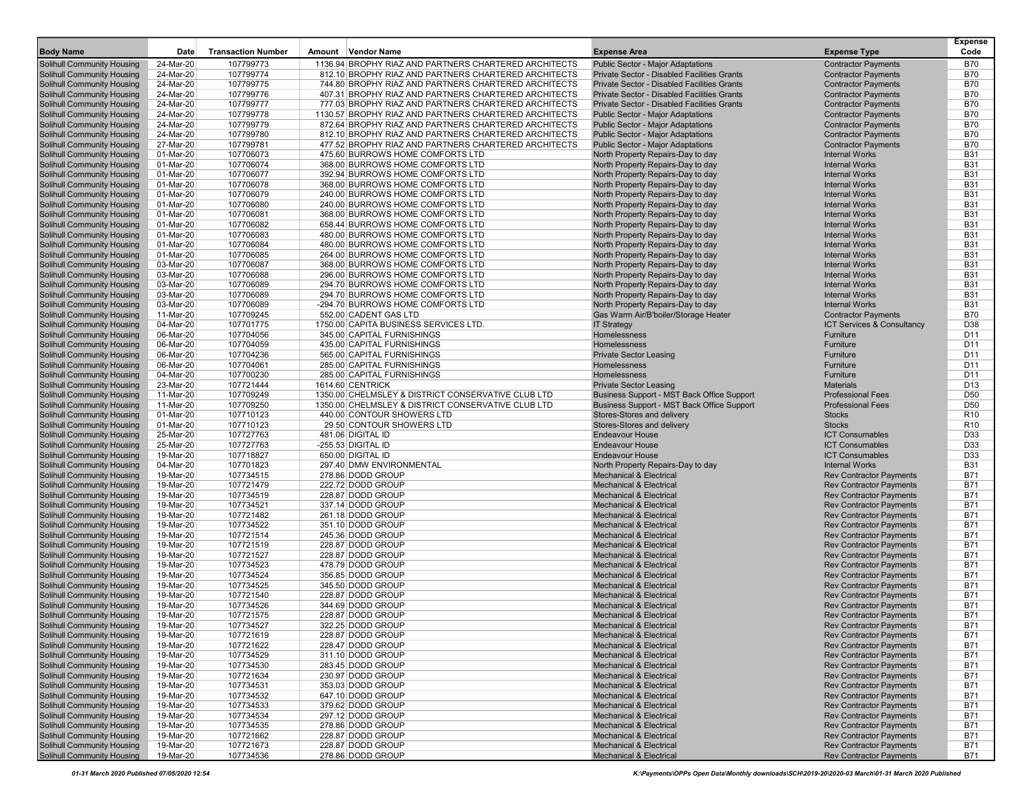| <b>Body Name</b>                                                       | Date                   | <b>Transaction Number</b> | Amount Vendor Name                                                                                            | <b>Expense Area</b>                                                                     | <b>Expense Type</b>                                              | <b>Expense</b><br>Code             |
|------------------------------------------------------------------------|------------------------|---------------------------|---------------------------------------------------------------------------------------------------------------|-----------------------------------------------------------------------------------------|------------------------------------------------------------------|------------------------------------|
| <b>Solihull Community Housing</b>                                      | 24-Mar-20              | 107799773                 | 1136.94 BROPHY RIAZ AND PARTNERS CHARTERED ARCHITECTS                                                         | <b>Public Sector - Major Adaptations</b>                                                | <b>Contractor Payments</b>                                       | <b>B70</b>                         |
| <b>Solihull Community Housing</b>                                      | 24-Mar-20              | 107799774                 | 812.10 BROPHY RIAZ AND PARTNERS CHARTERED ARCHITECTS                                                          | Private Sector - Disabled Facilities Grants                                             | <b>Contractor Payments</b>                                       | <b>B70</b>                         |
| Solihull Community Housing                                             | 24-Mar-20              | 107799775                 | 744.80 BROPHY RIAZ AND PARTNERS CHARTERED ARCHITECTS                                                          | Private Sector - Disabled Facilities Grants                                             | <b>Contractor Payments</b>                                       | <b>B70</b>                         |
| <b>Solihull Community Housing</b>                                      | 24-Mar-20              | 107799776                 | 407.31 BROPHY RIAZ AND PARTNERS CHARTERED ARCHITECTS                                                          | <b>Private Sector - Disabled Facilities Grants</b>                                      | <b>Contractor Payments</b>                                       | <b>B70</b>                         |
| <b>Solihull Community Housing</b><br><b>Solihull Community Housing</b> | 24-Mar-20<br>24-Mar-20 | 107799777<br>107799778    | 777.03 BROPHY RIAZ AND PARTNERS CHARTERED ARCHITECTS<br>1130.57 BROPHY RIAZ AND PARTNERS CHARTERED ARCHITECTS | Private Sector - Disabled Facilities Grants<br><b>Public Sector - Maior Adaptations</b> | <b>Contractor Payments</b><br><b>Contractor Payments</b>         | <b>B70</b><br><b>B70</b>           |
| <b>Solihull Community Housing</b>                                      | 24-Mar-20              | 107799779                 | 872.64 BROPHY RIAZ AND PARTNERS CHARTERED ARCHITECTS                                                          | <b>Public Sector - Major Adaptations</b>                                                | <b>Contractor Payments</b>                                       | <b>B70</b>                         |
| <b>Solihull Community Housing</b>                                      | 24-Mar-20              | 107799780                 | 812.10 BROPHY RIAZ AND PARTNERS CHARTERED ARCHITECTS                                                          | <b>Public Sector - Major Adaptations</b>                                                | <b>Contractor Payments</b>                                       | <b>B70</b>                         |
| <b>Solihull Community Housing</b>                                      | 27-Mar-20              | 107799781                 | 477.52 BROPHY RIAZ AND PARTNERS CHARTERED ARCHITECTS                                                          | <b>Public Sector - Major Adaptations</b>                                                | <b>Contractor Payments</b>                                       | <b>B70</b>                         |
| <b>Solihull Community Housing</b>                                      | 01-Mar-20              | 107706073                 | 475.60 BURROWS HOME COMFORTS LTD                                                                              | North Property Repairs-Day to day                                                       | <b>Internal Works</b>                                            | <b>B31</b>                         |
| <b>Solihull Community Housing</b>                                      | 01-Mar-20              | 107706074                 | 368.00 BURROWS HOME COMFORTS LTD                                                                              | North Property Repairs-Day to day                                                       | <b>Internal Works</b>                                            | <b>B31</b>                         |
| Solihull Community Housing                                             | 01-Mar-20              | 107706077                 | 392.94 BURROWS HOME COMFORTS LTD                                                                              | North Property Repairs-Day to day                                                       | <b>Internal Works</b>                                            | <b>B31</b>                         |
| <b>Solihull Community Housing</b>                                      | 01-Mar-20              | 107706078                 | 368.00 BURROWS HOME COMFORTS LTD                                                                              | North Property Repairs-Day to day                                                       | <b>Internal Works</b>                                            | <b>B31</b>                         |
| <b>Solihull Community Housing</b><br><b>Solihull Community Housing</b> | 01-Mar-20              | 107706079                 | 240.00 BURROWS HOME COMFORTS LTD                                                                              | North Property Repairs-Day to day                                                       | <b>Internal Works</b>                                            | <b>B31</b><br><b>B31</b>           |
| <b>Solihull Community Housing</b>                                      | 01-Mar-20<br>01-Mar-20 | 107706080<br>107706081    | 240.00 BURROWS HOME COMFORTS LTD<br>368.00 BURROWS HOME COMFORTS LTD                                          | North Property Repairs-Day to day<br>North Property Repairs-Day to day                  | <b>Internal Works</b><br><b>Internal Works</b>                   | <b>B31</b>                         |
| <b>Solihull Community Housing</b>                                      | 01-Mar-20              | 107706082                 | 658.44 BURROWS HOME COMFORTS LTD                                                                              | North Property Repairs-Day to day                                                       | <b>Internal Works</b>                                            | <b>B31</b>                         |
| <b>Solihull Community Housing</b>                                      | 01-Mar-20              | 107706083                 | 480.00 BURROWS HOME COMFORTS LTD                                                                              | North Property Repairs-Day to day                                                       | <b>Internal Works</b>                                            | <b>B31</b>                         |
| <b>Solihull Community Housing</b>                                      | 01-Mar-20              | 107706084                 | 480.00 BURROWS HOME COMFORTS LTD                                                                              | North Property Repairs-Day to day                                                       | <b>Internal Works</b>                                            | <b>B31</b>                         |
| Solihull Community Housing                                             | 01-Mar-20              | 107706085                 | 264.00 BURROWS HOME COMFORTS LTD                                                                              | North Property Repairs-Day to day                                                       | <b>Internal Works</b>                                            | <b>B31</b>                         |
| <b>Solihull Community Housing</b>                                      | 03-Mar-20              | 107706087                 | 368.00 BURROWS HOME COMFORTS LTD                                                                              | North Property Repairs-Day to day                                                       | <b>Internal Works</b>                                            | <b>B31</b>                         |
| <b>Solihull Community Housing</b>                                      | 03-Mar-20              | 107706088                 | 296.00 BURROWS HOME COMFORTS LTD                                                                              | North Property Repairs-Day to day                                                       | <b>Internal Works</b>                                            | <b>B31</b>                         |
| <b>Solihull Community Housing</b>                                      | 03-Mar-20              | 107706089                 | 294.70 BURROWS HOME COMFORTS LTD                                                                              | North Property Repairs-Day to day                                                       | <b>Internal Works</b>                                            | <b>B31</b><br><b>B31</b>           |
| <b>Solihull Community Housing</b><br><b>Solihull Community Housing</b> | 03-Mar-20<br>03-Mar-20 | 107706089<br>107706089    | 294.70 BURROWS HOME COMFORTS LTD<br>-294.70 BURROWS HOME COMFORTS LTD                                         | North Property Repairs-Day to day<br>North Property Repairs-Day to day                  | <b>Internal Works</b><br><b>Internal Works</b>                   | <b>B31</b>                         |
| <b>Solihull Community Housing</b>                                      | 11-Mar-20              | 107709245                 | 552.00 CADENT GAS LTD                                                                                         | Gas Warm Air/B'boiler/Storage Heater                                                    | <b>Contractor Payments</b>                                       | <b>B70</b>                         |
| <b>Solihull Community Housing</b>                                      | 04-Mar-20              | 107701775                 | 1750.00 CAPITA BUSINESS SERVICES LTD.                                                                         | <b>IT Strategy</b>                                                                      | <b>ICT Services &amp; Consultancy</b>                            | D38                                |
| <b>Solihull Community Housing</b>                                      | 06-Mar-20              | 107704056                 | 345.00 CAPITAL FURNISHINGS                                                                                    | Homelessness                                                                            | Furniture                                                        | D <sub>11</sub>                    |
| <b>Solihull Community Housing</b>                                      | 06-Mar-20              | 107704059                 | 435.00 CAPITAL FURNISHINGS                                                                                    | Homelessness                                                                            | Furniture                                                        | D <sub>11</sub>                    |
| <b>Solihull Community Housing</b>                                      | 06-Mar-20              | 107704236                 | 565.00 CAPITAL FURNISHINGS                                                                                    | <b>Private Sector Leasing</b>                                                           | Furniture                                                        | D <sub>11</sub>                    |
| Solihull Community Housing                                             | 06-Mar-20              | 107704061                 | 285.00 CAPITAL FURNISHINGS                                                                                    | Homelessness                                                                            | Furniture                                                        | D <sub>11</sub>                    |
| <b>Solihull Community Housing</b><br><b>Solihull Community Housing</b> | 04-Mar-20<br>23-Mar-20 | 107700230<br>107721444    | 285.00 CAPITAL FURNISHINGS<br>1614.60 CENTRICK                                                                | Homelessness<br><b>Private Sector Leasing</b>                                           | Furniture<br><b>Materials</b>                                    | D <sub>11</sub><br>D <sub>13</sub> |
| <b>Solihull Community Housing</b>                                      | 11-Mar-20              | 107709249                 | 1350.00 CHELMSLEY & DISTRICT CONSERVATIVE CLUB LTD                                                            | Business Support - MST Back Office Support                                              | <b>Professional Fees</b>                                         | D <sub>50</sub>                    |
| <b>Solihull Community Housing</b>                                      | 11-Mar-20              | 107709250                 | 1350.00 CHELMSLEY & DISTRICT CONSERVATIVE CLUB LTD                                                            | Business Support - MST Back Office Support                                              | <b>Professional Fees</b>                                         | D <sub>50</sub>                    |
| <b>Solihull Community Housing</b>                                      | 01-Mar-20              | 107710123                 | 440.00 CONTOUR SHOWERS LTD                                                                                    | Stores-Stores and delivery                                                              | <b>Stocks</b>                                                    | R <sub>10</sub>                    |
| Solihull Community Housing                                             | 01-Mar-20              | 107710123                 | 29.50 CONTOUR SHOWERS LTD                                                                                     | Stores-Stores and delivery                                                              | <b>Stocks</b>                                                    | R <sub>10</sub>                    |
| <b>Solihull Community Housing</b>                                      | 25-Mar-20              | 107727763                 | 481.06 DIGITAL ID                                                                                             | <b>Endeavour House</b>                                                                  | <b>ICT Consumables</b>                                           | D33                                |
| <b>Solihull Community Housing</b>                                      | 25-Mar-20<br>19-Mar-20 | 107727763                 | -255.53 DIGITAL ID<br>650.00 DIGITAL ID                                                                       | <b>Endeavour House</b><br><b>Endeavour House</b>                                        | <b>ICT Consumables</b><br><b>ICT Consumables</b>                 | D33<br>D33                         |
| <b>Solihull Community Housing</b><br><b>Solihull Community Housing</b> | 04-Mar-20              | 107718827<br>107701823    | 297.40 DMW ENVIRONMENTAL                                                                                      | North Property Repairs-Day to day                                                       | <b>Internal Works</b>                                            | <b>B31</b>                         |
| <b>Solihull Community Housing</b>                                      | 19-Mar-20              | 107734515                 | 278.86 DODD GROUP                                                                                             | <b>Mechanical &amp; Electrical</b>                                                      | <b>Rev Contractor Payments</b>                                   | <b>B71</b>                         |
| <b>Solihull Community Housing</b>                                      | 19-Mar-20              | 107721479                 | 222.72 DODD GROUP                                                                                             | <b>Mechanical &amp; Electrical</b>                                                      | <b>Rev Contractor Payments</b>                                   | <b>B71</b>                         |
| <b>Solihull Community Housing</b>                                      | 19-Mar-20              | 107734519                 | 228.87 DODD GROUP                                                                                             | <b>Mechanical &amp; Electrical</b>                                                      | <b>Rev Contractor Payments</b>                                   | <b>B71</b>                         |
| Solihull Community Housing                                             | 19-Mar-20              | 107734521                 | 337.14 DODD GROUP                                                                                             | <b>Mechanical &amp; Electrical</b>                                                      | <b>Rev Contractor Payments</b>                                   | <b>B71</b>                         |
| <b>Solihull Community Housing</b>                                      | 19-Mar-20              | 107721482                 | 261.18 DODD GROUP                                                                                             | <b>Mechanical &amp; Electrical</b>                                                      | <b>Rev Contractor Payments</b>                                   | <b>B71</b>                         |
| <b>Solihull Community Housing</b>                                      | 19-Mar-20              | 107734522                 | 351.10 DODD GROUP                                                                                             | <b>Mechanical &amp; Electrical</b>                                                      | <b>Rev Contractor Payments</b>                                   | <b>B71</b>                         |
| <b>Solihull Community Housing</b><br><b>Solihull Community Housing</b> | 19-Mar-20<br>19-Mar-20 | 107721514<br>107721519    | 245.36 DODD GROUP<br>228.87 DODD GROUP                                                                        | <b>Mechanical &amp; Electrical</b><br><b>Mechanical &amp; Electrical</b>                | <b>Rev Contractor Payments</b><br><b>Rev Contractor Payments</b> | <b>B71</b><br><b>B71</b>           |
| <b>Solihull Community Housing</b>                                      | 19-Mar-20              | 107721527                 | 228.87 DODD GROUP                                                                                             | <b>Mechanical &amp; Electrical</b>                                                      | <b>Rev Contractor Payments</b>                                   | <b>B71</b>                         |
| <b>Solihull Community Housing</b>                                      | 19-Mar-20              | 107734523                 | 478.79 DODD GROUP                                                                                             | <b>Mechanical &amp; Electrical</b>                                                      | <b>Rev Contractor Payments</b>                                   | <b>B71</b>                         |
| <b>Solihull Community Housing</b>                                      | 19-Mar-20              | 107734524                 | 356.85 DODD GROUP                                                                                             | <b>Mechanical &amp; Electrical</b>                                                      | <b>Rev Contractor Payments</b>                                   | <b>B71</b>                         |
| Solihull Community Housing                                             | 19-Mar-20              | 107734525                 | 345.50 DODD GROUP                                                                                             | <b>Mechanical &amp; Electrical</b>                                                      | <b>Rev Contractor Payments</b>                                   | <b>B71</b>                         |
| Solihull Community Housing                                             | 19-Mar-20              | 107721540                 | 228.87 DODD GROUP                                                                                             | <b>Mechanical &amp; Electrical</b>                                                      | <b>Rev Contractor Payments</b>                                   | <b>B71</b>                         |
| <b>Solihull Community Housing</b>                                      | 19-Mar-20              | 107734526                 | 344.69 DODD GROUP                                                                                             | <b>Mechanical &amp; Electrical</b>                                                      | <b>Rev Contractor Payments</b>                                   | <b>B71</b>                         |
| <b>Solihull Community Housing</b>                                      | 19-Mar-20              | 107721575<br>107734527    | 228.87 DODD GROUP                                                                                             | <b>Mechanical &amp; Electrical</b><br><b>Mechanical &amp; Electrical</b>                | <b>Rev Contractor Payments</b>                                   | <b>B71</b>                         |
| <b>Solihull Community Housing</b><br><b>Solihull Community Housing</b> | 19-Mar-20<br>19-Mar-20 | 107721619                 | 322.25 DODD GROUP<br>228.87 DODD GROUP                                                                        | <b>Mechanical &amp; Electrical</b>                                                      | <b>Rev Contractor Payments</b><br><b>Rev Contractor Payments</b> | B71<br><b>B71</b>                  |
| <b>Solihull Community Housing</b>                                      | 19-Mar-20              | 107721622                 | 228.47 DODD GROUP                                                                                             | <b>Mechanical &amp; Electrical</b>                                                      | <b>Rev Contractor Payments</b>                                   | <b>B71</b>                         |
| <b>Solihull Community Housing</b>                                      | 19-Mar-20              | 107734529                 | 311.10 DODD GROUP                                                                                             | <b>Mechanical &amp; Electrical</b>                                                      | <b>Rev Contractor Payments</b>                                   | <b>B71</b>                         |
| <b>Solihull Community Housing</b>                                      | 19-Mar-20              | 107734530                 | 283.45 DODD GROUP                                                                                             | <b>Mechanical &amp; Electrical</b>                                                      | <b>Rev Contractor Payments</b>                                   | <b>B71</b>                         |
| <b>Solihull Community Housing</b>                                      | 19-Mar-20              | 107721634                 | 230.97 DODD GROUP                                                                                             | <b>Mechanical &amp; Electrical</b>                                                      | <b>Rev Contractor Payments</b>                                   | <b>B71</b>                         |
| Solihull Community Housing                                             | 19-Mar-20              | 107734531                 | 353.03 DODD GROUP                                                                                             | <b>Mechanical &amp; Electrical</b>                                                      | <b>Rev Contractor Payments</b>                                   | B71                                |
| <b>Solihull Community Housing</b>                                      | 19-Mar-20              | 107734532                 | 647.10 DODD GROUP                                                                                             | <b>Mechanical &amp; Electrical</b>                                                      | <b>Rev Contractor Payments</b>                                   | <b>B71</b>                         |
| <b>Solihull Community Housing</b>                                      | 19-Mar-20              | 107734533                 | 379.62 DODD GROUP                                                                                             | <b>Mechanical &amp; Electrical</b>                                                      | <b>Rev Contractor Payments</b>                                   | <b>B71</b>                         |
| <b>Solihull Community Housing</b><br><b>Solihull Community Housing</b> | 19-Mar-20<br>19-Mar-20 | 107734534<br>107734535    | 297.12 DODD GROUP<br>278.86 DODD GROUP                                                                        | <b>Mechanical &amp; Electrical</b><br><b>Mechanical &amp; Electrical</b>                | <b>Rev Contractor Payments</b><br><b>Rev Contractor Payments</b> | <b>B71</b><br><b>B71</b>           |
| <b>Solihull Community Housing</b>                                      | 19-Mar-20              | 107721662                 | 228.87 DODD GROUP                                                                                             | <b>Mechanical &amp; Electrical</b>                                                      | <b>Rev Contractor Payments</b>                                   | <b>B71</b>                         |
| <b>Solihull Community Housing</b>                                      | 19-Mar-20              | 107721673                 | 228.87 DODD GROUP                                                                                             | <b>Mechanical &amp; Electrical</b>                                                      | <b>Rev Contractor Payments</b>                                   | <b>B71</b>                         |
| <b>Solihull Community Housing</b>                                      | 19-Mar-20              | 107734536                 | 278.86 DODD GROUP                                                                                             | <b>Mechanical &amp; Electrical</b>                                                      | <b>Rev Contractor Payments</b>                                   | B71                                |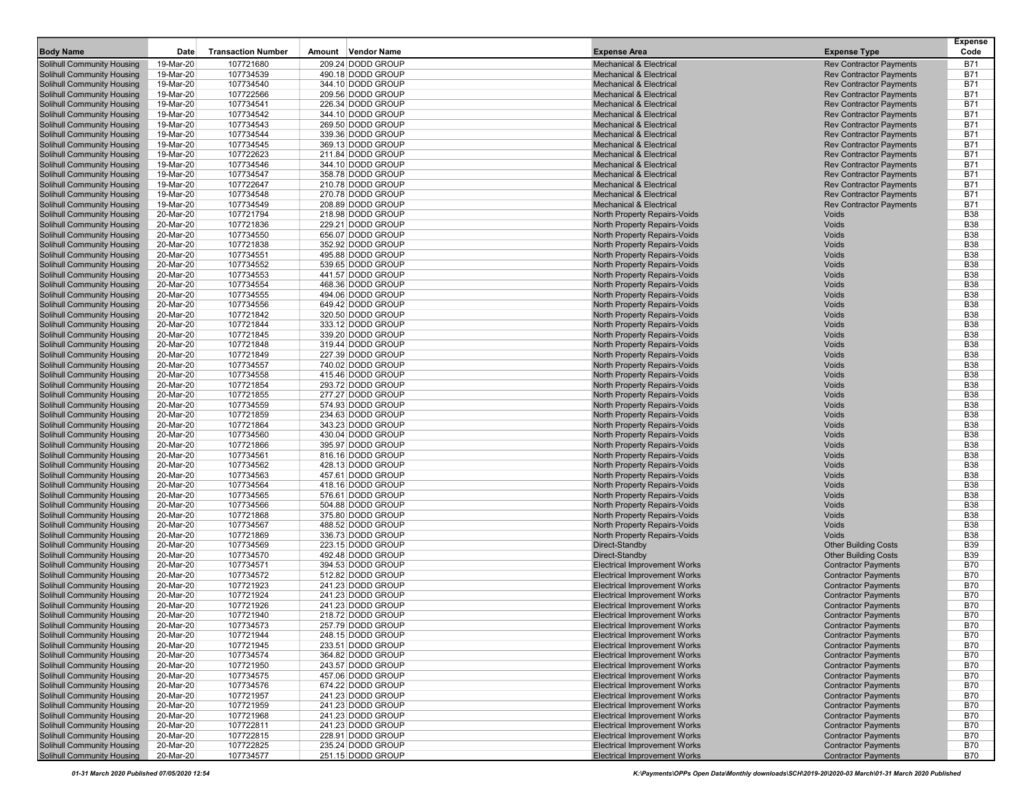| <b>Body Name</b>                                                       | Date                   | <b>Transaction Number</b> | Amount Vendor Name                     | <b>Expense Area</b>                                                        | <b>Expense Type</b>                                              | <b>Expense</b><br>Code   |
|------------------------------------------------------------------------|------------------------|---------------------------|----------------------------------------|----------------------------------------------------------------------------|------------------------------------------------------------------|--------------------------|
| <b>Solihull Community Housing</b>                                      | 19-Mar-20              | 107721680                 | 209.24 DODD GROUP                      | <b>Mechanical &amp; Electrical</b>                                         | <b>Rev Contractor Payments</b>                                   | <b>B71</b>               |
| <b>Solihull Community Housing</b>                                      | 19-Mar-20              | 107734539                 | 490.18 DODD GROUP                      | <b>Mechanical &amp; Electrical</b>                                         | <b>Rev Contractor Payments</b>                                   | <b>B71</b>               |
| Solihull Community Housing                                             | 19-Mar-20              | 107734540                 | 344.10 DODD GROUP                      | <b>Mechanical &amp; Electrical</b>                                         | <b>Rev Contractor Payments</b>                                   | <b>B71</b>               |
| <b>Solihull Community Housing</b>                                      | 19-Mar-20              | 107722566                 | 209.56 DODD GROUP                      | <b>Mechanical &amp; Electrical</b>                                         | <b>Rev Contractor Payments</b>                                   | <b>B71</b>               |
| <b>Solihull Community Housing</b><br><b>Solihull Community Housing</b> | 19-Mar-20<br>19-Mar-20 | 107734541<br>107734542    | 226.34 DODD GROUP<br>344.10 DODD GROUP | <b>Mechanical &amp; Electrical</b>                                         | <b>Rev Contractor Payments</b><br><b>Rev Contractor Payments</b> | <b>B71</b><br><b>B71</b> |
| <b>Solihull Community Housing</b>                                      | 19-Mar-20              | 107734543                 | 269.50 DODD GROUP                      | <b>Mechanical &amp; Electrical</b><br><b>Mechanical &amp; Electrical</b>   | <b>Rev Contractor Payments</b>                                   | <b>B71</b>               |
| <b>Solihull Community Housing</b>                                      | 19-Mar-20              | 107734544                 | 339.36 DODD GROUP                      | <b>Mechanical &amp; Electrical</b>                                         | <b>Rev Contractor Payments</b>                                   | <b>B71</b>               |
| <b>Solihull Community Housing</b>                                      | 19-Mar-20              | 107734545                 | 369.13 DODD GROUP                      | <b>Mechanical &amp; Electrical</b>                                         | <b>Rev Contractor Payments</b>                                   | <b>B71</b>               |
| <b>Solihull Community Housing</b>                                      | 19-Mar-20              | 107722623                 | 211.84 DODD GROUP                      | <b>Mechanical &amp; Electrical</b>                                         | <b>Rev Contractor Payments</b>                                   | <b>B71</b>               |
| <b>Solihull Community Housing</b>                                      | 19-Mar-20              | 107734546                 | 344.10 DODD GROUP                      | <b>Mechanical &amp; Electrical</b>                                         | <b>Rev Contractor Payments</b>                                   | <b>B71</b>               |
| <b>Solihull Community Housing</b>                                      | 19-Mar-20              | 107734547                 | 358.78 DODD GROUP                      | <b>Mechanical &amp; Electrical</b>                                         | <b>Rev Contractor Payments</b>                                   | <b>B71</b>               |
| <b>Solihull Community Housing</b>                                      | 19-Mar-20              | 107722647                 | 210.78 DODD GROUP                      | <b>Mechanical &amp; Electrical</b>                                         | <b>Rev Contractor Payments</b>                                   | B71                      |
| <b>Solihull Community Housing</b>                                      | 19-Mar-20              | 107734548                 | 270.78 DODD GROUP                      | <b>Mechanical &amp; Electrical</b>                                         | <b>Rev Contractor Payments</b>                                   | <b>B71</b>               |
| <b>Solihull Community Housing</b>                                      | 19-Mar-20              | 107734549                 | 208.89 DODD GROUP                      | <b>Mechanical &amp; Electrical</b>                                         | <b>Rev Contractor Payments</b>                                   | <b>B71</b>               |
| <b>Solihull Community Housing</b><br><b>Solihull Community Housing</b> | 20-Mar-20<br>20-Mar-20 | 107721794<br>107721836    | 218.98 DODD GROUP<br>229.21 DODD GROUP | North Property Repairs-Voids<br><b>North Property Repairs-Voids</b>        | Voids<br>Voids                                                   | <b>B38</b><br><b>B38</b> |
| <b>Solihull Community Housing</b>                                      | 20-Mar-20              | 107734550                 | 656.07 DODD GROUP                      | North Property Repairs-Voids                                               | Voids                                                            | <b>B38</b>               |
| <b>Solihull Community Housing</b>                                      | 20-Mar-20              | 107721838                 | 352.92 DODD GROUP                      | <b>North Property Repairs-Voids</b>                                        | Voids                                                            | <b>B38</b>               |
| <b>Solihull Community Housing</b>                                      | 20-Mar-20              | 107734551                 | 495.88 DODD GROUP                      | North Property Repairs-Voids                                               | Voids                                                            | <b>B38</b>               |
| <b>Solihull Community Housing</b>                                      | 20-Mar-20              | 107734552                 | 539.65 DODD GROUP                      | <b>North Property Repairs-Voids</b>                                        | Voids                                                            | <b>B38</b>               |
| <b>Solihull Community Housing</b>                                      | 20-Mar-20              | 107734553                 | 441.57 DODD GROUP                      | North Property Repairs-Voids                                               | Voids                                                            | <b>B38</b>               |
| <b>Solihull Community Housing</b>                                      | 20-Mar-20              | 107734554                 | 468.36 DODD GROUP                      | <b>North Property Repairs-Voids</b>                                        | Voids                                                            | <b>B38</b>               |
| <b>Solihull Community Housing</b>                                      | 20-Mar-20              | 107734555                 | 494.06 DODD GROUP                      | North Property Repairs-Voids                                               | Voids                                                            | <b>B38</b>               |
| <b>Solihull Community Housing</b>                                      | 20-Mar-20              | 107734556                 | 649.42 DODD GROUP                      | <b>North Property Repairs-Voids</b>                                        | Voids                                                            | <b>B38</b>               |
| <b>Solihull Community Housing</b><br><b>Solihull Community Housing</b> | 20-Mar-20<br>20-Mar-20 | 107721842<br>107721844    | 320.50 DODD GROUP<br>333.12 DODD GROUP | <b>North Property Repairs-Voids</b><br><b>North Property Repairs-Voids</b> | Voids<br>Voids                                                   | <b>B38</b><br><b>B38</b> |
| Solihull Community Housing                                             | 20-Mar-20              | 107721845                 | 339.20 DODD GROUP                      | <b>North Property Repairs-Voids</b>                                        | Voids                                                            | <b>B38</b>               |
| <b>Solihull Community Housing</b>                                      | 20-Mar-20              | 107721848                 | 319.44 DODD GROUP                      | <b>North Property Repairs-Voids</b>                                        | Voids                                                            | <b>B38</b>               |
| <b>Solihull Community Housing</b>                                      | 20-Mar-20              | 107721849                 | 227.39 DODD GROUP                      | <b>North Property Repairs-Voids</b>                                        | Voids                                                            | <b>B38</b>               |
| <b>Solihull Community Housing</b>                                      | 20-Mar-20              | 107734557                 | 740.02 DODD GROUP                      | <b>North Property Repairs-Voids</b>                                        | Voids                                                            | <b>B38</b>               |
| <b>Solihull Community Housing</b>                                      | 20-Mar-20              | 107734558                 | 415.46 DODD GROUP                      | <b>North Property Repairs-Voids</b>                                        | Voids                                                            | <b>B38</b>               |
| <b>Solihull Community Housing</b>                                      | 20-Mar-20              | 107721854                 | 293.72 DODD GROUP                      | North Property Repairs-Voids                                               | Voids                                                            | <b>B38</b>               |
| <b>Solihull Community Housing</b>                                      | 20-Mar-20              | 107721855                 | 277.27 DODD GROUP                      | <b>North Property Repairs-Voids</b>                                        | Voids                                                            | <b>B38</b>               |
| <b>Solihull Community Housing</b>                                      | 20-Mar-20<br>20-Mar-20 | 107734559<br>107721859    | 574.93 DODD GROUP<br>234.63 DODD GROUP | North Property Repairs-Voids                                               | Voids<br>Voids                                                   | <b>B38</b><br><b>B38</b> |
| <b>Solihull Community Housing</b><br><b>Solihull Community Housing</b> | 20-Mar-20              | 107721864                 | 343.23 DODD GROUP                      | North Property Repairs-Voids<br><b>North Property Repairs-Voids</b>        | Voids                                                            | <b>B38</b>               |
| <b>Solihull Community Housing</b>                                      | 20-Mar-20              | 107734560                 | 430.04 DODD GROUP                      | <b>North Property Repairs-Voids</b>                                        | Voids                                                            | <b>B38</b>               |
| <b>Solihull Community Housing</b>                                      | 20-Mar-20              | 107721866                 | 395.97 DODD GROUP                      | <b>North Property Repairs-Voids</b>                                        | Voids                                                            | <b>B38</b>               |
| <b>Solihull Community Housing</b>                                      | 20-Mar-20              | 107734561                 | 816.16 DODD GROUP                      | North Property Repairs-Voids                                               | Voids                                                            | <b>B38</b>               |
| <b>Solihull Community Housing</b>                                      | 20-Mar-20              | 107734562                 | 428.13 DODD GROUP                      | North Property Repairs-Voids                                               | Voids                                                            | <b>B38</b>               |
| <b>Solihull Community Housing</b>                                      | 20-Mar-20              | 107734563                 | 457.61 DODD GROUP                      | North Property Repairs-Voids                                               | Voids                                                            | <b>B38</b>               |
| <b>Solihull Community Housing</b>                                      | 20-Mar-20              | 107734564                 | 418.16 DODD GROUP                      | North Property Repairs-Voids                                               | Voids                                                            | <b>B38</b>               |
| <b>Solihull Community Housing</b>                                      | 20-Mar-20              | 107734565                 | 576.61 DODD GROUP                      | <b>North Property Repairs-Voids</b>                                        | Voids                                                            | <b>B38</b>               |
| <b>Solihull Community Housing</b><br><b>Solihull Community Housing</b> | 20-Mar-20<br>20-Mar-20 | 107734566<br>107721868    | 504.88 DODD GROUP<br>375.80 DODD GROUP | North Property Repairs-Voids<br><b>North Property Repairs-Voids</b>        | Voids<br>Voids                                                   | <b>B38</b><br><b>B38</b> |
| <b>Solihull Community Housing</b>                                      | 20-Mar-20              | 107734567                 | 488.52 DODD GROUP                      | <b>North Property Repairs-Voids</b>                                        | Voids                                                            | <b>B38</b>               |
| <b>Solihull Community Housing</b>                                      | 20-Mar-20              | 107721869                 | 336.73 DODD GROUP                      | North Property Repairs-Voids                                               | Voids                                                            | <b>B38</b>               |
| <b>Solihull Community Housing</b>                                      | 20-Mar-20              | 107734569                 | 223.15 DODD GROUP                      | Direct-Standby                                                             | <b>Other Building Costs</b>                                      | <b>B39</b>               |
| <b>Solihull Community Housing</b>                                      | 20-Mar-20              | 107734570                 | 492.48 DODD GROUP                      | Direct-Standby                                                             | <b>Other Building Costs</b>                                      | <b>B39</b>               |
| <b>Solihull Community Housing</b>                                      | 20-Mar-20              | 107734571                 | 394.53 DODD GROUP                      | <b>Electrical Improvement Works</b>                                        | <b>Contractor Payments</b>                                       | <b>B70</b>               |
| <b>Solihull Community Housing</b>                                      | 20-Mar-20              | 107734572                 | 512.82 DODD GROUP                      | <b>Electrical Improvement Works</b>                                        | <b>Contractor Payments</b>                                       | <b>B70</b>               |
| Solihull Community Housing                                             | 20-Mar-20              | 107721923                 | 241.23 DODD GROUP                      | <b>Electrical Improvement Works</b>                                        | <b>Contractor Payments</b>                                       | <b>B70</b>               |
| <b>Solihull Community Housing</b>                                      | 20-Mar-20              | 107721924                 | 241.23 DODD GROUP                      | <b>Electrical Improvement Works</b>                                        | <b>Contractor Payments</b>                                       | <b>B70</b><br><b>B70</b> |
| <b>Solihull Community Housing</b><br><b>Solihull Community Housing</b> | 20-Mar-20<br>20-Mar-20 | 107721926<br>107721940    | 241.23 DODD GROUP<br>218.72 DODD GROUP | <b>Electrical Improvement Works</b><br><b>Electrical Improvement Works</b> | <b>Contractor Payments</b><br><b>Contractor Payments</b>         | <b>B70</b>               |
| <b>Solihull Community Housing</b>                                      | 20-Mar-20              | 107734573                 | 257.79 DODD GROUP                      | <b>Electrical Improvement Works</b>                                        | <b>Contractor Payments</b>                                       | <b>B70</b>               |
| <b>Solihull Community Housing</b>                                      | 20-Mar-20              | 107721944                 | 248.15 DODD GROUP                      | <b>Electrical Improvement Works</b>                                        | <b>Contractor Payments</b>                                       | <b>B70</b>               |
| <b>Solihull Community Housing</b>                                      | 20-Mar-20              | 107721945                 | 233.51 DODD GROUP                      | <b>Electrical Improvement Works</b>                                        | <b>Contractor Payments</b>                                       | <b>B70</b>               |
| <b>Solihull Community Housing</b>                                      | 20-Mar-20              | 107734574                 | 364.82 DODD GROUP                      | <b>Electrical Improvement Works</b>                                        | <b>Contractor Payments</b>                                       | <b>B70</b>               |
| <b>Solihull Community Housing</b>                                      | 20-Mar-20              | 107721950                 | 243.57 DODD GROUP                      | <b>Electrical Improvement Works</b>                                        | <b>Contractor Payments</b>                                       | <b>B70</b>               |
| <b>Solihull Community Housing</b>                                      | 20-Mar-20              | 107734575                 | 457.06 DODD GROUP                      | <b>Electrical Improvement Works</b>                                        | <b>Contractor Payments</b>                                       | <b>B70</b>               |
| <b>Solihull Community Housing</b>                                      | 20-Mar-20              | 107734576                 | 674.22 DODD GROUP                      | <b>Electrical Improvement Works</b>                                        | <b>Contractor Payments</b>                                       | <b>B70</b>               |
| <b>Solihull Community Housing</b>                                      | 20-Mar-20              | 107721957                 | 241.23 DODD GROUP                      | <b>Electrical Improvement Works</b>                                        | <b>Contractor Payments</b><br><b>Contractor Payments</b>         | <b>B70</b>               |
| <b>Solihull Community Housing</b><br><b>Solihull Community Housing</b> | 20-Mar-20<br>20-Mar-20 | 107721959<br>107721968    | 241.23 DODD GROUP<br>241.23 DODD GROUP | <b>Electrical Improvement Works</b><br><b>Electrical Improvement Works</b> | <b>Contractor Payments</b>                                       | <b>B70</b><br><b>B70</b> |
| <b>Solihull Community Housing</b>                                      | 20-Mar-20              | 107722811                 | 241.23 DODD GROUP                      | <b>Electrical Improvement Works</b>                                        | <b>Contractor Payments</b>                                       | <b>B70</b>               |
| Solihull Community Housing                                             | 20-Mar-20              | 107722815                 | 228.91 DODD GROUP                      | <b>Electrical Improvement Works</b>                                        | <b>Contractor Payments</b>                                       | <b>B70</b>               |
| <b>Solihull Community Housing</b>                                      | 20-Mar-20              | 107722825                 | 235.24 DODD GROUP                      | <b>Electrical Improvement Works</b>                                        | <b>Contractor Payments</b>                                       | <b>B70</b>               |
| Solihull Community Housing                                             | 20-Mar-20              | 107734577                 | 251.15 DODD GROUP                      | <b>Electrical Improvement Works</b>                                        | <b>Contractor Payments</b>                                       | B70                      |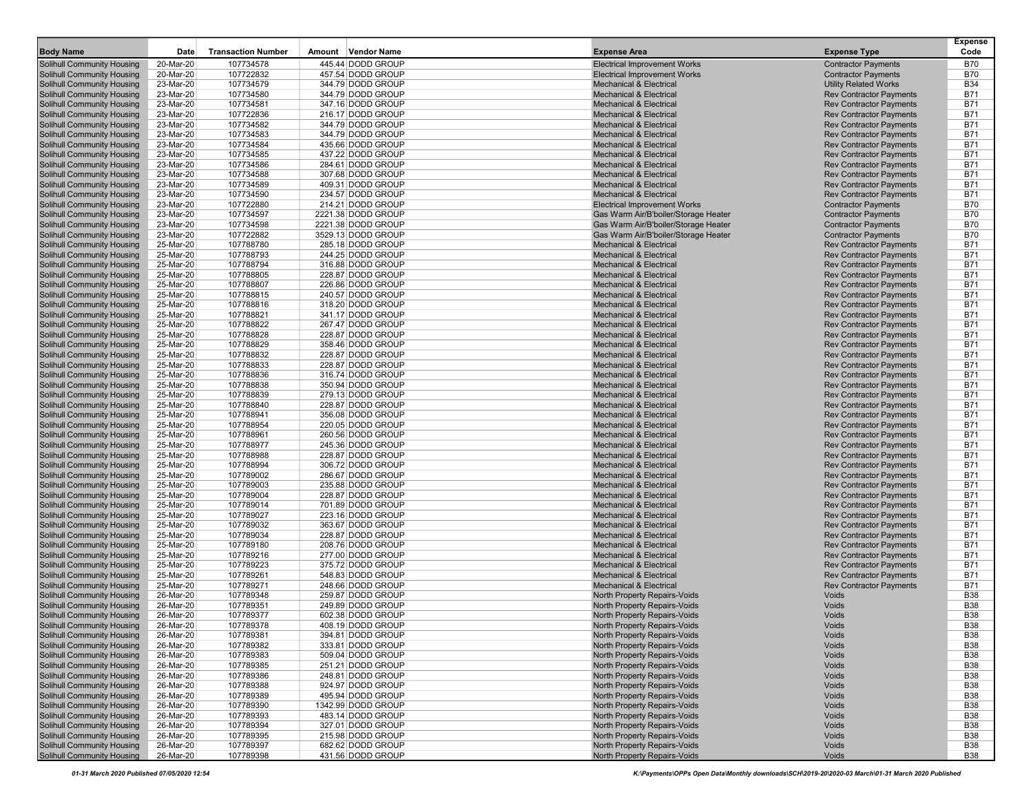| <b>Body Name</b>                                                       | Date                   | <b>Transaction Number</b> | Amount Vendor Name                     | <b>Expense Area</b>                                                        | <b>Expense Type</b>                                              | <b>Expense</b><br>Code   |
|------------------------------------------------------------------------|------------------------|---------------------------|----------------------------------------|----------------------------------------------------------------------------|------------------------------------------------------------------|--------------------------|
|                                                                        | 20-Mar-20              | 107734578                 | 445.44 DODD GROUP                      |                                                                            |                                                                  | <b>B70</b>               |
| Solihull Community Housing<br><b>Solihull Community Housing</b>        | 20-Mar-20              | 107722832                 | 457.54 DODD GROUP                      | <b>Electrical Improvement Works</b><br><b>Electrical Improvement Works</b> | <b>Contractor Payments</b><br><b>Contractor Payments</b>         | <b>B70</b>               |
| Solihull Community Housing                                             | 23-Mar-20              | 107734579                 | 344.79 DODD GROUP                      | <b>Mechanical &amp; Electrical</b>                                         | <b>Utility Related Works</b>                                     | <b>B34</b>               |
| <b>Solihull Community Housing</b>                                      | 23-Mar-20              | 107734580                 | 344.79 DODD GROUP                      | <b>Mechanical &amp; Electrical</b>                                         | <b>Rev Contractor Payments</b>                                   | <b>B71</b>               |
| <b>Solihull Community Housing</b>                                      | 23-Mar-20              | 107734581                 | 347.16 DODD GROUP                      | <b>Mechanical &amp; Electrical</b>                                         | <b>Rev Contractor Payments</b>                                   | <b>B71</b>               |
| Solihull Community Housing                                             | 23-Mar-20              | 107722836                 | 216.17 DODD GROUP                      | <b>Mechanical &amp; Electrical</b>                                         | <b>Rev Contractor Payments</b>                                   | <b>B71</b>               |
| <b>Solihull Community Housing</b>                                      | 23-Mar-20              | 107734582                 | 344.79 DODD GROUP                      | <b>Mechanical &amp; Electrical</b>                                         | <b>Rev Contractor Payments</b>                                   | <b>B71</b>               |
| <b>Solihull Community Housing</b>                                      | 23-Mar-20              | 107734583                 | 344.79 DODD GROUP                      | <b>Mechanical &amp; Electrical</b>                                         | <b>Rev Contractor Payments</b>                                   | <b>B71</b>               |
| <b>Solihull Community Housing</b>                                      | 23-Mar-20              | 107734584                 | 435.66 DODD GROUP                      | <b>Mechanical &amp; Electrical</b>                                         | <b>Rev Contractor Payments</b>                                   | <b>B71</b>               |
| Solihull Community Housing                                             | 23-Mar-20              | 107734585                 | 437.22 DODD GROUP                      | <b>Mechanical &amp; Electrical</b>                                         | <b>Rev Contractor Payments</b>                                   | <b>B71</b>               |
| <b>Solihull Community Housing</b>                                      | 23-Mar-20              | 107734586                 | 284.61 DODD GROUP                      | <b>Mechanical &amp; Electrical</b>                                         | <b>Rev Contractor Payments</b>                                   | <b>B71</b>               |
| Solihull Community Housing                                             | 23-Mar-20              | 107734588                 | 307.68 DODD GROUP                      | <b>Mechanical &amp; Electrical</b>                                         | <b>Rev Contractor Payments</b>                                   | <b>B71</b>               |
| <b>Solihull Community Housing</b><br><b>Solihull Community Housing</b> | 23-Mar-20<br>23-Mar-20 | 107734589<br>107734590    | 409.31 DODD GROUP<br>234.57 DODD GROUP | <b>Mechanical &amp; Electrical</b><br><b>Mechanical &amp; Electrical</b>   | <b>Rev Contractor Payments</b><br><b>Rev Contractor Payments</b> | <b>B71</b><br><b>B71</b> |
| <b>Solihull Community Housing</b>                                      | 23-Mar-20              | 107722880                 | 214.21 DODD GROUP                      | <b>Electrical Improvement Works</b>                                        | <b>Contractor Payments</b>                                       | <b>B70</b>               |
| <b>Solihull Community Housing</b>                                      | 23-Mar-20              | 107734597                 | 2221.38 DODD GROUP                     | Gas Warm Air/B'boiler/Storage Heater                                       | <b>Contractor Payments</b>                                       | <b>B70</b>               |
| <b>Solihull Community Housing</b>                                      | 23-Mar-20              | 107734598                 | 2221.38 DODD GROUP                     | Gas Warm Air/B'boiler/Storage Heater                                       | <b>Contractor Payments</b>                                       | <b>B70</b>               |
| <b>Solihull Community Housing</b>                                      | 23-Mar-20              | 107722882                 | 3529.13 DODD GROUP                     | Gas Warm Air/B'boiler/Storage Heater                                       | <b>Contractor Payments</b>                                       | <b>B70</b>               |
| <b>Solihull Community Housing</b>                                      | 25-Mar-20              | 107788780                 | 285.18 DODD GROUP                      | <b>Mechanical &amp; Electrical</b>                                         | <b>Rev Contractor Payments</b>                                   | <b>B71</b>               |
| Solihull Community Housing                                             | 25-Mar-20              | 107788793                 | 244.25 DODD GROUP                      | <b>Mechanical &amp; Electrical</b>                                         | <b>Rev Contractor Payments</b>                                   | <b>B71</b>               |
| <b>Solihull Community Housing</b>                                      | 25-Mar-20              | 107788794                 | 316.88 DODD GROUP                      | <b>Mechanical &amp; Electrical</b>                                         | <b>Rev Contractor Payments</b>                                   | <b>B71</b>               |
| <b>Solihull Community Housing</b>                                      | 25-Mar-20              | 107788805                 | 228.87 DODD GROUP                      | <b>Mechanical &amp; Electrical</b>                                         | <b>Rev Contractor Payments</b>                                   | <b>B71</b>               |
| <b>Solihull Community Housing</b>                                      | 25-Mar-20              | 107788807                 | 226.86 DODD GROUP                      | <b>Mechanical &amp; Electrical</b>                                         | <b>Rev Contractor Payments</b>                                   | <b>B71</b>               |
| <b>Solihull Community Housing</b>                                      | 25-Mar-20              | 107788815                 | 240.57 DODD GROUP                      | <b>Mechanical &amp; Electrical</b>                                         | <b>Rev Contractor Payments</b>                                   | <b>B71</b>               |
| <b>Solihull Community Housing</b>                                      | 25-Mar-20              | 107788816                 | 318.20 DODD GROUP                      | <b>Mechanical &amp; Electrical</b>                                         | <b>Rev Contractor Payments</b>                                   | <b>B71</b><br><b>B71</b> |
| <b>Solihull Community Housing</b><br><b>Solihull Community Housing</b> | 25-Mar-20<br>25-Mar-20 | 107788821<br>107788822    | 341.17 DODD GROUP<br>267.47 DODD GROUP | <b>Mechanical &amp; Electrical</b><br><b>Mechanical &amp; Electrical</b>   | <b>Rev Contractor Payments</b><br><b>Rev Contractor Payments</b> | <b>B71</b>               |
| Solihull Community Housing                                             | 25-Mar-20              | 107788828                 | 228.87 DODD GROUP                      | <b>Mechanical &amp; Electrical</b>                                         | <b>Rev Contractor Payments</b>                                   | <b>B71</b>               |
| <b>Solihull Community Housing</b>                                      | 25-Mar-20              | 107788829                 | 358.46 DODD GROUP                      | <b>Mechanical &amp; Electrical</b>                                         | <b>Rev Contractor Payments</b>                                   | <b>B71</b>               |
| <b>Solihull Community Housing</b>                                      | 25-Mar-20              | 107788832                 | 228.87 DODD GROUP                      | <b>Mechanical &amp; Electrical</b>                                         | <b>Rev Contractor Payments</b>                                   | <b>B71</b>               |
| Solihull Community Housing                                             | 25-Mar-20              | 107788833                 | 228.87 DODD GROUP                      | <b>Mechanical &amp; Electrical</b>                                         | <b>Rev Contractor Payments</b>                                   | <b>B71</b>               |
| <b>Solihull Community Housing</b>                                      | 25-Mar-20              | 107788836                 | 316.74 DODD GROUP                      | <b>Mechanical &amp; Electrical</b>                                         | <b>Rev Contractor Payments</b>                                   | <b>B71</b>               |
| <b>Solihull Community Housing</b>                                      | 25-Mar-20              | 107788838                 | 350.94 DODD GROUP                      | <b>Mechanical &amp; Electrical</b>                                         | <b>Rev Contractor Payments</b>                                   | <b>B71</b>               |
| Solihull Community Housing                                             | 25-Mar-20              | 107788839                 | 279.13 DODD GROUP                      | <b>Mechanical &amp; Electrical</b>                                         | <b>Rev Contractor Payments</b>                                   | <b>B71</b>               |
| Solihull Community Housing                                             | 25-Mar-20              | 107788840                 | 228.87 DODD GROUP                      | <b>Mechanical &amp; Electrical</b>                                         | <b>Rev Contractor Payments</b>                                   | <b>B71</b>               |
| <b>Solihull Community Housing</b>                                      | 25-Mar-20              | 107788941                 | 356.08 DODD GROUP                      | <b>Mechanical &amp; Electrical</b>                                         | <b>Rev Contractor Payments</b>                                   | <b>B71</b><br><b>B71</b> |
| Solihull Community Housing<br><b>Solihull Community Housing</b>        | 25-Mar-20<br>25-Mar-20 | 107788954<br>107788961    | 220.05 DODD GROUP<br>260.56 DODD GROUP | <b>Mechanical &amp; Electrical</b><br><b>Mechanical &amp; Electrical</b>   | <b>Rev Contractor Payments</b><br><b>Rev Contractor Payments</b> | <b>B71</b>               |
| <b>Solihull Community Housing</b>                                      | 25-Mar-20              | 107788977                 | 245.36 DODD GROUP                      | <b>Mechanical &amp; Electrical</b>                                         | <b>Rev Contractor Payments</b>                                   | <b>B71</b>               |
| <b>Solihull Community Housing</b>                                      | 25-Mar-20              | 107788988                 | 228.87 DODD GROUP                      | <b>Mechanical &amp; Electrical</b>                                         | <b>Rev Contractor Payments</b>                                   | <b>B71</b>               |
| <b>Solihull Community Housing</b>                                      | 25-Mar-20              | 107788994                 | 306.72 DODD GROUP                      | <b>Mechanical &amp; Electrical</b>                                         | <b>Rev Contractor Payments</b>                                   | <b>B71</b>               |
| <b>Solihull Community Housing</b>                                      | 25-Mar-20              | 107789002                 | 286.67 DODD GROUP                      | <b>Mechanical &amp; Electrical</b>                                         | <b>Rev Contractor Payments</b>                                   | <b>B71</b>               |
| <b>Solihull Community Housing</b>                                      | 25-Mar-20              | 107789003                 | 235.88 DODD GROUP                      | <b>Mechanical &amp; Electrical</b>                                         | <b>Rev Contractor Payments</b>                                   | <b>B71</b>               |
| <b>Solihull Community Housing</b>                                      | 25-Mar-20              | 107789004                 | 228.87 DODD GROUP                      | <b>Mechanical &amp; Electrical</b>                                         | <b>Rev Contractor Payments</b>                                   | <b>B71</b>               |
| Solihull Community Housing                                             | 25-Mar-20              | 107789014                 | 701.89 DODD GROUP                      | <b>Mechanical &amp; Electrical</b>                                         | <b>Rev Contractor Payments</b>                                   | <b>B71</b>               |
| <b>Solihull Community Housing</b>                                      | 25-Mar-20              | 107789027                 | 223.16 DODD GROUP                      | <b>Mechanical &amp; Electrical</b>                                         | <b>Rev Contractor Payments</b>                                   | <b>B71</b>               |
| <b>Solihull Community Housing</b>                                      | 25-Mar-20              | 107789032                 | 363.67 DODD GROUP                      | <b>Mechanical &amp; Electrical</b>                                         | <b>Rev Contractor Payments</b>                                   | <b>B71</b><br><b>B71</b> |
| <b>Solihull Community Housing</b><br><b>Solihull Community Housing</b> | 25-Mar-20<br>25-Mar-20 | 107789034<br>107789180    | 228.87 DODD GROUP<br>208.76 DODD GROUP | <b>Mechanical &amp; Electrical</b><br><b>Mechanical &amp; Electrical</b>   | <b>Rev Contractor Payments</b><br><b>Rev Contractor Payments</b> | <b>B71</b>               |
| <b>Solihull Community Housing</b>                                      | 25-Mar-20              | 107789216                 | 277.00 DODD GROUP                      | <b>Mechanical &amp; Electrical</b>                                         | <b>Rev Contractor Payments</b>                                   | <b>B71</b>               |
| Solihull Community Housing                                             | 25-Mar-20              | 107789223                 | 375.72 DODD GROUP                      | <b>Mechanical &amp; Electrical</b>                                         | <b>Rev Contractor Payments</b>                                   | <b>B71</b>               |
| <b>Solihull Community Housing</b>                                      | 25-Mar-20              | 107789261                 | 548.83 DODD GROUP                      | <b>Mechanical &amp; Electrical</b>                                         | <b>Rev Contractor Payments</b>                                   | <b>B71</b>               |
| <b>Solihull Community Housing</b>                                      | 25-Mar-20              | 107789271                 | 248.66 DODD GROUP                      | <b>Mechanical &amp; Electrical</b>                                         | <b>Rev Contractor Payments</b>                                   | <b>B71</b>               |
| <b>Solihull Community Housing</b>                                      | 26-Mar-20              | 107789348                 | 259.87 DODD GROUP                      | North Property Repairs-Voids                                               | Voids                                                            | <b>B38</b>               |
| <b>Solihull Community Housing</b>                                      | 26-Mar-20              | 107789351                 | 249.89 DODD GROUP                      | North Property Repairs-Voids                                               | Voids                                                            | <b>B38</b>               |
| <b>Solihull Community Housing</b>                                      | 26-Mar-20              | 107789377                 | 602.38 DODD GROUP                      | North Property Repairs-Voids                                               | Voids                                                            | <b>B38</b>               |
| <b>Solihull Community Housing</b>                                      | 26-Mar-20              | 107789378                 | 408.19 DODD GROUP                      | North Property Repairs-Voids                                               | Voids                                                            | <b>B38</b>               |
| <b>Solihull Community Housing</b>                                      | 26-Mar-20              | 107789381                 | 394.81 DODD GROUP                      | North Property Repairs-Voids                                               | Voids                                                            | <b>B38</b>               |
| <b>Solihull Community Housing</b><br><b>Solihull Community Housing</b> | 26-Mar-20<br>26-Mar-20 | 107789382<br>107789383    | 333.81 DODD GROUP<br>509.04 DODD GROUP | North Property Repairs-Voids<br>North Property Repairs-Voids               | Voids<br>Voids                                                   | <b>B38</b><br><b>B38</b> |
| <b>Solihull Community Housing</b>                                      | 26-Mar-20              | 107789385                 | 251.21 DODD GROUP                      | North Property Repairs-Voids                                               | Voids                                                            | <b>B38</b>               |
| <b>Solihull Community Housing</b>                                      | 26-Mar-20              | 107789386                 | 248.81 DODD GROUP                      | North Property Repairs-Voids                                               | Voids                                                            | <b>B38</b>               |
| Solihull Community Housing                                             | 26-Mar-20              | 107789388                 | 924.97 DODD GROUP                      | North Property Repairs-Voids                                               | Voids                                                            | <b>B38</b>               |
| <b>Solihull Community Housing</b>                                      | 26-Mar-20              | 107789389                 | 495.94 DODD GROUP                      | North Property Repairs-Voids                                               | Voids                                                            | <b>B38</b>               |
| <b>Solihull Community Housing</b>                                      | 26-Mar-20              | 107789390                 | 1342.99 DODD GROUP                     | North Property Repairs-Voids                                               | Voids                                                            | <b>B38</b>               |
| <b>Solihull Community Housing</b>                                      | 26-Mar-20              | 107789393                 | 483.14 DODD GROUP                      | North Property Repairs-Voids                                               | Voids                                                            | <b>B38</b>               |
| <b>Solihull Community Housing</b>                                      | 26-Mar-20              | 107789394                 | 327.01 DODD GROUP                      | North Property Repairs-Voids                                               | Voids                                                            | <b>B38</b>               |
| <b>Solihull Community Housing</b>                                      | 26-Mar-20              | 107789395                 | 215.98 DODD GROUP                      | North Property Repairs-Voids                                               | Voids                                                            | <b>B38</b>               |
| <b>Solihull Community Housing</b>                                      | 26-Mar-20              | 107789397                 | 682.62 DODD GROUP                      | North Property Repairs-Voids                                               | Voids                                                            | <b>B38</b>               |
| <b>Solihull Community Housing</b>                                      | 26-Mar-20              | 107789398                 | 431.56 DODD GROUP                      | North Property Repairs-Voids                                               | Voids                                                            | <b>B38</b>               |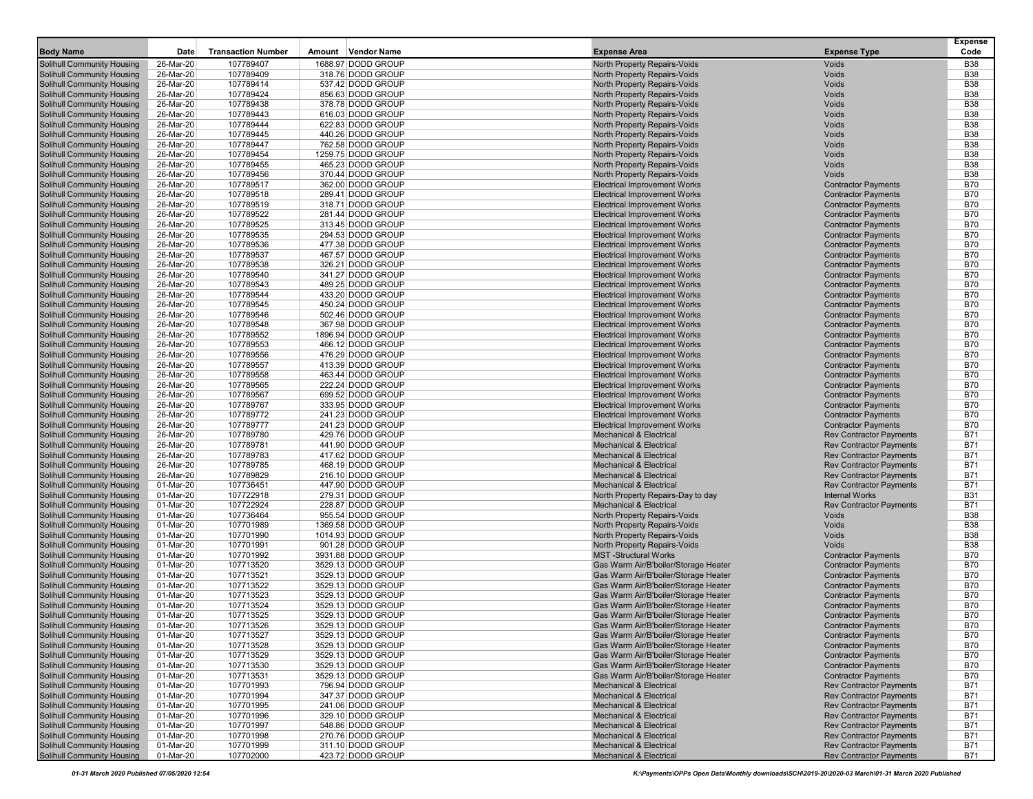| <b>Body Name</b>                                                       | Date                   | <b>Transaction Number</b> | Amount Vendor Name                       | <b>Expense Area</b>                                                          | <b>Expense Type</b>                                              | <b>Expense</b><br>Code   |
|------------------------------------------------------------------------|------------------------|---------------------------|------------------------------------------|------------------------------------------------------------------------------|------------------------------------------------------------------|--------------------------|
| <b>Solihull Community Housing</b>                                      | 26-Mar-20              | 107789407                 | 1688.97 DODD GROUP                       | <b>North Property Repairs-Voids</b>                                          | Voids                                                            | <b>B38</b>               |
| <b>Solihull Community Housing</b>                                      | 26-Mar-20              | 107789409                 | 318.76 DODD GROUP                        | <b>North Property Repairs-Voids</b>                                          | <b>Voids</b>                                                     | <b>B38</b>               |
| <b>Solihull Community Housing</b>                                      | 26-Mar-20              | 107789414                 | 537.42 DODD GROUP                        | North Property Repairs-Voids                                                 | Voids                                                            | <b>B38</b>               |
| <b>Solihull Community Housing</b>                                      | 26-Mar-20              | 107789424                 | 856.63 DODD GROUP                        | North Property Repairs-Voids                                                 | <b>Voids</b>                                                     | <b>B38</b>               |
| <b>Solihull Community Housing</b>                                      | 26-Mar-20              | 107789438                 | 378.78 DODD GROUP                        | North Property Repairs-Voids                                                 | Voids                                                            | <b>B38</b>               |
| <b>Solihull Community Housing</b><br><b>Solihull Community Housing</b> | 26-Mar-20<br>26-Mar-20 | 107789443<br>107789444    | 616.03 DODD GROUP<br>622.83 DODD GROUP   | North Property Repairs-Voids<br>North Property Repairs-Voids                 | Voids<br><b>Voids</b>                                            | <b>B38</b><br><b>B38</b> |
| Solihull Community Housing                                             | 26-Mar-20              | 107789445                 | 440.26 DODD GROUP                        | North Property Repairs-Voids                                                 | Voids                                                            | <b>B38</b>               |
| <b>Solihull Community Housing</b>                                      | 26-Mar-20              | 107789447                 | 762.58 DODD GROUP                        | <b>North Property Repairs-Voids</b>                                          | Voids                                                            | <b>B38</b>               |
| <b>Solihull Community Housing</b>                                      | 26-Mar-20              | 107789454                 | 1259.75 DODD GROUP                       | North Property Repairs-Voids                                                 | Voids                                                            | <b>B38</b>               |
| <b>Solihull Community Housing</b>                                      | 26-Mar-20              | 107789455                 | 465.23 DODD GROUP                        | North Property Repairs-Voids                                                 | <b>Voids</b>                                                     | <b>B38</b>               |
| <b>Solihull Community Housing</b>                                      | 26-Mar-20              | 107789456                 | 370.44 DODD GROUP                        | North Property Repairs-Voids                                                 | <b>Voids</b>                                                     | <b>B38</b>               |
| Solihull Community Housing                                             | 26-Mar-20              | 107789517                 | 362.00 DODD GROUP                        | <b>Electrical Improvement Works</b>                                          | <b>Contractor Payments</b>                                       | <b>B70</b>               |
| <b>Solihull Community Housing</b><br><b>Solihull Community Housing</b> | 26-Mar-20<br>26-Mar-20 | 107789518<br>107789519    | 289.41 DODD GROUP<br>318.71 DODD GROUP   | <b>Electrical Improvement Works</b><br><b>Electrical Improvement Works</b>   | <b>Contractor Payments</b><br><b>Contractor Payments</b>         | <b>B70</b><br><b>B70</b> |
| Solihull Community Housing                                             | 26-Mar-20              | 107789522                 | 281.44 DODD GROUP                        | <b>Electrical Improvement Works</b>                                          | <b>Contractor Payments</b>                                       | <b>B70</b>               |
| <b>Solihull Community Housing</b>                                      | 26-Mar-20              | 107789525                 | 313.45 DODD GROUP                        | <b>Electrical Improvement Works</b>                                          | <b>Contractor Payments</b>                                       | <b>B70</b>               |
| Solihull Community Housing                                             | 26-Mar-20              | 107789535                 | 294.53 DODD GROUP                        | <b>Electrical Improvement Works</b>                                          | <b>Contractor Payments</b>                                       | <b>B70</b>               |
| <b>Solihull Community Housing</b>                                      | 26-Mar-20              | 107789536                 | 477.38 DODD GROUP                        | <b>Electrical Improvement Works</b>                                          | <b>Contractor Payments</b>                                       | <b>B70</b>               |
| Solihull Community Housing                                             | 26-Mar-20              | 107789537                 | 467.57 DODD GROUP                        | <b>Electrical Improvement Works</b>                                          | <b>Contractor Payments</b>                                       | <b>B70</b>               |
| <b>Solihull Community Housing</b>                                      | 26-Mar-20              | 107789538                 | 326.21 DODD GROUP                        | <b>Electrical Improvement Works</b>                                          | <b>Contractor Payments</b>                                       | <b>B70</b>               |
| <b>Solihull Community Housing</b><br><b>Solihull Community Housing</b> | 26-Mar-20<br>26-Mar-20 | 107789540<br>107789543    | 341.27 DODD GROUP<br>489.25 DODD GROUP   | <b>Electrical Improvement Works</b><br><b>Electrical Improvement Works</b>   | <b>Contractor Payments</b><br><b>Contractor Payments</b>         | <b>B70</b><br><b>B70</b> |
| <b>Solihull Community Housing</b>                                      | 26-Mar-20              | 107789544                 | 433.20 DODD GROUP                        | <b>Electrical Improvement Works</b>                                          | <b>Contractor Payments</b>                                       | <b>B70</b>               |
| <b>Solihull Community Housing</b>                                      | 26-Mar-20              | 107789545                 | 450.24 DODD GROUP                        | <b>Electrical Improvement Works</b>                                          | <b>Contractor Payments</b>                                       | <b>B70</b>               |
| Solihull Community Housing                                             | 26-Mar-20              | 107789546                 | 502.46 DODD GROUP                        | <b>Electrical Improvement Works</b>                                          | <b>Contractor Payments</b>                                       | <b>B70</b>               |
| <b>Solihull Community Housing</b>                                      | 26-Mar-20              | 107789548                 | 367.98 DODD GROUP                        | <b>Electrical Improvement Works</b>                                          | <b>Contractor Payments</b>                                       | <b>B70</b>               |
| <b>Solihull Community Housing</b>                                      | 26-Mar-20              | 107789552                 | 1896.94 DODD GROUP                       | <b>Electrical Improvement Works</b>                                          | <b>Contractor Payments</b>                                       | <b>B70</b>               |
| <b>Solihull Community Housing</b>                                      | 26-Mar-20              | 107789553                 | 466.12 DODD GROUP                        | <b>Electrical Improvement Works</b>                                          | <b>Contractor Payments</b>                                       | <b>B70</b>               |
| <b>Solihull Community Housing</b><br><b>Solihull Community Housing</b> | 26-Mar-20<br>26-Mar-20 | 107789556<br>107789557    | 476.29 DODD GROUP<br>413.39 DODD GROUP   | <b>Electrical Improvement Works</b><br><b>Electrical Improvement Works</b>   | <b>Contractor Payments</b><br><b>Contractor Payments</b>         | <b>B70</b><br><b>B70</b> |
| <b>Solihull Community Housing</b>                                      | 26-Mar-20              | 107789558                 | 463.44 DODD GROUP                        | <b>Electrical Improvement Works</b>                                          | <b>Contractor Payments</b>                                       | <b>B70</b>               |
| Solihull Community Housing                                             | 26-Mar-20              | 107789565                 | 222.24 DODD GROUP                        | <b>Electrical Improvement Works</b>                                          | <b>Contractor Payments</b>                                       | <b>B70</b>               |
| <b>Solihull Community Housing</b>                                      | 26-Mar-20              | 107789567                 | 699.52 DODD GROUP                        | <b>Electrical Improvement Works</b>                                          | <b>Contractor Payments</b>                                       | <b>B70</b>               |
| <b>Solihull Community Housing</b>                                      | 26-Mar-20              | 107789767                 | 333.95 DODD GROUP                        | <b>Electrical Improvement Works</b>                                          | <b>Contractor Payments</b>                                       | <b>B70</b>               |
| <b>Solihull Community Housing</b>                                      | 26-Mar-20              | 107789772                 | 241.23 DODD GROUP                        | <b>Electrical Improvement Works</b>                                          | <b>Contractor Payments</b>                                       | <b>B70</b>               |
| <b>Solihull Community Housing</b>                                      | 26-Mar-20              | 107789777                 | 241.23 DODD GROUP                        | <b>Electrical Improvement Works</b><br><b>Mechanical &amp; Electrical</b>    | <b>Contractor Payments</b>                                       | <b>B70</b><br><b>B71</b> |
| Solihull Community Housing<br><b>Solihull Community Housing</b>        | 26-Mar-20<br>26-Mar-20 | 107789780<br>107789781    | 429.76 DODD GROUP<br>441.90 DODD GROUP   | <b>Mechanical &amp; Electrical</b>                                           | <b>Rev Contractor Payments</b><br><b>Rev Contractor Payments</b> | <b>B71</b>               |
| <b>Solihull Community Housing</b>                                      | 26-Mar-20              | 107789783                 | 417.62 DODD GROUP                        | <b>Mechanical &amp; Electrical</b>                                           | <b>Rev Contractor Payments</b>                                   | <b>B71</b>               |
| Solihull Community Housing                                             | 26-Mar-20              | 107789785                 | 468.19 DODD GROUP                        | <b>Mechanical &amp; Electrical</b>                                           | <b>Rev Contractor Payments</b>                                   | <b>B71</b>               |
| <b>Solihull Community Housing</b>                                      | 26-Mar-20              | 107789829                 | 216.10 DODD GROUP                        | <b>Mechanical &amp; Electrical</b>                                           | <b>Rev Contractor Payments</b>                                   | <b>B71</b>               |
| Solihull Community Housing                                             | 01-Mar-20              | 107736451                 | 447.90 DODD GROUP                        | <b>Mechanical &amp; Electrical</b>                                           | <b>Rev Contractor Payments</b>                                   | <b>B71</b>               |
| <b>Solihull Community Housing</b>                                      | 01-Mar-20              | 107722918                 | 279.31 DODD GROUP                        | North Property Repairs-Day to day                                            | <b>Internal Works</b>                                            | <b>B31</b>               |
| Solihull Community Housing<br><b>Solihull Community Housing</b>        | 01-Mar-20<br>01-Mar-20 | 107722924<br>107736464    | 228.87 DODD GROUP<br>955.54 DODD GROUP   | <b>Mechanical &amp; Electrical</b><br>North Property Repairs-Voids           | <b>Rev Contractor Payments</b><br>Voids                          | <b>B71</b><br><b>B38</b> |
| <b>Solihull Community Housing</b>                                      | 01-Mar-20              | 107701989                 | 1369.58 DODD GROUP                       | North Property Repairs-Voids                                                 | <b>Voids</b>                                                     | <b>B38</b>               |
| <b>Solihull Community Housing</b>                                      | 01-Mar-20              | 107701990                 | 1014.93 DODD GROUP                       | North Property Repairs-Voids                                                 | Voids                                                            | <b>B38</b>               |
| Solihull Community Housing                                             | 01-Mar-20              | 107701991                 | 901.28 DODD GROUP                        | North Property Repairs-Voids                                                 | <b>Voids</b>                                                     | <b>B38</b>               |
| <b>Solihull Community Housing</b>                                      | 01-Mar-20              | 107701992                 | 3931.88 DODD GROUP                       | <b>MST-Structural Works</b>                                                  | <b>Contractor Payments</b>                                       | <b>B70</b>               |
| Solihull Community Housing                                             | 01-Mar-20              | 107713520                 | 3529.13 DODD GROUP                       | Gas Warm Air/B'boiler/Storage Heater                                         | <b>Contractor Payments</b>                                       | <b>B70</b>               |
| <b>Solihull Community Housing</b>                                      | 01-Mar-20              | 107713521                 | 3529.13 DODD GROUP                       | Gas Warm Air/B'boiler/Storage Heater                                         | <b>Contractor Payments</b>                                       | <b>B70</b>               |
| <b>Solihull Community Housing</b><br><b>Solihull Community Housing</b> | 01-Mar-20<br>01-Mar-20 | 107713522<br>107713523    | 3529.13 DODD GROUP<br>3529.13 DODD GROUP | Gas Warm Air/B'boiler/Storage Heater<br>Gas Warm Air/B'boiler/Storage Heater | <b>Contractor Payments</b><br><b>Contractor Payments</b>         | <b>B70</b><br><b>B70</b> |
| <b>Solihull Community Housing</b>                                      | 01-Mar-20              | 107713524                 | 3529.13 DODD GROUP                       | Gas Warm Air/B'boiler/Storage Heater                                         | <b>Contractor Payments</b>                                       | <b>B70</b>               |
| <b>Solihull Community Housing</b>                                      | 01-Mar-20              | 107713525                 | 3529.13 DODD GROUP                       | Gas Warm Air/B'boiler/Storage Heater                                         | <b>Contractor Payments</b>                                       | <b>B70</b>               |
| <b>Solihull Community Housing</b>                                      | 01-Mar-20              | 107713526                 | 3529.13 DODD GROUP                       | Gas Warm Air/B'boiler/Storage Heater                                         | <b>Contractor Payments</b>                                       | <b>B70</b>               |
| <b>Solihull Community Housing</b>                                      | 01-Mar-20              | 107713527                 | 3529.13 DODD GROUP                       | Gas Warm Air/B'boiler/Storage Heater                                         | <b>Contractor Payments</b>                                       | <b>B70</b>               |
| <b>Solihull Community Housing</b>                                      | 01-Mar-20              | 107713528                 | 3529.13 DODD GROUP                       | Gas Warm Air/B'boiler/Storage Heater                                         | <b>Contractor Payments</b>                                       | <b>B70</b>               |
| <b>Solihull Community Housing</b>                                      | 01-Mar-20              | 107713529                 | 3529.13 DODD GROUP                       | Gas Warm Air/B'boiler/Storage Heater                                         | <b>Contractor Payments</b>                                       | <b>B70</b>               |
| <b>Solihull Community Housing</b>                                      | 01-Mar-20              | 107713530                 | 3529.13 DODD GROUP                       | Gas Warm Air/B'boiler/Storage Heater                                         | <b>Contractor Payments</b>                                       | <b>B70</b>               |
| <b>Solihull Community Housing</b><br><b>Solihull Community Housing</b> | 01-Mar-20<br>01-Mar-20 | 107713531<br>107701993    | 3529.13 DODD GROUP<br>796.94 DODD GROUP  | Gas Warm Air/B'boiler/Storage Heater<br><b>Mechanical &amp; Electrical</b>   | <b>Contractor Payments</b><br><b>Rev Contractor Payments</b>     | <b>B70</b><br><b>B71</b> |
| <b>Solihull Community Housing</b>                                      | 01-Mar-20              | 107701994                 | 347.37 DODD GROUP                        | <b>Mechanical &amp; Electrical</b>                                           | <b>Rev Contractor Payments</b>                                   | <b>B71</b>               |
| <b>Solihull Community Housing</b>                                      | 01-Mar-20              | 107701995                 | 241.06 DODD GROUP                        | <b>Mechanical &amp; Electrical</b>                                           | <b>Rev Contractor Payments</b>                                   | <b>B71</b>               |
| <b>Solihull Community Housing</b>                                      | 01-Mar-20              | 107701996                 | 329.10 DODD GROUP                        | <b>Mechanical &amp; Electrical</b>                                           | <b>Rev Contractor Payments</b>                                   | <b>B71</b>               |
| <b>Solihull Community Housing</b>                                      | 01-Mar-20              | 107701997                 | 548.86 DODD GROUP                        | <b>Mechanical &amp; Electrical</b>                                           | <b>Rev Contractor Payments</b>                                   | B71                      |
| <b>Solihull Community Housing</b>                                      | 01-Mar-20              | 107701998                 | 270.76 DODD GROUP                        | <b>Mechanical &amp; Electrical</b>                                           | <b>Rev Contractor Payments</b>                                   | <b>B71</b>               |
| <b>Solihull Community Housing</b>                                      | 01-Mar-20              | 107701999                 | 311.10 DODD GROUP                        | <b>Mechanical &amp; Electrical</b>                                           | <b>Rev Contractor Payments</b>                                   | <b>B71</b>               |
| <b>Solihull Community Housing</b>                                      | 01-Mar-20              | 107702000                 | 423.72 DODD GROUP                        | <b>Mechanical &amp; Electrical</b>                                           | <b>Rev Contractor Payments</b>                                   | B71                      |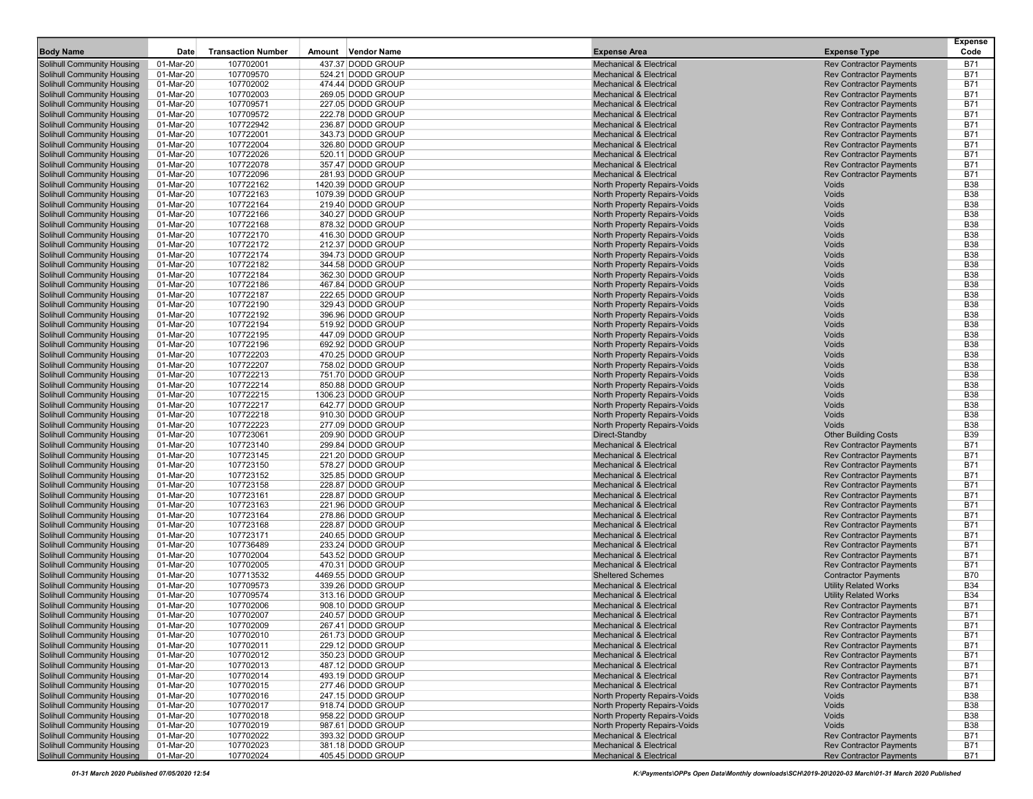| <b>Body Name</b>                                                       | Date                   | <b>Transaction Number</b> | Amount Vendor Name                     | <b>Expense Area</b>                                                        | <b>Expense Type</b>                                              | <b>Expense</b><br>Code   |
|------------------------------------------------------------------------|------------------------|---------------------------|----------------------------------------|----------------------------------------------------------------------------|------------------------------------------------------------------|--------------------------|
| <b>Solihull Community Housing</b>                                      | 01-Mar-20              | 107702001                 | 437.37 DODD GROUP                      | <b>Mechanical &amp; Electrical</b>                                         | <b>Rev Contractor Payments</b>                                   | <b>B71</b>               |
| <b>Solihull Community Housing</b>                                      | 01-Mar-20              | 107709570                 | 524.21 DODD GROUP                      | <b>Mechanical &amp; Electrical</b>                                         | <b>Rev Contractor Payments</b>                                   | <b>B71</b>               |
| Solihull Community Housing                                             | 01-Mar-20              | 107702002                 | 474.44 DODD GROUP                      | <b>Mechanical &amp; Electrical</b>                                         | <b>Rev Contractor Payments</b>                                   | <b>B71</b>               |
| <b>Solihull Community Housing</b>                                      | 01-Mar-20              | 107702003                 | 269.05 DODD GROUP                      | <b>Mechanical &amp; Electrical</b>                                         | <b>Rev Contractor Payments</b>                                   | <b>B71</b>               |
| <b>Solihull Community Housing</b>                                      | 01-Mar-20              | 107709571                 | 227.05 DODD GROUP                      | <b>Mechanical &amp; Electrical</b>                                         | <b>Rev Contractor Payments</b>                                   | <b>B71</b>               |
| <b>Solihull Community Housing</b>                                      | 01-Mar-20              | 107709572                 | 222.78 DODD GROUP                      | <b>Mechanical &amp; Electrical</b>                                         | <b>Rev Contractor Payments</b>                                   | <b>B71</b>               |
| <b>Solihull Community Housing</b><br><b>Solihull Community Housing</b> | 01-Mar-20<br>01-Mar-20 | 107722942<br>107722001    | 236.87 DODD GROUP<br>343.73 DODD GROUP | <b>Mechanical &amp; Electrical</b><br><b>Mechanical &amp; Electrical</b>   | <b>Rev Contractor Payments</b><br><b>Rev Contractor Payments</b> | <b>B71</b><br><b>B71</b> |
| <b>Solihull Community Housing</b>                                      | 01-Mar-20              | 107722004                 | 326.80 DODD GROUP                      | <b>Mechanical &amp; Electrical</b>                                         | <b>Rev Contractor Payments</b>                                   | <b>B71</b>               |
| <b>Solihull Community Housing</b>                                      | 01-Mar-20              | 107722026                 | 520.11 DODD GROUP                      | <b>Mechanical &amp; Electrical</b>                                         | <b>Rev Contractor Payments</b>                                   | <b>B71</b>               |
| <b>Solihull Community Housing</b>                                      | 01-Mar-20              | 107722078                 | 357.47 DODD GROUP                      | <b>Mechanical &amp; Electrical</b>                                         | <b>Rev Contractor Payments</b>                                   | <b>B71</b>               |
| <b>Solihull Community Housing</b>                                      | 01-Mar-20              | 107722096                 | 281.93 DODD GROUP                      | <b>Mechanical &amp; Electrical</b>                                         | <b>Rev Contractor Payments</b>                                   | <b>B71</b>               |
| <b>Solihull Community Housing</b>                                      | 01-Mar-20              | 107722162                 | 1420.39 DODD GROUP                     | <b>North Property Repairs-Voids</b>                                        | Voids                                                            | <b>B38</b>               |
| <b>Solihull Community Housing</b>                                      | 01-Mar-20              | 107722163                 | 1079.39 DODD GROUP                     | <b>North Property Repairs-Voids</b>                                        | Voids                                                            | <b>B38</b>               |
| <b>Solihull Community Housing</b>                                      | 01-Mar-20              | 107722164                 | 219.40 DODD GROUP                      | North Property Repairs-Voids                                               | Voids                                                            | <b>B38</b>               |
| <b>Solihull Community Housing</b>                                      | 01-Mar-20<br>01-Mar-20 | 107722166                 | 340.27 DODD GROUP                      | <b>North Property Repairs-Voids</b>                                        | Voids                                                            | <b>B38</b>               |
| <b>Solihull Community Housing</b><br><b>Solihull Community Housing</b> | 01-Mar-20              | 107722168<br>107722170    | 878.32 DODD GROUP<br>416.30 DODD GROUP | North Property Repairs-Voids<br>North Property Repairs-Voids               | Voids<br>Voids                                                   | <b>B38</b><br><b>B38</b> |
| <b>Solihull Community Housing</b>                                      | 01-Mar-20              | 107722172                 | 212.37 DODD GROUP                      | <b>North Property Repairs-Voids</b>                                        | Voids                                                            | <b>B38</b>               |
| Solihull Community Housing                                             | 01-Mar-20              | 107722174                 | 394.73 DODD GROUP                      | North Property Repairs-Voids                                               | Voids                                                            | <b>B38</b>               |
| <b>Solihull Community Housing</b>                                      | 01-Mar-20              | 107722182                 | 344.58 DODD GROUP                      | <b>North Property Repairs-Voids</b>                                        | Voids                                                            | <b>B38</b>               |
| <b>Solihull Community Housing</b>                                      | 01-Mar-20              | 107722184                 | 362.30 DODD GROUP                      | North Property Repairs-Voids                                               | Voids                                                            | <b>B38</b>               |
| <b>Solihull Community Housing</b>                                      | 01-Mar-20              | 107722186                 | 467.84 DODD GROUP                      | <b>North Property Repairs-Voids</b>                                        | Voids                                                            | <b>B38</b>               |
| <b>Solihull Community Housing</b>                                      | 01-Mar-20              | 107722187                 | 222.65 DODD GROUP                      | North Property Repairs-Voids                                               | Voids                                                            | <b>B38</b>               |
| <b>Solihull Community Housing</b>                                      | 01-Mar-20              | 107722190                 | 329.43 DODD GROUP                      | <b>North Property Repairs-Voids</b>                                        | Voids                                                            | <b>B38</b>               |
| <b>Solihull Community Housing</b>                                      | 01-Mar-20              | 107722192                 | 396.96 DODD GROUP                      | North Property Repairs-Voids                                               | Voids                                                            | <b>B38</b>               |
| <b>Solihull Community Housing</b>                                      | 01-Mar-20              | 107722194                 | 519.92 DODD GROUP                      | North Property Repairs-Voids                                               | Voids                                                            | <b>B38</b>               |
| <b>Solihull Community Housing</b>                                      | 01-Mar-20              | 107722195                 | 447.09 DODD GROUP                      | <b>North Property Repairs-Voids</b>                                        | Voids                                                            | <b>B38</b><br><b>B38</b> |
| <b>Solihull Community Housing</b><br><b>Solihull Community Housing</b> | 01-Mar-20<br>01-Mar-20 | 107722196<br>107722203    | 692.92 DODD GROUP<br>470.25 DODD GROUP | <b>North Property Repairs-Voids</b><br><b>North Property Repairs-Voids</b> | Voids<br>Voids                                                   | <b>B38</b>               |
| <b>Solihull Community Housing</b>                                      | 01-Mar-20              | 107722207                 | 758.02 DODD GROUP                      | <b>North Property Repairs-Voids</b>                                        | Voids                                                            | <b>B38</b>               |
| <b>Solihull Community Housing</b>                                      | 01-Mar-20              | 107722213                 | 751.70 DODD GROUP                      | <b>North Property Repairs-Voids</b>                                        | Voids                                                            | <b>B38</b>               |
| <b>Solihull Community Housing</b>                                      | 01-Mar-20              | 107722214                 | 850.88 DODD GROUP                      | North Property Repairs-Voids                                               | Voids                                                            | <b>B38</b>               |
| <b>Solihull Community Housing</b>                                      | 01-Mar-20              | 107722215                 | 1306.23 DODD GROUP                     | <b>North Property Repairs-Voids</b>                                        | Voids                                                            | <b>B38</b>               |
| <b>Solihull Community Housing</b>                                      | 01-Mar-20              | 107722217                 | 642.77 DODD GROUP                      | <b>North Property Repairs-Voids</b>                                        | Voids                                                            | <b>B38</b>               |
| <b>Solihull Community Housing</b>                                      | 01-Mar-20              | 107722218                 | 910.30 DODD GROUP                      | <b>North Property Repairs-Voids</b>                                        | Voids                                                            | <b>B38</b>               |
| Solihull Community Housing                                             | 01-Mar-20              | 107722223                 | 277.09 DODD GROUP                      | <b>North Property Repairs-Voids</b>                                        | Voids                                                            | <b>B38</b>               |
| <b>Solihull Community Housing</b><br><b>Solihull Community Housing</b> | 01-Mar-20              | 107723061                 | 209.90 DODD GROUP<br>299.84 DODD GROUP | Direct-Standby<br><b>Mechanical &amp; Electrical</b>                       | <b>Other Building Costs</b>                                      | <b>B39</b><br><b>B71</b> |
| <b>Solihull Community Housing</b>                                      | 01-Mar-20<br>01-Mar-20 | 107723140<br>107723145    | 221.20 DODD GROUP                      | <b>Mechanical &amp; Electrical</b>                                         | <b>Rev Contractor Payments</b><br><b>Rev Contractor Payments</b> | <b>B71</b>               |
| <b>Solihull Community Housing</b>                                      | 01-Mar-20              | 107723150                 | 578.27 DODD GROUP                      | <b>Mechanical &amp; Electrical</b>                                         | <b>Rev Contractor Payments</b>                                   | <b>B71</b>               |
| <b>Solihull Community Housing</b>                                      | 01-Mar-20              | 107723152                 | 325.85 DODD GROUP                      | <b>Mechanical &amp; Electrical</b>                                         | <b>Rev Contractor Payments</b>                                   | <b>B71</b>               |
| <b>Solihull Community Housing</b>                                      | 01-Mar-20              | 107723158                 | 228.87 DODD GROUP                      | <b>Mechanical &amp; Electrical</b>                                         | <b>Rev Contractor Payments</b>                                   | <b>B71</b>               |
| <b>Solihull Community Housing</b>                                      | 01-Mar-20              | 107723161                 | 228.87 DODD GROUP                      | <b>Mechanical &amp; Electrical</b>                                         | <b>Rev Contractor Payments</b>                                   | <b>B71</b>               |
| Solihull Community Housing                                             | 01-Mar-20              | 107723163                 | 221.96 DODD GROUP                      | <b>Mechanical &amp; Electrical</b>                                         | <b>Rev Contractor Payments</b>                                   | <b>B71</b>               |
| <b>Solihull Community Housing</b>                                      | 01-Mar-20              | 107723164                 | 278.86 DODD GROUP                      | <b>Mechanical &amp; Electrical</b>                                         | <b>Rev Contractor Payments</b>                                   | <b>B71</b>               |
| <b>Solihull Community Housing</b>                                      | 01-Mar-20              | 107723168                 | 228.87 DODD GROUP                      | <b>Mechanical &amp; Electrical</b>                                         | <b>Rev Contractor Payments</b>                                   | <b>B71</b>               |
| <b>Solihull Community Housing</b>                                      | 01-Mar-20<br>01-Mar-20 | 107723171<br>107736489    | 240.65 DODD GROUP<br>233.24 DODD GROUP | <b>Mechanical &amp; Electrical</b><br><b>Mechanical &amp; Electrical</b>   | <b>Rev Contractor Payments</b><br><b>Rev Contractor Payments</b> | <b>B71</b><br><b>B71</b> |
| <b>Solihull Community Housing</b><br><b>Solihull Community Housing</b> | 01-Mar-20              | 107702004                 | 543.52 DODD GROUP                      | <b>Mechanical &amp; Electrical</b>                                         | <b>Rev Contractor Payments</b>                                   | <b>B71</b>               |
| <b>Solihull Community Housing</b>                                      | 01-Mar-20              | 107702005                 | 470.31 DODD GROUP                      | <b>Mechanical &amp; Electrical</b>                                         | <b>Rev Contractor Payments</b>                                   | <b>B71</b>               |
| <b>Solihull Community Housing</b>                                      | 01-Mar-20              | 107713532                 | 4469.55 DODD GROUP                     | <b>Sheltered Schemes</b>                                                   | <b>Contractor Payments</b>                                       | <b>B70</b>               |
| <b>Solihull Community Housing</b>                                      | 01-Mar-20              | 107709573                 | 339.26 DODD GROUP                      | <b>Mechanical &amp; Electrical</b>                                         | <b>Utility Related Works</b>                                     | <b>B34</b>               |
| <b>Solihull Community Housing</b>                                      | 01-Mar-20              | 107709574                 | 313.16 DODD GROUP                      | <b>Mechanical &amp; Electrical</b>                                         | <b>Utility Related Works</b>                                     | <b>B34</b>               |
| <b>Solihull Community Housing</b>                                      | 01-Mar-20              | 107702006                 | 908.10 DODD GROUP                      | <b>Mechanical &amp; Electrical</b>                                         | <b>Rev Contractor Payments</b>                                   | <b>B71</b>               |
| <b>Solihull Community Housing</b>                                      | 01-Mar-20              | 107702007                 | 240.57 DODD GROUP                      | <b>Mechanical &amp; Electrical</b>                                         | <b>Rev Contractor Payments</b>                                   | B71                      |
| <b>Solihull Community Housing</b>                                      | 01-Mar-20              | 107702009                 | 267.41 DODD GROUP                      | <b>Mechanical &amp; Electrical</b>                                         | <b>Rev Contractor Payments</b>                                   | B71                      |
| <b>Solihull Community Housing</b>                                      | 01-Mar-20              | 107702010                 | 261.73 DODD GROUP                      | <b>Mechanical &amp; Electrical</b>                                         | <b>Rev Contractor Payments</b>                                   | <b>B71</b>               |
| <b>Solihull Community Housing</b><br>Solihull Community Housing        | 01-Mar-20<br>01-Mar-20 | 107702011<br>107702012    | 229.12 DODD GROUP<br>350.23 DODD GROUP | <b>Mechanical &amp; Electrical</b><br><b>Mechanical &amp; Electrical</b>   | <b>Rev Contractor Payments</b><br><b>Rev Contractor Payments</b> | <b>B71</b><br><b>B71</b> |
| <b>Solihull Community Housing</b>                                      | 01-Mar-20              | 107702013                 | 487.12 DODD GROUP                      | <b>Mechanical &amp; Electrical</b>                                         | <b>Rev Contractor Payments</b>                                   | <b>B71</b>               |
| <b>Solihull Community Housing</b>                                      | 01-Mar-20              | 107702014                 | 493.19 DODD GROUP                      | <b>Mechanical &amp; Electrical</b>                                         | <b>Rev Contractor Payments</b>                                   | <b>B71</b>               |
| Solihull Community Housing                                             | 01-Mar-20              | 107702015                 | 277.46 DODD GROUP                      | <b>Mechanical &amp; Electrical</b>                                         | <b>Rev Contractor Payments</b>                                   | B71                      |
| <b>Solihull Community Housing</b>                                      | 01-Mar-20              | 107702016                 | 247.15 DODD GROUP                      | North Property Repairs-Voids                                               | Voids                                                            | <b>B38</b>               |
| <b>Solihull Community Housing</b>                                      | 01-Mar-20              | 107702017                 | 918.74 DODD GROUP                      | North Property Repairs-Voids                                               | Voids                                                            | <b>B38</b>               |
| <b>Solihull Community Housing</b>                                      | 01-Mar-20              | 107702018                 | 958.22 DODD GROUP                      | North Property Repairs-Voids                                               | Voids                                                            | <b>B38</b>               |
| <b>Solihull Community Housing</b>                                      | 01-Mar-20              | 107702019                 | 987.61 DODD GROUP                      | North Property Repairs-Voids                                               | Voids                                                            | <b>B38</b>               |
| <b>Solihull Community Housing</b>                                      | 01-Mar-20              | 107702022                 | 393.32 DODD GROUP                      | <b>Mechanical &amp; Electrical</b>                                         | <b>Rev Contractor Payments</b>                                   | <b>B71</b>               |
| <b>Solihull Community Housing</b><br><b>Solihull Community Housing</b> | 01-Mar-20              | 107702023<br>107702024    | 381.18 DODD GROUP                      | <b>Mechanical &amp; Electrical</b><br><b>Mechanical &amp; Electrical</b>   | <b>Rev Contractor Payments</b><br><b>Rev Contractor Payments</b> | <b>B71</b><br>B71        |
|                                                                        | 01-Mar-20              |                           | 405.45 DODD GROUP                      |                                                                            |                                                                  |                          |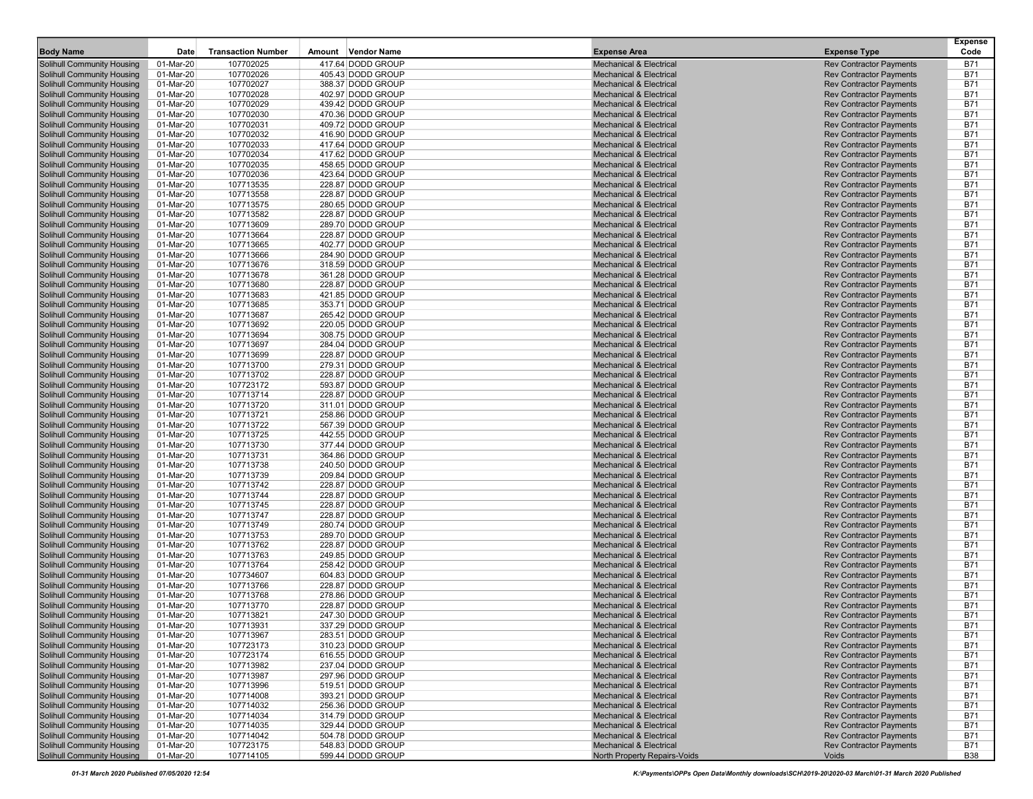| <b>Body Name</b>                                                       | Date                   | <b>Transaction Number</b> | Amount | Vendor Name                            | <b>Expense Area</b>                                                      | <b>Expense Type</b>                                              | <b>Expense</b><br>Code   |
|------------------------------------------------------------------------|------------------------|---------------------------|--------|----------------------------------------|--------------------------------------------------------------------------|------------------------------------------------------------------|--------------------------|
| <b>Solihull Community Housing</b>                                      | 01-Mar-20              | 107702025                 |        | 417.64 DODD GROUP                      | <b>Mechanical &amp; Electrical</b>                                       | <b>Rev Contractor Payments</b>                                   | <b>B71</b>               |
| <b>Solihull Community Housing</b>                                      | 01-Mar-20              | 107702026                 |        | 405.43 DODD GROUP                      | <b>Mechanical &amp; Electrical</b>                                       | <b>Rev Contractor Payments</b>                                   | <b>B71</b>               |
| Solihull Community Housing                                             | 01-Mar-20              | 107702027                 |        | 388.37 DODD GROUP                      | <b>Mechanical &amp; Electrical</b>                                       | <b>Rev Contractor Payments</b>                                   | <b>B71</b>               |
| <b>Solihull Community Housing</b>                                      | 01-Mar-20              | 107702028                 |        | 402.97 DODD GROUP                      | <b>Mechanical &amp; Electrical</b>                                       | <b>Rev Contractor Payments</b>                                   | <b>B71</b>               |
| <b>Solihull Community Housing</b>                                      | 01-Mar-20              | 107702029                 |        | 439.42 DODD GROUP                      | <b>Mechanical &amp; Electrical</b>                                       | <b>Rev Contractor Payments</b>                                   | <b>B71</b>               |
| <b>Solihull Community Housing</b><br><b>Solihull Community Housing</b> | 01-Mar-20<br>01-Mar-20 | 107702030<br>107702031    |        | 470.36 DODD GROUP<br>409.72 DODD GROUP | <b>Mechanical &amp; Electrical</b><br><b>Mechanical &amp; Electrical</b> | <b>Rev Contractor Payments</b><br><b>Rev Contractor Payments</b> | <b>B71</b><br><b>B71</b> |
| <b>Solihull Community Housing</b>                                      | 01-Mar-20              | 107702032                 |        | 416.90 DODD GROUP                      | <b>Mechanical &amp; Electrical</b>                                       | <b>Rev Contractor Payments</b>                                   | <b>B71</b>               |
| <b>Solihull Community Housing</b>                                      | 01-Mar-20              | 107702033                 |        | 417.64 DODD GROUP                      | <b>Mechanical &amp; Electrical</b>                                       | <b>Rev Contractor Payments</b>                                   | <b>B71</b>               |
| <b>Solihull Community Housing</b>                                      | 01-Mar-20              | 107702034                 |        | 417.62 DODD GROUP                      | <b>Mechanical &amp; Electrical</b>                                       | <b>Rev Contractor Payments</b>                                   | <b>B71</b>               |
| <b>Solihull Community Housing</b>                                      | 01-Mar-20              | 107702035                 |        | 458.65 DODD GROUP                      | <b>Mechanical &amp; Electrical</b>                                       | <b>Rev Contractor Payments</b>                                   | <b>B71</b>               |
| <b>Solihull Community Housing</b>                                      | 01-Mar-20              | 107702036                 |        | 423.64 DODD GROUP                      | <b>Mechanical &amp; Electrical</b>                                       | <b>Rev Contractor Payments</b>                                   | <b>B71</b>               |
| <b>Solihull Community Housing</b>                                      | 01-Mar-20              | 107713535                 |        | 228.87 DODD GROUP                      | <b>Mechanical &amp; Electrical</b>                                       | <b>Rev Contractor Payments</b>                                   | <b>B71</b>               |
| Solihull Community Housing                                             | 01-Mar-20              | 107713558                 |        | 228.87 DODD GROUP                      | <b>Mechanical &amp; Electrical</b>                                       | <b>Rev Contractor Payments</b>                                   | <b>B71</b>               |
| <b>Solihull Community Housing</b>                                      | 01-Mar-20              | 107713575                 |        | 280.65 DODD GROUP                      | <b>Mechanical &amp; Electrical</b>                                       | <b>Rev Contractor Payments</b>                                   | <b>B71</b>               |
| <b>Solihull Community Housing</b>                                      | 01-Mar-20              | 107713582                 |        | 228.87 DODD GROUP                      | <b>Mechanical &amp; Electrical</b>                                       | <b>Rev Contractor Payments</b>                                   | <b>B71</b>               |
| <b>Solihull Community Housing</b>                                      | 01-Mar-20              | 107713609                 |        | 289.70 DODD GROUP<br>228.87 DODD GROUP | <b>Mechanical &amp; Electrical</b>                                       | <b>Rev Contractor Payments</b>                                   | <b>B71</b><br><b>B71</b> |
| <b>Solihull Community Housing</b><br><b>Solihull Community Housing</b> | 01-Mar-20<br>01-Mar-20 | 107713664<br>107713665    |        | 402.77 DODD GROUP                      | <b>Mechanical &amp; Electrical</b><br><b>Mechanical &amp; Electrical</b> | <b>Rev Contractor Payments</b><br><b>Rev Contractor Payments</b> | <b>B71</b>               |
| Solihull Community Housing                                             | 01-Mar-20              | 107713666                 |        | 284.90 DODD GROUP                      | <b>Mechanical &amp; Electrical</b>                                       | <b>Rev Contractor Payments</b>                                   | <b>B71</b>               |
| <b>Solihull Community Housing</b>                                      | 01-Mar-20              | 107713676                 |        | 318.59 DODD GROUP                      | <b>Mechanical &amp; Electrical</b>                                       | <b>Rev Contractor Payments</b>                                   | <b>B71</b>               |
| <b>Solihull Community Housing</b>                                      | 01-Mar-20              | 107713678                 |        | 361.28 DODD GROUP                      | <b>Mechanical &amp; Electrical</b>                                       | <b>Rev Contractor Payments</b>                                   | <b>B71</b>               |
| <b>Solihull Community Housing</b>                                      | 01-Mar-20              | 107713680                 |        | 228.87 DODD GROUP                      | <b>Mechanical &amp; Electrical</b>                                       | <b>Rev Contractor Payments</b>                                   | <b>B71</b>               |
| <b>Solihull Community Housing</b>                                      | 01-Mar-20              | 107713683                 |        | 421.85 DODD GROUP                      | <b>Mechanical &amp; Electrical</b>                                       | <b>Rev Contractor Payments</b>                                   | <b>B71</b>               |
| <b>Solihull Community Housing</b>                                      | 01-Mar-20              | 107713685                 |        | 353.71 DODD GROUP                      | <b>Mechanical &amp; Electrical</b>                                       | <b>Rev Contractor Payments</b>                                   | <b>B71</b>               |
| <b>Solihull Community Housing</b>                                      | 01-Mar-20              | 107713687                 |        | 265.42 DODD GROUP                      | <b>Mechanical &amp; Electrical</b>                                       | <b>Rev Contractor Payments</b>                                   | <b>B71</b>               |
| <b>Solihull Community Housing</b>                                      | 01-Mar-20              | 107713692                 |        | 220.05 DODD GROUP                      | <b>Mechanical &amp; Electrical</b>                                       | <b>Rev Contractor Payments</b>                                   | <b>B71</b>               |
| Solihull Community Housing                                             | 01-Mar-20              | 107713694                 |        | 308.75 DODD GROUP                      | <b>Mechanical &amp; Electrical</b>                                       | <b>Rev Contractor Payments</b>                                   | <b>B71</b>               |
| <b>Solihull Community Housing</b><br><b>Solihull Community Housing</b> | 01-Mar-20<br>01-Mar-20 | 107713697<br>107713699    |        | 284.04 DODD GROUP<br>228.87 DODD GROUP | <b>Mechanical &amp; Electrical</b><br><b>Mechanical &amp; Electrical</b> | <b>Rev Contractor Payments</b><br><b>Rev Contractor Payments</b> | <b>B71</b><br><b>B71</b> |
| <b>Solihull Community Housing</b>                                      | 01-Mar-20              | 107713700                 |        | 279.31 DODD GROUP                      | <b>Mechanical &amp; Electrical</b>                                       | <b>Rev Contractor Payments</b>                                   | <b>B71</b>               |
| <b>Solihull Community Housing</b>                                      | 01-Mar-20              | 107713702                 |        | 228.87 DODD GROUP                      | <b>Mechanical &amp; Electrical</b>                                       | <b>Rev Contractor Payments</b>                                   | <b>B71</b>               |
| <b>Solihull Community Housing</b>                                      | 01-Mar-20              | 107723172                 |        | 593.87 DODD GROUP                      | <b>Mechanical &amp; Electrical</b>                                       | <b>Rev Contractor Payments</b>                                   | <b>B71</b>               |
| <b>Solihull Community Housing</b>                                      | 01-Mar-20              | 107713714                 |        | 228.87 DODD GROUP                      | <b>Mechanical &amp; Electrical</b>                                       | <b>Rev Contractor Payments</b>                                   | <b>B71</b>               |
| <b>Solihull Community Housing</b>                                      | 01-Mar-20              | 107713720                 |        | 311.01 DODD GROUP                      | <b>Mechanical &amp; Electrical</b>                                       | <b>Rev Contractor Payments</b>                                   | <b>B71</b>               |
| <b>Solihull Community Housing</b>                                      | 01-Mar-20              | 107713721                 |        | 258.86 DODD GROUP                      | <b>Mechanical &amp; Electrical</b>                                       | <b>Rev Contractor Payments</b>                                   | <b>B71</b>               |
| <b>Solihull Community Housing</b>                                      | 01-Mar-20              | 107713722                 |        | 567.39 DODD GROUP                      | <b>Mechanical &amp; Electrical</b>                                       | <b>Rev Contractor Payments</b>                                   | <b>B71</b>               |
| <b>Solihull Community Housing</b>                                      | 01-Mar-20              | 107713725                 |        | 442.55 DODD GROUP                      | <b>Mechanical &amp; Electrical</b>                                       | <b>Rev Contractor Payments</b>                                   | <b>B71</b>               |
| Solihull Community Housing<br><b>Solihull Community Housing</b>        | 01-Mar-20<br>01-Mar-20 | 107713730<br>107713731    |        | 377.44 DODD GROUP<br>364.86 DODD GROUP | <b>Mechanical &amp; Electrical</b><br><b>Mechanical &amp; Electrical</b> | <b>Rev Contractor Payments</b><br><b>Rev Contractor Payments</b> | <b>B71</b><br><b>B71</b> |
| <b>Solihull Community Housing</b>                                      | 01-Mar-20              | 107713738                 |        | 240.50 DODD GROUP                      | <b>Mechanical &amp; Electrical</b>                                       | <b>Rev Contractor Payments</b>                                   | <b>B71</b>               |
| <b>Solihull Community Housing</b>                                      | 01-Mar-20              | 107713739                 |        | 209.84 DODD GROUP                      | <b>Mechanical &amp; Electrical</b>                                       | <b>Rev Contractor Payments</b>                                   | <b>B71</b>               |
| <b>Solihull Community Housing</b>                                      | 01-Mar-20              | 107713742                 |        | 228.87 DODD GROUP                      | <b>Mechanical &amp; Electrical</b>                                       | <b>Rev Contractor Payments</b>                                   | <b>B71</b>               |
| <b>Solihull Community Housing</b>                                      | 01-Mar-20              | 107713744                 |        | 228.87 DODD GROUP                      | <b>Mechanical &amp; Electrical</b>                                       | <b>Rev Contractor Payments</b>                                   | <b>B71</b>               |
| Solihull Community Housing                                             | 01-Mar-20              | 107713745                 |        | 228.87 DODD GROUP                      | <b>Mechanical &amp; Electrical</b>                                       | <b>Rev Contractor Payments</b>                                   | <b>B71</b>               |
| <b>Solihull Community Housing</b>                                      | 01-Mar-20              | 107713747                 |        | 228.87 DODD GROUP                      | <b>Mechanical &amp; Electrical</b>                                       | <b>Rev Contractor Payments</b>                                   | <b>B71</b>               |
| <b>Solihull Community Housing</b>                                      | 01-Mar-20              | 107713749                 |        | 280.74 DODD GROUP                      | <b>Mechanical &amp; Electrical</b>                                       | <b>Rev Contractor Payments</b>                                   | <b>B71</b>               |
| <b>Solihull Community Housing</b>                                      | 01-Mar-20              | 107713753                 |        | 289.70 DODD GROUP                      | <b>Mechanical &amp; Electrical</b>                                       | <b>Rev Contractor Payments</b>                                   | <b>B71</b>               |
| <b>Solihull Community Housing</b><br><b>Solihull Community Housing</b> | 01-Mar-20<br>01-Mar-20 | 107713762<br>107713763    |        | 228.87 DODD GROUP<br>249.85 DODD GROUP | <b>Mechanical &amp; Electrical</b><br><b>Mechanical &amp; Electrical</b> | <b>Rev Contractor Payments</b><br><b>Rev Contractor Payments</b> | <b>B71</b><br><b>B71</b> |
| <b>Solihull Community Housing</b>                                      | 01-Mar-20              | 107713764                 |        | 258.42 DODD GROUP                      | <b>Mechanical &amp; Electrical</b>                                       | <b>Rev Contractor Payments</b>                                   | <b>B71</b>               |
| <b>Solihull Community Housing</b>                                      | 01-Mar-20              | 107734607                 |        | 604.83 DODD GROUP                      | <b>Mechanical &amp; Electrical</b>                                       | <b>Rev Contractor Payments</b>                                   | <b>B71</b>               |
| <b>Solihull Community Housing</b>                                      | 01-Mar-20              | 107713766                 |        | 228.87 DODD GROUP                      | <b>Mechanical &amp; Electrical</b>                                       | <b>Rev Contractor Payments</b>                                   | <b>B71</b>               |
| <b>Solihull Community Housing</b>                                      | 01-Mar-20              | 107713768                 |        | 278.86 DODD GROUP                      | <b>Mechanical &amp; Electrical</b>                                       | <b>Rev Contractor Payments</b>                                   | <b>B71</b>               |
| <b>Solihull Community Housing</b>                                      | 01-Mar-20              | 107713770                 |        | 228.87 DODD GROUP                      | <b>Mechanical &amp; Electrical</b>                                       | <b>Rev Contractor Payments</b>                                   | <b>B71</b>               |
| <b>Solihull Community Housing</b>                                      | 01-Mar-20              | 107713821                 |        | 247.30 DODD GROUP                      | <b>Mechanical &amp; Electrical</b>                                       | <b>Rev Contractor Payments</b>                                   | <b>B71</b>               |
| Solihull Community Housing                                             | 01-Mar-20              | 107713931                 |        | 337.29 DODD GROUP                      | Mechanical & Electrical                                                  | <b>Rev Contractor Payments</b>                                   | B71                      |
| <b>Solihull Community Housing</b>                                      | 01-Mar-20              | 107713967                 |        | 283.51 DODD GROUP                      | <b>Mechanical &amp; Electrical</b>                                       | <b>Rev Contractor Payments</b>                                   | <b>B71</b>               |
| <b>Solihull Community Housing</b>                                      | 01-Mar-20              | 107723173                 |        | 310.23 DODD GROUP                      | <b>Mechanical &amp; Electrical</b>                                       | <b>Rev Contractor Payments</b>                                   | B71                      |
| <b>Solihull Community Housing</b><br><b>Solihull Community Housing</b> | 01-Mar-20<br>01-Mar-20 | 107723174<br>107713982    |        | 616.55 DODD GROUP<br>237.04 DODD GROUP | <b>Mechanical &amp; Electrical</b><br><b>Mechanical &amp; Electrical</b> | <b>Rev Contractor Payments</b><br><b>Rev Contractor Payments</b> | <b>B71</b><br><b>B71</b> |
| Solihull Community Housing                                             | 01-Mar-20              | 107713987                 |        | 297.96 DODD GROUP                      | <b>Mechanical &amp; Electrical</b>                                       | <b>Rev Contractor Payments</b>                                   | <b>B71</b>               |
| <b>Solihull Community Housing</b>                                      | 01-Mar-20              | 107713996                 |        | 519.51 DODD GROUP                      | <b>Mechanical &amp; Electrical</b>                                       | <b>Rev Contractor Payments</b>                                   | <b>B71</b>               |
| <b>Solihull Community Housing</b>                                      | 01-Mar-20              | 107714008                 |        | 393.21 DODD GROUP                      | <b>Mechanical &amp; Electrical</b>                                       | <b>Rev Contractor Payments</b>                                   | <b>B71</b>               |
| <b>Solihull Community Housing</b>                                      | 01-Mar-20              | 107714032                 |        | 256.36 DODD GROUP                      | <b>Mechanical &amp; Electrical</b>                                       | <b>Rev Contractor Payments</b>                                   | <b>B71</b>               |
| <b>Solihull Community Housing</b>                                      | 01-Mar-20              | 107714034                 |        | 314.79 DODD GROUP                      | <b>Mechanical &amp; Electrical</b>                                       | <b>Rev Contractor Payments</b>                                   | B71                      |
| <b>Solihull Community Housing</b>                                      | 01-Mar-20              | 107714035                 |        | 329.44 DODD GROUP                      | <b>Mechanical &amp; Electrical</b>                                       | <b>Rev Contractor Payments</b>                                   | <b>B71</b>               |
| <b>Solihull Community Housing</b>                                      | 01-Mar-20              | 107714042                 |        | 504.78 DODD GROUP                      | <b>Mechanical &amp; Electrical</b>                                       | <b>Rev Contractor Payments</b>                                   | <b>B71</b>               |
| <b>Solihull Community Housing</b>                                      | 01-Mar-20              | 107723175                 |        | 548.83 DODD GROUP                      | <b>Mechanical &amp; Electrical</b>                                       | <b>Rev Contractor Payments</b>                                   | <b>B71</b>               |
| <b>Solihull Community Housing</b>                                      | 01-Mar-20              | 107714105                 |        | 599.44 DODD GROUP                      | North Property Repairs-Voids                                             | Voids                                                            | <b>B38</b>               |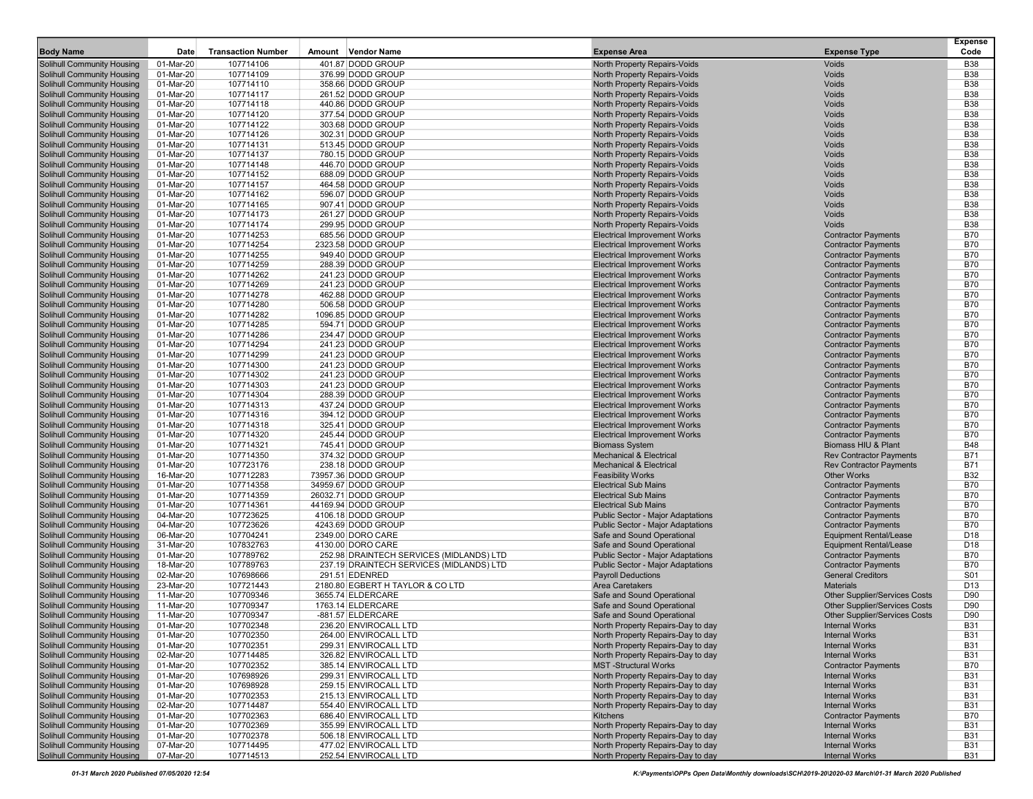| <b>Body Name</b>                                                       | Date                   | <b>Transaction Number</b> | Amount Vendor Name                                         | <b>Expense Area</b>                                                        | <b>Expense Type</b>                                      | <b>Expense</b><br>Code   |
|------------------------------------------------------------------------|------------------------|---------------------------|------------------------------------------------------------|----------------------------------------------------------------------------|----------------------------------------------------------|--------------------------|
| <b>Solihull Community Housing</b>                                      | 01-Mar-20              | 107714106                 | 401.87 DODD GROUP                                          |                                                                            | <b>Voids</b>                                             | <b>B38</b>               |
| <b>Solihull Community Housing</b>                                      | 01-Mar-20              | 107714109                 | 376.99 DODD GROUP                                          | North Property Repairs-Voids<br>North Property Repairs-Voids               | <b>Voids</b>                                             | <b>B38</b>               |
| Solihull Community Housing                                             | 01-Mar-20              | 107714110                 | 358.66 DODD GROUP                                          | North Property Repairs-Voids                                               | Voids                                                    | <b>B38</b>               |
| Solihull Community Housing                                             | 01-Mar-20              | 107714117                 | 261.52 DODD GROUP                                          | North Property Repairs-Voids                                               | <b>Voids</b>                                             | <b>B38</b>               |
| <b>Solihull Community Housing</b>                                      | 01-Mar-20              | 107714118                 | 440.86 DODD GROUP                                          | North Property Repairs-Voids                                               | Voids                                                    | <b>B38</b>               |
| Solihull Community Housing                                             | 01-Mar-20              | 107714120                 | 377.54 DODD GROUP                                          | North Property Repairs-Voids                                               | <b>Voids</b>                                             | <b>B38</b>               |
| <b>Solihull Community Housing</b>                                      | 01-Mar-20              | 107714122                 | 303.68 DODD GROUP                                          | North Property Repairs-Voids                                               | <b>Voids</b>                                             | <b>B38</b>               |
| <b>Solihull Community Housing</b>                                      | 01-Mar-20              | 107714126                 | 302.31 DODD GROUP                                          | North Property Repairs-Voids                                               | <b>Voids</b>                                             | <b>B38</b>               |
| <b>Solihull Community Housing</b>                                      | 01-Mar-20              | 107714131<br>107714137    | 513.45 DODD GROUP                                          | North Property Repairs-Voids                                               | Voids                                                    | <b>B38</b><br><b>B38</b> |
| <b>Solihull Community Housing</b><br><b>Solihull Community Housing</b> | 01-Mar-20<br>01-Mar-20 | 107714148                 | 780.15 DODD GROUP<br>446.70 DODD GROUP                     | <b>North Property Repairs-Voids</b><br>North Property Repairs-Voids        | <b>Voids</b><br>Voids                                    | <b>B38</b>               |
| <b>Solihull Community Housing</b>                                      | 01-Mar-20              | 107714152                 | 688.09 DODD GROUP                                          | <b>North Property Repairs-Voids</b>                                        | Voids                                                    | <b>B38</b>               |
| Solihull Community Housing                                             | 01-Mar-20              | 107714157                 | 464.58 DODD GROUP                                          | North Property Repairs-Voids                                               | <b>Voids</b>                                             | <b>B38</b>               |
| <b>Solihull Community Housing</b>                                      | 01-Mar-20              | 107714162                 | 596.07 DODD GROUP                                          | North Property Repairs-Voids                                               | Voids                                                    | <b>B38</b>               |
| <b>Solihull Community Housing</b>                                      | 01-Mar-20              | 107714165                 | 907.41 DODD GROUP                                          | <b>North Property Repairs-Voids</b>                                        | <b>Voids</b>                                             | <b>B38</b>               |
| <b>Solihull Community Housing</b>                                      | 01-Mar-20              | 107714173                 | 261.27 DODD GROUP                                          | North Property Repairs-Voids                                               | Voids                                                    | <b>B38</b>               |
| <b>Solihull Community Housing</b>                                      | 01-Mar-20              | 107714174                 | 299.95 DODD GROUP                                          | North Property Repairs-Voids                                               | <b>Voids</b>                                             | <b>B38</b>               |
| <b>Solihull Community Housing</b><br><b>Solihull Community Housing</b> | 01-Mar-20<br>01-Mar-20 | 107714253<br>107714254    | 685.56 DODD GROUP<br>2323.58 DODD GROUP                    | <b>Electrical Improvement Works</b><br><b>Electrical Improvement Works</b> | <b>Contractor Payments</b><br><b>Contractor Payments</b> | <b>B70</b><br><b>B70</b> |
| Solihull Community Housing                                             | 01-Mar-20              | 107714255                 | 949.40 DODD GROUP                                          | <b>Electrical Improvement Works</b>                                        | <b>Contractor Payments</b>                               | <b>B70</b>               |
| <b>Solihull Community Housing</b>                                      | 01-Mar-20              | 107714259                 | 288.39 DODD GROUP                                          | <b>Electrical Improvement Works</b>                                        | <b>Contractor Payments</b>                               | <b>B70</b>               |
| <b>Solihull Community Housing</b>                                      | 01-Mar-20              | 107714262                 | 241.23 DODD GROUP                                          | <b>Electrical Improvement Works</b>                                        | <b>Contractor Payments</b>                               | <b>B70</b>               |
| <b>Solihull Community Housing</b>                                      | 01-Mar-20              | 107714269                 | 241.23 DODD GROUP                                          | <b>Electrical Improvement Works</b>                                        | <b>Contractor Payments</b>                               | <b>B70</b>               |
| <b>Solihull Community Housing</b>                                      | 01-Mar-20              | 107714278                 | 462.88 DODD GROUP                                          | <b>Electrical Improvement Works</b>                                        | <b>Contractor Payments</b>                               | <b>B70</b>               |
| <b>Solihull Community Housing</b>                                      | 01-Mar-20              | 107714280                 | 506.58 DODD GROUP                                          | <b>Electrical Improvement Works</b>                                        | <b>Contractor Payments</b>                               | <b>B70</b>               |
| <b>Solihull Community Housing</b>                                      | 01-Mar-20              | 107714282                 | 1096.85 DODD GROUP                                         | <b>Electrical Improvement Works</b>                                        | <b>Contractor Payments</b>                               | <b>B70</b>               |
| <b>Solihull Community Housing</b><br><b>Solihull Community Housing</b> | 01-Mar-20<br>01-Mar-20 | 107714285<br>107714286    | 594.71 DODD GROUP<br>234.47 DODD GROUP                     | <b>Electrical Improvement Works</b><br><b>Electrical Improvement Works</b> | <b>Contractor Payments</b><br><b>Contractor Payments</b> | <b>B70</b><br><b>B70</b> |
| <b>Solihull Community Housing</b>                                      | 01-Mar-20              | 107714294                 | 241.23 DODD GROUP                                          | <b>Electrical Improvement Works</b>                                        | <b>Contractor Payments</b>                               | <b>B70</b>               |
| <b>Solihull Community Housing</b>                                      | 01-Mar-20              | 107714299                 | 241.23 DODD GROUP                                          | <b>Electrical Improvement Works</b>                                        | <b>Contractor Payments</b>                               | <b>B70</b>               |
| <b>Solihull Community Housing</b>                                      | 01-Mar-20              | 107714300                 | 241.23 DODD GROUP                                          | <b>Electrical Improvement Works</b>                                        | <b>Contractor Payments</b>                               | <b>B70</b>               |
| <b>Solihull Community Housing</b>                                      | 01-Mar-20              | 107714302                 | 241.23 DODD GROUP                                          | <b>Electrical Improvement Works</b>                                        | <b>Contractor Payments</b>                               | <b>B70</b>               |
| <b>Solihull Community Housing</b>                                      | 01-Mar-20              | 107714303                 | 241.23 DODD GROUP                                          | <b>Electrical Improvement Works</b>                                        | <b>Contractor Payments</b>                               | <b>B70</b>               |
| <b>Solihull Community Housing</b>                                      | 01-Mar-20              | 107714304                 | 288.39 DODD GROUP                                          | <b>Electrical Improvement Works</b>                                        | <b>Contractor Payments</b>                               | <b>B70</b>               |
| <b>Solihull Community Housing</b><br><b>Solihull Community Housing</b> | 01-Mar-20<br>01-Mar-20 | 107714313<br>107714316    | 437.24 DODD GROUP<br>394.12 DODD GROUP                     | <b>Electrical Improvement Works</b><br><b>Electrical Improvement Works</b> | <b>Contractor Payments</b><br><b>Contractor Payments</b> | <b>B70</b><br><b>B70</b> |
| <b>Solihull Community Housing</b>                                      | 01-Mar-20              | 107714318                 | 325.41 DODD GROUP                                          | <b>Electrical Improvement Works</b>                                        | <b>Contractor Payments</b>                               | <b>B70</b>               |
| <b>Solihull Community Housing</b>                                      | 01-Mar-20              | 107714320                 | 245.44 DODD GROUP                                          | <b>Electrical Improvement Works</b>                                        | <b>Contractor Payments</b>                               | <b>B70</b>               |
| <b>Solihull Community Housing</b>                                      | 01-Mar-20              | 107714321                 | 745.41 DODD GROUP                                          | <b>Biomass System</b>                                                      | Biomass HIU & Plant                                      | <b>B48</b>               |
| <b>Solihull Community Housing</b>                                      | 01-Mar-20              | 107714350                 | 374.32 DODD GROUP                                          | <b>Mechanical &amp; Electrical</b>                                         | <b>Rev Contractor Payments</b>                           | <b>B71</b>               |
| <b>Solihull Community Housing</b>                                      | 01-Mar-20              | 107723176                 | 238.18 DODD GROUP                                          | <b>Mechanical &amp; Electrical</b>                                         | <b>Rev Contractor Payments</b>                           | <b>B71</b>               |
| <b>Solihull Community Housing</b>                                      | 16-Mar-20              | 107712283                 | 73957.36 DODD GROUP                                        | <b>Feasibility Works</b>                                                   | <b>Other Works</b>                                       | <b>B32</b>               |
| Solihull Community Housing<br><b>Solihull Community Housing</b>        | 01-Mar-20<br>01-Mar-20 | 107714358<br>107714359    | 34959.67 DODD GROUP<br>26032.71 DODD GROUP                 | <b>Electrical Sub Mains</b><br><b>Electrical Sub Mains</b>                 | <b>Contractor Payments</b><br><b>Contractor Payments</b> | <b>B70</b><br><b>B70</b> |
| <b>Solihull Community Housing</b>                                      | 01-Mar-20              | 107714361                 | 44169.94 DODD GROUP                                        | <b>Electrical Sub Mains</b>                                                | <b>Contractor Payments</b>                               | <b>B70</b>               |
| <b>Solihull Community Housing</b>                                      | 04-Mar-20              | 107723625                 | 4106.18 DODD GROUP                                         | <b>Public Sector - Major Adaptations</b>                                   | <b>Contractor Payments</b>                               | <b>B70</b>               |
| <b>Solihull Community Housing</b>                                      | 04-Mar-20              | 107723626                 | 4243.69 DODD GROUP                                         | <b>Public Sector - Major Adaptations</b>                                   | <b>Contractor Payments</b>                               | <b>B70</b>               |
| <b>Solihull Community Housing</b>                                      | 06-Mar-20              | 107704241                 | 2349.00 DORO CARE                                          | Safe and Sound Operational                                                 | <b>Equipment Rental/Lease</b>                            | D <sub>18</sub>          |
| <b>Solihull Community Housing</b>                                      | 31-Mar-20              | 107832763                 | 4130.00 DORO CARE                                          | Safe and Sound Operational                                                 | <b>Equipment Rental/Lease</b>                            | D <sub>18</sub>          |
| <b>Solihull Community Housing</b>                                      | 01-Mar-20              | 107789762                 | 252.98 DRAINTECH SERVICES (MIDLANDS) LTD                   | <b>Public Sector - Major Adaptations</b>                                   | <b>Contractor Payments</b>                               | <b>B70</b><br><b>B70</b> |
| Solihull Community Housing<br><b>Solihull Community Housing</b>        | 18-Mar-20<br>02-Mar-20 | 107789763<br>107698666    | 237.19 DRAINTECH SERVICES (MIDLANDS) LTD<br>291.51 EDENRED | <b>Public Sector - Major Adaptations</b><br><b>Pavroll Deductions</b>      | <b>Contractor Payments</b><br><b>General Creditors</b>   | S <sub>01</sub>          |
| Solihull Community Housing                                             | 23-Mar-20              | 107721443                 | 2180.80 EGBERT H TAYLOR & CO LTD                           | <b>Area Caretakers</b>                                                     | <b>Materials</b>                                         | D <sub>13</sub>          |
| Solihull Community Housing                                             | 11-Mar-20              | 107709346                 | 3655.74 ELDERCARE                                          | Safe and Sound Operational                                                 | <b>Other Supplier/Services Costs</b>                     | D90                      |
| <b>Solihull Community Housing</b>                                      | 11-Mar-20              | 107709347                 | 1763.14 ELDERCARE                                          | Safe and Sound Operational                                                 | <b>Other Supplier/Services Costs</b>                     | D90                      |
| <b>Solihull Community Housing</b>                                      | 11-Mar-20              | 107709347                 | -881.57 ELDERCARE                                          | Safe and Sound Operational                                                 | <b>Other Supplier/Services Costs</b>                     | D90                      |
| <b>Solihull Community Housing</b>                                      | 01-Mar-20              | 107702348                 | 236.20 ENVIROCALL LTD                                      | North Property Repairs-Day to day                                          | <b>Internal Works</b>                                    | <b>B31</b>               |
| <b>Solihull Community Housing</b>                                      | 01-Mar-20              | 107702350                 | 264.00 ENVIROCALL LTD                                      | North Property Repairs-Day to day                                          | <b>Internal Works</b>                                    | <b>B31</b>               |
| <b>Solihull Community Housing</b><br><b>Solihull Community Housing</b> | 01-Mar-20<br>02-Mar-20 | 107702351<br>107714485    | 299.31 ENVIROCALL LTD<br>326.82 ENVIROCALL LTD             | North Property Repairs-Day to day<br>North Property Repairs-Day to day     | <b>Internal Works</b><br><b>Internal Works</b>           | <b>B31</b><br><b>B31</b> |
| <b>Solihull Community Housing</b>                                      | 01-Mar-20              | 107702352                 | 385.14 ENVIROCALL LTD                                      | <b>MST-Structural Works</b>                                                | <b>Contractor Payments</b>                               | <b>B70</b>               |
| <b>Solihull Community Housing</b>                                      | 01-Mar-20              | 107698926                 | 299.31 ENVIROCALL LTD                                      | North Property Repairs-Day to day                                          | <b>Internal Works</b>                                    | <b>B31</b>               |
| <b>Solihull Community Housing</b>                                      | 01-Mar-20              | 107698928                 | 259.15 ENVIROCALL LTD                                      | North Property Repairs-Day to day                                          | <b>Internal Works</b>                                    | <b>B31</b>               |
| <b>Solihull Community Housing</b>                                      | 01-Mar-20              | 107702353                 | 215.13 ENVIROCALL LTD                                      | North Property Repairs-Day to day                                          | <b>Internal Works</b>                                    | <b>B31</b>               |
| <b>Solihull Community Housing</b>                                      | 02-Mar-20              | 107714487                 | 554.40 ENVIROCALL LTD                                      | North Property Repairs-Day to day                                          | <b>Internal Works</b>                                    | <b>B31</b>               |
| <b>Solihull Community Housing</b>                                      | 01-Mar-20              | 107702363                 | 686.40 ENVIROCALL LTD                                      | Kitchens                                                                   | <b>Contractor Payments</b>                               | <b>B70</b>               |
| <b>Solihull Community Housing</b><br>Solihull Community Housing        | 01-Mar-20              | 107702369                 | 355.99 ENVIROCALL LTD                                      | North Property Repairs-Day to day                                          | <b>Internal Works</b>                                    | <b>B31</b>               |
| <b>Solihull Community Housing</b>                                      | 01-Mar-20<br>07-Mar-20 | 107702378<br>107714495    | 506.18 ENVIROCALL LTD<br>477.02 ENVIROCALL LTD             | North Property Repairs-Day to day<br>North Property Repairs-Day to day     | <b>Internal Works</b><br><b>Internal Works</b>           | <b>B31</b><br><b>B31</b> |
| <b>Solihull Community Housing</b>                                      | 07-Mar-20              | 107714513                 | 252.54 ENVIROCALL LTD                                      | North Property Repairs-Day to day                                          | <b>Internal Works</b>                                    | <b>B31</b>               |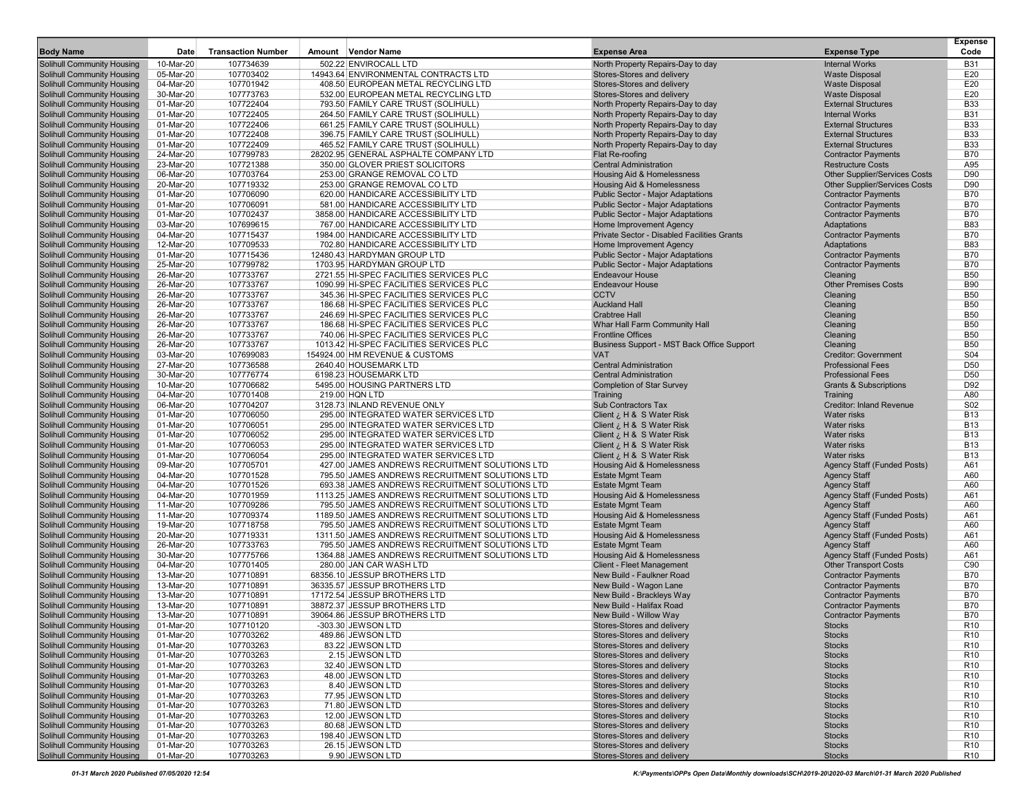| <b>Body Name</b>                                                       | Date                   | <b>Transaction Number</b> | Amount Vendor Name                                                                                | <b>Expense Area</b>                                                    | <b>Expense Type</b>                                                | <b>Expense</b><br>Code             |
|------------------------------------------------------------------------|------------------------|---------------------------|---------------------------------------------------------------------------------------------------|------------------------------------------------------------------------|--------------------------------------------------------------------|------------------------------------|
| <b>Solihull Community Housing</b>                                      | 10-Mar-20              | 107734639                 | 502.22 ENVIROCALL LTD                                                                             | North Property Repairs-Day to day                                      | <b>Internal Works</b>                                              | <b>B31</b>                         |
| <b>Solihull Community Housing</b>                                      | 05-Mar-20              | 107703402                 | 14943.64 ENVIRONMENTAL CONTRACTS LTD                                                              | Stores-Stores and delivery                                             | <b>Waste Disposal</b>                                              | E20                                |
| Solihull Community Housing                                             | 04-Mar-20              | 107701942                 | 408.50 EUROPEAN METAL RECYCLING LTD                                                               | Stores-Stores and delivery                                             | <b>Waste Disposal</b>                                              | E20                                |
| <b>Solihull Community Housing</b>                                      | 30-Mar-20              | 107773763                 | 532.00 EUROPEAN METAL RECYCLING LTD                                                               | Stores-Stores and delivery                                             | <b>Waste Disposal</b>                                              | E20                                |
| <b>Solihull Community Housing</b><br><b>Solihull Community Housing</b> | 01-Mar-20<br>01-Mar-20 | 107722404<br>107722405    | 793.50 FAMILY CARE TRUST (SOLIHULL)<br>264.50 FAMILY CARE TRUST (SOLIHULL)                        | North Property Repairs-Day to day<br>North Property Repairs-Day to day | <b>External Structures</b><br><b>Internal Works</b>                | <b>B33</b><br><b>B31</b>           |
| <b>Solihull Community Housing</b>                                      | 01-Mar-20              | 107722406                 | 661.25 FAMILY CARE TRUST (SOLIHULL                                                                | North Property Repairs-Day to day                                      | <b>External Structures</b>                                         | <b>B33</b>                         |
| <b>Solihull Community Housing</b>                                      | 01-Mar-20              | 107722408                 | 396.75 FAMILY CARE TRUST (SOLIHULL)                                                               | North Property Repairs-Day to day                                      | <b>External Structures</b>                                         | <b>B33</b>                         |
| <b>Solihull Community Housing</b>                                      | 01-Mar-20              | 107722409                 | 465.52 FAMILY CARE TRUST (SOLIHULL)                                                               | North Property Repairs-Day to day                                      | <b>External Structures</b>                                         | <b>B33</b>                         |
| <b>Solihull Community Housing</b>                                      | 24-Mar-20              | 107799783                 | 28202.95 GENERAL ASPHALTE COMPANY LTD                                                             | Flat Re-roofing                                                        | <b>Contractor Payments</b>                                         | <b>B70</b>                         |
| <b>Solihull Community Housing</b>                                      | 23-Mar-20              | 107721388                 | 350.00 GLOVER PRIEST SOLICITORS                                                                   | <b>Central Administration</b>                                          | <b>Restructure Costs</b>                                           | A95                                |
| <b>Solihull Community Housing</b>                                      | 06-Mar-20              | 107703764                 | 253.00 GRANGE REMOVAL CO LTD                                                                      | <b>Housing Aid &amp; Homelessness</b>                                  | <b>Other Supplier/Services Costs</b>                               | D90                                |
| <b>Solihull Community Housing</b><br><b>Solihull Community Housing</b> | 20-Mar-20<br>01-Mar-20 | 107719332<br>107706090    | 253.00 GRANGE REMOVAL CO LTD<br>620.00 HANDICARE ACCESSIBILITY LTD                                | Housing Aid & Homelessness<br><b>Public Sector - Maior Adaptations</b> | <b>Other Supplier/Services Costs</b><br><b>Contractor Payments</b> | D90<br><b>B70</b>                  |
| <b>Solihull Community Housing</b>                                      | 01-Mar-20              | 107706091                 | 581.00 HANDICARE ACCESSIBILITY LTD                                                                | <b>Public Sector - Major Adaptations</b>                               | <b>Contractor Payments</b>                                         | <b>B70</b>                         |
| <b>Solihull Community Housing</b>                                      | 01-Mar-20              | 107702437                 | 3858.00 HANDICARE ACCESSIBILITY LTD                                                               | <b>Public Sector - Major Adaptations</b>                               | <b>Contractor Payments</b>                                         | <b>B70</b>                         |
| <b>Solihull Community Housing</b>                                      | 03-Mar-20              | 107699615                 | 767.00 HANDICARE ACCESSIBILITY LTD                                                                | Home Improvement Agency                                                | Adaptations                                                        | <b>B83</b>                         |
| <b>Solihull Community Housing</b>                                      | 04-Mar-20              | 107715437                 | 1984.00 HANDICARE ACCESSIBILITY LTD                                                               | Private Sector - Disabled Facilities Grants                            | <b>Contractor Payments</b>                                         | <b>B70</b>                         |
| <b>Solihull Community Housing</b>                                      | 12-Mar-20              | 107709533                 | 702.80 HANDICARE ACCESSIBILITY LTD                                                                | Home Improvement Agency                                                | Adaptations                                                        | <b>B83</b>                         |
| <b>Solihull Community Housing</b>                                      | 01-Mar-20              | 107715436                 | 12480.43 HARDYMAN GROUP LTD                                                                       | <b>Public Sector - Major Adaptations</b>                               | <b>Contractor Payments</b>                                         | <b>B70</b>                         |
| <b>Solihull Community Housing</b>                                      | 25-Mar-20              | 107799782                 | 1703.95 HARDYMAN GROUP LTD                                                                        | <b>Public Sector - Major Adaptations</b>                               | <b>Contractor Payments</b>                                         | <b>B70</b>                         |
| <b>Solihull Community Housing</b><br><b>Solihull Community Housing</b> | 26-Mar-20<br>26-Mar-20 | 107733767<br>107733767    | 2721.55 HI-SPEC FACILITIES SERVICES PLC<br>1090.99 HI-SPEC FACILITIES SERVICES PLC                | <b>Endeavour House</b><br><b>Endeavour House</b>                       | Cleaning<br><b>Other Premises Costs</b>                            | <b>B50</b><br><b>B90</b>           |
| <b>Solihull Community Housing</b>                                      | 26-Mar-20              | 107733767                 | 345.36 HI-SPEC FACILITIES SERVICES PLC                                                            | <b>CCTV</b>                                                            | Cleaning                                                           | <b>B50</b>                         |
| <b>Solihull Community Housing</b>                                      | 26-Mar-20              | 107733767                 | 186.68 HI-SPEC FACILITIES SERVICES PLC                                                            | <b>Auckland Hall</b>                                                   | Cleaning                                                           | <b>B50</b>                         |
| <b>Solihull Community Housing</b>                                      | 26-Mar-20              | 107733767                 | 246.69 HI-SPEC FACILITIES SERVICES PLC                                                            | <b>Crabtree Hall</b>                                                   | Cleaning                                                           | <b>B50</b>                         |
| <b>Solihull Community Housing</b>                                      | 26-Mar-20              | 107733767                 | 186.68 HI-SPEC FACILITIES SERVICES PLC                                                            | Whar Hall Farm Community Hall                                          | Cleaning                                                           | <b>B50</b>                         |
| Solihull Community Housing                                             | 26-Mar-20              | 107733767                 | 740.06 HI-SPEC FACILITIES SERVICES PLC                                                            | <b>Frontline Offices</b>                                               | Cleaning                                                           | <b>B50</b>                         |
| <b>Solihull Community Housing</b>                                      | 26-Mar-20              | 107733767                 | 1013.42 HI-SPEC FACILITIES SERVICES PLC                                                           | Business Support - MST Back Office Support                             | Cleaning                                                           | <b>B50</b>                         |
| <b>Solihull Community Housing</b><br><b>Solihull Community Housing</b> | 03-Mar-20              | 107699083                 | 154924.00 HM REVENUE & CUSTOMS                                                                    | <b>VAT</b>                                                             | <b>Creditor: Government</b><br><b>Professional Fees</b>            | S <sub>04</sub>                    |
| <b>Solihull Community Housing</b>                                      | 27-Mar-20<br>30-Mar-20 | 107736588<br>107776774    | 2640.40 HOUSEMARK LTD<br>6198.23 HOUSEMARK LTD                                                    | <b>Central Administration</b><br><b>Central Administration</b>         | <b>Professional Fees</b>                                           | D <sub>50</sub><br>D <sub>50</sub> |
| <b>Solihull Community Housing</b>                                      | 10-Mar-20              | 107706682                 | 5495.00 HOUSING PARTNERS LTD                                                                      | <b>Completion of Star Survey</b>                                       | <b>Grants &amp; Subscriptions</b>                                  | D92                                |
| <b>Solihull Community Housing</b>                                      | 04-Mar-20              | 107701408                 | 219.00 HQN LTD                                                                                    | Training                                                               | Training                                                           | A80                                |
| <b>Solihull Community Housing</b>                                      | 06-Mar-20              | 107704207                 | 3128.73 INLAND REVENUE ONLY                                                                       | <b>Sub Contractors Tax</b>                                             | <b>Creditor: Inland Revenue</b>                                    | <b>S02</b>                         |
| <b>Solihull Community Housing</b>                                      | 01-Mar-20              | 107706050                 | 295.00 INTEGRATED WATER SERVICES LTD                                                              | Client ¿ H & S Water Risk                                              | Water risks                                                        | <b>B13</b>                         |
| <b>Solihull Community Housing</b>                                      | 01-Mar-20              | 107706051                 | 295.00 INTEGRATED WATER SERVICES LTD                                                              | Client ¿ H & S Water Risk                                              | <b>Water risks</b>                                                 | <b>B13</b>                         |
| <b>Solihull Community Housing</b>                                      | 01-Mar-20              | 107706052                 | 295.00 INTEGRATED WATER SERVICES LTD                                                              | Client ¿ H & S Water Risk                                              | <b>Water risks</b>                                                 | <b>B13</b>                         |
| <b>Solihull Community Housing</b>                                      | 01-Mar-20              | 107706053<br>107706054    | 295.00 INTEGRATED WATER SERVICES LTD<br>295.00 INTEGRATED WATER SERVICES LTD                      | Client ¿ H & S Water Risk                                              | <b>Water risks</b><br>Water risks                                  | <b>B13</b><br><b>B13</b>           |
| <b>Solihull Community Housing</b><br><b>Solihull Community Housing</b> | 01-Mar-20<br>09-Mar-20 | 107705701                 | 427.00 JAMES ANDREWS RECRUITMENT SOLUTIONS LTD                                                    | Client ¿ H & S Water Risk<br>Housing Aid & Homelessness                | Agency Staff (Funded Posts)                                        | A61                                |
| <b>Solihull Community Housing</b>                                      | 04-Mar-20              | 107701528                 | 795.50 JAMES ANDREWS RECRUITMENT SOLUTIONS LTD                                                    | <b>Estate Mgmt Team</b>                                                | <b>Agency Staff</b>                                                | A60                                |
| <b>Solihull Community Housing</b>                                      | 04-Mar-20              | 107701526                 | 693.38 JAMES ANDREWS RECRUITMENT SOLUTIONS LTD                                                    | <b>Estate Mgmt Team</b>                                                | <b>Agency Staff</b>                                                | A60                                |
| <b>Solihull Community Housing</b>                                      | 04-Mar-20              | 107701959                 | 1113.25 JAMES ANDREWS RECRUITMENT SOLUTIONS LTD                                                   | Housing Aid & Homelessness                                             | Agency Staff (Funded Posts)                                        | A61                                |
| <b>Solihull Community Housing</b>                                      | 11-Mar-20              | 107709286                 | 795.50 JAMES ANDREWS RECRUITMENT SOLUTIONS LTD                                                    | <b>Estate Mgmt Team</b>                                                | <b>Agency Staff</b>                                                | A60                                |
| <b>Solihull Community Housing</b>                                      | 11-Mar-20              | 107709374                 | 1189.50 JAMES ANDREWS RECRUITMENT SOLUTIONS LTD                                                   | <b>Housing Aid &amp; Homelessness</b>                                  | Agency Staff (Funded Posts)                                        | A61                                |
| <b>Solihull Community Housing</b>                                      | 19-Mar-20              | 107718758                 | 795.50 JAMES ANDREWS RECRUITMENT SOLUTIONS LTD                                                    | <b>Estate Mgmt Team</b>                                                | <b>Agency Staff</b>                                                | A60                                |
| <b>Solihull Community Housing</b><br><b>Solihull Community Housing</b> | 20-Mar-20<br>26-Mar-20 | 107719331<br>107733763    | 1311.50 JAMES ANDREWS RECRUITMENT SOLUTIONS LTD<br>795.50 JAMES ANDREWS RECRUITMENT SOLUTIONS LTD | Housing Aid & Homelessness<br><b>Estate Mgmt Team</b>                  | Agency Staff (Funded Posts)<br><b>Agency Staff</b>                 | A61<br>A60                         |
| <b>Solihull Community Housing</b>                                      | 30-Mar-20              | 107775766                 | 1364.88 JAMES ANDREWS RECRUITMENT SOLUTIONS LTD                                                   | <b>Housing Aid &amp; Homelessness</b>                                  | Agency Staff (Funded Posts)                                        | A61                                |
| <b>Solihull Community Housing</b>                                      | 04-Mar-20              | 107701405                 | 280.00 JAN CAR WASH LTD                                                                           | <b>Client - Fleet Management</b>                                       | <b>Other Transport Costs</b>                                       | C90                                |
| <b>Solihull Community Housing</b>                                      | 13-Mar-20              | 107710891                 | 68356.10 JESSUP BROTHERS LTD                                                                      | New Build - Faulkner Road                                              | <b>Contractor Payments</b>                                         | <b>B70</b>                         |
| Solihull Community Housing                                             | 13-Mar-20              | 107710891                 | 36335.57 JESSUP BROTHERS LTD                                                                      | New Build - Wagon Lane                                                 | <b>Contractor Payments</b>                                         | <b>B70</b>                         |
| <b>Solihull Community Housing</b>                                      | 13-Mar-20              | 107710891                 | 17172.54 JESSUP BROTHERS LTD                                                                      | New Build - Brackleys Way                                              | <b>Contractor Payments</b>                                         | <b>B70</b>                         |
| <b>Solihull Community Housing</b>                                      | 13-Mar-20              | 107710891                 | 38872.37 JESSUP BROTHERS LTD                                                                      | New Build - Halifax Road                                               | <b>Contractor Payments</b>                                         | <b>B70</b>                         |
| <b>Solihull Community Housing</b>                                      | 13-Mar-20              | 107710891                 | 39064.86 JESSUP BROTHERS LTD                                                                      | New Build - Willow Way                                                 | <b>Contractor Payments</b>                                         | <b>B70</b>                         |
| <b>Solihull Community Housing</b><br><b>Solihull Community Housing</b> | 01-Mar-20<br>01-Mar-20 | 107710120<br>107703262    | -303.30 JEWSON LTD<br>489.86 JEWSON LTD                                                           | Stores-Stores and delivery<br>Stores-Stores and delivery               | <b>Stocks</b><br><b>Stocks</b>                                     | R <sub>10</sub><br>R <sub>10</sub> |
| <b>Solihull Community Housing</b>                                      | 01-Mar-20              | 107703263                 | 83.22 JEWSON LTD                                                                                  | Stores-Stores and delivery                                             | <b>Stocks</b>                                                      | R <sub>10</sub>                    |
| <b>Solihull Community Housing</b>                                      | 01-Mar-20              | 107703263                 | 2.15 JEWSON LTD                                                                                   | Stores-Stores and delivery                                             | <b>Stocks</b>                                                      | R <sub>10</sub>                    |
| <b>Solihull Community Housing</b>                                      | 01-Mar-20              | 107703263                 | 32.40 JEWSON LTD                                                                                  | Stores-Stores and delivery                                             | <b>Stocks</b>                                                      | R <sub>10</sub>                    |
| <b>Solihull Community Housing</b>                                      | 01-Mar-20              | 107703263                 | 48.00 JEWSON LTD                                                                                  | Stores-Stores and delivery                                             | <b>Stocks</b>                                                      | R <sub>10</sub>                    |
| <b>Solihull Community Housing</b>                                      | 01-Mar-20              | 107703263                 | 8.40 JEWSON LTD                                                                                   | Stores-Stores and delivery                                             | <b>Stocks</b>                                                      | R <sub>10</sub>                    |
| <b>Solihull Community Housing</b>                                      | 01-Mar-20              | 107703263                 | 77.95 JEWSON LTD                                                                                  | Stores-Stores and delivery                                             | <b>Stocks</b>                                                      | R <sub>10</sub>                    |
| <b>Solihull Community Housing</b>                                      | 01-Mar-20              | 107703263                 | 71.80 JEWSON LTD                                                                                  | Stores-Stores and delivery                                             | <b>Stocks</b>                                                      | R <sub>10</sub>                    |
| <b>Solihull Community Housing</b><br><b>Solihull Community Housing</b> | 01-Mar-20<br>01-Mar-20 | 107703263<br>107703263    | 12.00 JEWSON LTD<br>80.68 JEWSON LTD                                                              | Stores-Stores and delivery<br>Stores-Stores and delivery               | <b>Stocks</b><br><b>Stocks</b>                                     | R <sub>10</sub><br>R <sub>10</sub> |
| <b>Solihull Community Housing</b>                                      | 01-Mar-20              | 107703263                 | 198.40 JEWSON LTD                                                                                 | Stores-Stores and delivery                                             | <b>Stocks</b>                                                      | R <sub>10</sub>                    |
| <b>Solihull Community Housing</b>                                      | 01-Mar-20              | 107703263                 | 26.15 JEWSON LTD                                                                                  | Stores-Stores and delivery                                             | <b>Stocks</b>                                                      | R <sub>10</sub>                    |
| <b>Solihull Community Housing</b>                                      | 01-Mar-20              | 107703263                 | 9.90 JEWSON LTD                                                                                   | Stores-Stores and delivery                                             | <b>Stocks</b>                                                      | R <sub>10</sub>                    |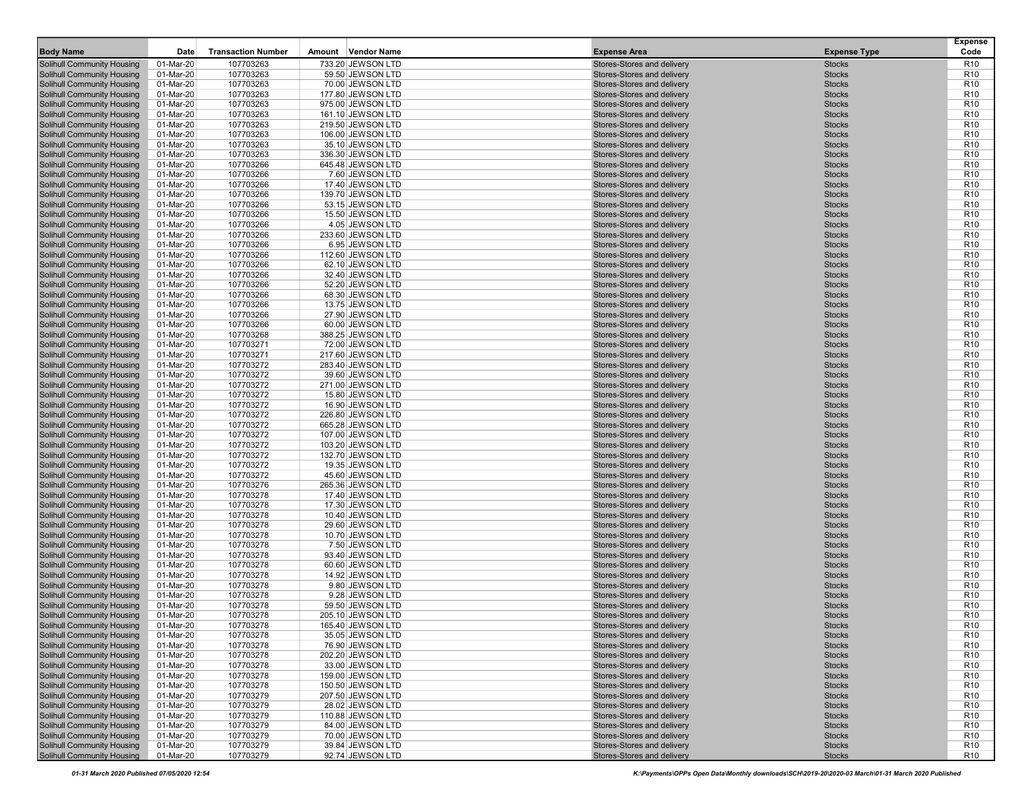| <b>Body Name</b>                                                       | Date                   | <b>Transaction Number</b> | Amount Vendor Name                     | <b>Expense Area</b>                                      | <b>Expense Type</b>            | <b>Expense</b><br>Code             |
|------------------------------------------------------------------------|------------------------|---------------------------|----------------------------------------|----------------------------------------------------------|--------------------------------|------------------------------------|
| <b>Solihull Community Housing</b>                                      | 01-Mar-20              | 107703263                 | 733.20 JEWSON LTD                      | Stores-Stores and delivery                               | <b>Stocks</b>                  | R <sub>10</sub>                    |
| <b>Solihull Community Housing</b>                                      | 01-Mar-20              | 107703263                 | 59.50 JEWSON LTD                       | Stores-Stores and delivery                               | <b>Stocks</b>                  | R <sub>10</sub>                    |
| <b>Solihull Community Housing</b>                                      | 01-Mar-20              | 107703263                 | 70.00 JEWSON LTD                       | Stores-Stores and delivery                               | <b>Stocks</b>                  | R <sub>10</sub>                    |
| <b>Solihull Community Housing</b>                                      | 01-Mar-20              | 107703263                 | 177.80 JEWSON LTD                      | Stores-Stores and delivery                               | <b>Stocks</b>                  | R <sub>10</sub>                    |
| <b>Solihull Community Housing</b>                                      | 01-Mar-20              | 107703263                 | 975.00 JEWSON LTD                      | Stores-Stores and delivery                               | <b>Stocks</b>                  | R <sub>10</sub>                    |
| <b>Solihull Community Housing</b>                                      | 01-Mar-20              | 107703263                 | 161.10 JEWSON LTD                      | Stores-Stores and delivery                               | <b>Stocks</b>                  | R <sub>10</sub>                    |
| <b>Solihull Community Housing</b>                                      | 01-Mar-20              | 107703263                 | 219.50 JEWSON LTD                      | Stores-Stores and delivery                               | <b>Stocks</b>                  | R <sub>10</sub>                    |
| <b>Solihull Community Housing</b>                                      | 01-Mar-20              | 107703263<br>107703263    | 106.00 JEWSON LTD<br>35.10 JEWSON LTD  | Stores-Stores and delivery<br>Stores-Stores and delivery | <b>Stocks</b><br><b>Stocks</b> | R <sub>10</sub><br>R <sub>10</sub> |
| <b>Solihull Community Housing</b><br><b>Solihull Community Housing</b> | 01-Mar-20<br>01-Mar-20 | 107703263                 | 336.30 JEWSON LTD                      | Stores-Stores and delivery                               | <b>Stocks</b>                  | R <sub>10</sub>                    |
| <b>Solihull Community Housing</b>                                      | 01-Mar-20              | 107703266                 | 645.48 JEWSON LTD                      | Stores-Stores and delivery                               | <b>Stocks</b>                  | R <sub>10</sub>                    |
| <b>Solihull Community Housing</b>                                      | 01-Mar-20              | 107703266                 | 7.60 JEWSON LTD                        | Stores-Stores and delivery                               | <b>Stocks</b>                  | R <sub>10</sub>                    |
| <b>Solihull Community Housing</b>                                      | 01-Mar-20              | 107703266                 | 17.40 JEWSON LTD                       | Stores-Stores and delivery                               | <b>Stocks</b>                  | R <sub>10</sub>                    |
| <b>Solihull Community Housing</b>                                      | 01-Mar-20              | 107703266                 | 139.70 JEWSON LTD                      | Stores-Stores and delivery                               | <b>Stocks</b>                  | R <sub>10</sub>                    |
| <b>Solihull Community Housing</b>                                      | 01-Mar-20              | 107703266                 | 53.15 JEWSON LTD                       | Stores-Stores and delivery                               | <b>Stocks</b>                  | R <sub>10</sub>                    |
| <b>Solihull Community Housing</b>                                      | 01-Mar-20              | 107703266                 | 15.50 JEWSON LTD                       | Stores-Stores and delivery                               | <b>Stocks</b>                  | R <sub>10</sub>                    |
| <b>Solihull Community Housing</b>                                      | 01-Mar-20              | 107703266                 | 4.05 JEWSON LTD                        | Stores-Stores and delivery                               | <b>Stocks</b>                  | R <sub>10</sub>                    |
| <b>Solihull Community Housing</b>                                      | 01-Mar-20              | 107703266                 | 233.60 JEWSON LTD                      | Stores-Stores and delivery                               | <b>Stocks</b>                  | R <sub>10</sub>                    |
| <b>Solihull Community Housing</b>                                      | 01-Mar-20              | 107703266                 | 6.95 JEWSON LTD                        | Stores-Stores and delivery                               | <b>Stocks</b>                  | R <sub>10</sub>                    |
| <b>Solihull Community Housing</b><br><b>Solihull Community Housing</b> | 01-Mar-20<br>01-Mar-20 | 107703266<br>107703266    | 112.60 JEWSON LTD<br>62.10 JEWSON LTD  | Stores-Stores and delivery<br>Stores-Stores and delivery | <b>Stocks</b><br><b>Stocks</b> | R <sub>10</sub><br>R <sub>10</sub> |
| <b>Solihull Community Housing</b>                                      | 01-Mar-20              | 107703266                 | 32.40 JEWSON LTD                       | Stores-Stores and delivery                               | <b>Stocks</b>                  | R <sub>10</sub>                    |
| <b>Solihull Community Housing</b>                                      | 01-Mar-20              | 107703266                 | 52.20 JEWSON LTD                       | Stores-Stores and delivery                               | <b>Stocks</b>                  | R <sub>10</sub>                    |
| <b>Solihull Community Housing</b>                                      | 01-Mar-20              | 107703266                 | 68.30 JEWSON LTD                       | Stores-Stores and delivery                               | <b>Stocks</b>                  | R <sub>10</sub>                    |
| <b>Solihull Community Housing</b>                                      | 01-Mar-20              | 107703266                 | 13.75 JEWSON LTD                       | Stores-Stores and delivery                               | <b>Stocks</b>                  | R <sub>10</sub>                    |
| <b>Solihull Community Housing</b>                                      | 01-Mar-20              | 107703266                 | 27.90 JEWSON LTD                       | Stores-Stores and delivery                               | <b>Stocks</b>                  | R <sub>10</sub>                    |
| <b>Solihull Community Housing</b>                                      | 01-Mar-20              | 107703266                 | 60.00 JEWSON LTD                       | Stores-Stores and delivery                               | <b>Stocks</b>                  | R <sub>10</sub>                    |
| <b>Solihull Community Housing</b>                                      | 01-Mar-20              | 107703268                 | 388.25 JEWSON LTD                      | Stores-Stores and delivery                               | <b>Stocks</b>                  | R <sub>10</sub>                    |
| <b>Solihull Community Housing</b>                                      | 01-Mar-20              | 107703271                 | 72.00 JEWSON LTD                       | Stores-Stores and delivery                               | <b>Stocks</b>                  | R <sub>10</sub>                    |
| <b>Solihull Community Housing</b>                                      | 01-Mar-20              | 107703271                 | 217.60 JEWSON LTD                      | Stores-Stores and delivery                               | <b>Stocks</b>                  | R <sub>10</sub>                    |
| <b>Solihull Community Housing</b>                                      | 01-Mar-20              | 107703272                 | 283.40 JEWSON LTD                      | Stores-Stores and delivery                               | <b>Stocks</b>                  | R <sub>10</sub>                    |
| <b>Solihull Community Housing</b>                                      | 01-Mar-20              | 107703272                 | 39.60 JEWSON LTD                       | Stores-Stores and delivery                               | <b>Stocks</b>                  | R <sub>10</sub>                    |
| <b>Solihull Community Housing</b><br><b>Solihull Community Housing</b> | 01-Mar-20<br>01-Mar-20 | 107703272<br>107703272    | 271.00 JEWSON LTD<br>15.80 JEWSON LTD  | Stores-Stores and delivery<br>Stores-Stores and delivery | <b>Stocks</b><br><b>Stocks</b> | R <sub>10</sub><br>R <sub>10</sub> |
| <b>Solihull Community Housing</b>                                      | 01-Mar-20              | 107703272                 | 16.90 JEWSON LTD                       | Stores-Stores and delivery                               | <b>Stocks</b>                  | R <sub>10</sub>                    |
| <b>Solihull Community Housing</b>                                      | 01-Mar-20              | 107703272                 | 226.80 JEWSON LTD                      | Stores-Stores and delivery                               | <b>Stocks</b>                  | R <sub>10</sub>                    |
| <b>Solihull Community Housing</b>                                      | 01-Mar-20              | 107703272                 | 665.28 JEWSON LTD                      | Stores-Stores and delivery                               | <b>Stocks</b>                  | R <sub>10</sub>                    |
| <b>Solihull Community Housing</b>                                      | 01-Mar-20              | 107703272                 | 107.00 JEWSON LTD                      | Stores-Stores and delivery                               | <b>Stocks</b>                  | R <sub>10</sub>                    |
| <b>Solihull Community Housing</b>                                      | 01-Mar-20              | 107703272                 | 103.20 JEWSON LTD                      | Stores-Stores and delivery                               | <b>Stocks</b>                  | R <sub>10</sub>                    |
| <b>Solihull Community Housing</b>                                      | 01-Mar-20              | 107703272                 | 132.70 JEWSON LTD                      | Stores-Stores and delivery                               | <b>Stocks</b>                  | R <sub>10</sub>                    |
| <b>Solihull Community Housing</b>                                      | 01-Mar-20              | 107703272                 | 19.35 JEWSON LTD                       | Stores-Stores and delivery                               | <b>Stocks</b>                  | R <sub>10</sub>                    |
| <b>Solihull Community Housing</b>                                      | 01-Mar-20              | 107703272                 | 45.60 JEWSON LTD                       | Stores-Stores and delivery                               | <b>Stocks</b>                  | R <sub>10</sub>                    |
| <b>Solihull Community Housing</b>                                      | 01-Mar-20              | 107703276                 | 265.36 JEWSON LTD                      | Stores-Stores and delivery                               | <b>Stocks</b>                  | R <sub>10</sub>                    |
| <b>Solihull Community Housing</b><br><b>Solihull Community Housing</b> | 01-Mar-20<br>01-Mar-20 | 107703278<br>107703278    | 17.40 JEWSON LTD<br>17.30 JEWSON LTD   | Stores-Stores and delivery<br>Stores-Stores and delivery | <b>Stocks</b><br><b>Stocks</b> | R <sub>10</sub><br>R <sub>10</sub> |
| <b>Solihull Community Housing</b>                                      | 01-Mar-20              | 107703278                 | 10.40 JEWSON LTD                       | Stores-Stores and delivery                               | <b>Stocks</b>                  | R <sub>10</sub>                    |
| <b>Solihull Community Housing</b>                                      | 01-Mar-20              | 107703278                 | 29.60 JEWSON LTD                       | Stores-Stores and delivery                               | <b>Stocks</b>                  | R <sub>10</sub>                    |
| <b>Solihull Community Housing</b>                                      | 01-Mar-20              | 107703278                 | 10.70 JEWSON LTD                       | Stores-Stores and delivery                               | <b>Stocks</b>                  | R <sub>10</sub>                    |
| <b>Solihull Community Housing</b>                                      | 01-Mar-20              | 107703278                 | 7.50 JEWSON LTD                        | Stores-Stores and delivery                               | <b>Stocks</b>                  | R <sub>10</sub>                    |
| <b>Solihull Community Housing</b>                                      | 01-Mar-20              | 107703278                 | 93.40 JEWSON LTD                       | Stores-Stores and delivery                               | <b>Stocks</b>                  | R <sub>10</sub>                    |
| <b>Solihull Community Housing</b>                                      | 01-Mar-20              | 107703278                 | 60.60 JEWSON LTD                       | Stores-Stores and delivery                               | <b>Stocks</b>                  | R <sub>10</sub>                    |
| <b>Solihull Community Housing</b>                                      | 01-Mar-20              | 107703278                 | 14.92 JEWSON LTD                       | Stores-Stores and delivery                               | <b>Stocks</b>                  | R <sub>10</sub>                    |
| <b>Solihull Community Housing</b>                                      | 01-Mar-20              | 107703278                 | 9.80 JEWSON LTD                        | Stores-Stores and delivery                               | <b>Stocks</b>                  | R <sub>10</sub>                    |
| <b>Solihull Community Housing</b>                                      | 01-Mar-20              | 107703278                 | 9.28 JEWSON LTD                        | Stores-Stores and delivery                               | <b>Stocks</b>                  | R <sub>10</sub>                    |
| <b>Solihull Community Housing</b>                                      | 01-Mar-20              | 107703278                 | 59.50 JEWSON LTD                       | Stores-Stores and delivery                               | <b>Stocks</b>                  | R <sub>10</sub>                    |
| <b>Solihull Community Housing</b><br><b>Solihull Community Housing</b> | 01-Mar-20<br>01-Mar-20 | 107703278<br>107703278    | 205.10 JEWSON LTD<br>165.40 JEWSON LTD | Stores-Stores and delivery<br>Stores-Stores and delivery | <b>Stocks</b><br><b>Stocks</b> | R <sub>10</sub><br>R <sub>10</sub> |
| <b>Solihull Community Housing</b>                                      | 01-Mar-20              | 107703278                 | 35.05 JEWSON LTD                       | Stores-Stores and delivery                               | <b>Stocks</b>                  | R <sub>10</sub>                    |
| <b>Solihull Community Housing</b>                                      | 01-Mar-20              | 107703278                 | 76.90 JEWSON LTD                       | Stores-Stores and delivery                               | <b>Stocks</b>                  | R <sub>10</sub>                    |
| <b>Solihull Community Housing</b>                                      | 01-Mar-20              | 107703278                 | 202.20 JEWSON LTD                      | Stores-Stores and delivery                               | <b>Stocks</b>                  | R <sub>10</sub>                    |
| <b>Solihull Community Housing</b>                                      | 01-Mar-20              | 107703278                 | 33.00 JEWSON LTD                       | Stores-Stores and delivery                               | <b>Stocks</b>                  | R <sub>10</sub>                    |
| <b>Solihull Community Housing</b>                                      | 01-Mar-20              | 107703278                 | 159.00 JEWSON LTD                      | Stores-Stores and delivery                               | <b>Stocks</b>                  | R <sub>10</sub>                    |
| <b>Solihull Community Housing</b>                                      | 01-Mar-20              | 107703278                 | 150.50 JEWSON LTD                      | Stores-Stores and delivery                               | <b>Stocks</b>                  | R <sub>10</sub>                    |
| <b>Solihull Community Housing</b>                                      | 01-Mar-20              | 107703279                 | 207.50 JEWSON LTD                      | Stores-Stores and delivery                               | <b>Stocks</b>                  | R <sub>10</sub>                    |
| <b>Solihull Community Housing</b>                                      | 01-Mar-20              | 107703279                 | 28.02 JEWSON LTD                       | Stores-Stores and delivery                               | <b>Stocks</b>                  | R <sub>10</sub>                    |
| <b>Solihull Community Housing</b>                                      | 01-Mar-20              | 107703279                 | 110.88 JEWSON LTD                      | Stores-Stores and delivery                               | <b>Stocks</b>                  | R <sub>10</sub>                    |
| <b>Solihull Community Housing</b>                                      | 01-Mar-20              | 107703279                 | 84.00 JEWSON LTD                       | Stores-Stores and delivery                               | <b>Stocks</b>                  | R <sub>10</sub>                    |
| <b>Solihull Community Housing</b>                                      | 01-Mar-20              | 107703279                 | 70.00 JEWSON LTD                       | Stores-Stores and delivery                               | <b>Stocks</b>                  | R <sub>10</sub>                    |
| <b>Solihull Community Housing</b><br>Solihull Community Housing        | 01-Mar-20<br>01-Mar-20 | 107703279<br>107703279    | 39.84 JEWSON LTD<br>92.74 JEWSON LTD   | Stores-Stores and delivery<br>Stores-Stores and delivery | <b>Stocks</b><br><b>Stocks</b> | R <sub>10</sub><br>R <sub>10</sub> |
|                                                                        |                        |                           |                                        |                                                          |                                |                                    |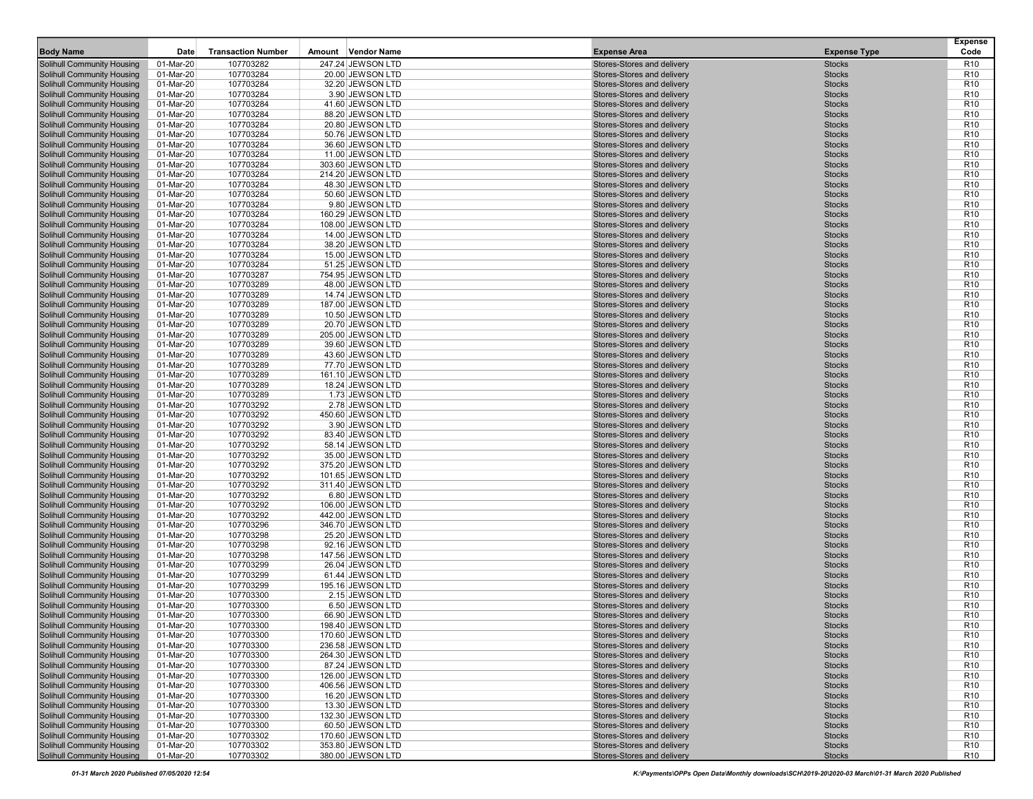| <b>Body Name</b>                                                       | Date                   | <b>Transaction Number</b> | Amount Vendor Name                     | <b>Expense Area</b>                                      | <b>Expense Type</b>            | <b>Expense</b><br>Code             |
|------------------------------------------------------------------------|------------------------|---------------------------|----------------------------------------|----------------------------------------------------------|--------------------------------|------------------------------------|
| <b>Solihull Community Housing</b>                                      | 01-Mar-20              | 107703282                 | 247.24 JEWSON LTD                      | Stores-Stores and delivery                               | <b>Stocks</b>                  | R <sub>10</sub>                    |
| <b>Solihull Community Housing</b>                                      | 01-Mar-20              | 107703284                 | 20.00 JEWSON LTD                       | Stores-Stores and delivery                               | <b>Stocks</b>                  | R <sub>10</sub>                    |
| <b>Solihull Community Housing</b>                                      | 01-Mar-20              | 107703284                 | 32.20 JEWSON LTD                       | Stores-Stores and delivery                               | <b>Stocks</b>                  | R <sub>10</sub>                    |
| <b>Solihull Community Housing</b>                                      | 01-Mar-20              | 107703284                 | 3.90 JEWSON LTD                        | Stores-Stores and delivery                               | <b>Stocks</b>                  | R <sub>10</sub>                    |
| <b>Solihull Community Housing</b>                                      | 01-Mar-20              | 107703284                 | 41.60 JEWSON LTD                       | Stores-Stores and delivery<br>Stores-Stores and delivery | <b>Stocks</b>                  | R <sub>10</sub>                    |
| <b>Solihull Community Housing</b><br><b>Solihull Community Housing</b> | 01-Mar-20<br>01-Mar-20 | 107703284<br>107703284    | 88.20 JEWSON LTD<br>20.80 JEWSON LTD   | Stores-Stores and delivery                               | <b>Stocks</b><br><b>Stocks</b> | R <sub>10</sub><br>R <sub>10</sub> |
| <b>Solihull Community Housing</b>                                      | 01-Mar-20              | 107703284                 | 50.76 JEWSON LTD                       | Stores-Stores and delivery                               | <b>Stocks</b>                  | R <sub>10</sub>                    |
| <b>Solihull Community Housing</b>                                      | 01-Mar-20              | 107703284                 | 36.60 JEWSON LTD                       | Stores-Stores and delivery                               | <b>Stocks</b>                  | R <sub>10</sub>                    |
| <b>Solihull Community Housing</b>                                      | 01-Mar-20              | 107703284                 | 11.00 JEWSON LTD                       | Stores-Stores and delivery                               | <b>Stocks</b>                  | R <sub>10</sub>                    |
| <b>Solihull Community Housing</b>                                      | 01-Mar-20              | 107703284                 | 303.60 JEWSON LTD                      | Stores-Stores and delivery                               | <b>Stocks</b>                  | R <sub>10</sub>                    |
| <b>Solihull Community Housing</b>                                      | 01-Mar-20              | 107703284                 | 214.20 JEWSON LTD                      | Stores-Stores and delivery                               | <b>Stocks</b>                  | R <sub>10</sub>                    |
| <b>Solihull Community Housing</b>                                      | 01-Mar-20              | 107703284                 | 48.30 JEWSON LTD                       | Stores-Stores and delivery                               | <b>Stocks</b>                  | R <sub>10</sub>                    |
| <b>Solihull Community Housing</b>                                      | 01-Mar-20              | 107703284                 | 50.60 JEWSON LTD                       | Stores-Stores and delivery                               | <b>Stocks</b>                  | R <sub>10</sub>                    |
| <b>Solihull Community Housing</b><br><b>Solihull Community Housing</b> | 01-Mar-20<br>01-Mar-20 | 107703284                 | 9.80 JEWSON LTD<br>160.29 JEWSON LTD   | Stores-Stores and delivery<br>Stores-Stores and delivery | <b>Stocks</b>                  | R <sub>10</sub><br>R <sub>10</sub> |
| <b>Solihull Community Housing</b>                                      | 01-Mar-20              | 107703284<br>107703284    | 108.00 JEWSON LTD                      | Stores-Stores and delivery                               | <b>Stocks</b><br><b>Stocks</b> | R <sub>10</sub>                    |
| <b>Solihull Community Housing</b>                                      | 01-Mar-20              | 107703284                 | 14.00 JEWSON LTD                       | Stores-Stores and delivery                               | <b>Stocks</b>                  | R <sub>10</sub>                    |
| <b>Solihull Community Housing</b>                                      | 01-Mar-20              | 107703284                 | 38.20 JEWSON LTD                       | Stores-Stores and delivery                               | <b>Stocks</b>                  | R <sub>10</sub>                    |
| <b>Solihull Community Housing</b>                                      | 01-Mar-20              | 107703284                 | 15.00 JEWSON LTD                       | Stores-Stores and delivery                               | <b>Stocks</b>                  | R <sub>10</sub>                    |
| <b>Solihull Community Housing</b>                                      | 01-Mar-20              | 107703284                 | 51.25 JEWSON LTD                       | Stores-Stores and delivery                               | <b>Stocks</b>                  | R <sub>10</sub>                    |
| <b>Solihull Community Housing</b>                                      | 01-Mar-20              | 107703287                 | 754.95 JEWSON LTD                      | Stores-Stores and delivery                               | <b>Stocks</b>                  | R <sub>10</sub>                    |
| <b>Solihull Community Housing</b>                                      | 01-Mar-20              | 107703289                 | 48.00 JEWSON LTD                       | Stores-Stores and delivery                               | <b>Stocks</b>                  | R <sub>10</sub>                    |
| <b>Solihull Community Housing</b>                                      | 01-Mar-20              | 107703289                 | 14.74 JEWSON LTD                       | Stores-Stores and delivery                               | <b>Stocks</b>                  | R <sub>10</sub>                    |
| <b>Solihull Community Housing</b>                                      | 01-Mar-20              | 107703289                 | 187.00 JEWSON LTD<br>10.50 JEWSON LTD  | Stores-Stores and delivery                               | <b>Stocks</b>                  | R <sub>10</sub>                    |
| <b>Solihull Community Housing</b><br><b>Solihull Community Housing</b> | 01-Mar-20<br>01-Mar-20 | 107703289<br>107703289    | 20.70 JEWSON LTD                       | Stores-Stores and delivery<br>Stores-Stores and delivery | <b>Stocks</b><br><b>Stocks</b> | R <sub>10</sub><br>R <sub>10</sub> |
| <b>Solihull Community Housing</b>                                      | 01-Mar-20              | 107703289                 | 205.00 JEWSON LTD                      | Stores-Stores and delivery                               | <b>Stocks</b>                  | R <sub>10</sub>                    |
| <b>Solihull Community Housing</b>                                      | 01-Mar-20              | 107703289                 | 39.60 JEWSON LTD                       | Stores-Stores and delivery                               | <b>Stocks</b>                  | R <sub>10</sub>                    |
| <b>Solihull Community Housing</b>                                      | 01-Mar-20              | 107703289                 | 43.60 JEWSON LTD                       | Stores-Stores and delivery                               | <b>Stocks</b>                  | R <sub>10</sub>                    |
| <b>Solihull Community Housing</b>                                      | 01-Mar-20              | 107703289                 | 77.70 JEWSON LTD                       | Stores-Stores and delivery                               | <b>Stocks</b>                  | R <sub>10</sub>                    |
| <b>Solihull Community Housing</b>                                      | 01-Mar-20              | 107703289                 | 161.10 JEWSON LTD                      | Stores-Stores and delivery                               | <b>Stocks</b>                  | R <sub>10</sub>                    |
| <b>Solihull Community Housing</b>                                      | 01-Mar-20              | 107703289                 | 18.24 JEWSON LTD                       | Stores-Stores and delivery                               | <b>Stocks</b>                  | R <sub>10</sub>                    |
| <b>Solihull Community Housing</b>                                      | 01-Mar-20              | 107703289                 | 1.73 JEWSON LTD                        | Stores-Stores and delivery                               | <b>Stocks</b>                  | R <sub>10</sub>                    |
| <b>Solihull Community Housing</b><br><b>Solihull Community Housing</b> | 01-Mar-20<br>01-Mar-20 | 107703292<br>107703292    | 2.78 JEWSON LTD<br>450.60 JEWSON LTD   | Stores-Stores and delivery<br>Stores-Stores and delivery | <b>Stocks</b><br><b>Stocks</b> | R <sub>10</sub><br>R <sub>10</sub> |
| <b>Solihull Community Housing</b>                                      | 01-Mar-20              | 107703292                 | 3.90 JEWSON LTD                        | Stores-Stores and delivery                               | <b>Stocks</b>                  | R <sub>10</sub>                    |
| <b>Solihull Community Housing</b>                                      | 01-Mar-20              | 107703292                 | 83.40 JEWSON LTD                       | Stores-Stores and delivery                               | <b>Stocks</b>                  | R <sub>10</sub>                    |
| <b>Solihull Community Housing</b>                                      | 01-Mar-20              | 107703292                 | 58.14 JEWSON LTD                       | Stores-Stores and delivery                               | <b>Stocks</b>                  | R <sub>10</sub>                    |
| <b>Solihull Community Housing</b>                                      | 01-Mar-20              | 107703292                 | 35.00 JEWSON LTD                       | Stores-Stores and delivery                               | <b>Stocks</b>                  | R <sub>10</sub>                    |
| <b>Solihull Community Housing</b>                                      | 01-Mar-20              | 107703292                 | 375.20 JEWSON LTD                      | Stores-Stores and delivery                               | <b>Stocks</b>                  | R <sub>10</sub>                    |
| <b>Solihull Community Housing</b>                                      | 01-Mar-20              | 107703292                 | 101.65 JEWSON LTD                      | Stores-Stores and delivery                               | <b>Stocks</b>                  | R <sub>10</sub>                    |
| <b>Solihull Community Housing</b>                                      | 01-Mar-20              | 107703292                 | 311.40 JEWSON LTD                      | Stores-Stores and delivery                               | <b>Stocks</b>                  | R <sub>10</sub>                    |
| <b>Solihull Community Housing</b><br><b>Solihull Community Housing</b> | 01-Mar-20<br>01-Mar-20 | 107703292<br>107703292    | 6.80 JEWSON LTD<br>106.00 JEWSON LTD   | Stores-Stores and delivery<br>Stores-Stores and delivery | <b>Stocks</b><br><b>Stocks</b> | R <sub>10</sub><br>R <sub>10</sub> |
| <b>Solihull Community Housing</b>                                      | 01-Mar-20              | 107703292                 | 442.00 JEWSON LTD                      | Stores-Stores and delivery                               | <b>Stocks</b>                  | R <sub>10</sub>                    |
| <b>Solihull Community Housing</b>                                      | 01-Mar-20              | 107703296                 | 346.70 JEWSON LTD                      | Stores-Stores and delivery                               | <b>Stocks</b>                  | R <sub>10</sub>                    |
| <b>Solihull Community Housing</b>                                      | 01-Mar-20              | 107703298                 | 25.20 JEWSON LTD                       | Stores-Stores and delivery                               | <b>Stocks</b>                  | R <sub>10</sub>                    |
| <b>Solihull Community Housing</b>                                      | 01-Mar-20              | 107703298                 | 92.16 JEWSON LTD                       | Stores-Stores and delivery                               | <b>Stocks</b>                  | R <sub>10</sub>                    |
| <b>Solihull Community Housing</b>                                      | 01-Mar-20              | 107703298                 | 147.56 JEWSON LTD                      | Stores-Stores and delivery                               | <b>Stocks</b>                  | R <sub>10</sub>                    |
| <b>Solihull Community Housing</b>                                      | 01-Mar-20              | 107703299                 | 26.04 JEWSON LTD                       | Stores-Stores and delivery                               | <b>Stocks</b>                  | R <sub>10</sub>                    |
| <b>Solihull Community Housing</b>                                      | 01-Mar-20<br>01-Mar-20 | 107703299                 | 61.44 JEWSON LTD<br>195.16 JEWSON LTD  | Stores-Stores and delivery<br>Stores-Stores and delivery | <b>Stocks</b>                  | R <sub>10</sub><br>R <sub>10</sub> |
| <b>Solihull Community Housing</b><br><b>Solihull Community Housing</b> | 01-Mar-20              | 107703299<br>107703300    | 2.15 JEWSON LTD                        | Stores-Stores and delivery                               | <b>Stocks</b><br><b>Stocks</b> | R <sub>10</sub>                    |
| <b>Solihull Community Housing</b>                                      | 01-Mar-20              | 107703300                 | 6.50 JEWSON LTD                        | Stores-Stores and delivery                               | <b>Stocks</b>                  | R <sub>10</sub>                    |
| <b>Solihull Community Housing</b>                                      | 01-Mar-20              | 107703300                 | 66.90 JEWSON LTD                       | Stores-Stores and delivery                               | <b>Stocks</b>                  | R <sub>10</sub>                    |
| <b>Solihull Community Housing</b>                                      | 01-Mar-20              | 107703300                 | 198.40 JEWSON LTD                      | Stores-Stores and delivery                               | <b>Stocks</b>                  | R <sub>10</sub>                    |
| <b>Solihull Community Housing</b>                                      | 01-Mar-20              | 107703300                 | 170.60 JEWSON LTD                      | Stores-Stores and delivery                               | <b>Stocks</b>                  | R <sub>10</sub>                    |
| <b>Solihull Community Housing</b>                                      | 01-Mar-20              | 107703300                 | 236.58 JEWSON LTD                      | Stores-Stores and delivery                               | <b>Stocks</b>                  | R <sub>10</sub>                    |
| Solihull Community Housing                                             | 01-Mar-20              | 107703300                 | 264.30 JEWSON LTD                      | Stores-Stores and delivery                               | <b>Stocks</b>                  | R <sub>10</sub>                    |
| <b>Solihull Community Housing</b>                                      | 01-Mar-20              | 107703300                 | 87.24 JEWSON LTD                       | Stores-Stores and delivery                               | <b>Stocks</b>                  | R <sub>10</sub>                    |
| <b>Solihull Community Housing</b><br><b>Solihull Community Housing</b> | 01-Mar-20<br>01-Mar-20 | 107703300<br>107703300    | 126.00 JEWSON LTD<br>406.56 JEWSON LTD | Stores-Stores and delivery<br>Stores-Stores and delivery | <b>Stocks</b><br><b>Stocks</b> | R <sub>10</sub><br>R <sub>10</sub> |
| <b>Solihull Community Housing</b>                                      | 01-Mar-20              | 107703300                 | 16.20 JEWSON LTD                       | Stores-Stores and delivery                               | <b>Stocks</b>                  | R <sub>10</sub>                    |
| <b>Solihull Community Housing</b>                                      | 01-Mar-20              | 107703300                 | 13.30 JEWSON LTD                       | Stores-Stores and delivery                               | <b>Stocks</b>                  | R <sub>10</sub>                    |
| <b>Solihull Community Housing</b>                                      | 01-Mar-20              | 107703300                 | 132.30 JEWSON LTD                      | Stores-Stores and delivery                               | <b>Stocks</b>                  | R <sub>10</sub>                    |
| <b>Solihull Community Housing</b>                                      | 01-Mar-20              | 107703300                 | 60.50 JEWSON LTD                       | Stores-Stores and delivery                               | <b>Stocks</b>                  | R <sub>10</sub>                    |
| <b>Solihull Community Housing</b>                                      | 01-Mar-20              | 107703302                 | 170.60 JEWSON LTD                      | Stores-Stores and delivery                               | <b>Stocks</b>                  | R <sub>10</sub>                    |
| <b>Solihull Community Housing</b>                                      | 01-Mar-20              | 107703302                 | 353.80 JEWSON LTD                      | Stores-Stores and delivery                               | <b>Stocks</b>                  | R <sub>10</sub>                    |
| Solihull Community Housing                                             | 01-Mar-20              | 107703302                 | 380.00 JEWSON LTD                      | Stores-Stores and delivery                               | <b>Stocks</b>                  | R <sub>10</sub>                    |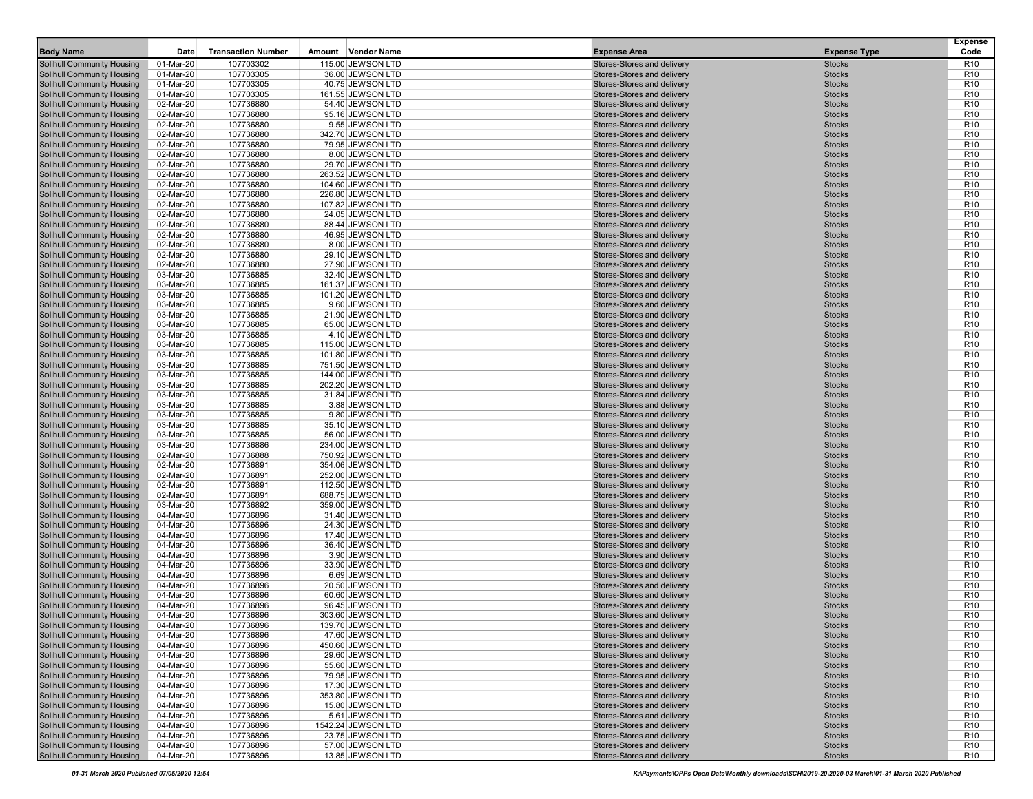| <b>Body Name</b>                                                       | Date                   | <b>Transaction Number</b> | Amount Vendor Name                     | <b>Expense Area</b>                                      | <b>Expense Type</b>            | <b>Expense</b><br>Code             |
|------------------------------------------------------------------------|------------------------|---------------------------|----------------------------------------|----------------------------------------------------------|--------------------------------|------------------------------------|
| <b>Solihull Community Housing</b>                                      | 01-Mar-20              | 107703302                 | 115.00 JEWSON LTD                      | Stores-Stores and delivery                               | <b>Stocks</b>                  | R <sub>10</sub>                    |
| <b>Solihull Community Housing</b>                                      | 01-Mar-20              | 107703305                 | 36.00 JEWSON LTD                       | Stores-Stores and delivery                               | <b>Stocks</b>                  | R <sub>10</sub>                    |
| <b>Solihull Community Housing</b>                                      | 01-Mar-20              | 107703305                 | 40.75 JEWSON LTD                       | Stores-Stores and delivery                               | <b>Stocks</b>                  | R <sub>10</sub>                    |
| <b>Solihull Community Housing</b>                                      | 01-Mar-20              | 107703305                 | 161.55 JEWSON LTD                      | Stores-Stores and delivery                               | <b>Stocks</b>                  | R <sub>10</sub>                    |
| <b>Solihull Community Housing</b>                                      | 02-Mar-20              | 107736880                 | 54.40 JEWSON LTD                       | Stores-Stores and delivery<br>Stores-Stores and delivery | <b>Stocks</b>                  | R <sub>10</sub>                    |
| <b>Solihull Community Housing</b><br><b>Solihull Community Housing</b> | 02-Mar-20<br>02-Mar-20 | 107736880<br>107736880    | 95.16 JEWSON LTD<br>9.55 JEWSON LTD    | Stores-Stores and delivery                               | <b>Stocks</b><br><b>Stocks</b> | R <sub>10</sub><br>R <sub>10</sub> |
| <b>Solihull Community Housing</b>                                      | 02-Mar-20              | 107736880                 | 342.70 JEWSON LTD                      | Stores-Stores and delivery                               | <b>Stocks</b>                  | R <sub>10</sub>                    |
| <b>Solihull Community Housing</b>                                      | 02-Mar-20              | 107736880                 | 79.95 JEWSON LTD                       | Stores-Stores and delivery                               | <b>Stocks</b>                  | R <sub>10</sub>                    |
| <b>Solihull Community Housing</b>                                      | 02-Mar-20              | 107736880                 | 8.00 JEWSON LTD                        | Stores-Stores and delivery                               | <b>Stocks</b>                  | R <sub>10</sub>                    |
| <b>Solihull Community Housing</b>                                      | 02-Mar-20              | 107736880                 | 29.70 JEWSON LTD                       | Stores-Stores and delivery                               | <b>Stocks</b>                  | R <sub>10</sub>                    |
| <b>Solihull Community Housing</b>                                      | 02-Mar-20              | 107736880                 | 263.52 JEWSON LTD                      | Stores-Stores and delivery                               | <b>Stocks</b>                  | R <sub>10</sub>                    |
| <b>Solihull Community Housing</b>                                      | 02-Mar-20              | 107736880                 | 104.60 JEWSON LTD                      | Stores-Stores and delivery                               | <b>Stocks</b>                  | R <sub>10</sub>                    |
| <b>Solihull Community Housing</b>                                      | 02-Mar-20              | 107736880                 | 226.80 JEWSON LTD                      | Stores-Stores and delivery                               | <b>Stocks</b>                  | R <sub>10</sub>                    |
| <b>Solihull Community Housing</b>                                      | 02-Mar-20              | 107736880                 | 107.82 JEWSON LTD                      | Stores-Stores and delivery                               | <b>Stocks</b>                  | R <sub>10</sub>                    |
| <b>Solihull Community Housing</b><br><b>Solihull Community Housing</b> | 02-Mar-20              | 107736880                 | 24.05 JEWSON LTD                       | Stores-Stores and delivery<br>Stores-Stores and delivery | <b>Stocks</b>                  | R <sub>10</sub><br>R <sub>10</sub> |
| <b>Solihull Community Housing</b>                                      | 02-Mar-20<br>02-Mar-20 | 107736880<br>107736880    | 88.44 JEWSON LTD<br>46.95 JEWSON LTD   | Stores-Stores and delivery                               | <b>Stocks</b><br><b>Stocks</b> | R <sub>10</sub>                    |
| <b>Solihull Community Housing</b>                                      | 02-Mar-20              | 107736880                 | 8.00 JEWSON LTD                        | Stores-Stores and delivery                               | <b>Stocks</b>                  | R <sub>10</sub>                    |
| <b>Solihull Community Housing</b>                                      | 02-Mar-20              | 107736880                 | 29.10 JEWSON LTD                       | Stores-Stores and delivery                               | <b>Stocks</b>                  | R <sub>10</sub>                    |
| <b>Solihull Community Housing</b>                                      | 02-Mar-20              | 107736880                 | 27.90 JEWSON LTD                       | Stores-Stores and delivery                               | <b>Stocks</b>                  | R <sub>10</sub>                    |
| <b>Solihull Community Housing</b>                                      | 03-Mar-20              | 107736885                 | 32.40 JEWSON LTD                       | Stores-Stores and delivery                               | <b>Stocks</b>                  | R <sub>10</sub>                    |
| <b>Solihull Community Housing</b>                                      | 03-Mar-20              | 107736885                 | 161.37 JEWSON LTD                      | Stores-Stores and delivery                               | <b>Stocks</b>                  | R <sub>10</sub>                    |
| <b>Solihull Community Housing</b>                                      | 03-Mar-20              | 107736885                 | 101.20 JEWSON LTD                      | Stores-Stores and delivery                               | <b>Stocks</b>                  | R <sub>10</sub>                    |
| <b>Solihull Community Housing</b>                                      | 03-Mar-20              | 107736885                 | 9.60 JEWSON LTD                        | Stores-Stores and delivery                               | <b>Stocks</b>                  | R <sub>10</sub>                    |
| <b>Solihull Community Housing</b>                                      | 03-Mar-20              | 107736885                 | 21.90 JEWSON LTD                       | Stores-Stores and delivery                               | <b>Stocks</b>                  | R <sub>10</sub>                    |
| <b>Solihull Community Housing</b>                                      | 03-Mar-20              | 107736885                 | 65.00 JEWSON LTD                       | Stores-Stores and delivery                               | <b>Stocks</b>                  | R <sub>10</sub>                    |
| <b>Solihull Community Housing</b>                                      | 03-Mar-20              | 107736885                 | 4.10 JEWSON LTD                        | Stores-Stores and delivery                               | <b>Stocks</b>                  | R <sub>10</sub>                    |
| <b>Solihull Community Housing</b><br><b>Solihull Community Housing</b> | 03-Mar-20<br>03-Mar-20 | 107736885<br>107736885    | 115.00 JEWSON LTD<br>101.80 JEWSON LTD | Stores-Stores and delivery<br>Stores-Stores and delivery | <b>Stocks</b><br><b>Stocks</b> | R <sub>10</sub><br>R <sub>10</sub> |
| <b>Solihull Community Housing</b>                                      | 03-Mar-20              | 107736885                 | 751.50 JEWSON LTD                      | Stores-Stores and delivery                               | <b>Stocks</b>                  | R <sub>10</sub>                    |
| <b>Solihull Community Housing</b>                                      | 03-Mar-20              | 107736885                 | 144.00 JEWSON LTD                      | Stores-Stores and delivery                               | <b>Stocks</b>                  | R <sub>10</sub>                    |
| <b>Solihull Community Housing</b>                                      | 03-Mar-20              | 107736885                 | 202.20 JEWSON LTD                      | Stores-Stores and delivery                               | <b>Stocks</b>                  | R <sub>10</sub>                    |
| <b>Solihull Community Housing</b>                                      | 03-Mar-20              | 107736885                 | 31.84 JEWSON LTD                       | Stores-Stores and delivery                               | <b>Stocks</b>                  | R <sub>10</sub>                    |
| <b>Solihull Community Housing</b>                                      | 03-Mar-20              | 107736885                 | 3.88 JEWSON LTD                        | Stores-Stores and delivery                               | <b>Stocks</b>                  | R <sub>10</sub>                    |
| <b>Solihull Community Housing</b>                                      | 03-Mar-20              | 107736885                 | 9.80 JEWSON LTD                        | Stores-Stores and delivery                               | <b>Stocks</b>                  | R <sub>10</sub>                    |
| <b>Solihull Community Housing</b>                                      | 03-Mar-20              | 107736885                 | 35.10 JEWSON LTD                       | Stores-Stores and delivery                               | <b>Stocks</b>                  | R <sub>10</sub>                    |
| <b>Solihull Community Housing</b>                                      | 03-Mar-20              | 107736885                 | 56.00 JEWSON LTD                       | Stores-Stores and delivery                               | <b>Stocks</b>                  | R <sub>10</sub>                    |
| <b>Solihull Community Housing</b><br><b>Solihull Community Housing</b> | 03-Mar-20<br>02-Mar-20 | 107736886<br>107736888    | 234.00 JEWSON LTD<br>750.92 JEWSON LTD | Stores-Stores and delivery<br>Stores-Stores and delivery | <b>Stocks</b><br><b>Stocks</b> | R <sub>10</sub><br>R <sub>10</sub> |
| <b>Solihull Community Housing</b>                                      | 02-Mar-20              | 107736891                 | 354.06 JEWSON LTD                      | Stores-Stores and delivery                               | <b>Stocks</b>                  | R <sub>10</sub>                    |
| <b>Solihull Community Housing</b>                                      | 02-Mar-20              | 107736891                 | 252.00 JEWSON LTD                      | Stores-Stores and delivery                               | <b>Stocks</b>                  | R <sub>10</sub>                    |
| <b>Solihull Community Housing</b>                                      | 02-Mar-20              | 107736891                 | 112.50 JEWSON LTD                      | Stores-Stores and delivery                               | <b>Stocks</b>                  | R <sub>10</sub>                    |
| <b>Solihull Community Housing</b>                                      | 02-Mar-20              | 107736891                 | 688.75 JEWSON LTD                      | Stores-Stores and delivery                               | <b>Stocks</b>                  | R <sub>10</sub>                    |
| <b>Solihull Community Housing</b>                                      | 03-Mar-20              | 107736892                 | 359.00 JEWSON LTD                      | Stores-Stores and delivery                               | <b>Stocks</b>                  | R <sub>10</sub>                    |
| <b>Solihull Community Housing</b>                                      | 04-Mar-20              | 107736896                 | 31.40 JEWSON LTD                       | Stores-Stores and delivery                               | <b>Stocks</b>                  | R <sub>10</sub>                    |
| <b>Solihull Community Housing</b>                                      | 04-Mar-20              | 107736896                 | 24.30 JEWSON LTD                       | Stores-Stores and delivery                               | <b>Stocks</b>                  | R <sub>10</sub>                    |
| <b>Solihull Community Housing</b>                                      | 04-Mar-20              | 107736896                 | 17.40 JEWSON LTD                       | Stores-Stores and delivery                               | <b>Stocks</b>                  | R <sub>10</sub>                    |
| <b>Solihull Community Housing</b><br><b>Solihull Community Housing</b> | 04-Mar-20              | 107736896<br>107736896    | 36.40 JEWSON LTD<br>3.90 JEWSON LTD    | Stores-Stores and delivery<br>Stores-Stores and delivery | <b>Stocks</b><br><b>Stocks</b> | R <sub>10</sub><br>R <sub>10</sub> |
| <b>Solihull Community Housing</b>                                      | 04-Mar-20<br>04-Mar-20 | 107736896                 | 33.90 JEWSON LTD                       | Stores-Stores and delivery                               | <b>Stocks</b>                  | R <sub>10</sub>                    |
| <b>Solihull Community Housing</b>                                      | 04-Mar-20              | 107736896                 | 6.69 JEWSON LTD                        | Stores-Stores and delivery                               | <b>Stocks</b>                  | R <sub>10</sub>                    |
| <b>Solihull Community Housing</b>                                      | 04-Mar-20              | 107736896                 | 20.50 JEWSON LTD                       | Stores-Stores and delivery                               | <b>Stocks</b>                  | R <sub>10</sub>                    |
| <b>Solihull Community Housing</b>                                      | 04-Mar-20              | 107736896                 | 60.60 JEWSON LTD                       | Stores-Stores and delivery                               | <b>Stocks</b>                  | R <sub>10</sub>                    |
| <b>Solihull Community Housing</b>                                      | 04-Mar-20              | 107736896                 | 96.45 JEWSON LTD                       | Stores-Stores and delivery                               | <b>Stocks</b>                  | R <sub>10</sub>                    |
| <b>Solihull Community Housing</b>                                      | 04-Mar-20              | 107736896                 | 303.60 JEWSON LTD                      | Stores-Stores and delivery                               | <b>Stocks</b>                  | R <sub>10</sub>                    |
| <b>Solihull Community Housing</b>                                      | 04-Mar-20              | 107736896                 | 139.70 JEWSON LTD                      | Stores-Stores and delivery                               | <b>Stocks</b>                  | R <sub>10</sub>                    |
| <b>Solihull Community Housing</b>                                      | 04-Mar-20              | 107736896                 | 47.60 JEWSON LTD                       | Stores-Stores and delivery                               | <b>Stocks</b>                  | R <sub>10</sub>                    |
| <b>Solihull Community Housing</b>                                      | 04-Mar-20              | 107736896                 | 450.60 JEWSON LTD                      | Stores-Stores and delivery                               | <b>Stocks</b>                  | R <sub>10</sub>                    |
| <b>Solihull Community Housing</b><br><b>Solihull Community Housing</b> | 04-Mar-20              | 107736896                 | 29.60 JEWSON LTD                       | Stores-Stores and delivery<br>Stores-Stores and delivery | <b>Stocks</b>                  | R <sub>10</sub><br>R <sub>10</sub> |
| <b>Solihull Community Housing</b>                                      | 04-Mar-20<br>04-Mar-20 | 107736896<br>107736896    | 55.60 JEWSON LTD<br>79.95 JEWSON LTD   | Stores-Stores and delivery                               | <b>Stocks</b><br><b>Stocks</b> | R <sub>10</sub>                    |
| <b>Solihull Community Housing</b>                                      | 04-Mar-20              | 107736896                 | 17.30 JEWSON LTD                       | Stores-Stores and delivery                               | <b>Stocks</b>                  | R <sub>10</sub>                    |
| <b>Solihull Community Housing</b>                                      | 04-Mar-20              | 107736896                 | 353.80 JEWSON LTD                      | Stores-Stores and delivery                               | <b>Stocks</b>                  | R <sub>10</sub>                    |
| <b>Solihull Community Housing</b>                                      | 04-Mar-20              | 107736896                 | 15.80 JEWSON LTD                       | Stores-Stores and delivery                               | <b>Stocks</b>                  | R <sub>10</sub>                    |
| <b>Solihull Community Housing</b>                                      | 04-Mar-20              | 107736896                 | 5.61 JEWSON LTD                        | Stores-Stores and delivery                               | <b>Stocks</b>                  | R <sub>10</sub>                    |
| <b>Solihull Community Housing</b>                                      | 04-Mar-20              | 107736896                 | 1542.24 JEWSON LTD                     | Stores-Stores and delivery                               | <b>Stocks</b>                  | R <sub>10</sub>                    |
| <b>Solihull Community Housing</b>                                      | 04-Mar-20              | 107736896                 | 23.75 JEWSON LTD                       | Stores-Stores and delivery                               | <b>Stocks</b>                  | R <sub>10</sub>                    |
| <b>Solihull Community Housing</b>                                      | 04-Mar-20              | 107736896                 | 57.00 JEWSON LTD                       | Stores-Stores and delivery                               | <b>Stocks</b>                  | R <sub>10</sub>                    |
| Solihull Community Housing                                             | 04-Mar-20              | 107736896                 | 13.85 JEWSON LTD                       | Stores-Stores and delivery                               | <b>Stocks</b>                  | R <sub>10</sub>                    |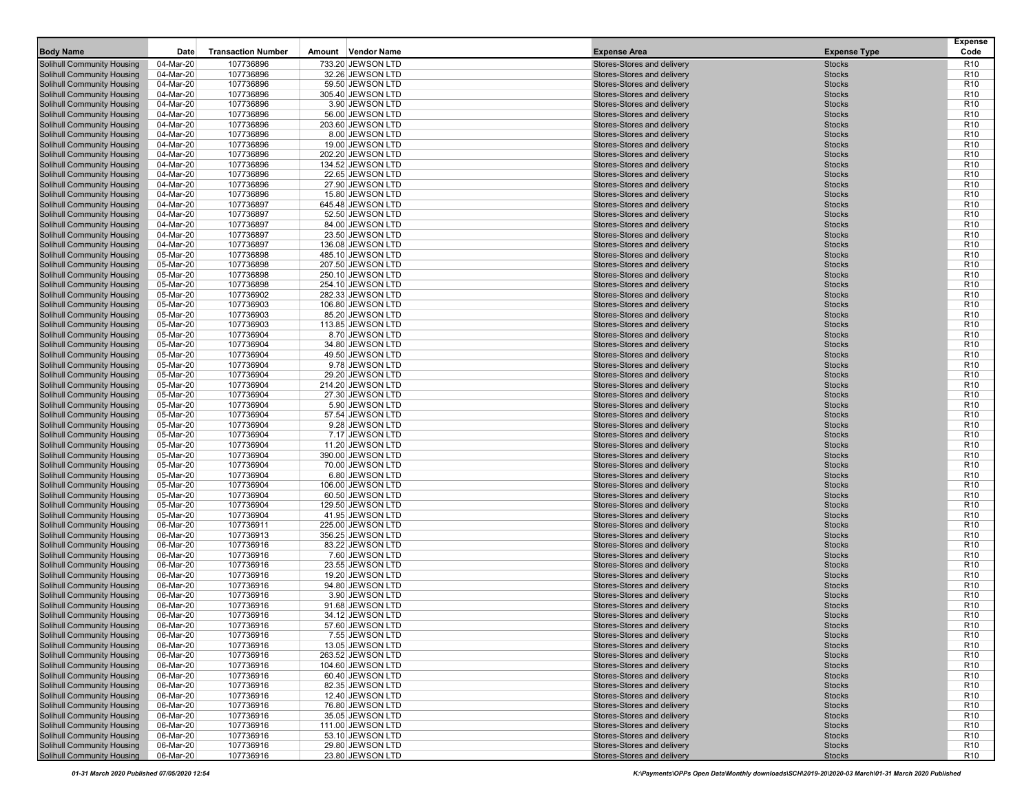| <b>Body Name</b>                                                       | Date                   | <b>Transaction Number</b> | Amount Vendor Name                     | <b>Expense Area</b>                                             | <b>Expense Type</b>            | <b>Expense</b><br>Code             |
|------------------------------------------------------------------------|------------------------|---------------------------|----------------------------------------|-----------------------------------------------------------------|--------------------------------|------------------------------------|
| <b>Solihull Community Housing</b>                                      | 04-Mar-20              | 107736896                 | 733.20 JEWSON LTD                      | Stores-Stores and delivery                                      | <b>Stocks</b>                  | R <sub>10</sub>                    |
| <b>Solihull Community Housing</b>                                      | 04-Mar-20              | 107736896                 | 32.26 JEWSON LTD                       | Stores-Stores and delivery                                      | <b>Stocks</b>                  | R <sub>10</sub>                    |
| <b>Solihull Community Housing</b>                                      | 04-Mar-20              | 107736896                 | 59.50 JEWSON LTD                       | Stores-Stores and delivery                                      | <b>Stocks</b>                  | R <sub>10</sub>                    |
| <b>Solihull Community Housing</b>                                      | 04-Mar-20              | 107736896                 | 305.40 JEWSON LTD                      | Stores-Stores and delivery                                      | <b>Stocks</b>                  | R <sub>10</sub>                    |
| <b>Solihull Community Housing</b>                                      | 04-Mar-20              | 107736896                 | 3.90 JEWSON LTD                        | Stores-Stores and delivery                                      | <b>Stocks</b>                  | R <sub>10</sub>                    |
| <b>Solihull Community Housing</b><br><b>Solihull Community Housing</b> | 04-Mar-20<br>04-Mar-20 | 107736896<br>107736896    | 56.00 JEWSON LTD<br>203.60 JEWSON LTD  | <b>Stores-Stores and delivery</b><br>Stores-Stores and delivery | <b>Stocks</b><br><b>Stocks</b> | R <sub>10</sub><br>R <sub>10</sub> |
| <b>Solihull Community Housing</b>                                      | 04-Mar-20              | 107736896                 | 8.00 JEWSON LTD                        | Stores-Stores and delivery                                      | <b>Stocks</b>                  | R <sub>10</sub>                    |
| <b>Solihull Community Housing</b>                                      | 04-Mar-20              | 107736896                 | 19.00 JEWSON LTD                       | Stores-Stores and delivery                                      | <b>Stocks</b>                  | R <sub>10</sub>                    |
| <b>Solihull Community Housing</b>                                      | 04-Mar-20              | 107736896                 | 202.20 JEWSON LTD                      | Stores-Stores and delivery                                      | <b>Stocks</b>                  | R <sub>10</sub>                    |
| <b>Solihull Community Housing</b>                                      | $04$ -Mar-20           | 107736896                 | 134.52 JEWSON LTD                      | Stores-Stores and delivery                                      | <b>Stocks</b>                  | R <sub>10</sub>                    |
| <b>Solihull Community Housing</b>                                      | 04-Mar-20              | 107736896                 | 22.65 JEWSON LTD                       | Stores-Stores and delivery                                      | <b>Stocks</b>                  | R <sub>10</sub>                    |
| <b>Solihull Community Housing</b>                                      | 04-Mar-20              | 107736896                 | 27.90 JEWSON LTD                       | Stores-Stores and delivery                                      | <b>Stocks</b>                  | R <sub>10</sub>                    |
| <b>Solihull Community Housing</b>                                      | 04-Mar-20              | 107736896                 | 15.80 JEWSON LTD                       | Stores-Stores and delivery                                      | <b>Stocks</b>                  | R <sub>10</sub>                    |
| <b>Solihull Community Housing</b>                                      | 04-Mar-20              | 107736897                 | 645.48 JEWSON LTD                      | Stores-Stores and delivery                                      | <b>Stocks</b>                  | R <sub>10</sub>                    |
| <b>Solihull Community Housing</b>                                      | 04-Mar-20              | 107736897                 | 52.50 JEWSON LTD                       | Stores-Stores and delivery                                      | <b>Stocks</b>                  | R <sub>10</sub>                    |
| <b>Solihull Community Housing</b>                                      | 04-Mar-20              | 107736897                 | 84.00 JEWSON LTD                       | Stores-Stores and delivery                                      | <b>Stocks</b>                  | R <sub>10</sub>                    |
| <b>Solihull Community Housing</b><br><b>Solihull Community Housing</b> | 04-Mar-20              | 107736897<br>107736897    | 23.50 JEWSON LTD                       | Stores-Stores and delivery<br>Stores-Stores and delivery        | <b>Stocks</b><br><b>Stocks</b> | R <sub>10</sub><br>R <sub>10</sub> |
| <b>Solihull Community Housing</b>                                      | 04-Mar-20<br>05-Mar-20 | 107736898                 | 136.08 JEWSON LTD<br>485.10 JEWSON LTD | Stores-Stores and delivery                                      | <b>Stocks</b>                  | R <sub>10</sub>                    |
| <b>Solihull Community Housing</b>                                      | 05-Mar-20              | 107736898                 | 207.50 JEWSON LTD                      | Stores-Stores and delivery                                      | <b>Stocks</b>                  | R <sub>10</sub>                    |
| <b>Solihull Community Housing</b>                                      | 05-Mar-20              | 107736898                 | 250.10 JEWSON LTD                      | Stores-Stores and delivery                                      | <b>Stocks</b>                  | R <sub>10</sub>                    |
| <b>Solihull Community Housing</b>                                      | 05-Mar-20              | 107736898                 | 254.10 JEWSON LTD                      | Stores-Stores and delivery                                      | <b>Stocks</b>                  | R <sub>10</sub>                    |
| <b>Solihull Community Housing</b>                                      | 05-Mar-20              | 107736902                 | 282.33 JEWSON LTD                      | Stores-Stores and delivery                                      | <b>Stocks</b>                  | R <sub>10</sub>                    |
| <b>Solihull Community Housing</b>                                      | 05-Mar-20              | 107736903                 | 106.80 JEWSON LTD                      | Stores-Stores and delivery                                      | <b>Stocks</b>                  | R <sub>10</sub>                    |
| <b>Solihull Community Housing</b>                                      | 05-Mar-20              | 107736903                 | 85.20 JEWSON LTD                       | Stores-Stores and delivery                                      | <b>Stocks</b>                  | R <sub>10</sub>                    |
| <b>Solihull Community Housing</b>                                      | 05-Mar-20              | 107736903                 | 113.85 JEWSON LTD                      | Stores-Stores and delivery                                      | <b>Stocks</b>                  | R <sub>10</sub>                    |
| Solihull Community Housing                                             | 05-Mar-20              | 107736904                 | 8.70 JEWSON LTD                        | Stores-Stores and delivery                                      | <b>Stocks</b>                  | R <sub>10</sub>                    |
| <b>Solihull Community Housing</b>                                      | 05-Mar-20              | 107736904                 | 34.80 JEWSON LTD                       | Stores-Stores and delivery                                      | <b>Stocks</b>                  | R <sub>10</sub>                    |
| <b>Solihull Community Housing</b>                                      | 05-Mar-20              | 107736904                 | 49.50 JEWSON LTD                       | Stores-Stores and delivery                                      | <b>Stocks</b>                  | R <sub>10</sub>                    |
| <b>Solihull Community Housing</b><br><b>Solihull Community Housing</b> | 05-Mar-20<br>05-Mar-20 | 107736904<br>107736904    | 9.78 JEWSON LTD<br>29.20 JEWSON LTD    | Stores-Stores and delivery<br>Stores-Stores and delivery        | <b>Stocks</b><br><b>Stocks</b> | R <sub>10</sub><br>R <sub>10</sub> |
| <b>Solihull Community Housing</b>                                      | 05-Mar-20              | 107736904                 | 214.20 JEWSON LTD                      | Stores-Stores and delivery                                      | <b>Stocks</b>                  | R <sub>10</sub>                    |
| <b>Solihull Community Housing</b>                                      | 05-Mar-20              | 107736904                 | 27.30 JEWSON LTD                       | Stores-Stores and delivery                                      | <b>Stocks</b>                  | R <sub>10</sub>                    |
| <b>Solihull Community Housing</b>                                      | 05-Mar-20              | 107736904                 | 5.90 JEWSON LTD                        | Stores-Stores and delivery                                      | <b>Stocks</b>                  | R <sub>10</sub>                    |
| <b>Solihull Community Housing</b>                                      | 05-Mar-20              | 107736904                 | 57.54 JEWSON LTD                       | Stores-Stores and delivery                                      | <b>Stocks</b>                  | R <sub>10</sub>                    |
| <b>Solihull Community Housing</b>                                      | 05-Mar-20              | 107736904                 | 9.28 JEWSON LTD                        | Stores-Stores and delivery                                      | <b>Stocks</b>                  | R <sub>10</sub>                    |
| <b>Solihull Community Housing</b>                                      | 05-Mar-20              | 107736904                 | 7.17 JEWSON LTD                        | Stores-Stores and delivery                                      | <b>Stocks</b>                  | R <sub>10</sub>                    |
| <b>Solihull Community Housing</b>                                      | 05-Mar-20              | 107736904                 | 11.20 JEWSON LTD                       | Stores-Stores and delivery                                      | <b>Stocks</b>                  | R <sub>10</sub>                    |
| <b>Solihull Community Housing</b>                                      | 05-Mar-20              | 107736904                 | 390.00 JEWSON LTD                      | Stores-Stores and delivery                                      | <b>Stocks</b>                  | R <sub>10</sub>                    |
| <b>Solihull Community Housing</b>                                      | 05-Mar-20              | 107736904                 | 70.00 JEWSON LTD                       | Stores-Stores and delivery                                      | <b>Stocks</b>                  | R <sub>10</sub>                    |
| <b>Solihull Community Housing</b><br><b>Solihull Community Housing</b> | 05-Mar-20<br>05-Mar-20 | 107736904<br>107736904    | 6.80 JEWSON LTD<br>106.00 JEWSON LTD   | Stores-Stores and delivery<br>Stores-Stores and delivery        | <b>Stocks</b><br><b>Stocks</b> | R <sub>10</sub><br>R <sub>10</sub> |
| <b>Solihull Community Housing</b>                                      | 05-Mar-20              | 107736904                 | 60.50 JEWSON LTD                       | Stores-Stores and delivery                                      | <b>Stocks</b>                  | R <sub>10</sub>                    |
| <b>Solihull Community Housing</b>                                      | 05-Mar-20              | 107736904                 | 129.50 JEWSON LTD                      | Stores-Stores and delivery                                      | <b>Stocks</b>                  | R <sub>10</sub>                    |
| <b>Solihull Community Housing</b>                                      | 05-Mar-20              | 107736904                 | 41.95 JEWSON LTD                       | Stores-Stores and delivery                                      | <b>Stocks</b>                  | R <sub>10</sub>                    |
| <b>Solihull Community Housing</b>                                      | 06-Mar-20              | 107736911                 | 225.00 JEWSON LTD                      | Stores-Stores and delivery                                      | <b>Stocks</b>                  | R <sub>10</sub>                    |
| <b>Solihull Community Housing</b>                                      | 06-Mar-20              | 107736913                 | 356.25 JEWSON LTD                      | Stores-Stores and delivery                                      | <b>Stocks</b>                  | R <sub>10</sub>                    |
| <b>Solihull Community Housing</b>                                      | 06-Mar-20              | 107736916                 | 83.22 JEWSON LTD                       | Stores-Stores and delivery                                      | <b>Stocks</b>                  | R <sub>10</sub>                    |
| <b>Solihull Community Housing</b>                                      | 06-Mar-20              | 107736916                 | 7.60 JEWSON LTD                        | Stores-Stores and delivery                                      | <b>Stocks</b>                  | R <sub>10</sub>                    |
| <b>Solihull Community Housing</b>                                      | 06-Mar-20              | 107736916                 | 23.55 JEWSON LTD                       | Stores-Stores and delivery                                      | <b>Stocks</b>                  | R <sub>10</sub>                    |
| <b>Solihull Community Housing</b>                                      | 06-Mar-20              | 107736916                 | 19.20 JEWSON LTD                       | Stores-Stores and delivery                                      | <b>Stocks</b>                  | R <sub>10</sub>                    |
| <b>Solihull Community Housing</b><br><b>Solihull Community Housing</b> | 06-Mar-20              | 107736916                 | 94.80 JEWSON LTD                       | Stores-Stores and delivery<br>Stores-Stores and delivery        | <b>Stocks</b>                  | R <sub>10</sub><br>R <sub>10</sub> |
| <b>Solihull Community Housing</b>                                      | 06-Mar-20<br>06-Mar-20 | 107736916<br>107736916    | 3.90 JEWSON LTD<br>91.68 JEWSON LTD    | Stores-Stores and delivery                                      | <b>Stocks</b><br><b>Stocks</b> | R <sub>10</sub>                    |
| <b>Solihull Community Housing</b>                                      | 06-Mar-20              | 107736916                 | 34.12 JEWSON LTD                       | Stores-Stores and delivery                                      | <b>Stocks</b>                  | R <sub>10</sub>                    |
| <b>Solihull Community Housing</b>                                      | 06-Mar-20              | 107736916                 | 57.60 JEWSON LTD                       | Stores-Stores and delivery                                      | <b>Stocks</b>                  | R <sub>10</sub>                    |
| <b>Solihull Community Housing</b>                                      | 06-Mar-20              | 107736916                 | 7.55 JEWSON LTD                        | Stores-Stores and delivery                                      | <b>Stocks</b>                  | R <sub>10</sub>                    |
| <b>Solihull Community Housing</b>                                      | 06-Mar-20              | 107736916                 | 13.05 JEWSON LTD                       | Stores-Stores and delivery                                      | <b>Stocks</b>                  | R <sub>10</sub>                    |
| <b>Solihull Community Housing</b>                                      | 06-Mar-20              | 107736916                 | 263.52 JEWSON LTD                      | Stores-Stores and delivery                                      | <b>Stocks</b>                  | R <sub>10</sub>                    |
| <b>Solihull Community Housing</b>                                      | 06-Mar-20              | 107736916                 | 104.60 JEWSON LTD                      | Stores-Stores and delivery                                      | <b>Stocks</b>                  | R <sub>10</sub>                    |
| <b>Solihull Community Housing</b>                                      | 06-Mar-20              | 107736916                 | 60.40 JEWSON LTD                       | Stores-Stores and delivery                                      | <b>Stocks</b>                  | R <sub>10</sub>                    |
| <b>Solihull Community Housing</b>                                      | 06-Mar-20              | 107736916                 | 82.35 JEWSON LTD                       | Stores-Stores and delivery                                      | <b>Stocks</b>                  | R <sub>10</sub>                    |
| <b>Solihull Community Housing</b>                                      | 06-Mar-20              | 107736916                 | 12.40 JEWSON LTD                       | Stores-Stores and delivery                                      | <b>Stocks</b>                  | R <sub>10</sub>                    |
| <b>Solihull Community Housing</b>                                      | 06-Mar-20              | 107736916                 | 76.80 JEWSON LTD                       | Stores-Stores and delivery                                      | <b>Stocks</b>                  | R <sub>10</sub>                    |
| <b>Solihull Community Housing</b><br><b>Solihull Community Housing</b> | 06-Mar-20<br>06-Mar-20 | 107736916<br>107736916    | 35.05 JEWSON LTD<br>111.00 JEWSON LTD  | Stores-Stores and delivery<br>Stores-Stores and delivery        | <b>Stocks</b>                  | R <sub>10</sub><br>R <sub>10</sub> |
| <b>Solihull Community Housing</b>                                      | 06-Mar-20              | 107736916                 | 53.10 JEWSON LTD                       | Stores-Stores and delivery                                      | <b>Stocks</b><br><b>Stocks</b> | R <sub>10</sub>                    |
| <b>Solihull Community Housing</b>                                      | 06-Mar-20              | 107736916                 | 29.80 JEWSON LTD                       | Stores-Stores and delivery                                      | <b>Stocks</b>                  | R <sub>10</sub>                    |
| <b>Solihull Community Housing</b>                                      | 06-Mar-20              | 107736916                 | 23.80 JEWSON LTD                       | Stores-Stores and delivery                                      | <b>Stocks</b>                  | R <sub>10</sub>                    |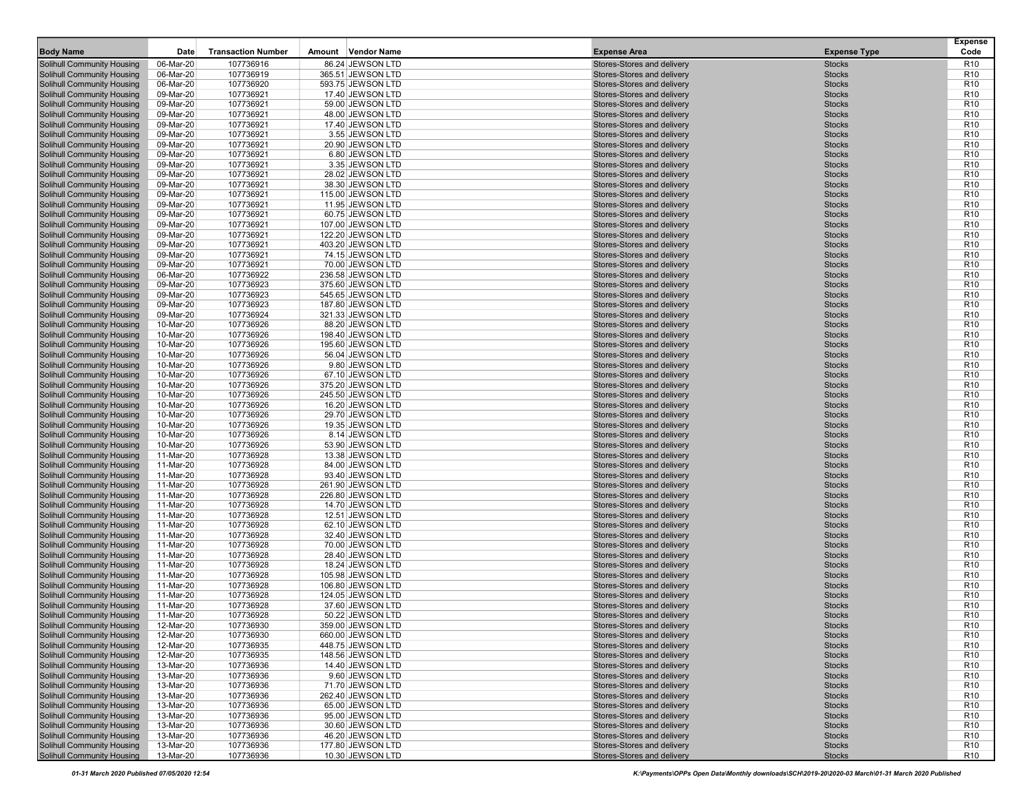| <b>Body Name</b>                                                       | Date                   | <b>Transaction Number</b> | Amount Vendor Name                     | <b>Expense Area</b>                                             | <b>Expense Type</b>            | <b>Expense</b><br>Code             |
|------------------------------------------------------------------------|------------------------|---------------------------|----------------------------------------|-----------------------------------------------------------------|--------------------------------|------------------------------------|
| <b>Solihull Community Housing</b>                                      | 06-Mar-20              | 107736916                 | 86.24 JEWSON LTD                       | Stores-Stores and delivery                                      | <b>Stocks</b>                  | R <sub>10</sub>                    |
| <b>Solihull Community Housing</b>                                      | 06-Mar-20              | 107736919                 | 365.51 JEWSON LTD                      | Stores-Stores and delivery                                      | <b>Stocks</b>                  | R <sub>10</sub>                    |
| <b>Solihull Community Housing</b>                                      | 06-Mar-20              | 107736920                 | 593.75 JEWSON LTD                      | Stores-Stores and delivery                                      | <b>Stocks</b>                  | R <sub>10</sub>                    |
| <b>Solihull Community Housing</b>                                      | 09-Mar-20              | 107736921                 | 17.40 JEWSON LTD                       | Stores-Stores and delivery                                      | <b>Stocks</b>                  | R <sub>10</sub>                    |
| <b>Solihull Community Housing</b>                                      | 09-Mar-20              | 107736921                 | 59.00 JEWSON LTD                       | Stores-Stores and delivery                                      | <b>Stocks</b>                  | R <sub>10</sub>                    |
| <b>Solihull Community Housing</b><br><b>Solihull Community Housing</b> | 09-Mar-20<br>09-Mar-20 | 107736921<br>107736921    | 48.00 JEWSON LTD<br>17.40 JEWSON LTD   | <b>Stores-Stores and delivery</b><br>Stores-Stores and delivery | <b>Stocks</b><br><b>Stocks</b> | R <sub>10</sub><br>R <sub>10</sub> |
| <b>Solihull Community Housing</b>                                      | 09-Mar-20              | 107736921                 | 3.55 JEWSON LTD                        | Stores-Stores and delivery                                      | <b>Stocks</b>                  | R <sub>10</sub>                    |
| <b>Solihull Community Housing</b>                                      | 09-Mar-20              | 107736921                 | 20.90 JEWSON LTD                       | Stores-Stores and delivery                                      | <b>Stocks</b>                  | R <sub>10</sub>                    |
| <b>Solihull Community Housing</b>                                      | 09-Mar-20              | 107736921                 | 6.80 JEWSON LTD                        | Stores-Stores and delivery                                      | <b>Stocks</b>                  | R <sub>10</sub>                    |
| <b>Solihull Community Housing</b>                                      | 09-Mar-20              | 107736921                 | 3.35 JEWSON LTD                        | Stores-Stores and delivery                                      | <b>Stocks</b>                  | R <sub>10</sub>                    |
| <b>Solihull Community Housing</b>                                      | 09-Mar-20              | 107736921                 | 28.02 JEWSON LTD                       | Stores-Stores and delivery                                      | <b>Stocks</b>                  | R <sub>10</sub>                    |
| <b>Solihull Community Housing</b>                                      | 09-Mar-20              | 107736921                 | 38.30 JEWSON LTD                       | Stores-Stores and delivery                                      | <b>Stocks</b>                  | R <sub>10</sub>                    |
| <b>Solihull Community Housing</b>                                      | 09-Mar-20              | 107736921                 | 115.00 JEWSON LTD                      | Stores-Stores and delivery                                      | <b>Stocks</b>                  | R <sub>10</sub>                    |
| <b>Solihull Community Housing</b>                                      | 09-Mar-20              | 107736921                 | 11.95 JEWSON LTD                       | Stores-Stores and delivery                                      | <b>Stocks</b>                  | R <sub>10</sub>                    |
| <b>Solihull Community Housing</b>                                      | 09-Mar-20              | 107736921                 | 60.75 JEWSON LTD                       | Stores-Stores and delivery                                      | <b>Stocks</b>                  | R <sub>10</sub>                    |
| <b>Solihull Community Housing</b><br><b>Solihull Community Housing</b> | 09-Mar-20<br>09-Mar-20 | 107736921<br>107736921    | 107.00 JEWSON LTD<br>122.20 JEWSON LTD | Stores-Stores and delivery<br>Stores-Stores and delivery        | <b>Stocks</b>                  | R <sub>10</sub><br>R <sub>10</sub> |
| <b>Solihull Community Housing</b>                                      | 09-Mar-20              | 107736921                 | 403.20 JEWSON LTD                      | Stores-Stores and delivery                                      | <b>Stocks</b><br><b>Stocks</b> | R <sub>10</sub>                    |
| <b>Solihull Community Housing</b>                                      | 09-Mar-20              | 107736921                 | 74.15 JEWSON LTD                       | Stores-Stores and delivery                                      | <b>Stocks</b>                  | R <sub>10</sub>                    |
| <b>Solihull Community Housing</b>                                      | 09-Mar-20              | 107736921                 | 70.00 JEWSON LTD                       | Stores-Stores and delivery                                      | <b>Stocks</b>                  | R <sub>10</sub>                    |
| <b>Solihull Community Housing</b>                                      | 06-Mar-20              | 107736922                 | 236.58 JEWSON LTD                      | Stores-Stores and delivery                                      | <b>Stocks</b>                  | R <sub>10</sub>                    |
| <b>Solihull Community Housing</b>                                      | 09-Mar-20              | 107736923                 | 375.60 JEWSON LTD                      | Stores-Stores and delivery                                      | <b>Stocks</b>                  | R <sub>10</sub>                    |
| <b>Solihull Community Housing</b>                                      | 09-Mar-20              | 107736923                 | 545.65 JEWSON LTD                      | Stores-Stores and delivery                                      | <b>Stocks</b>                  | R <sub>10</sub>                    |
| <b>Solihull Community Housing</b>                                      | 09-Mar-20              | 107736923                 | 187.80 JEWSON LTD                      | Stores-Stores and delivery                                      | <b>Stocks</b>                  | R <sub>10</sub>                    |
| <b>Solihull Community Housing</b>                                      | 09-Mar-20              | 107736924                 | 321.33 JEWSON LTD                      | Stores-Stores and delivery                                      | <b>Stocks</b>                  | R <sub>10</sub>                    |
| <b>Solihull Community Housing</b>                                      | 10-Mar-20              | 107736926                 | 88.20 JEWSON LTD                       | Stores-Stores and delivery                                      | <b>Stocks</b>                  | R <sub>10</sub>                    |
| Solihull Community Housing                                             | 10-Mar-20              | 107736926                 | 198.40 JEWSON LTD                      | Stores-Stores and delivery<br>Stores-Stores and delivery        | <b>Stocks</b>                  | R <sub>10</sub>                    |
| <b>Solihull Community Housing</b><br><b>Solihull Community Housing</b> | 10-Mar-20<br>10-Mar-20 | 107736926<br>107736926    | 195.60 JEWSON LTD<br>56.04 JEWSON LTD  | Stores-Stores and delivery                                      | <b>Stocks</b><br><b>Stocks</b> | R <sub>10</sub><br>R <sub>10</sub> |
| <b>Solihull Community Housing</b>                                      | 10-Mar-20              | 107736926                 | 9.80 JEWSON LTD                        | Stores-Stores and delivery                                      | <b>Stocks</b>                  | R <sub>10</sub>                    |
| <b>Solihull Community Housing</b>                                      | 10-Mar-20              | 107736926                 | 67.10 JEWSON LTD                       | Stores-Stores and delivery                                      | <b>Stocks</b>                  | R <sub>10</sub>                    |
| <b>Solihull Community Housing</b>                                      | 10-Mar-20              | 107736926                 | 375.20 JEWSON LTD                      | Stores-Stores and delivery                                      | <b>Stocks</b>                  | R <sub>10</sub>                    |
| <b>Solihull Community Housing</b>                                      | 10-Mar-20              | 107736926                 | 245.50 JEWSON LTD                      | Stores-Stores and delivery                                      | <b>Stocks</b>                  | R <sub>10</sub>                    |
| <b>Solihull Community Housing</b>                                      | 10-Mar-20              | 107736926                 | 16.20 JEWSON LTD                       | Stores-Stores and delivery                                      | <b>Stocks</b>                  | R <sub>10</sub>                    |
| <b>Solihull Community Housing</b>                                      | 10-Mar-20              | 107736926                 | 29.70 JEWSON LTD                       | Stores-Stores and delivery                                      | <b>Stocks</b>                  | R <sub>10</sub>                    |
| <b>Solihull Community Housing</b>                                      | 10-Mar-20              | 107736926                 | 19.35 JEWSON LTD                       | Stores-Stores and delivery                                      | <b>Stocks</b>                  | R <sub>10</sub>                    |
| <b>Solihull Community Housing</b>                                      | 10-Mar-20              | 107736926                 | 8.14 JEWSON LTD                        | Stores-Stores and delivery                                      | <b>Stocks</b>                  | R <sub>10</sub>                    |
| <b>Solihull Community Housing</b><br><b>Solihull Community Housing</b> | 10-Mar-20<br>11-Mar-20 | 107736926<br>107736928    | 53.90 JEWSON LTD<br>13.38 JEWSON LTD   | Stores-Stores and delivery<br>Stores-Stores and delivery        | <b>Stocks</b>                  | R <sub>10</sub><br>R <sub>10</sub> |
| <b>Solihull Community Housing</b>                                      | 11-Mar-20              | 107736928                 | 84.00 JEWSON LTD                       | Stores-Stores and delivery                                      | <b>Stocks</b><br><b>Stocks</b> | R <sub>10</sub>                    |
| <b>Solihull Community Housing</b>                                      | 11-Mar-20              | 107736928                 | 93.40 JEWSON LTD                       | Stores-Stores and delivery                                      | <b>Stocks</b>                  | R <sub>10</sub>                    |
| <b>Solihull Community Housing</b>                                      | 11-Mar-20              | 107736928                 | 261.90 JEWSON LTD                      | Stores-Stores and delivery                                      | <b>Stocks</b>                  | R <sub>10</sub>                    |
| <b>Solihull Community Housing</b>                                      | 11-Mar-20              | 107736928                 | 226.80 JEWSON LTD                      | Stores-Stores and delivery                                      | <b>Stocks</b>                  | R <sub>10</sub>                    |
| <b>Solihull Community Housing</b>                                      | 11-Mar-20              | 107736928                 | 14.70 JEWSON LTD                       | Stores-Stores and delivery                                      | <b>Stocks</b>                  | R <sub>10</sub>                    |
| <b>Solihull Community Housing</b>                                      | 11-Mar-20              | 107736928                 | 12.51 JEWSON LTD                       | Stores-Stores and delivery                                      | <b>Stocks</b>                  | R <sub>10</sub>                    |
| <b>Solihull Community Housing</b>                                      | 11-Mar-20              | 107736928                 | 62.10 JEWSON LTD                       | Stores-Stores and delivery                                      | <b>Stocks</b>                  | R <sub>10</sub>                    |
| <b>Solihull Community Housing</b>                                      | 11-Mar-20              | 107736928                 | 32.40 JEWSON LTD                       | Stores-Stores and delivery                                      | <b>Stocks</b>                  | R <sub>10</sub>                    |
| <b>Solihull Community Housing</b>                                      | 11-Mar-20              | 107736928                 | 70.00 JEWSON LTD                       | Stores-Stores and delivery                                      | <b>Stocks</b>                  | R <sub>10</sub>                    |
| <b>Solihull Community Housing</b><br><b>Solihull Community Housing</b> | 11-Mar-20<br>11-Mar-20 | 107736928<br>107736928    | 28.40 JEWSON LTD<br>18.24 JEWSON LTD   | Stores-Stores and delivery                                      | <b>Stocks</b>                  | R <sub>10</sub><br>R <sub>10</sub> |
| <b>Solihull Community Housing</b>                                      | 11-Mar-20              | 107736928                 | 105.98 JEWSON LTD                      | Stores-Stores and delivery<br>Stores-Stores and delivery        | <b>Stocks</b><br><b>Stocks</b> | R <sub>10</sub>                    |
| <b>Solihull Community Housing</b>                                      | 11-Mar-20              | 107736928                 | 106.80 JEWSON LTD                      | Stores-Stores and delivery                                      | <b>Stocks</b>                  | R <sub>10</sub>                    |
| <b>Solihull Community Housing</b>                                      | 11-Mar-20              | 107736928                 | 124.05 JEWSON LTD                      | Stores-Stores and delivery                                      | <b>Stocks</b>                  | R <sub>10</sub>                    |
| <b>Solihull Community Housing</b>                                      | 11-Mar-20              | 107736928                 | 37.60 JEWSON LTD                       | Stores-Stores and delivery                                      | <b>Stocks</b>                  | R <sub>10</sub>                    |
| <b>Solihull Community Housing</b>                                      | 11-Mar-20              | 107736928                 | 50.22 JEWSON LTD                       | Stores-Stores and delivery                                      | <b>Stocks</b>                  | R <sub>10</sub>                    |
| <b>Solihull Community Housing</b>                                      | 12-Mar-20              | 107736930                 | 359.00 JEWSON LTD                      | Stores-Stores and delivery                                      | <b>Stocks</b>                  | R <sub>10</sub>                    |
| <b>Solihull Community Housing</b>                                      | 12-Mar-20              | 107736930                 | 660.00 JEWSON LTD                      | Stores-Stores and delivery                                      | <b>Stocks</b>                  | R <sub>10</sub>                    |
| <b>Solihull Community Housing</b>                                      | 12-Mar-20              | 107736935                 | 448.75 JEWSON LTD                      | Stores-Stores and delivery                                      | <b>Stocks</b>                  | R <sub>10</sub>                    |
| <b>Solihull Community Housing</b>                                      | 12-Mar-20              | 107736935                 | 148.56 JEWSON LTD                      | Stores-Stores and delivery                                      | <b>Stocks</b>                  | R <sub>10</sub>                    |
| <b>Solihull Community Housing</b>                                      | $13-Mar-20$            | 107736936                 | 14.40 JEWSON LTD                       | Stores-Stores and delivery                                      | <b>Stocks</b>                  | R <sub>10</sub>                    |
| <b>Solihull Community Housing</b><br><b>Solihull Community Housing</b> | 13-Mar-20<br>13-Mar-20 | 107736936<br>107736936    | 9.60 JEWSON LTD<br>71.70 JEWSON LTD    | Stores-Stores and delivery<br>Stores-Stores and delivery        | <b>Stocks</b><br><b>Stocks</b> | R <sub>10</sub><br>R <sub>10</sub> |
| <b>Solihull Community Housing</b>                                      | 13-Mar-20              | 107736936                 | 262.40 JEWSON LTD                      | Stores-Stores and delivery                                      | <b>Stocks</b>                  | R <sub>10</sub>                    |
| <b>Solihull Community Housing</b>                                      | 13-Mar-20              | 107736936                 | 65.00 JEWSON LTD                       | Stores-Stores and delivery                                      | <b>Stocks</b>                  | R <sub>10</sub>                    |
| <b>Solihull Community Housing</b>                                      | 13-Mar-20              | 107736936                 | 95.00 JEWSON LTD                       | Stores-Stores and delivery                                      | <b>Stocks</b>                  | R <sub>10</sub>                    |
| <b>Solihull Community Housing</b>                                      | 13-Mar-20              | 107736936                 | 30.60 JEWSON LTD                       | Stores-Stores and delivery                                      | <b>Stocks</b>                  | R <sub>10</sub>                    |
| Solihull Community Housing                                             | 13-Mar-20              | 107736936                 | 46.20 JEWSON LTD                       | Stores-Stores and delivery                                      | <b>Stocks</b>                  | R <sub>10</sub>                    |
| <b>Solihull Community Housing</b>                                      | 13-Mar-20              | 107736936                 | 177.80 JEWSON LTD                      | Stores-Stores and delivery                                      | <b>Stocks</b>                  | R <sub>10</sub>                    |
| <b>Solihull Community Housing</b>                                      | 13-Mar-20              | 107736936                 | 10.30 JEWSON LTD                       | Stores-Stores and delivery                                      | <b>Stocks</b>                  | R <sub>10</sub>                    |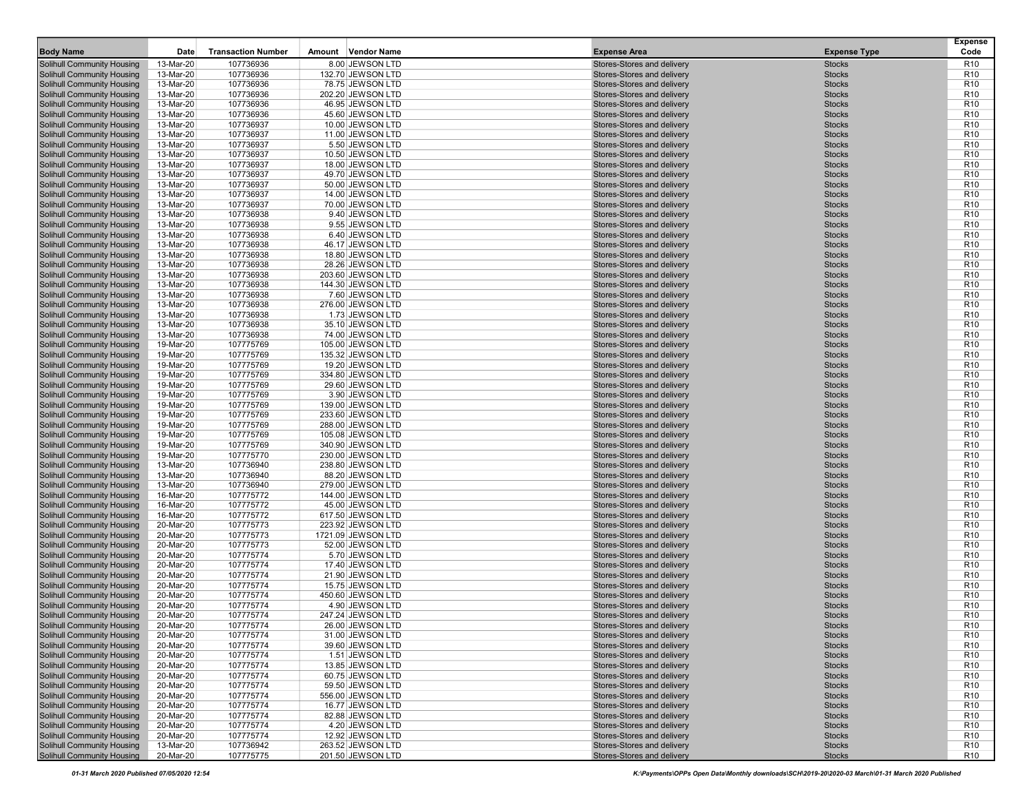| <b>Body Name</b>                                                       | Date                   | <b>Transaction Number</b> | Amount Vendor Name                    | <b>Expense Area</b>                                      | <b>Expense Type</b>            | <b>Expense</b><br>Code             |
|------------------------------------------------------------------------|------------------------|---------------------------|---------------------------------------|----------------------------------------------------------|--------------------------------|------------------------------------|
| <b>Solihull Community Housing</b>                                      | 13-Mar-20              | 107736936                 | 8.00 JEWSON LTD                       | Stores-Stores and delivery                               | <b>Stocks</b>                  | R <sub>10</sub>                    |
| <b>Solihull Community Housing</b>                                      | 13-Mar-20              | 107736936                 | 132.70 JEWSON LTD                     | Stores-Stores and delivery                               | <b>Stocks</b>                  | R <sub>10</sub>                    |
| <b>Solihull Community Housing</b>                                      | 13-Mar-20              | 107736936                 | 78.75 JEWSON LTD                      | Stores-Stores and delivery                               | <b>Stocks</b>                  | R <sub>10</sub>                    |
| <b>Solihull Community Housing</b>                                      | 13-Mar-20              | 107736936                 | 202.20 JEWSON LTD                     | Stores-Stores and delivery                               | <b>Stocks</b>                  | R <sub>10</sub>                    |
| <b>Solihull Community Housing</b>                                      | 13-Mar-20<br>13-Mar-20 | 107736936                 | 46.95 JEWSON LTD                      | Stores-Stores and delivery<br>Stores-Stores and delivery | <b>Stocks</b>                  | R <sub>10</sub>                    |
| <b>Solihull Community Housing</b><br><b>Solihull Community Housing</b> | 13-Mar-20              | 107736936<br>107736937    | 45.60 JEWSON LTD<br>10.00 JEWSON LTD  | Stores-Stores and delivery                               | <b>Stocks</b><br><b>Stocks</b> | R <sub>10</sub><br>R <sub>10</sub> |
| <b>Solihull Community Housing</b>                                      | 13-Mar-20              | 107736937                 | 11.00 JEWSON LTD                      | Stores-Stores and delivery                               | <b>Stocks</b>                  | R <sub>10</sub>                    |
| <b>Solihull Community Housing</b>                                      | 13-Mar-20              | 107736937                 | 5.50 JEWSON LTD                       | Stores-Stores and delivery                               | <b>Stocks</b>                  | R <sub>10</sub>                    |
| <b>Solihull Community Housing</b>                                      | 13-Mar-20              | 107736937                 | 10.50 JEWSON LTD                      | Stores-Stores and delivery                               | <b>Stocks</b>                  | R <sub>10</sub>                    |
| <b>Solihull Community Housing</b>                                      | 13-Mar-20              | 107736937                 | 18.00 JEWSON LTD                      | Stores-Stores and delivery                               | <b>Stocks</b>                  | R <sub>10</sub>                    |
| <b>Solihull Community Housing</b>                                      | 13-Mar-20              | 107736937                 | 49.70 JEWSON LTD                      | Stores-Stores and delivery                               | <b>Stocks</b>                  | R <sub>10</sub>                    |
| <b>Solihull Community Housing</b>                                      | 13-Mar-20              | 107736937                 | 50.00 JEWSON LTD                      | Stores-Stores and delivery                               | <b>Stocks</b>                  | R <sub>10</sub>                    |
| <b>Solihull Community Housing</b>                                      | 13-Mar-20              | 107736937                 | 14.00 JEWSON LTD                      | Stores-Stores and delivery                               | <b>Stocks</b>                  | R <sub>10</sub>                    |
| <b>Solihull Community Housing</b>                                      | 13-Mar-20              | 107736937                 | 70.00 JEWSON LTD                      | Stores-Stores and delivery                               | <b>Stocks</b>                  | R <sub>10</sub>                    |
| <b>Solihull Community Housing</b>                                      | 13-Mar-20              | 107736938                 | 9.40 JEWSON LTD                       | Stores-Stores and delivery                               | <b>Stocks</b>                  | R <sub>10</sub>                    |
| <b>Solihull Community Housing</b>                                      | 13-Mar-20              | 107736938                 | 9.55 JEWSON LTD                       | Stores-Stores and delivery                               | <b>Stocks</b>                  | R <sub>10</sub><br>R <sub>10</sub> |
| <b>Solihull Community Housing</b><br><b>Solihull Community Housing</b> | 13-Mar-20<br>13-Mar-20 | 107736938<br>107736938    | 6.40 JEWSON LTD<br>46.17 JEWSON LTD   | Stores-Stores and delivery<br>Stores-Stores and delivery | <b>Stocks</b><br><b>Stocks</b> | R <sub>10</sub>                    |
| <b>Solihull Community Housing</b>                                      | 13-Mar-20              | 107736938                 | 18.80 JEWSON LTD                      | Stores-Stores and delivery                               | <b>Stocks</b>                  | R <sub>10</sub>                    |
| <b>Solihull Community Housing</b>                                      | 13-Mar-20              | 107736938                 | 28.26 JEWSON LTD                      | Stores-Stores and delivery                               | <b>Stocks</b>                  | R <sub>10</sub>                    |
| <b>Solihull Community Housing</b>                                      | 13-Mar-20              | 107736938                 | 203.60 JEWSON LTD                     | Stores-Stores and delivery                               | <b>Stocks</b>                  | R <sub>10</sub>                    |
| <b>Solihull Community Housing</b>                                      | 13-Mar-20              | 107736938                 | 144.30 JEWSON LTD                     | Stores-Stores and delivery                               | <b>Stocks</b>                  | R <sub>10</sub>                    |
| <b>Solihull Community Housing</b>                                      | 13-Mar-20              | 107736938                 | 7.60 JEWSON LTD                       | Stores-Stores and delivery                               | <b>Stocks</b>                  | R <sub>10</sub>                    |
| <b>Solihull Community Housing</b>                                      | 13-Mar-20              | 107736938                 | 276.00 JEWSON LTD                     | Stores-Stores and delivery                               | <b>Stocks</b>                  | R <sub>10</sub>                    |
| <b>Solihull Community Housing</b>                                      | 13-Mar-20              | 107736938                 | 1.73 JEWSON LTD                       | Stores-Stores and delivery                               | <b>Stocks</b>                  | R <sub>10</sub>                    |
| <b>Solihull Community Housing</b>                                      | 13-Mar-20              | 107736938                 | 35.10 JEWSON LTD                      | Stores-Stores and delivery                               | <b>Stocks</b>                  | R <sub>10</sub>                    |
| <b>Solihull Community Housing</b>                                      | 13-Mar-20              | 107736938                 | 74.00 JEWSON LTD                      | Stores-Stores and delivery                               | <b>Stocks</b>                  | R <sub>10</sub>                    |
| <b>Solihull Community Housing</b>                                      | 19-Mar-20              | 107775769                 | 105.00 JEWSON LTD                     | Stores-Stores and delivery                               | <b>Stocks</b>                  | R <sub>10</sub>                    |
| <b>Solihull Community Housing</b><br><b>Solihull Community Housing</b> | 19-Mar-20<br>19-Mar-20 | 107775769<br>107775769    | 135.32 JEWSON LTD<br>19.20 JEWSON LTD | Stores-Stores and delivery<br>Stores-Stores and delivery | <b>Stocks</b><br><b>Stocks</b> | R <sub>10</sub><br>R <sub>10</sub> |
| <b>Solihull Community Housing</b>                                      | 19-Mar-20              | 107775769                 | 334.80 JEWSON LTD                     | Stores-Stores and delivery                               | <b>Stocks</b>                  | R <sub>10</sub>                    |
| <b>Solihull Community Housing</b>                                      | 19-Mar-20              | 107775769                 | 29.60 JEWSON LTD                      | Stores-Stores and delivery                               | <b>Stocks</b>                  | R <sub>10</sub>                    |
| <b>Solihull Community Housing</b>                                      | 19-Mar-20              | 107775769                 | 3.90 JEWSON LTD                       | Stores-Stores and delivery                               | <b>Stocks</b>                  | R <sub>10</sub>                    |
| <b>Solihull Community Housing</b>                                      | 19-Mar-20              | 107775769                 | 139.00 JEWSON LTD                     | Stores-Stores and delivery                               | <b>Stocks</b>                  | R <sub>10</sub>                    |
| <b>Solihull Community Housing</b>                                      | 19-Mar-20              | 107775769                 | 233.60 JEWSON LTD                     | Stores-Stores and delivery                               | <b>Stocks</b>                  | R <sub>10</sub>                    |
| <b>Solihull Community Housing</b>                                      | 19-Mar-20              | 107775769                 | 288.00 JEWSON LTD                     | Stores-Stores and delivery                               | <b>Stocks</b>                  | R <sub>10</sub>                    |
| <b>Solihull Community Housing</b>                                      | 19-Mar-20              | 107775769                 | 105.08 JEWSON LTD                     | Stores-Stores and delivery                               | <b>Stocks</b>                  | R <sub>10</sub>                    |
| <b>Solihull Community Housing</b>                                      | 19-Mar-20              | 107775769                 | 340.90 JEWSON LTD                     | Stores-Stores and delivery                               | <b>Stocks</b>                  | R <sub>10</sub>                    |
| <b>Solihull Community Housing</b>                                      | 19-Mar-20              | 107775770                 | 230.00 JEWSON LTD                     | Stores-Stores and delivery                               | <b>Stocks</b>                  | R <sub>10</sub>                    |
| <b>Solihull Community Housing</b><br><b>Solihull Community Housing</b> | 13-Mar-20<br>13-Mar-20 | 107736940<br>107736940    | 238.80 JEWSON LTD<br>88.20 JEWSON LTD | Stores-Stores and delivery<br>Stores-Stores and delivery | <b>Stocks</b><br><b>Stocks</b> | R <sub>10</sub><br>R <sub>10</sub> |
| <b>Solihull Community Housing</b>                                      | 13-Mar-20              | 107736940                 | 279.00 JEWSON LTD                     | Stores-Stores and delivery                               | <b>Stocks</b>                  | R <sub>10</sub>                    |
| <b>Solihull Community Housing</b>                                      | 16-Mar-20              | 107775772                 | 144.00 JEWSON LTD                     | Stores-Stores and delivery                               | <b>Stocks</b>                  | R <sub>10</sub>                    |
| <b>Solihull Community Housing</b>                                      | 16-Mar-20              | 107775772                 | 45.00 JEWSON LTD                      | Stores-Stores and delivery                               | <b>Stocks</b>                  | R <sub>10</sub>                    |
| <b>Solihull Community Housing</b>                                      | 16-Mar-20              | 107775772                 | 617.50 JEWSON LTD                     | Stores-Stores and delivery                               | <b>Stocks</b>                  | R <sub>10</sub>                    |
| <b>Solihull Community Housing</b>                                      | 20-Mar-20              | 107775773                 | 223.92 JEWSON LTD                     | Stores-Stores and delivery                               | <b>Stocks</b>                  | R <sub>10</sub>                    |
| <b>Solihull Community Housing</b>                                      | 20-Mar-20              | 107775773                 | 1721.09 JEWSON LTD                    | Stores-Stores and delivery                               | <b>Stocks</b>                  | R <sub>10</sub>                    |
| <b>Solihull Community Housing</b>                                      | 20-Mar-20              | 107775773                 | 52.00 JEWSON LTD                      | Stores-Stores and delivery                               | <b>Stocks</b>                  | R <sub>10</sub>                    |
| <b>Solihull Community Housing</b>                                      | 20-Mar-20              | 107775774                 | 5.70 JEWSON LTD                       | Stores-Stores and delivery                               | <b>Stocks</b>                  | R <sub>10</sub>                    |
| <b>Solihull Community Housing</b>                                      | 20-Mar-20              | 107775774                 | 17.40 JEWSON LTD                      | Stores-Stores and delivery                               | <b>Stocks</b>                  | R <sub>10</sub><br>R <sub>10</sub> |
| <b>Solihull Community Housing</b><br><b>Solihull Community Housing</b> | 20-Mar-20<br>20-Mar-20 | 107775774<br>107775774    | 21.90 JEWSON LTD<br>15.75 JEWSON LTD  | Stores-Stores and delivery<br>Stores-Stores and delivery | <b>Stocks</b><br><b>Stocks</b> | R <sub>10</sub>                    |
| <b>Solihull Community Housing</b>                                      | 20-Mar-20              | 107775774                 | 450.60 JEWSON LTD                     | Stores-Stores and delivery                               | <b>Stocks</b>                  | R <sub>10</sub>                    |
| <b>Solihull Community Housing</b>                                      | 20-Mar-20              | 107775774                 | 4.90 JEWSON LTD                       | Stores-Stores and delivery                               | <b>Stocks</b>                  | R <sub>10</sub>                    |
| <b>Solihull Community Housing</b>                                      | 20-Mar-20              | 107775774                 | 247.24 JEWSON LTD                     | Stores-Stores and delivery                               | <b>Stocks</b>                  | R <sub>10</sub>                    |
| <b>Solihull Community Housing</b>                                      | 20-Mar-20              | 107775774                 | 26.00 JEWSON LTD                      | Stores-Stores and delivery                               | <b>Stocks</b>                  | R <sub>10</sub>                    |
| <b>Solihull Community Housing</b>                                      | 20-Mar-20              | 107775774                 | 31.00 JEWSON LTD                      | Stores-Stores and delivery                               | <b>Stocks</b>                  | R <sub>10</sub>                    |
| <b>Solihull Community Housing</b>                                      | 20-Mar-20              | 107775774                 | 39.60 JEWSON LTD                      | Stores-Stores and delivery                               | <b>Stocks</b>                  | R <sub>10</sub>                    |
| <b>Solihull Community Housing</b>                                      | 20-Mar-20              | 107775774                 | 1.51 JEWSON LTD                       | Stores-Stores and delivery                               | <b>Stocks</b>                  | R <sub>10</sub>                    |
| <b>Solihull Community Housing</b>                                      | 20-Mar-20              | 107775774                 | 13.85 JEWSON LTD                      | Stores-Stores and delivery                               | <b>Stocks</b>                  | R <sub>10</sub>                    |
| <b>Solihull Community Housing</b><br><b>Solihull Community Housing</b> | 20-Mar-20              | 107775774                 | 60.75 JEWSON LTD                      | Stores-Stores and delivery                               | <b>Stocks</b>                  | R <sub>10</sub>                    |
| <b>Solihull Community Housing</b>                                      | 20-Mar-20<br>20-Mar-20 | 107775774<br>107775774    | 59.50 JEWSON LTD<br>556.00 JEWSON LTD | Stores-Stores and delivery<br>Stores-Stores and delivery | <b>Stocks</b><br><b>Stocks</b> | R <sub>10</sub><br>R <sub>10</sub> |
| <b>Solihull Community Housing</b>                                      | 20-Mar-20              | 107775774                 | 16.77 JEWSON LTD                      | Stores-Stores and delivery                               | <b>Stocks</b>                  | R <sub>10</sub>                    |
| <b>Solihull Community Housing</b>                                      | 20-Mar-20              | 107775774                 | 82.88 JEWSON LTD                      | Stores-Stores and delivery                               | <b>Stocks</b>                  | R <sub>10</sub>                    |
| <b>Solihull Community Housing</b>                                      | 20-Mar-20              | 107775774                 | 4.20 JEWSON LTD                       | Stores-Stores and delivery                               | <b>Stocks</b>                  | R <sub>10</sub>                    |
| <b>Solihull Community Housing</b>                                      | 20-Mar-20              | 107775774                 | 12.92 JEWSON LTD                      | Stores-Stores and delivery                               | <b>Stocks</b>                  | R <sub>10</sub>                    |
| <b>Solihull Community Housing</b>                                      | 13-Mar-20              | 107736942                 | 263.52 JEWSON LTD                     | Stores-Stores and delivery                               | <b>Stocks</b>                  | R <sub>10</sub>                    |
| Solihull Community Housing                                             | 20-Mar-20              | 107775775                 | 201.50 JEWSON LTD                     | Stores-Stores and delivery                               | <b>Stocks</b>                  | R <sub>10</sub>                    |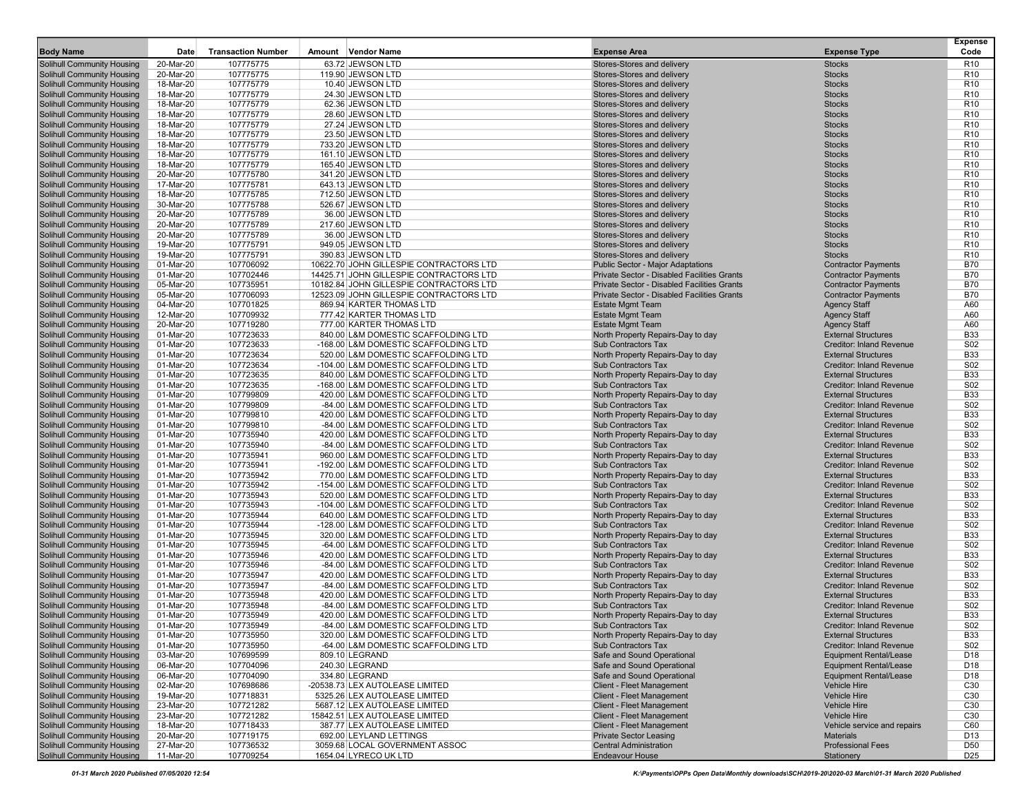| <b>Body Name</b>                                                       | Date                   | <b>Transaction Number</b> | Amount Vendor Name                                                          | <b>Expense Area</b>                                             | <b>Expense Type</b>                                           | <b>Expense</b><br>Code             |
|------------------------------------------------------------------------|------------------------|---------------------------|-----------------------------------------------------------------------------|-----------------------------------------------------------------|---------------------------------------------------------------|------------------------------------|
| <b>Solihull Community Housing</b>                                      | 20-Mar-20              | 107775775                 | 63.72 JEWSON LTD                                                            | Stores-Stores and delivery                                      | <b>Stocks</b>                                                 | R <sub>10</sub>                    |
| <b>Solihull Community Housing</b>                                      | 20-Mar-20              | 107775775                 | 119.90 JEWSON LTD                                                           | Stores-Stores and delivery                                      | <b>Stocks</b>                                                 | R <sub>10</sub>                    |
| <b>Solihull Community Housing</b>                                      | 18-Mar-20              | 107775779                 | 10.40 JEWSON LTD                                                            | Stores-Stores and delivery                                      | <b>Stocks</b>                                                 | R <sub>10</sub>                    |
| <b>Solihull Community Housing</b>                                      | 18-Mar-20              | 107775779                 | 24.30 JEWSON LTD                                                            | Stores-Stores and delivery                                      | <b>Stocks</b>                                                 | R <sub>10</sub>                    |
| <b>Solihull Community Housing</b>                                      | 18-Mar-20              | 107775779                 | 62.36 JEWSON LTD                                                            | Stores-Stores and delivery                                      | <b>Stocks</b>                                                 | R <sub>10</sub>                    |
| <b>Solihull Community Housing</b>                                      | 18-Mar-20              | 107775779                 | 28.60 JEWSON LTD                                                            | Stores-Stores and delivery                                      | <b>Stocks</b>                                                 | R <sub>10</sub>                    |
| <b>Solihull Community Housing</b>                                      | 18-Mar-20              | 107775779                 | 27.24 JEWSON LTD                                                            | Stores-Stores and delivery                                      | <b>Stocks</b>                                                 | R <sub>10</sub>                    |
| <b>Solihull Community Housing</b><br><b>Solihull Community Housing</b> | 18-Mar-20<br>18-Mar-20 | 107775779<br>107775779    | 23.50 JEWSON LTD<br>733.20 JEWSON LTD                                       | Stores-Stores and delivery<br>Stores-Stores and delivery        | <b>Stocks</b><br><b>Stocks</b>                                | R <sub>10</sub><br>R <sub>10</sub> |
| <b>Solihull Community Housing</b>                                      | 18-Mar-20              | 107775779                 | 161.10 JEWSON LTD                                                           | Stores-Stores and delivery                                      | <b>Stocks</b>                                                 | R <sub>10</sub>                    |
| <b>Solihull Community Housing</b>                                      | 18-Mar-20              | 107775779                 | 165.40 JEWSON LTD                                                           | Stores-Stores and delivery                                      | <b>Stocks</b>                                                 | R <sub>10</sub>                    |
| <b>Solihull Community Housing</b>                                      | 20-Mar-20              | 107775780                 | 341.20 JEWSON LTD                                                           | Stores-Stores and delivery                                      | <b>Stocks</b>                                                 | R <sub>10</sub>                    |
| <b>Solihull Community Housing</b>                                      | 17-Mar-20              | 107775781                 | 643.13 JEWSON LTD                                                           | Stores-Stores and delivery                                      | <b>Stocks</b>                                                 | R <sub>10</sub>                    |
| <b>Solihull Community Housing</b>                                      | 18-Mar-20              | 107775785                 | 712.50 JEWSON LTD                                                           | Stores-Stores and delivery                                      | <b>Stocks</b>                                                 | R <sub>10</sub>                    |
| <b>Solihull Community Housing</b>                                      | 30-Mar-20              | 107775788                 | 526.67 JEWSON LTD                                                           | Stores-Stores and delivery                                      | <b>Stocks</b>                                                 | R <sub>10</sub>                    |
| <b>Solihull Community Housing</b>                                      | 20-Mar-20              | 107775789                 | 36.00 JEWSON LTD                                                            | Stores-Stores and delivery                                      | <b>Stocks</b>                                                 | R <sub>10</sub>                    |
| <b>Solihull Community Housing</b>                                      | 20-Mar-20              | 107775789                 | 217.60 JEWSON LTD                                                           | Stores-Stores and delivery                                      | <b>Stocks</b>                                                 | R <sub>10</sub>                    |
| Solihull Community Housing                                             | 20-Mar-20              | 107775789                 | 36.00 JEWSON LTD                                                            | Stores-Stores and delivery                                      | <b>Stocks</b><br><b>Stocks</b>                                | R <sub>10</sub>                    |
| <b>Solihull Community Housing</b><br>Solihull Community Housing        | 19-Mar-20<br>19-Mar-20 | 107775791<br>107775791    | 949.05 JEWSON LTD<br>390.83 JEWSON LTD                                      | Stores-Stores and delivery<br>Stores-Stores and delivery        | <b>Stocks</b>                                                 | R <sub>10</sub><br>R <sub>10</sub> |
| <b>Solihull Community Housing</b>                                      | 01-Mar-20              | 107706092                 | 10622.70 JOHN GILLESPIE CONTRACTORS LTD                                     | <b>Public Sector - Major Adaptations</b>                        | <b>Contractor Payments</b>                                    | <b>B70</b>                         |
| <b>Solihull Community Housing</b>                                      | 01-Mar-20              | 107702446                 | 14425.71 JOHN GILLESPIE CONTRACTORS LTD                                     | Private Sector - Disabled Facilities Grants                     | <b>Contractor Payments</b>                                    | <b>B70</b>                         |
| <b>Solihull Community Housing</b>                                      | 05-Mar-20              | 107735951                 | 10182.84 JOHN GILLESPIE CONTRACTORS LTD                                     | Private Sector - Disabled Facilities Grants                     | <b>Contractor Payments</b>                                    | <b>B70</b>                         |
| <b>Solihull Community Housing</b>                                      | 05-Mar-20              | 107706093                 | 12523.09 JOHN GILLESPIE CONTRACTORS LTD                                     | Private Sector - Disabled Facilities Grants                     | <b>Contractor Payments</b>                                    | <b>B70</b>                         |
| <b>Solihull Community Housing</b>                                      | 04-Mar-20              | 107701825                 | 869.94 KARTER THOMAS LTD                                                    | <b>Estate Mgmt Team</b>                                         | <b>Agency Staff</b>                                           | A60                                |
| <b>Solihull Community Housing</b>                                      | 12-Mar-20              | 107709932                 | 777.42 KARTER THOMAS LTD                                                    | <b>Estate Mgmt Team</b>                                         | <b>Agency Staff</b>                                           | A60                                |
| <b>Solihull Community Housing</b>                                      | 20-Mar-20              | 107719280                 | 777.00 KARTER THOMAS LTD                                                    | <b>Estate Mgmt Team</b>                                         | <b>Agency Staff</b>                                           | A60                                |
| <b>Solihull Community Housing</b>                                      | 01-Mar-20              | 107723633                 | 840.00 L&M DOMESTIC SCAFFOLDING LTD                                         | North Property Repairs-Day to day                               | <b>External Structures</b>                                    | <b>B33</b>                         |
| <b>Solihull Community Housing</b>                                      | 01-Mar-20              | 107723633                 | -168.00 L&M DOMESTIC SCAFFOLDING LTD                                        | <b>Sub Contractors Tax</b>                                      | <b>Creditor: Inland Revenue</b>                               | S <sub>02</sub>                    |
| <b>Solihull Community Housing</b><br><b>Solihull Community Housing</b> | 01-Mar-20<br>01-Mar-20 | 107723634<br>107723634    | 520.00 L&M DOMESTIC SCAFFOLDING LTD<br>-104.00 L&M DOMESTIC SCAFFOLDING LTD | North Property Repairs-Day to day<br><b>Sub Contractors Tax</b> | <b>External Structures</b><br><b>Creditor: Inland Revenue</b> | <b>B33</b><br><b>S02</b>           |
| <b>Solihull Community Housing</b>                                      | 01-Mar-20              | 107723635                 | 840.00 L&M DOMESTIC SCAFFOLDING LTD                                         | North Property Repairs-Day to day                               | <b>External Structures</b>                                    | <b>B33</b>                         |
| <b>Solihull Community Housing</b>                                      | 01-Mar-20              | 107723635                 | -168.00 L&M DOMESTIC SCAFFOLDING LTD                                        | <b>Sub Contractors Tax</b>                                      | <b>Creditor: Inland Revenue</b>                               | <b>S02</b>                         |
| <b>Solihull Community Housing</b>                                      | 01-Mar-20              | 107799809                 | 420.00 L&M DOMESTIC SCAFFOLDING LTD                                         | North Property Repairs-Day to day                               | <b>External Structures</b>                                    | <b>B33</b>                         |
| <b>Solihull Community Housing</b>                                      | 01-Mar-20              | 107799809                 | -84.00 L&M DOMESTIC SCAFFOLDING LTD                                         | <b>Sub Contractors Tax</b>                                      | <b>Creditor: Inland Revenue</b>                               | <b>S02</b>                         |
| Solihull Community Housing                                             | 01-Mar-20              | 107799810                 | 420.00 L&M DOMESTIC SCAFFOLDING LTD                                         | North Property Repairs-Day to day                               | <b>External Structures</b>                                    | <b>B33</b>                         |
| <b>Solihull Community Housing</b>                                      | 01-Mar-20              | 107799810                 | -84.00 L&M DOMESTIC SCAFFOLDING LTD                                         | <b>Sub Contractors Tax</b>                                      | <b>Creditor: Inland Revenue</b>                               | S02                                |
| Solihull Community Housing                                             | 01-Mar-20              | 107735940                 | 420.00 L&M DOMESTIC SCAFFOLDING LTD                                         | North Property Repairs-Day to day                               | <b>External Structures</b>                                    | <b>B33</b>                         |
| <b>Solihull Community Housing</b>                                      | 01-Mar-20              | 107735940                 | -84.00 L&M DOMESTIC SCAFFOLDING LTD                                         | <b>Sub Contractors Tax</b>                                      | <b>Creditor: Inland Revenue</b>                               | <b>S02</b>                         |
| <b>Solihull Community Housing</b>                                      | 01-Mar-20              | 107735941                 | 960.00 L&M DOMESTIC SCAFFOLDING LTD                                         | North Property Repairs-Day to day                               | <b>External Structures</b>                                    | <b>B33</b><br><b>S02</b>           |
| <b>Solihull Community Housing</b><br><b>Solihull Community Housing</b> | 01-Mar-20<br>01-Mar-20 | 107735941<br>107735942    | -192.00 L&M DOMESTIC SCAFFOLDING LTD<br>770.00 L&M DOMESTIC SCAFFOLDING LTD | <b>Sub Contractors Tax</b><br>North Property Repairs-Day to day | <b>Creditor: Inland Revenue</b><br><b>External Structures</b> | <b>B33</b>                         |
| Solihull Community Housing                                             | 01-Mar-20              | 107735942                 | -154.00 L&M DOMESTIC SCAFFOLDING LTD                                        | <b>Sub Contractors Tax</b>                                      | <b>Creditor: Inland Revenue</b>                               | <b>S02</b>                         |
| <b>Solihull Community Housing</b>                                      | 01-Mar-20              | 107735943                 | 520.00 L&M DOMESTIC SCAFFOLDING LTD                                         | North Property Repairs-Day to day                               | <b>External Structures</b>                                    | <b>B33</b>                         |
| Solihull Community Housing                                             | 01-Mar-20              | 107735943                 | -104.00 L&M DOMESTIC SCAFFOLDING LTD                                        | <b>Sub Contractors Tax</b>                                      | <b>Creditor: Inland Revenue</b>                               | S02                                |
| <b>Solihull Community Housing</b>                                      | 01-Mar-20              | 107735944                 | 640.00 L&M DOMESTIC SCAFFOLDING LTD                                         | North Property Repairs-Day to day                               | <b>External Structures</b>                                    | <b>B33</b>                         |
| <b>Solihull Community Housing</b>                                      | 01-Mar-20              | 107735944                 | -128.00 L&M DOMESTIC SCAFFOLDING LTD                                        | <b>Sub Contractors Tax</b>                                      | <b>Creditor: Inland Revenue</b>                               | <b>S02</b>                         |
| <b>Solihull Community Housing</b>                                      | 01-Mar-20              | 107735945                 | 320.00 L&M DOMESTIC SCAFFOLDING LTD                                         | North Property Repairs-Day to day                               | <b>External Structures</b>                                    | <b>B33</b>                         |
| <b>Solihull Community Housing</b>                                      | 01-Mar-20              | 107735945                 | -64.00 L&M DOMESTIC SCAFFOLDING LTD                                         | <b>Sub Contractors Tax</b>                                      | <b>Creditor: Inland Revenue</b>                               | <b>S02</b>                         |
| <b>Solihull Community Housing</b><br><b>Solihull Community Housing</b> | 01-Mar-20<br>01-Mar-20 | 107735946<br>107735946    | 420.00 L&M DOMESTIC SCAFFOLDING LTD<br>-84.00 L&M DOMESTIC SCAFFOLDING LTD  | North Property Repairs-Day to day<br><b>Sub Contractors Tax</b> | <b>External Structures</b><br><b>Creditor: Inland Revenue</b> | <b>B33</b><br><b>S02</b>           |
| <b>Solihull Community Housing</b>                                      | 01-Mar-20              | 107735947                 | 420.00 L&M DOMESTIC SCAFFOLDING LTD                                         | North Property Repairs-Day to day                               | <b>External Structures</b>                                    | <b>B33</b>                         |
| <b>Solihull Community Housing</b>                                      | 01-Mar-20              | 107735947                 | -84.00 L&M DOMESTIC SCAFFOLDING LTD                                         | <b>Sub Contractors Tax</b>                                      | <b>Creditor: Inland Revenue</b>                               | <b>S02</b>                         |
| <b>Solihull Community Housing</b>                                      | 01-Mar-20              | 107735948                 | 420.00 L&M DOMESTIC SCAFFOLDING LTD                                         | North Property Repairs-Day to day                               | <b>External Structures</b>                                    | <b>B33</b>                         |
| <b>Solihull Community Housing</b>                                      | 01-Mar-20              | 107735948                 | -84.00 L&M DOMESTIC SCAFFOLDING LTD                                         | <b>Sub Contractors Tax</b>                                      | <b>Creditor: Inland Revenue</b>                               | <b>S02</b>                         |
| <b>Solihull Community Housing</b>                                      | 01-Mar-20              | 107735949                 | 420.00 L&M DOMESTIC SCAFFOLDING LTD                                         | North Property Repairs-Day to day                               | <b>External Structures</b>                                    | <b>B33</b>                         |
| <b>Solihull Community Housing</b>                                      | 01-Mar-20              | 107735949                 | -84.00 L&M DOMESTIC SCAFFOLDING LTD                                         | Sub Contractors Tax                                             | <b>Creditor: Inland Revenue</b>                               | <b>S02</b>                         |
| <b>Solihull Community Housing</b>                                      | 01-Mar-20              | 107735950                 | 320.00 L&M DOMESTIC SCAFFOLDING LTD                                         | North Property Repairs-Day to day                               | <b>External Structures</b>                                    | <b>B33</b>                         |
| <b>Solihull Community Housing</b>                                      | 01-Mar-20              | 107735950                 | -64.00 L&M DOMESTIC SCAFFOLDING LTD                                         | <b>Sub Contractors Tax</b>                                      | <b>Creditor: Inland Revenue</b>                               | S02                                |
| <b>Solihull Community Housing</b>                                      | 03-Mar-20              | 107699599                 | 809.10 LEGRAND                                                              | Safe and Sound Operational                                      | <b>Equipment Rental/Lease</b>                                 | D18                                |
| <b>Solihull Community Housing</b>                                      | 06-Mar-20              | 107704096                 | 240.30 LEGRAND                                                              | Safe and Sound Operational                                      | <b>Equipment Rental/Lease</b>                                 | D <sub>18</sub>                    |
| <b>Solihull Community Housing</b><br><b>Solihull Community Housing</b> | 06-Mar-20<br>02-Mar-20 | 107704090<br>107698686    | 334.80 LEGRAND<br>-20538.73 LEX AUTOLEASE LIMITED                           | Safe and Sound Operational<br><b>Client - Fleet Management</b>  | <b>Equipment Rental/Lease</b><br>Vehicle Hire                 | D18<br>C30                         |
| <b>Solihull Community Housing</b>                                      | 19-Mar-20              | 107718831                 | 5325.26 LEX AUTOLEASE LIMITED                                               | Client - Fleet Management                                       | <b>Vehicle Hire</b>                                           | C <sub>30</sub>                    |
| <b>Solihull Community Housing</b>                                      | 23-Mar-20              | 107721282                 | 5687.12 LEX AUTOLEASE LIMITED                                               | Client - Fleet Management                                       | Vehicle Hire                                                  | C30                                |
| <b>Solihull Community Housing</b>                                      | 23-Mar-20              | 107721282                 | 15842.51 LEX AUTOLEASE LIMITED                                              | <b>Client - Fleet Management</b>                                | <b>Vehicle Hire</b>                                           | C30                                |
| <b>Solihull Community Housing</b>                                      | 18-Mar-20              | 107718433                 | 387.77 LEX AUTOLEASE LIMITED                                                | <b>Client - Fleet Management</b>                                | Vehicle service and repairs                                   | C60                                |
| Solihull Community Housing                                             | 20-Mar-20              | 107719175                 | 692.00 LEYLAND LETTINGS                                                     | <b>Private Sector Leasing</b>                                   | <b>Materials</b>                                              | D <sub>13</sub>                    |
| <b>Solihull Community Housing</b>                                      | 27-Mar-20              | 107736532                 | 3059.68 LOCAL GOVERNMENT ASSOC                                              | <b>Central Administration</b>                                   | <b>Professional Fees</b>                                      | D50                                |
| <b>Solihull Community Housing</b>                                      | 11-Mar-20              | 107709254                 | 1654.04 LYRECO UK LTD                                                       | <b>Endeavour House</b>                                          | Stationery                                                    | D <sub>25</sub>                    |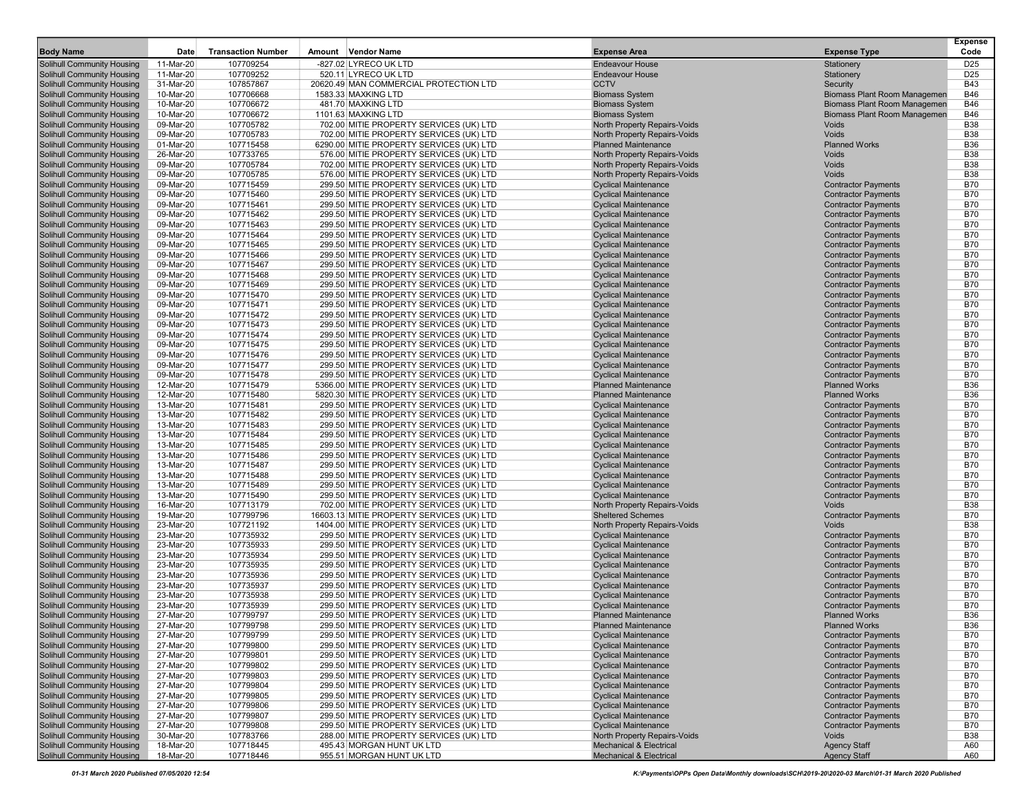| <b>Body Name</b>                                                       | Date                   | <b>Transaction Number</b> | <b>Vendor Name</b><br>Amount                                                        | <b>Expense Area</b>                                        | <b>Expense Type</b>                                      | <b>Expense</b><br>Code   |
|------------------------------------------------------------------------|------------------------|---------------------------|-------------------------------------------------------------------------------------|------------------------------------------------------------|----------------------------------------------------------|--------------------------|
| Solihull Community Housing                                             | 11-Mar-20              | 107709254                 | -827.02 LYRECO UK LTD                                                               | <b>Endeavour House</b>                                     | Stationery                                               | D <sub>25</sub>          |
| Solihull Community Housing                                             | 11-Mar-20              | 107709252                 | 520.11 LYRECO UK LTD                                                                | <b>Endeavour House</b>                                     | Stationery                                               | D <sub>25</sub>          |
| Solihull Community Housing                                             | 31-Mar-20              | 107857867                 | 20620.49 MAN COMMERCIAL PROTECTION LTD                                              | <b>CCTV</b>                                                | Security                                                 | <b>B43</b>               |
| Solihull Community Housing                                             | 10-Mar-20              | 107706668                 | 1583.33 MAXKING LTD                                                                 | <b>Biomass System</b>                                      | <b>Biomass Plant Room Managemen</b>                      | <b>B46</b>               |
| Solihull Community Housing                                             | 10-Mar-20              | 107706672                 | 481.70 MAXKING LTD                                                                  | <b>Biomass System</b>                                      | <b>Biomass Plant Room Managemen</b>                      | <b>B46</b><br><b>B46</b> |
| <b>Solihull Community Housing</b><br><b>Solihull Community Housing</b> | 10-Mar-20<br>09-Mar-20 | 107706672<br>107705782    | 1101.63 MAXKING LTD<br>702.00 MITIE PROPERTY SERVICES (UK) LTD                      | <b>Biomass System</b><br>North Property Repairs-Voids      | <b>Biomass Plant Room Managemen</b><br><b>Voids</b>      | <b>B38</b>               |
| Solihull Community Housing                                             | 09-Mar-20              | 107705783                 | 702.00 MITIE PROPERTY SERVICES (UK) LTD                                             | North Property Repairs-Voids                               | Voids                                                    | <b>B38</b>               |
| Solihull Community Housing                                             | 01-Mar-20              | 107715458                 | 6290.00 MITIE PROPERTY SERVICES (UK) LTD                                            | <b>Planned Maintenance</b>                                 | <b>Planned Works</b>                                     | <b>B36</b>               |
| Solihull Community Housing                                             | 26-Mar-20              | 107733765                 | 576.00 MITIE PROPERTY SERVICES (UK) LTD                                             | North Property Repairs-Voids                               | Voids                                                    | <b>B38</b>               |
| Solihull Community Housing                                             | 09-Mar-20              | 107705784                 | 702.00 MITIE PROPERTY SERVICES (UK) LTD                                             | North Property Repairs-Voids                               | Voids                                                    | <b>B38</b>               |
| Solihull Community Housing                                             | 09-Mar-20              | 107705785                 | 576.00 MITIE PROPERTY SERVICES (UK) LTD                                             | North Property Repairs-Voids                               | Voids                                                    | <b>B38</b>               |
| Solihull Community Housing                                             | 09-Mar-20              | 107715459                 | 299.50 MITIE PROPERTY SERVICES (UK) LTD                                             | <b>Cyclical Maintenance</b>                                | <b>Contractor Payments</b>                               | <b>B70</b>               |
| Solihull Community Housing                                             | 09-Mar-20              | 107715460                 | 299.50 MITIE PROPERTY SERVICES (UK) LTD                                             | <b>Cyclical Maintenance</b>                                | <b>Contractor Payments</b>                               | <b>B70</b>               |
| Solihull Community Housing<br>Solihull Community Housing               | 09-Mar-20<br>09-Mar-20 | 107715461<br>107715462    | 299.50 MITIE PROPERTY SERVICES (UK) LTD<br>299.50 MITIE PROPERTY SERVICES (UK) LTD  | <b>Cyclical Maintenance</b><br><b>Cyclical Maintenance</b> | <b>Contractor Payments</b><br><b>Contractor Payments</b> | <b>B70</b><br><b>B70</b> |
| <b>Solihull Community Housing</b>                                      | 09-Mar-20              | 107715463                 | 299.50 MITIE PROPERTY SERVICES (UK) LTD                                             | <b>Cyclical Maintenance</b>                                | <b>Contractor Payments</b>                               | <b>B70</b>               |
| Solihull Community Housing                                             | 09-Mar-20              | 107715464                 | 299.50 MITIE PROPERTY SERVICES (UK) LTD                                             | <b>Cyclical Maintenance</b>                                | <b>Contractor Payments</b>                               | <b>B70</b>               |
| Solihull Community Housing                                             | 09-Mar-20              | 107715465                 | 299.50 MITIE PROPERTY SERVICES (UK) LTD                                             | <b>Cyclical Maintenance</b>                                | <b>Contractor Payments</b>                               | <b>B70</b>               |
| Solihull Community Housing                                             | 09-Mar-20              | 107715466                 | 299.50 MITIE PROPERTY SERVICES (UK) LTD                                             | <b>Cyclical Maintenance</b>                                | <b>Contractor Payments</b>                               | <b>B70</b>               |
| Solihull Community Housing                                             | 09-Mar-20              | 107715467                 | 299.50 MITIE PROPERTY SERVICES (UK) LTD                                             | <b>Cyclical Maintenance</b>                                | <b>Contractor Payments</b>                               | <b>B70</b>               |
| <b>Solihull Community Housing</b>                                      | 09-Mar-20              | 107715468                 | 299.50 MITIE PROPERTY SERVICES (UK) LTD                                             | <b>Cyclical Maintenance</b>                                | <b>Contractor Payments</b>                               | <b>B70</b>               |
| <b>Solihull Community Housing</b>                                      | 09-Mar-20              | 107715469                 | 299.50 MITIE PROPERTY SERVICES (UK) LTD                                             | <b>Cyclical Maintenance</b>                                | <b>Contractor Payments</b>                               | <b>B70</b>               |
| Solihull Community Housing<br>Solihull Community Housing               | 09-Mar-20<br>09-Mar-20 | 107715470<br>107715471    | 299.50 MITIE PROPERTY SERVICES (UK) LTD<br>299.50 MITIE PROPERTY SERVICES (UK) LTD  | <b>Cyclical Maintenance</b><br><b>Cyclical Maintenance</b> | <b>Contractor Payments</b><br><b>Contractor Payments</b> | <b>B70</b><br><b>B70</b> |
| Solihull Community Housing                                             | 09-Mar-20              | 107715472                 | 299.50 MITIE PROPERTY SERVICES (UK) LTD                                             | <b>Cyclical Maintenance</b>                                | <b>Contractor Payments</b>                               | <b>B70</b>               |
| Solihull Community Housing                                             | 09-Mar-20              | 107715473                 | 299.50 MITIE PROPERTY SERVICES (UK) LTD                                             | <b>Cyclical Maintenance</b>                                | <b>Contractor Payments</b>                               | <b>B70</b>               |
| Solihull Community Housing                                             | 09-Mar-20              | 107715474                 | 299.50 MITIE PROPERTY SERVICES (UK) LTD                                             | <b>Cyclical Maintenance</b>                                | <b>Contractor Payments</b>                               | <b>B70</b>               |
| Solihull Community Housing                                             | 09-Mar-20              | 107715475                 | 299.50 MITIE PROPERTY SERVICES (UK) LTD                                             | <b>Cyclical Maintenance</b>                                | <b>Contractor Payments</b>                               | <b>B70</b>               |
| Solihull Community Housing                                             | 09-Mar-20              | 107715476                 | 299.50 MITIE PROPERTY SERVICES (UK) LTD                                             | <b>Cyclical Maintenance</b>                                | <b>Contractor Payments</b>                               | <b>B70</b>               |
| <b>Solihull Community Housing</b>                                      | 09-Mar-20              | 107715477                 | 299.50 MITIE PROPERTY SERVICES (UK) LTD                                             | <b>Cyclical Maintenance</b>                                | <b>Contractor Payments</b>                               | <b>B70</b>               |
| <b>Solihull Community Housing</b><br>Solihull Community Housing        | 09-Mar-20<br>12-Mar-20 | 107715478<br>107715479    | 299.50 MITIE PROPERTY SERVICES (UK) LTD<br>5366.00 MITIE PROPERTY SERVICES (UK) LTD | <b>Cyclical Maintenance</b><br><b>Planned Maintenance</b>  | <b>Contractor Payments</b><br><b>Planned Works</b>       | <b>B70</b><br><b>B36</b> |
| <b>Solihull Community Housing</b>                                      | 12-Mar-20              | 107715480                 | 5820.30 MITIE PROPERTY SERVICES (UK) LTD                                            | <b>Planned Maintenance</b>                                 | <b>Planned Works</b>                                     | <b>B36</b>               |
| Solihull Community Housing                                             | 13-Mar-20              | 107715481                 | 299.50 MITIE PROPERTY SERVICES (UK) LTD                                             | <b>Cyclical Maintenance</b>                                | <b>Contractor Payments</b>                               | <b>B70</b>               |
| Solihull Community Housing                                             | 13-Mar-20              | 107715482                 | 299.50 MITIE PROPERTY SERVICES (UK) LTD                                             | <b>Cyclical Maintenance</b>                                | <b>Contractor Payments</b>                               | <b>B70</b>               |
| Solihull Community Housing                                             | 13-Mar-20              | 107715483                 | 299.50 MITIE PROPERTY SERVICES (UK) LTD                                             | <b>Cyclical Maintenance</b>                                | <b>Contractor Payments</b>                               | <b>B70</b>               |
| Solihull Community Housing                                             | 13-Mar-20              | 107715484                 | 299.50 MITIE PROPERTY SERVICES (UK) LTD                                             | <b>Cyclical Maintenance</b>                                | <b>Contractor Payments</b>                               | <b>B70</b>               |
| Solihull Community Housing                                             | 13-Mar-20              | 107715485                 | 299.50 MITIE PROPERTY SERVICES (UK) LTD                                             | <b>Cyclical Maintenance</b>                                | <b>Contractor Payments</b>                               | <b>B70</b>               |
| Solihull Community Housing<br>Solihull Community Housing               | 13-Mar-20<br>13-Mar-20 | 107715486<br>107715487    | 299.50 MITIE PROPERTY SERVICES (UK) LTD<br>299.50 MITIE PROPERTY SERVICES (UK) LTD  | <b>Cyclical Maintenance</b><br><b>Cyclical Maintenance</b> | <b>Contractor Payments</b><br><b>Contractor Payments</b> | <b>B70</b><br><b>B70</b> |
| Solihull Community Housing                                             | 13-Mar-20              | 107715488                 | 299.50 MITIE PROPERTY SERVICES (UK) LTD                                             | <b>Cyclical Maintenance</b>                                | <b>Contractor Payments</b>                               | <b>B70</b>               |
| Solihull Community Housing                                             | 13-Mar-20              | 107715489                 | 299.50 MITIE PROPERTY SERVICES (UK) LTD                                             | <b>Cyclical Maintenance</b>                                | <b>Contractor Payments</b>                               | <b>B70</b>               |
| Solihull Community Housing                                             | 13-Mar-20              | 107715490                 | 299.50 MITIE PROPERTY SERVICES (UK) LTD                                             | <b>Cyclical Maintenance</b>                                | <b>Contractor Payments</b>                               | <b>B70</b>               |
| Solihull Community Housing                                             | 16-Mar-20              | 107713179                 | 702.00 MITIE PROPERTY SERVICES (UK) LTD                                             | North Property Repairs-Voids                               | Voids                                                    | <b>B38</b>               |
| Solihull Community Housing                                             | 19-Mar-20              | 107799796                 | 16603.13 MITIE PROPERTY SERVICES (UK) LTD                                           | <b>Sheltered Schemes</b>                                   | <b>Contractor Payments</b>                               | <b>B70</b>               |
| Solihull Community Housing                                             | 23-Mar-20              | 107721192                 | 1404.00 MITIE PROPERTY SERVICES (UK) LTD                                            | North Property Repairs-Voids                               | Voids                                                    | <b>B38</b>               |
| Solihull Community Housing<br>Solihull Community Housing               | 23-Mar-20<br>23-Mar-20 | 107735932<br>107735933    | 299.50 MITIE PROPERTY SERVICES (UK) LTD<br>299.50 MITIE PROPERTY SERVICES (UK) LTD  | <b>Cyclical Maintenance</b><br><b>Cyclical Maintenance</b> | <b>Contractor Payments</b><br><b>Contractor Payments</b> | <b>B70</b><br><b>B70</b> |
| Solihull Community Housing                                             | 23-Mar-20              | 107735934                 | 299.50 MITIE PROPERTY SERVICES (UK) LTD                                             | <b>Cyclical Maintenance</b>                                | <b>Contractor Payments</b>                               | <b>B70</b>               |
| Solihull Community Housing                                             | 23-Mar-20              | 107735935                 | 299.50 MITIE PROPERTY SERVICES (UK) LTD                                             | <b>Cyclical Maintenance</b>                                | <b>Contractor Payments</b>                               | <b>B70</b>               |
| Solihull Community Housing                                             | 23-Mar-20              | 107735936                 | 299.50 MITIE PROPERTY SERVICES (UK) LTD                                             | <b>Cyclical Maintenance</b>                                | <b>Contractor Payments</b>                               | <b>B70</b>               |
| Solihull Community Housing                                             | 23-Mar-20              | 107735937                 | 299.50 MITIE PROPERTY SERVICES (UK) LTD                                             | <b>Cyclical Maintenance</b>                                | <b>Contractor Payments</b>                               | <b>B70</b>               |
| <b>Solihull Community Housing</b>                                      | 23-Mar-20              | 107735938                 | 299.50 MITIE PROPERTY SERVICES (UK) LTD                                             | <b>Cyclical Maintenance</b>                                | <b>Contractor Payments</b>                               | <b>B70</b>               |
| Solihull Community Housing                                             | 23-Mar-20              | 107735939                 | 299.50 MITIE PROPERTY SERVICES (UK) LTD                                             | <b>Cyclical Maintenance</b>                                | <b>Contractor Payments</b>                               | <b>B70</b>               |
| Solihull Community Housing<br>Solihull Community Housing               | 27-Mar-20<br>27-Mar-20 | 107799797                 | 299.50 MITIE PROPERTY SERVICES (UK) LTD<br>299.50 MITIE PROPERTY SERVICES (UK) LTD  | <b>Planned Maintenance</b>                                 | <b>Planned Works</b>                                     | <b>B36</b>               |
| Solihull Community Housing                                             | 27-Mar-20              | 107799798<br>107799799    | 299.50 MITIE PROPERTY SERVICES (UK) LTD                                             | <b>Planned Maintenance</b><br><b>Cyclical Maintenance</b>  | <b>Planned Works</b><br><b>Contractor Payments</b>       | <b>B36</b><br><b>B70</b> |
| <b>Solihull Community Housing</b>                                      | 27-Mar-20              | 107799800                 | 299.50 MITIE PROPERTY SERVICES (UK) LTD                                             | <b>Cyclical Maintenance</b>                                | <b>Contractor Payments</b>                               | <b>B70</b>               |
| Solihull Community Housing                                             | 27-Mar-20              | 107799801                 | 299.50 MITIE PROPERTY SERVICES (UK) LTD                                             | <b>Cyclical Maintenance</b>                                | <b>Contractor Payments</b>                               | <b>B70</b>               |
| Solihull Community Housing                                             | 27-Mar-20              | 107799802                 | 299.50 MITIE PROPERTY SERVICES (UK) LTD                                             | <b>Cyclical Maintenance</b>                                | <b>Contractor Payments</b>                               | <b>B70</b>               |
| <b>Solihull Community Housing</b>                                      | 27-Mar-20              | 107799803                 | 299.50 MITIE PROPERTY SERVICES (UK) LTD                                             | <b>Cyclical Maintenance</b>                                | <b>Contractor Payments</b>                               | <b>B70</b>               |
| Solihull Community Housing                                             | 27-Mar-20              | 107799804                 | 299.50 MITIE PROPERTY SERVICES (UK) LTD                                             | <b>Cyclical Maintenance</b>                                | <b>Contractor Payments</b>                               | <b>B70</b>               |
| Solihull Community Housing                                             | 27-Mar-20              | 107799805                 | 299.50 MITIE PROPERTY SERVICES (UK) LTD                                             | <b>Cyclical Maintenance</b>                                | <b>Contractor Payments</b>                               | <b>B70</b>               |
| <b>Solihull Community Housing</b><br>Solihull Community Housing        | 27-Mar-20<br>27-Mar-20 | 107799806<br>107799807    | 299.50 MITIE PROPERTY SERVICES (UK) LTD<br>299.50 MITIE PROPERTY SERVICES (UK) LTD  | <b>Cyclical Maintenance</b><br><b>Cyclical Maintenance</b> | <b>Contractor Payments</b><br><b>Contractor Payments</b> | <b>B70</b><br><b>B70</b> |
| Solihull Community Housing                                             | 27-Mar-20              | 107799808                 | 299.50 MITIE PROPERTY SERVICES (UK) LTD                                             | <b>Cyclical Maintenance</b>                                | <b>Contractor Payments</b>                               | <b>B70</b>               |
| Solihull Community Housing                                             | 30-Mar-20              | 107783766                 | 288.00 MITIE PROPERTY SERVICES (UK) LTD                                             | North Property Repairs-Voids                               | Voids                                                    | <b>B38</b>               |
| Solihull Community Housing                                             | 18-Mar-20              | 107718445                 | 495.43 MORGAN HUNT UK LTD                                                           | <b>Mechanical &amp; Electrical</b>                         | <b>Agency Staff</b>                                      | A60                      |
| Solihull Community Housing                                             | 18-Mar-20              | 107718446                 | 955.51 MORGAN HUNT UK LTD                                                           | <b>Mechanical &amp; Electrical</b>                         | <b>Agency Staff</b>                                      | A60                      |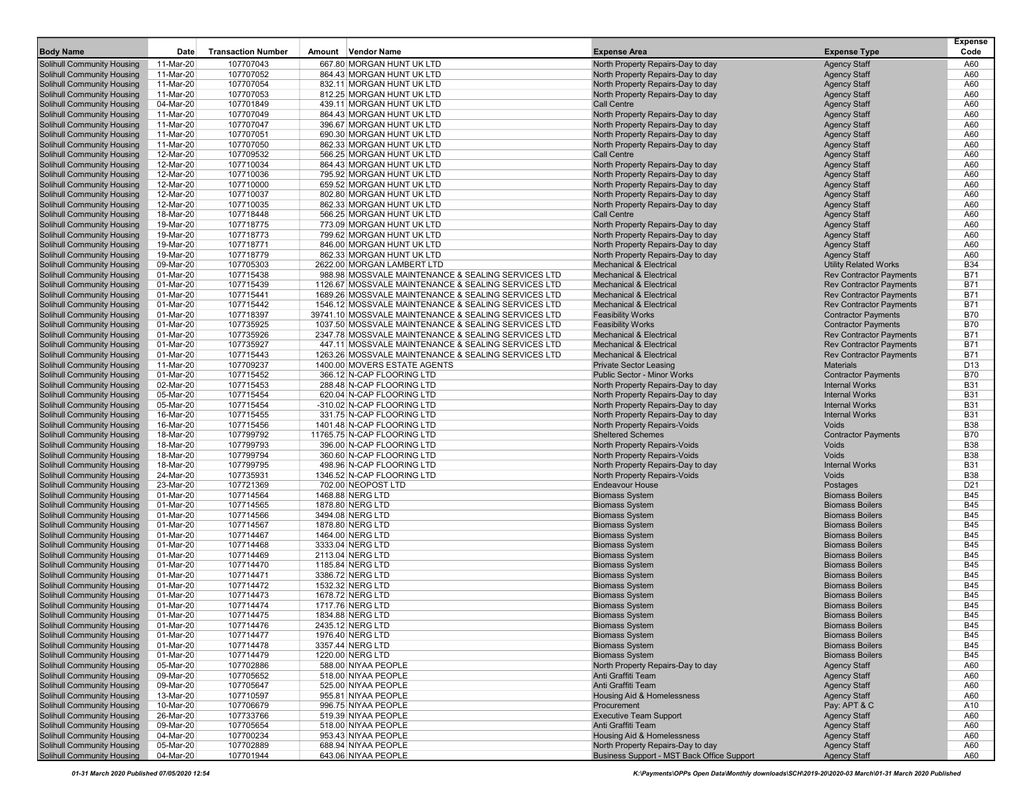| <b>Body Name</b>                                                       | Date                   | <b>Transaction Number</b> | <b>Vendor Name</b><br>Amount                                                     | <b>Expense Area</b>                                                      | <b>Expense Type</b>                                            | <b>Expense</b><br>Code   |
|------------------------------------------------------------------------|------------------------|---------------------------|----------------------------------------------------------------------------------|--------------------------------------------------------------------------|----------------------------------------------------------------|--------------------------|
| <b>Solihull Community Housing</b>                                      | 11-Mar-20              | 107707043                 | 667.80 MORGAN HUNT UK LTD                                                        | North Property Repairs-Day to day                                        | <b>Agency Staff</b>                                            | A60                      |
| <b>Solihull Community Housing</b>                                      | 11-Mar-20              | 107707052                 | 864.43 MORGAN HUNT UK LTD                                                        | North Property Repairs-Day to day                                        | <b>Agency Staff</b>                                            | A60                      |
| Solihull Community Housing                                             | 11-Mar-20              | 107707054                 | 832.11 MORGAN HUNT UK LTD                                                        | North Property Repairs-Day to day                                        | <b>Agency Staff</b>                                            | A60                      |
| <b>Solihull Community Housing</b>                                      | 11-Mar-20              | 107707053                 | 812.25 MORGAN HUNT UK LTD                                                        | North Property Repairs-Day to day                                        | <b>Agency Staff</b>                                            | A60                      |
| <b>Solihull Community Housing</b>                                      | 04-Mar-20              | 107701849                 | 439.11 MORGAN HUNT UK LTD                                                        | <b>Call Centre</b>                                                       | <b>Agency Staff</b>                                            | A60                      |
| <b>Solihull Community Housing</b>                                      | 11-Mar-20              | 107707049                 | 864.43 MORGAN HUNT UK LTD                                                        | North Property Repairs-Day to day                                        | <b>Agency Staff</b>                                            | A60                      |
| <b>Solihull Community Housing</b>                                      | 11-Mar-20              | 107707047                 | 396.67 MORGAN HUNT UK LTD                                                        | North Property Repairs-Day to day                                        | <b>Agency Staff</b>                                            | A60                      |
| <b>Solihull Community Housing</b><br><b>Solihull Community Housing</b> | 11-Mar-20<br>11-Mar-20 | 107707051<br>107707050    | 690.30 MORGAN HUNT UK LTD                                                        | North Property Repairs-Day to day<br>North Property Repairs-Day to day   | <b>Agency Staff</b><br><b>Agency Staff</b>                     | A60<br>A60               |
| <b>Solihull Community Housing</b>                                      | 12-Mar-20              | 107709532                 | 862.33 MORGAN HUNT UK LTD<br>566.25 MORGAN HUNT UK LTD                           | <b>Call Centre</b>                                                       | <b>Agency Staff</b>                                            | A60                      |
| <b>Solihull Community Housing</b>                                      | 12-Mar-20              | 107710034                 | 864.43 MORGAN HUNT UK LTD                                                        | North Property Repairs-Day to day                                        | <b>Agency Staff</b>                                            | A60                      |
| <b>Solihull Community Housing</b>                                      | 12-Mar-20              | 107710036                 | 795.92 MORGAN HUNT UK LTD                                                        | North Property Repairs-Day to day                                        | <b>Agency Staff</b>                                            | A60                      |
| <b>Solihull Community Housing</b>                                      | 12-Mar-20              | 107710000                 | 659.52 MORGAN HUNT UK LTD                                                        | North Property Repairs-Day to day                                        | <b>Agency Staff</b>                                            | A60                      |
| Solihull Community Housing                                             | 12-Mar-20              | 107710037                 | 802.80 MORGAN HUNT UK LTD                                                        | North Property Repairs-Day to day                                        | <b>Agency Staff</b>                                            | A60                      |
| <b>Solihull Community Housing</b>                                      | 12-Mar-20              | 107710035                 | 862.33 MORGAN HUNT UK LTD                                                        | North Property Repairs-Day to day                                        | <b>Agency Staff</b>                                            | A60                      |
| <b>Solihull Community Housing</b>                                      | 18-Mar-20              | 107718448                 | 566.25 MORGAN HUNT UK LTD                                                        | <b>Call Centre</b>                                                       | <b>Agency Staff</b>                                            | A60                      |
| <b>Solihull Community Housing</b>                                      | 19-Mar-20              | 107718775                 | 773.09 MORGAN HUNT UK LTD                                                        | North Property Repairs-Day to day                                        | <b>Agency Staff</b>                                            | A60                      |
| <b>Solihull Community Housing</b>                                      | 19-Mar-20              | 107718773                 | 799.62 MORGAN HUNT UK LTD                                                        | North Property Repairs-Day to day                                        | <b>Agency Staff</b>                                            | A60                      |
| <b>Solihull Community Housing</b>                                      | 19-Mar-20              | 107718771                 | 846.00 MORGAN HUNT UK LTD                                                        | North Property Repairs-Day to day                                        | <b>Agency Staff</b>                                            | A60                      |
| <b>Solihull Community Housing</b>                                      | 19-Mar-20              | 107718779                 | 862.33 MORGAN HUNT UK LTD                                                        | North Property Repairs-Day to day                                        | <b>Agency Staff</b>                                            | A60<br><b>B34</b>        |
| <b>Solihull Community Housing</b><br><b>Solihull Community Housing</b> | 09-Mar-20<br>01-Mar-20 | 107705303<br>107715438    | 2622.00 MORGAN LAMBERT LTD<br>988.98 MOSSVALE MAINTENANCE & SEALING SERVICES LTD | <b>Mechanical &amp; Electrical</b><br><b>Mechanical &amp; Electrical</b> | <b>Utility Related Works</b><br><b>Rev Contractor Payments</b> | <b>B71</b>               |
| <b>Solihull Community Housing</b>                                      | 01-Mar-20              | 107715439                 | 1126.67 MOSSVALE MAINTENANCE & SEALING SERVICES LTD                              | <b>Mechanical &amp; Electrical</b>                                       | <b>Rev Contractor Payments</b>                                 | <b>B71</b>               |
| <b>Solihull Community Housing</b>                                      | 01-Mar-20              | 107715441                 | 1689.26 MOSSVALE MAINTENANCE & SEALING SERVICES LTD                              | <b>Mechanical &amp; Electrical</b>                                       | <b>Rev Contractor Payments</b>                                 | <b>B71</b>               |
| <b>Solihull Community Housing</b>                                      | 01-Mar-20              | 107715442                 | 1546.12 MOSSVALE MAINTENANCE & SEALING SERVICES LTD                              | <b>Mechanical &amp; Electrical</b>                                       | <b>Rev Contractor Payments</b>                                 | <b>B71</b>               |
| <b>Solihull Community Housing</b>                                      | 01-Mar-20              | 107718397                 | 39741.10 MOSSVALE MAINTENANCE & SEALING SERVICES LTD                             | <b>Feasibility Works</b>                                                 | <b>Contractor Payments</b>                                     | <b>B70</b>               |
| <b>Solihull Community Housing</b>                                      | 01-Mar-20              | 107735925                 | 1037.50 MOSSVALE MAINTENANCE & SEALING SERVICES LTD                              | <b>Feasibility Works</b>                                                 | <b>Contractor Payments</b>                                     | <b>B70</b>               |
| <b>Solihull Community Housing</b>                                      | 01-Mar-20              | 107735926                 | 2347.78 MOSSVALE MAINTENANCE & SEALING SERVICES LTD                              | <b>Mechanical &amp; Electrical</b>                                       | <b>Rev Contractor Payments</b>                                 | <b>B71</b>               |
| <b>Solihull Community Housing</b>                                      | 01-Mar-20              | 107735927                 | 447.11 MOSSVALE MAINTENANCE & SEALING SERVICES LTD                               | <b>Mechanical &amp; Electrical</b>                                       | <b>Rev Contractor Payments</b>                                 | <b>B71</b>               |
| <b>Solihull Community Housing</b>                                      | 01-Mar-20              | 107715443                 | 1263.26 MOSSVALE MAINTENANCE & SEALING SERVICES LTD                              | <b>Mechanical &amp; Electrical</b>                                       | <b>Rev Contractor Payments</b>                                 | <b>B71</b>               |
| <b>Solihull Community Housing</b>                                      | 11-Mar-20              | 107709237                 | 1400.00 MOVERS ESTATE AGENTS                                                     | <b>Private Sector Leasing</b>                                            | <b>Materials</b>                                               | D <sub>13</sub>          |
| <b>Solihull Community Housing</b>                                      | 01-Mar-20              | 107715452                 | 366.12 N-CAP FLOORING LTD                                                        | <b>Public Sector - Minor Works</b>                                       | <b>Contractor Payments</b>                                     | <b>B70</b>               |
| <b>Solihull Community Housing</b>                                      | 02-Mar-20              | 107715453                 | 288.48 N-CAP FLOORING LTD                                                        | North Property Repairs-Day to day                                        | <b>Internal Works</b><br><b>Internal Works</b>                 | <b>B31</b><br><b>B31</b> |
| <b>Solihull Community Housing</b><br><b>Solihull Community Housing</b> | 05-Mar-20<br>05-Mar-20 | 107715454<br>107715454    | 620.04 N-CAP FLOORING LTD<br>-310.02 N-CAP FLOORING LTD                          | North Property Repairs-Day to day<br>North Property Repairs-Day to day   | <b>Internal Works</b>                                          | <b>B31</b>               |
| <b>Solihull Community Housing</b>                                      | 16-Mar-20              | 107715455                 | 331.75 N-CAP FLOORING LTD                                                        | North Property Repairs-Day to day                                        | <b>Internal Works</b>                                          | <b>B31</b>               |
| <b>Solihull Community Housing</b>                                      | 16-Mar-20              | 107715456                 | 1401.48 N-CAP FLOORING LTD                                                       | North Property Repairs-Voids                                             | Voids                                                          | <b>B38</b>               |
| <b>Solihull Community Housing</b>                                      | 18-Mar-20              | 107799792                 | 11765.75 N-CAP FLOORING LTD                                                      | <b>Sheltered Schemes</b>                                                 | <b>Contractor Payments</b>                                     | <b>B70</b>               |
| <b>Solihull Community Housing</b>                                      | 18-Mar-20              | 107799793                 | 396.00 N-CAP FLOORING LTD                                                        | North Property Repairs-Voids                                             | <b>Voids</b>                                                   | <b>B38</b>               |
| <b>Solihull Community Housing</b>                                      | 18-Mar-20              | 107799794                 | 360.60 N-CAP FLOORING LTD                                                        | <b>North Property Repairs-Voids</b>                                      | <b>Voids</b>                                                   | <b>B38</b>               |
| <b>Solihull Community Housing</b>                                      | 18-Mar-20              | 107799795                 | 498.96 N-CAP FLOORING LTD                                                        | North Property Repairs-Day to day                                        | <b>Internal Works</b>                                          | <b>B31</b>               |
| <b>Solihull Community Housing</b>                                      | 24-Mar-20              | 107735931                 | 1346.52 N-CAP FLOORING LTD                                                       | North Property Repairs-Voids                                             | Voids                                                          | <b>B38</b>               |
| <b>Solihull Community Housing</b>                                      | 23-Mar-20              | 107721369                 | 702.00 NEOPOST LTD                                                               | <b>Endeavour House</b>                                                   | Postages                                                       | D <sub>21</sub>          |
| <b>Solihull Community Housing</b>                                      | 01-Mar-20              | 107714564                 | 1468.88 NERG LTD                                                                 | <b>Biomass System</b>                                                    | <b>Biomass Boilers</b>                                         | <b>B45</b>               |
| <b>Solihull Community Housing</b><br><b>Solihull Community Housing</b> | 01-Mar-20<br>01-Mar-20 | 107714565<br>107714566    | 1878.80 NERG LTD<br>3494.08 NERG LTD                                             | <b>Biomass System</b><br><b>Biomass System</b>                           | <b>Biomass Boilers</b><br><b>Biomass Boilers</b>               | <b>B45</b><br><b>B45</b> |
| <b>Solihull Community Housing</b>                                      | 01-Mar-20              | 107714567                 | 1878.80 NERG LTD                                                                 | <b>Biomass System</b>                                                    | <b>Biomass Boilers</b>                                         | <b>B45</b>               |
| <b>Solihull Community Housing</b>                                      | 01-Mar-20              | 107714467                 | 1464.00 NERG LTD                                                                 | <b>Biomass System</b>                                                    | <b>Biomass Boilers</b>                                         | <b>B45</b>               |
| <b>Solihull Community Housing</b>                                      | 01-Mar-20              | 107714468                 | 3333.04 NERG LTD                                                                 | <b>Biomass System</b>                                                    | <b>Biomass Boilers</b>                                         | <b>B45</b>               |
| <b>Solihull Community Housing</b>                                      | 01-Mar-20              | 107714469                 | 2113.04 NERG LTD                                                                 | <b>Biomass System</b>                                                    | <b>Biomass Boilers</b>                                         | <b>B45</b>               |
| <b>Solihull Community Housing</b>                                      | 01-Mar-20              | 107714470                 | 1185.84 NERG LTD                                                                 | <b>Biomass System</b>                                                    | <b>Biomass Boilers</b>                                         | <b>B45</b>               |
| <b>Solihull Community Housing</b>                                      | 01-Mar-20              | 107714471                 | 3386.72 NERG LTD                                                                 | <b>Biomass System</b>                                                    | <b>Biomass Boilers</b>                                         | <b>B45</b>               |
| <b>Solihull Community Housing</b>                                      | 01-Mar-20              | 107714472                 | 1532.32 NERG LTD                                                                 | <b>Biomass System</b>                                                    | <b>Biomass Boilers</b>                                         | <b>B45</b>               |
| <b>Solihull Community Housing</b>                                      | 01-Mar-20              | 107714473                 | 1678.72 NERG LTD                                                                 | <b>Biomass System</b>                                                    | <b>Biomass Boilers</b>                                         | <b>B45</b>               |
| <b>Solihull Community Housing</b>                                      | 01-Mar-20              | 107714474                 | 1717.76 NERG LTD                                                                 | <b>Biomass System</b>                                                    | <b>Biomass Boilers</b>                                         | <b>B45</b>               |
| <b>Solihull Community Housing</b>                                      | 01-Mar-20              | 107714475                 | 1834.88 NERG LTD                                                                 | <b>Biomass System</b>                                                    | <b>Biomass Boilers</b>                                         | <b>B45</b>               |
| <b>Solihull Community Housing</b>                                      | 01-Mar-20              | 107714476                 | 2435.12 NERG LTD                                                                 | <b>Biomass System</b>                                                    | <b>Biomass Boilers</b>                                         | B45<br><b>B45</b>        |
| <b>Solihull Community Housing</b><br><b>Solihull Community Housing</b> | 01-Mar-20<br>01-Mar-20 | 107714477<br>107714478    | 1976.40 NERG LTD<br>3357.44 NERG LTD                                             | <b>Biomass System</b><br><b>Biomass System</b>                           | <b>Biomass Boilers</b><br><b>Biomass Boilers</b>               | <b>B45</b>               |
| <b>Solihull Community Housing</b>                                      | 01-Mar-20              | 107714479                 | 1220.00 NERG LTD                                                                 | <b>Biomass System</b>                                                    | <b>Biomass Boilers</b>                                         | <b>B45</b>               |
| <b>Solihull Community Housing</b>                                      | 05-Mar-20              | 107702886                 | 588.00 NIYAA PEOPLE                                                              | North Property Repairs-Day to day                                        | <b>Agency Staff</b>                                            | A60                      |
| <b>Solihull Community Housing</b>                                      | 09-Mar-20              | 107705652                 | 518.00 NIYAA PEOPLE                                                              | Anti Graffiti Team                                                       | <b>Agency Staff</b>                                            | A60                      |
| <b>Solihull Community Housing</b>                                      | 09-Mar-20              | 107705647                 | 525.00 NIYAA PEOPLE                                                              | Anti Graffiti Team                                                       | <b>Agency Staff</b>                                            | A60                      |
| <b>Solihull Community Housing</b>                                      | 13-Mar-20              | 107710597                 | 955.81 NIYAA PEOPLE                                                              | Housing Aid & Homelessness                                               | <b>Agency Staff</b>                                            | A60                      |
| <b>Solihull Community Housing</b>                                      | 10-Mar-20              | 107706679                 | 996.75 NIYAA PEOPLE                                                              | Procurement                                                              | Pay: APT & C                                                   | A10                      |
| <b>Solihull Community Housing</b>                                      | 26-Mar-20              | 107733766                 | 519.39 NIYAA PEOPLE                                                              | <b>Executive Team Support</b>                                            | <b>Agency Staff</b>                                            | A60                      |
| <b>Solihull Community Housing</b>                                      | 09-Mar-20              | 107705654                 | 518.00 NIYAA PEOPLE                                                              | Anti Graffiti Team                                                       | <b>Agency Staff</b>                                            | A60                      |
| <b>Solihull Community Housing</b>                                      | 04-Mar-20              | 107700234                 | 953.43 NIYAA PEOPLE                                                              | Housing Aid & Homelessness                                               | <b>Agency Staff</b>                                            | A60                      |
| <b>Solihull Community Housing</b>                                      | 05-Mar-20              | 107702889                 | 688.94 NIYAA PEOPLE                                                              | North Property Repairs-Day to day                                        | <b>Agency Staff</b>                                            | A60                      |
| <b>Solihull Community Housing</b>                                      | 04-Mar-20              | 107701944                 | 643.06 NIYAA PEOPLE                                                              | Business Support - MST Back Office Support                               | <b>Agency Staff</b>                                            | A60                      |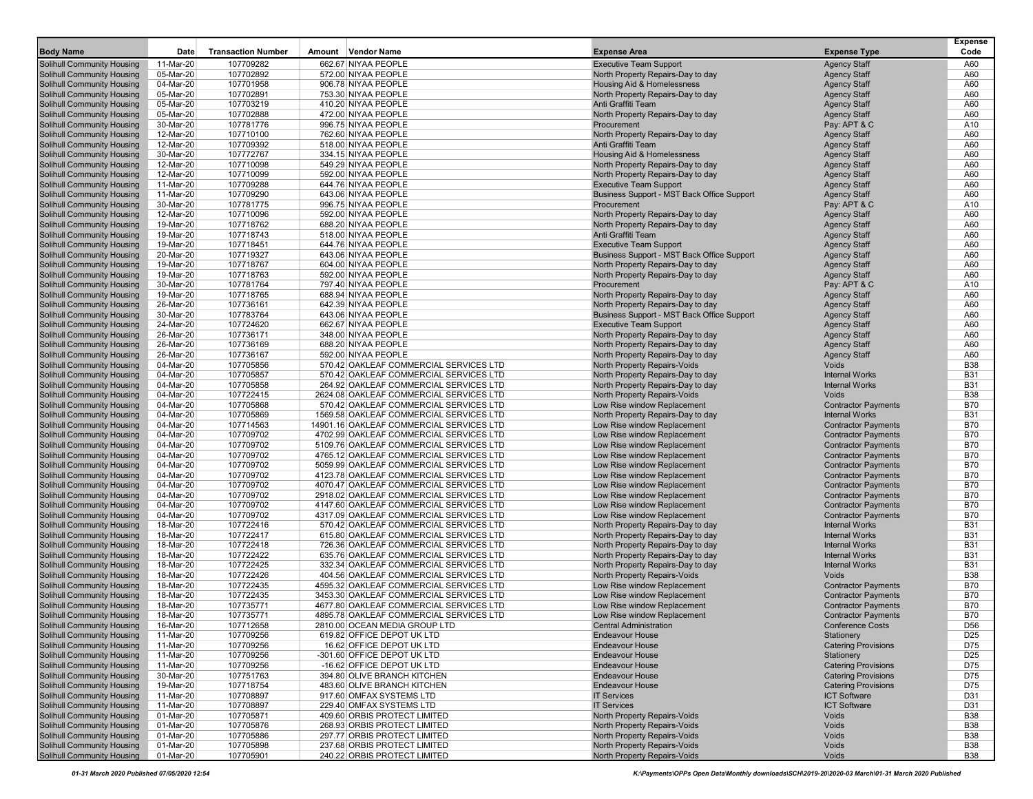| <b>Body Name</b>                                                       | Date                   | <b>Transaction Number</b> | Amount Vendor Name                                                                  | <b>Expense Area</b>                                                    | <b>Expense Type</b>                                 | <b>Expense</b><br>Code   |
|------------------------------------------------------------------------|------------------------|---------------------------|-------------------------------------------------------------------------------------|------------------------------------------------------------------------|-----------------------------------------------------|--------------------------|
| <b>Solihull Community Housing</b>                                      | 11-Mar-20              | 107709282                 | 662.67 NIYAA PEOPLE                                                                 | <b>Executive Team Support</b>                                          | <b>Agency Staff</b>                                 | A60                      |
| <b>Solihull Community Housing</b>                                      | 05-Mar-20              | 107702892                 | 572.00 NIYAA PEOPLE                                                                 | North Property Repairs-Day to day                                      | <b>Agency Staff</b>                                 | A60                      |
| <b>Solihull Community Housing</b>                                      | 04-Mar-20              | 107701958                 | 906.78 NIYAA PEOPLE                                                                 | <b>Housing Aid &amp; Homelessness</b>                                  | <b>Agency Staff</b>                                 | A60                      |
| <b>Solihull Community Housing</b>                                      | 05-Mar-20              | 107702891                 | 753.30 NIYAA PEOPLE                                                                 | North Property Repairs-Day to day                                      | <b>Agency Staff</b>                                 | A60                      |
| <b>Solihull Community Housing</b>                                      | 05-Mar-20              | 107703219                 | 410.20 NIYAA PEOPLE                                                                 | Anti Graffiti Team                                                     | <b>Agency Staff</b>                                 | A60                      |
| <b>Solihull Community Housing</b>                                      | 05-Mar-20              | 107702888                 | 472.00 NIYAA PEOPLE                                                                 | North Property Repairs-Day to day                                      | <b>Agency Staff</b>                                 | A60                      |
| <b>Solihull Community Housing</b>                                      | 30-Mar-20              | 107781776                 | 996.75 NIYAA PEOPLE                                                                 | Procurement                                                            | Pay: APT & C                                        | A10                      |
| <b>Solihull Community Housing</b>                                      | 12-Mar-20              | 107710100                 | 762.60 NIYAA PEOPLE                                                                 | North Property Repairs-Day to day                                      | <b>Agency Staff</b>                                 | A60                      |
| <b>Solihull Community Housing</b>                                      | 12-Mar-20              | 107709392                 | 518.00 NIYAA PEOPLE                                                                 | Anti Graffiti Team                                                     | <b>Agency Staff</b>                                 | A60                      |
| <b>Solihull Community Housing</b>                                      | 30-Mar-20              | 107772767                 | 334.15 NIYAA PEOPLE                                                                 | <b>Housing Aid &amp; Homelessness</b>                                  | <b>Agency Staff</b>                                 | A60<br>A60               |
| <b>Solihull Community Housing</b><br><b>Solihull Community Housing</b> | 12-Mar-20<br>12-Mar-20 | 107710098<br>107710099    | 549.29 NIYAA PEOPLE<br>592.00 NIYAA PEOPLE                                          | North Property Repairs-Day to day<br>North Property Repairs-Day to day | <b>Agency Staff</b><br><b>Agency Staff</b>          | A60                      |
| <b>Solihull Community Housing</b>                                      | 11-Mar-20              | 107709288                 | 644.76 NIYAA PEOPLE                                                                 | <b>Executive Team Support</b>                                          | <b>Agency Staff</b>                                 | A60                      |
| <b>Solihull Community Housing</b>                                      | 11-Mar-20              | 107709290                 | 643.06 NIYAA PEOPLE                                                                 | <b>Business Support - MST Back Office Support</b>                      | <b>Agency Staff</b>                                 | A60                      |
| <b>Solihull Community Housing</b>                                      | 30-Mar-20              | 107781775                 | 996.75 NIYAA PEOPLE                                                                 | Procurement                                                            | Pay: APT & C                                        | A10                      |
| <b>Solihull Community Housing</b>                                      | 12-Mar-20              | 107710096                 | 592.00 NIYAA PEOPLE                                                                 | North Property Repairs-Day to day                                      | <b>Agency Staff</b>                                 | A60                      |
| <b>Solihull Community Housing</b>                                      | 19-Mar-20              | 107718762                 | 688.20 NIYAA PEOPLE                                                                 | North Property Repairs-Day to day                                      | <b>Agency Staff</b>                                 | A60                      |
| <b>Solihull Community Housing</b>                                      | 19-Mar-20              | 107718743                 | 518.00 NIYAA PEOPLE                                                                 | Anti Graffiti Team                                                     | <b>Agency Staff</b>                                 | A60                      |
| <b>Solihull Community Housing</b>                                      | 19-Mar-20              | 107718451                 | 644.76 NIYAA PEOPLE                                                                 | <b>Executive Team Support</b>                                          | <b>Agency Staff</b>                                 | A60                      |
| <b>Solihull Community Housing</b>                                      | 20-Mar-20              | 107719327                 | 643.06 NIYAA PEOPLE                                                                 | Business Support - MST Back Office Support                             | <b>Agency Staff</b>                                 | A60                      |
| <b>Solihull Community Housing</b>                                      | 19-Mar-20              | 107718767                 | 604.00 NIYAA PEOPLE                                                                 | North Property Repairs-Day to day                                      | <b>Agency Staff</b>                                 | A60                      |
| <b>Solihull Community Housing</b>                                      | 19-Mar-20              | 107718763                 | 592.00 NIYAA PEOPLE                                                                 | North Property Repairs-Day to day                                      | <b>Agency Staff</b>                                 | A60                      |
| <b>Solihull Community Housing</b>                                      | 30-Mar-20              | 107781764                 | 797.40 NIYAA PEOPLE                                                                 | Procurement                                                            | Pay: APT & C                                        | A10                      |
| <b>Solihull Community Housing</b><br><b>Solihull Community Housing</b> | 19-Mar-20<br>26-Mar-20 | 107718765<br>107736161    | 688.94 NIYAA PEOPLE<br>642.39 NIYAA PEOPLE                                          | North Property Repairs-Day to day<br>North Property Repairs-Day to day | <b>Agency Staff</b><br><b>Agency Staff</b>          | A60<br>A60               |
| <b>Solihull Community Housing</b>                                      | 30-Mar-20              | 107783764                 | 643.06 NIYAA PEOPLE                                                                 | Business Support - MST Back Office Support                             | <b>Agency Staff</b>                                 | A60                      |
| <b>Solihull Community Housing</b>                                      | 24-Mar-20              | 107724620                 | 662.67 NIYAA PEOPLE                                                                 | <b>Executive Team Support</b>                                          | <b>Agency Staff</b>                                 | A60                      |
| <b>Solihull Community Housing</b>                                      | 26-Mar-20              | 107736171                 | 348.00 NIYAA PEOPLE                                                                 | North Property Repairs-Day to day                                      | <b>Agency Staff</b>                                 | A60                      |
| <b>Solihull Community Housing</b>                                      | 26-Mar-20              | 107736169                 | 688.20 NIYAA PEOPLE                                                                 | North Property Repairs-Day to day                                      | <b>Agency Staff</b>                                 | A60                      |
| <b>Solihull Community Housing</b>                                      | 26-Mar-20              | 107736167                 | 592.00 NIYAA PEOPLE                                                                 | North Property Repairs-Day to day                                      | <b>Agency Staff</b>                                 | A60                      |
| <b>Solihull Community Housing</b>                                      | 04-Mar-20              | 107705856                 | 570.42 OAKLEAF COMMERCIAL SERVICES LTD                                              | <b>North Property Repairs-Voids</b>                                    | Voids                                               | <b>B38</b>               |
| <b>Solihull Community Housing</b>                                      | 04-Mar-20              | 107705857                 | 570.42 OAKLEAF COMMERCIAL SERVICES LTD                                              | North Property Repairs-Day to day                                      | <b>Internal Works</b>                               | <b>B31</b>               |
| <b>Solihull Community Housing</b>                                      | 04-Mar-20              | 107705858                 | 264.92 OAKLEAF COMMERCIAL SERVICES LTD                                              | North Property Repairs-Day to day                                      | <b>Internal Works</b>                               | <b>B31</b>               |
| <b>Solihull Community Housing</b>                                      | 04-Mar-20              | 107722415                 | 2624.08 OAKLEAF COMMERCIAL SERVICES LTD                                             | North Property Repairs-Voids                                           | Voids                                               | <b>B38</b>               |
| <b>Solihull Community Housing</b>                                      | 04-Mar-20              | 107705868                 | 570.42 OAKLEAF COMMERCIAL SERVICES LTD                                              | Low Rise window Replacement                                            | <b>Contractor Payments</b>                          | <b>B70</b><br><b>B31</b> |
| <b>Solihull Community Housing</b><br><b>Solihull Community Housing</b> | 04-Mar-20<br>04-Mar-20 | 107705869<br>107714563    | 1569.58 OAKLEAF COMMERCIAL SERVICES LTD<br>14901.16 OAKLEAF COMMERCIAL SERVICES LTD | North Property Repairs-Day to day<br>Low Rise window Replacement       | <b>Internal Works</b><br><b>Contractor Payments</b> | <b>B70</b>               |
| <b>Solihull Community Housing</b>                                      | 04-Mar-20              | 107709702                 | 4702.99 OAKLEAF COMMERCIAL SERVICES LTD                                             | Low Rise window Replacement                                            | <b>Contractor Payments</b>                          | <b>B70</b>               |
| <b>Solihull Community Housing</b>                                      | 04-Mar-20              | 107709702                 | 5109.76 OAKLEAF COMMERCIAL SERVICES LTD                                             | Low Rise window Replacement                                            | <b>Contractor Payments</b>                          | <b>B70</b>               |
| <b>Solihull Community Housing</b>                                      | 04-Mar-20              | 107709702                 | 4765.12 OAKLEAF COMMERCIAL SERVICES LTD                                             | Low Rise window Replacement                                            | <b>Contractor Payments</b>                          | <b>B70</b>               |
| <b>Solihull Community Housing</b>                                      | 04-Mar-20              | 107709702                 | 5059.99 OAKLEAF COMMERCIAL SERVICES LTD                                             | Low Rise window Replacement                                            | <b>Contractor Payments</b>                          | <b>B70</b>               |
| <b>Solihull Community Housing</b>                                      | 04-Mar-20              | 107709702                 | 4123.78 OAKLEAF COMMERCIAL SERVICES LTD                                             | Low Rise window Replacement                                            | <b>Contractor Payments</b>                          | <b>B70</b>               |
| <b>Solihull Community Housing</b>                                      | 04-Mar-20              | 107709702                 | 4070.47 OAKLEAF COMMERCIAL SERVICES LTD                                             | Low Rise window Replacement                                            | <b>Contractor Payments</b>                          | <b>B70</b>               |
| <b>Solihull Community Housing</b>                                      | 04-Mar-20              | 107709702                 | 2918.02 OAKLEAF COMMERCIAL SERVICES LTD                                             | Low Rise window Replacement                                            | <b>Contractor Payments</b>                          | <b>B70</b>               |
| <b>Solihull Community Housing</b>                                      | 04-Mar-20              | 107709702                 | 4147.60 OAKLEAF COMMERCIAL SERVICES LTD                                             | Low Rise window Replacement                                            | <b>Contractor Payments</b>                          | <b>B70</b>               |
| <b>Solihull Community Housing</b>                                      | 04-Mar-20              | 107709702                 | 4317.09 OAKLEAF COMMERCIAL SERVICES LTD                                             | Low Rise window Replacement                                            | <b>Contractor Payments</b>                          | <b>B70</b>               |
| <b>Solihull Community Housing</b>                                      | 18-Mar-20              | 107722416                 | 570.42 OAKLEAF COMMERCIAL SERVICES LTD                                              | North Property Repairs-Day to day                                      | <b>Internal Works</b><br><b>Internal Works</b>      | <b>B31</b><br><b>B31</b> |
| <b>Solihull Community Housing</b><br><b>Solihull Community Housing</b> | 18-Mar-20<br>18-Mar-20 | 107722417<br>107722418    | 615.80 OAKLEAF COMMERCIAL SERVICES LTD<br>726.36 OAKLEAF COMMERCIAL SERVICES LTD    | North Property Repairs-Day to day<br>North Property Repairs-Day to day | <b>Internal Works</b>                               | <b>B31</b>               |
| <b>Solihull Community Housing</b>                                      | 18-Mar-20              | 107722422                 | 635.76 OAKLEAF COMMERCIAL SERVICES LTD                                              | North Property Repairs-Day to day                                      | <b>Internal Works</b>                               | <b>B31</b>               |
| <b>Solihull Community Housing</b>                                      | 18-Mar-20              | 107722425                 | 332.34 OAKLEAF COMMERCIAL SERVICES LTD                                              | North Property Repairs-Day to day                                      | <b>Internal Works</b>                               | <b>B31</b>               |
| <b>Solihull Community Housing</b>                                      | 18-Mar-20              | 107722426                 | 404.56 OAKLEAF COMMERCIAL SERVICES LTD                                              | North Property Repairs-Voids                                           | Voids                                               | <b>B38</b>               |
| <b>Solihull Community Housing</b>                                      | 18-Mar-20              | 107722435                 | 4595.32 OAKLEAF COMMERCIAL SERVICES LTD                                             | Low Rise window Replacement                                            | <b>Contractor Payments</b>                          | <b>B70</b>               |
| <b>Solihull Community Housing</b>                                      | 18-Mar-20              | 107722435                 | 3453.30 OAKLEAF COMMERCIAL SERVICES LTD                                             | Low Rise window Replacement                                            | <b>Contractor Payments</b>                          | <b>B70</b>               |
| <b>Solihull Community Housing</b>                                      | 18-Mar-20              | 107735771                 | 4677.80 OAKLEAF COMMERCIAL SERVICES LTD                                             | Low Rise window Replacement                                            | <b>Contractor Payments</b>                          | <b>B70</b>               |
| <b>Solihull Community Housing</b>                                      | 18-Mar-20              | 107735771                 | 4895.78 OAKLEAF COMMERCIAL SERVICES LTD                                             | Low Rise window Replacement                                            | <b>Contractor Payments</b>                          | <b>B70</b>               |
| <b>Solihull Community Housing</b>                                      | 16-Mar-20              | 107712658                 | 2810.00 OCEAN MEDIA GROUP LTD                                                       | <b>Central Administration</b>                                          | <b>Conference Costs</b>                             | D <sub>56</sub>          |
| <b>Solihull Community Housing</b>                                      | 11-Mar-20              | 107709256                 | 619.82 OFFICE DEPOT UK LTD                                                          | <b>Endeavour House</b>                                                 | Stationery                                          | D <sub>25</sub>          |
| <b>Solihull Community Housing</b>                                      | 11-Mar-20<br>11-Mar-20 | 107709256                 | 16.62 OFFICE DEPOT UK LTD<br>-301.60 OFFICE DEPOT UK LTD                            | <b>Endeavour House</b><br><b>Endeavour House</b>                       | <b>Catering Provisions</b>                          | D75                      |
| <b>Solihull Community Housing</b><br><b>Solihull Community Housing</b> | 11-Mar-20              | 107709256<br>107709256    | -16.62 OFFICE DEPOT UK LTD                                                          | <b>Endeavour House</b>                                                 | Stationery<br><b>Catering Provisions</b>            | D <sub>25</sub><br>D75   |
| Solihull Community Housing                                             | 30-Mar-20              | 107751763                 | 394.80 OLIVE BRANCH KITCHEN                                                         | <b>Endeavour House</b>                                                 | <b>Catering Provisions</b>                          | D75                      |
| <b>Solihull Community Housing</b>                                      | 19-Mar-20              | 107718754                 | 483.60 OLIVE BRANCH KITCHEN                                                         | <b>Endeavour House</b>                                                 | <b>Catering Provisions</b>                          | D75                      |
| <b>Solihull Community Housing</b>                                      | 11-Mar-20              | 107708897                 | 917.60 OMFAX SYSTEMS LTD                                                            | <b>IT Services</b>                                                     | <b>ICT Software</b>                                 | D31                      |
| <b>Solihull Community Housing</b>                                      | 11-Mar-20              | 107708897                 | 229.40 OMFAX SYSTEMS LTD                                                            | <b>IT Services</b>                                                     | <b>ICT Software</b>                                 | D31                      |
| <b>Solihull Community Housing</b>                                      | 01-Mar-20              | 107705871                 | 409.60 ORBIS PROTECT LIMITED                                                        | North Property Repairs-Voids                                           | Voids                                               | <b>B38</b>               |
| <b>Solihull Community Housing</b>                                      | 01-Mar-20              | 107705876                 | 268.93 ORBIS PROTECT LIMITED                                                        | North Property Repairs-Voids                                           | Voids                                               | <b>B38</b>               |
| Solihull Community Housing                                             | 01-Mar-20              | 107705886                 | 297.77 ORBIS PROTECT LIMITED                                                        | North Property Repairs-Voids                                           | Voids                                               | <b>B38</b>               |
| Solihull Community Housing                                             | 01-Mar-20              | 107705898                 | 237.68 ORBIS PROTECT LIMITED                                                        | North Property Repairs-Voids                                           | Voids                                               | <b>B38</b>               |
| Solihull Community Housing                                             | 01-Mar-20              | 107705901                 | 240.22 ORBIS PROTECT LIMITED                                                        | North Property Repairs-Voids                                           | Voids                                               | <b>B38</b>               |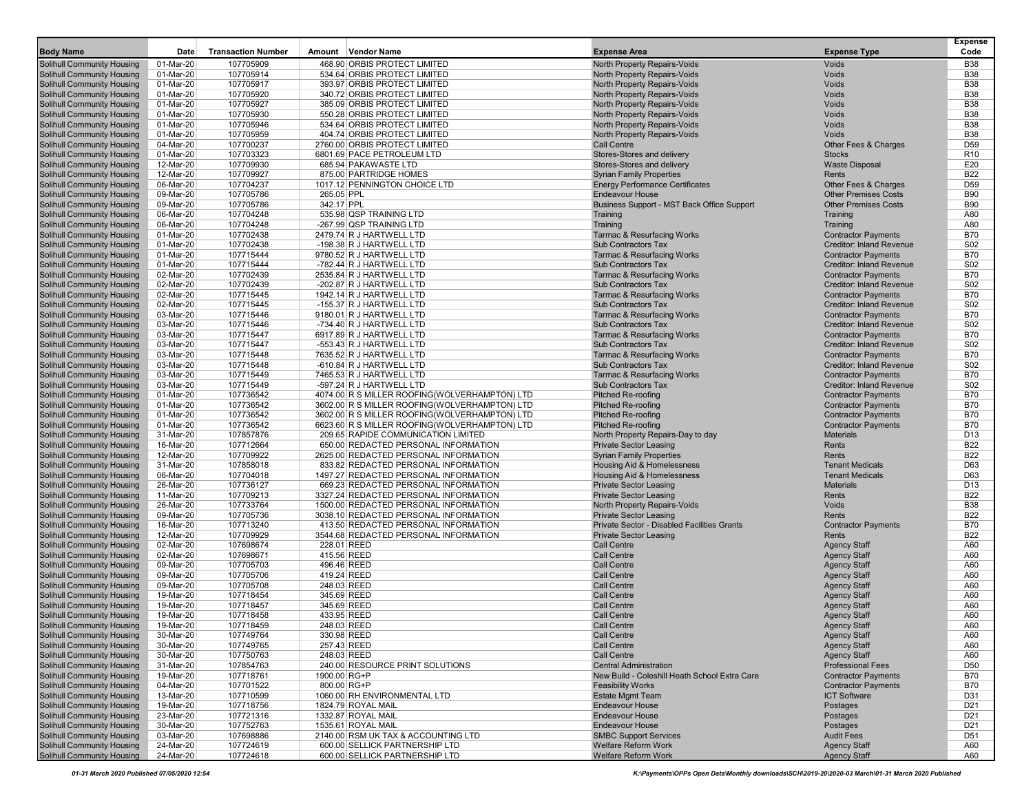| <b>Body Name</b>                                                       | Date                   | <b>Transaction Number</b> | Amount       | Vendor Name                                                                   | <b>Expense Area</b>                                                            | <b>Expense Type</b>                                           | <b>Expense</b><br>Code        |
|------------------------------------------------------------------------|------------------------|---------------------------|--------------|-------------------------------------------------------------------------------|--------------------------------------------------------------------------------|---------------------------------------------------------------|-------------------------------|
| <b>Solihull Community Housing</b>                                      | 01-Mar-20              | 107705909                 |              | 468.90 ORBIS PROTECT LIMITED                                                  | North Property Repairs-Voids                                                   | Voids                                                         | <b>B38</b>                    |
| <b>Solihull Community Housing</b>                                      | 01-Mar-20              | 107705914                 |              | 534.64 ORBIS PROTECT LIMITED                                                  | North Property Repairs-Voids                                                   | Voids                                                         | <b>B38</b>                    |
| Solihull Community Housing                                             | 01-Mar-20              | 107705917                 |              | 393.97 ORBIS PROTECT LIMITED                                                  | North Property Repairs-Voids                                                   | Voids                                                         | <b>B38</b>                    |
| <b>Solihull Community Housing</b>                                      | 01-Mar-20              | 107705920                 |              | 340.72 ORBIS PROTECT LIMITED                                                  | North Property Repairs-Voids                                                   | Voids                                                         | <b>B38</b>                    |
| <b>Solihull Community Housing</b>                                      | 01-Mar-20              | 107705927                 |              | 385.09 ORBIS PROTECT LIMITED                                                  | North Property Repairs-Voids                                                   | Voids                                                         | <b>B38</b>                    |
| <b>Solihull Community Housing</b>                                      | 01-Mar-20              | 107705930                 |              | 550.28 ORBIS PROTECT LIMITED                                                  | North Property Repairs-Voids                                                   | Voids                                                         | <b>B38</b>                    |
| <b>Solihull Community Housing</b>                                      | 01-Mar-20              | 107705946<br>107705959    |              | 534.64 ORBIS PROTECT LIMITED                                                  | North Property Repairs-Voids                                                   | Voids                                                         | <b>B38</b><br><b>B38</b>      |
| <b>Solihull Community Housing</b><br><b>Solihull Community Housing</b> | 01-Mar-20<br>04-Mar-20 | 107700237                 |              | 404.74 ORBIS PROTECT LIMITED<br>2760.00 ORBIS PROTECT LIMITED                 | North Property Repairs-Voids<br><b>Call Centre</b>                             | Voids<br>Other Fees & Charges                                 | D <sub>59</sub>               |
| Solihull Community Housing                                             | 01-Mar-20              | 107703323                 |              | 6801.69 PACE PETROLEUM LTD                                                    | Stores-Stores and delivery                                                     | <b>Stocks</b>                                                 | R <sub>10</sub>               |
| <b>Solihull Community Housing</b>                                      | 12-Mar-20              | 107709930                 |              | 685.94 PAKAWASTE LTD                                                          | Stores-Stores and delivery                                                     | <b>Waste Disposal</b>                                         | E20                           |
| Solihull Community Housing                                             | 12-Mar-20              | 107709927                 |              | 875.00 PARTRIDGE HOMES                                                        | <b>Syrian Family Properties</b>                                                | Rents                                                         | <b>B22</b>                    |
| Solihull Community Housing                                             | 06-Mar-20              | 107704237                 |              | 1017.12 PENNINGTON CHOICE LTD                                                 | <b>Energy Performance Certificates</b>                                         | Other Fees & Charges                                          | D <sub>59</sub>               |
| <b>Solihull Community Housing</b>                                      | 09-Mar-20              | 107705786                 | 265.05 PPL   |                                                                               | <b>Endeavour House</b>                                                         | <b>Other Premises Costs</b>                                   | <b>B90</b>                    |
| <b>Solihull Community Housing</b>                                      | 09-Mar-20              | 107705786                 | 342.17 PPL   |                                                                               | Business Support - MST Back Office Support                                     | <b>Other Premises Costs</b>                                   | <b>B90</b>                    |
| <b>Solihull Community Housing</b><br><b>Solihull Community Housing</b> | 06-Mar-20<br>06-Mar-20 | 107704248<br>107704248    |              | 535.98 QSP TRAINING LTD<br>-267.99 QSP TRAINING LTD                           | Training<br>Training                                                           | Training<br>Training                                          | A80<br>A80                    |
| <b>Solihull Community Housing</b>                                      | 01-Mar-20              | 107702438                 |              | 2479.74 R J HARTWELL LTD                                                      | <b>Tarmac &amp; Resurfacing Works</b>                                          | <b>Contractor Payments</b>                                    | <b>B70</b>                    |
| <b>Solihull Community Housing</b>                                      | 01-Mar-20              | 107702438                 |              | -198.38 R J HARTWELL LTD                                                      | <b>Sub Contractors Tax</b>                                                     | <b>Creditor: Inland Revenue</b>                               | <b>S02</b>                    |
| Solihull Community Housing                                             | 01-Mar-20              | 107715444                 |              | 9780.52 R J HARTWELL LTD                                                      | <b>Tarmac &amp; Resurfacing Works</b>                                          | <b>Contractor Payments</b>                                    | <b>B70</b>                    |
| <b>Solihull Community Housing</b>                                      | 01-Mar-20              | 107715444                 |              | -782.44 R J HARTWELL LTD                                                      | <b>Sub Contractors Tax</b>                                                     | <b>Creditor: Inland Revenue</b>                               | <b>S02</b>                    |
| <b>Solihull Community Housing</b>                                      | 02-Mar-20              | 107702439                 |              | 2535.84 R J HARTWELL LTD                                                      | <b>Tarmac &amp; Resurfacing Works</b>                                          | <b>Contractor Payments</b>                                    | <b>B70</b>                    |
| <b>Solihull Community Housing</b>                                      | 02-Mar-20              | 107702439                 |              | -202.87 R J HARTWELL LTD                                                      | <b>Sub Contractors Tax</b>                                                     | <b>Creditor: Inland Revenue</b>                               | S <sub>02</sub>               |
| <b>Solihull Community Housing</b>                                      | 02-Mar-20              | 107715445                 |              | 1942.14 R J HARTWELL LTD                                                      | <b>Tarmac &amp; Resurfacing Works</b>                                          | <b>Contractor Payments</b>                                    | <b>B70</b>                    |
| <b>Solihull Community Housing</b><br><b>Solihull Community Housing</b> | 02-Mar-20<br>03-Mar-20 | 107715445<br>107715446    |              | -155.37 R J HARTWELL LTD<br>9180.01 R J HARTWELL LTD                          | <b>Sub Contractors Tax</b><br><b>Tarmac &amp; Resurfacing Works</b>            | Creditor: Inland Revenue<br><b>Contractor Payments</b>        | S <sub>02</sub><br><b>B70</b> |
| <b>Solihull Community Housing</b>                                      | 03-Mar-20              | 107715446                 |              | -734.40 R J HARTWELL LTD                                                      | <b>Sub Contractors Tax</b>                                                     | <b>Creditor: Inland Revenue</b>                               | S <sub>02</sub>               |
| Solihull Community Housing                                             | 03-Mar-20              | 107715447                 |              | 6917.89 R J HARTWELL LTD                                                      | Tarmac & Resurfacing Works                                                     | <b>Contractor Payments</b>                                    | <b>B70</b>                    |
| <b>Solihull Community Housing</b>                                      | 03-Mar-20              | 107715447                 |              | -553.43 R J HARTWELL LTD                                                      | <b>Sub Contractors Tax</b>                                                     | <b>Creditor: Inland Revenue</b>                               | S <sub>02</sub>               |
| <b>Solihull Community Housing</b>                                      | 03-Mar-20              | 107715448                 |              | 7635.52 R J HARTWELL LTD                                                      | <b>Tarmac &amp; Resurfacing Works</b>                                          | <b>Contractor Payments</b>                                    | <b>B70</b>                    |
| <b>Solihull Community Housing</b>                                      | 03-Mar-20              | 107715448                 |              | -610.84 R J HARTWELL LTD                                                      | <b>Sub Contractors Tax</b>                                                     | <b>Creditor: Inland Revenue</b>                               | S <sub>02</sub>               |
| <b>Solihull Community Housing</b>                                      | 03-Mar-20              | 107715449                 |              | 7465.53 R J HARTWELL LTD                                                      | <b>Tarmac &amp; Resurfacing Works</b>                                          | <b>Contractor Payments</b>                                    | <b>B70</b>                    |
| <b>Solihull Community Housing</b><br><b>Solihull Community Housing</b> | 03-Mar-20<br>01-Mar-20 | 107715449<br>107736542    |              | -597.24 R J HARTWELL LTD<br>4074.00 R S MILLER ROOFING(WOLVERHAMPTON) LTD     | <b>Sub Contractors Tax</b><br><b>Pitched Re-roofing</b>                        | <b>Creditor: Inland Revenue</b><br><b>Contractor Payments</b> | <b>S02</b><br><b>B70</b>      |
| Solihull Community Housing                                             | 01-Mar-20              | 107736542                 |              | 3602.00 R S MILLER ROOFING(WOLVERHAMPTON) LTD                                 | <b>Pitched Re-roofing</b>                                                      | <b>Contractor Payments</b>                                    | <b>B70</b>                    |
| <b>Solihull Community Housing</b>                                      | 01-Mar-20              | 107736542                 |              | 3602.00 R S MILLER ROOFING(WOLVERHAMPTON) LTD                                 | <b>Pitched Re-roofing</b>                                                      | <b>Contractor Payments</b>                                    | <b>B70</b>                    |
| Solihull Community Housing                                             | 01-Mar-20              | 107736542                 |              | 6623.60 R S MILLER ROOFING(WOLVERHAMPTON) LTD                                 | <b>Pitched Re-roofing</b>                                                      | <b>Contractor Payments</b>                                    | <b>B70</b>                    |
| Solihull Community Housing                                             | 31-Mar-20              | 107857876                 |              | 209.65 RAPIDE COMMUNICATION LIMITED                                           | North Property Repairs-Day to day                                              | <b>Materials</b>                                              | D <sub>13</sub>               |
| <b>Solihull Community Housing</b>                                      | 16-Mar-20              | 107712664                 |              | 650.00 REDACTED PERSONAL INFORMATION                                          | <b>Private Sector Leasing</b>                                                  | Rents                                                         | <b>B22</b>                    |
| <b>Solihull Community Housing</b>                                      | 12-Mar-20              | 107709922                 |              | 2625.00 REDACTED PERSONAL INFORMATION                                         | <b>Syrian Family Properties</b>                                                | Rents                                                         | <b>B22</b>                    |
| <b>Solihull Community Housing</b><br><b>Solihull Community Housing</b> | 31-Mar-20<br>06-Mar-20 | 107858018<br>107704018    |              | 833.82 REDACTED PERSONAL INFORMATION<br>1497.27 REDACTED PERSONAL INFORMATION | <b>Housing Aid &amp; Homelessness</b><br><b>Housing Aid &amp; Homelessness</b> | <b>Tenant Medicals</b><br><b>Tenant Medicals</b>              | D63<br>D63                    |
| <b>Solihull Community Housing</b>                                      | 26-Mar-20              | 107736127                 |              | 669.23 REDACTED PERSONAL INFORMATION                                          | <b>Private Sector Leasing</b>                                                  | <b>Materials</b>                                              | D <sub>13</sub>               |
| <b>Solihull Community Housing</b>                                      | 11-Mar-20              | 107709213                 |              | 3327.24 REDACTED PERSONAL INFORMATION                                         | <b>Private Sector Leasing</b>                                                  | Rents                                                         | <b>B22</b>                    |
| Solihull Community Housing                                             | 26-Mar-20              | 107733764                 |              | 1500.00 REDACTED PERSONAL INFORMATION                                         | North Property Repairs-Voids                                                   | Voids                                                         | <b>B38</b>                    |
| <b>Solihull Community Housing</b>                                      | 09-Mar-20              | 107705736                 |              | 3038.10 REDACTED PERSONAL INFORMATION                                         | <b>Private Sector Leasing</b>                                                  | Rents                                                         | <b>B22</b>                    |
| <b>Solihull Community Housing</b>                                      | 16-Mar-20              | 107713240                 |              | 413.50 REDACTED PERSONAL INFORMATION                                          | <b>Private Sector - Disabled Facilities Grants</b>                             | <b>Contractor Payments</b>                                    | <b>B70</b>                    |
| <b>Solihull Community Housing</b>                                      | 12-Mar-20              | 107709929                 |              | 3544.68 REDACTED PERSONAL INFORMATION                                         | <b>Private Sector Leasing</b>                                                  | Rents                                                         | <b>B22</b>                    |
| <b>Solihull Community Housing</b>                                      | 02-Mar-20              | 107698674                 |              | 228.01 REED                                                                   | <b>Call Centre</b>                                                             | <b>Agency Staff</b>                                           | A60                           |
| <b>Solihull Community Housing</b><br><b>Solihull Community Housing</b> | 02-Mar-20<br>09-Mar-20 | 107698671<br>107705703    |              | 415.56 REED<br>496.46 REED                                                    | <b>Call Centre</b><br><b>Call Centre</b>                                       | <b>Agency Staff</b><br><b>Agency Staff</b>                    | A60<br>A60                    |
| <b>Solihull Community Housing</b>                                      | 09-Mar-20              | 107705706                 |              | 419.24 REED                                                                   | <b>Call Centre</b>                                                             | <b>Agency Staff</b>                                           | A60                           |
| <b>Solihull Community Housing</b>                                      | 09-Mar-20              | 107705708                 |              | 248.03 REED                                                                   | <b>Call Centre</b>                                                             | <b>Agency Staff</b>                                           | A60                           |
| <b>Solihull Community Housing</b>                                      | 19-Mar-20              | 107718454                 |              | 345.69 REED                                                                   | <b>Call Centre</b>                                                             | <b>Agency Staff</b>                                           | A60                           |
| <b>Solihull Community Housing</b>                                      | 19-Mar-20              | 107718457                 |              | 345.69 REED                                                                   | <b>Call Centre</b>                                                             | <b>Agency Staff</b>                                           | A60                           |
| <b>Solihull Community Housing</b>                                      | 19-Mar-20              | 107718458                 |              | 433.95 REED                                                                   | <b>Call Centre</b>                                                             | <b>Agency Staff</b>                                           | A60                           |
| <b>Solihull Community Housing</b>                                      | 19-Mar-20              | 107718459                 |              | 248.03 REED                                                                   | <b>Call Centre</b>                                                             | <b>Agency Staff</b>                                           | A60                           |
| Solihull Community Housing                                             | 30-Mar-20              | 107749764                 |              | 330.98 REED                                                                   | <b>Call Centre</b>                                                             | <b>Agency Staff</b>                                           | A60                           |
| <b>Solihull Community Housing</b><br><b>Solihull Community Housing</b> | 30-Mar-20<br>30-Mar-20 | 107749765<br>107750763    |              | 257.43 REED<br>248.03 REED                                                    | <b>Call Centre</b><br><b>Call Centre</b>                                       | <b>Agency Staff</b><br><b>Agency Staff</b>                    | A60<br>A60                    |
| <b>Solihull Community Housing</b>                                      | 31-Mar-20              | 107854763                 |              | 240.00 RESOURCE PRINT SOLUTIONS                                               | <b>Central Administration</b>                                                  | <b>Professional Fees</b>                                      | D <sub>50</sub>               |
| Solihull Community Housing                                             | 19-Mar-20              | 107718761                 | 1900.00 RG+P |                                                                               | New Build - Coleshill Heath School Extra Care                                  | <b>Contractor Payments</b>                                    | <b>B70</b>                    |
| Solihull Community Housing                                             | 04-Mar-20              | 107701522                 |              | 800.00 RG+P                                                                   | <b>Feasibility Works</b>                                                       | <b>Contractor Payments</b>                                    | <b>B70</b>                    |
| <b>Solihull Community Housing</b>                                      | 13-Mar-20              | 107710599                 |              | 1060.00 RH ENVIRONMENTAL LTD                                                  | <b>Estate Mgmt Team</b>                                                        | <b>ICT Software</b>                                           | D31                           |
| Solihull Community Housing                                             | 19-Mar-20              | 107718756                 |              | 1824.79 ROYAL MAIL                                                            | <b>Endeavour House</b>                                                         | Postages                                                      | D <sub>21</sub>               |
| <b>Solihull Community Housing</b>                                      | 23-Mar-20              | 107721316                 |              | 1332.87 ROYAL MAIL                                                            | <b>Endeavour House</b>                                                         | Postages                                                      | D <sub>21</sub>               |
| Solihull Community Housing<br><b>Solihull Community Housing</b>        | 30-Mar-20<br>03-Mar-20 | 107752763<br>107698886    |              | 1535.61 ROYAL MAIL<br>2140.00 RSM UK TAX & ACCOUNTING LTD                     | <b>Endeavour House</b><br><b>SMBC Support Services</b>                         | Postages<br><b>Audit Fees</b>                                 | D <sub>21</sub><br>D51        |
| <b>Solihull Community Housing</b>                                      | 24-Mar-20              | 107724619                 |              | 600.00 SELLICK PARTNERSHIP LTD                                                | <b>Welfare Reform Work</b>                                                     | <b>Agency Staff</b>                                           | A60                           |
| <b>Solihull Community Housing</b>                                      | 24-Mar-20              | 107724618                 |              | 600.00 SELLICK PARTNERSHIP LTD                                                | <b>Welfare Reform Work</b>                                                     | <b>Agency Staff</b>                                           | A60                           |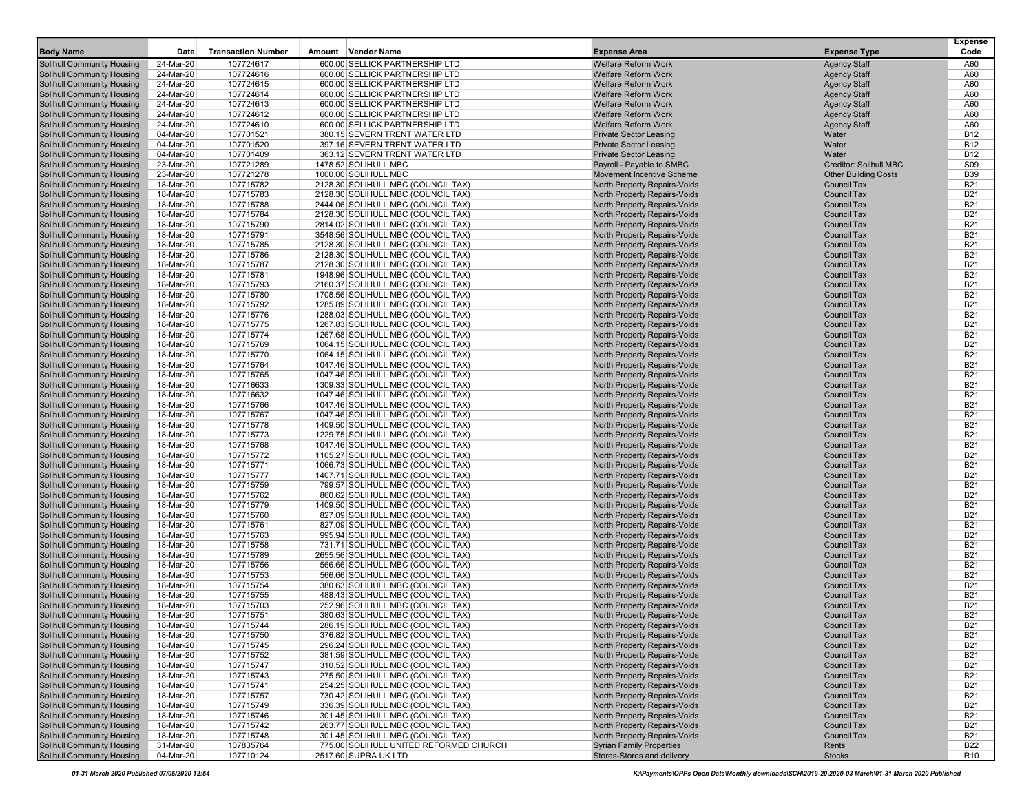| <b>Body Name</b>                                                       | Date                   | <b>Transaction Number</b> | Amount Vendor Name                                                       | <b>Expense Area</b>                                                        | <b>Expense Type</b>                      | <b>Expense</b><br>Code   |
|------------------------------------------------------------------------|------------------------|---------------------------|--------------------------------------------------------------------------|----------------------------------------------------------------------------|------------------------------------------|--------------------------|
| <b>Solihull Community Housing</b>                                      | 24-Mar-20              | 107724617                 | 600.00 SELLICK PARTNERSHIP LTD                                           | <b>Welfare Reform Work</b>                                                 | <b>Agency Staff</b>                      | A60                      |
| <b>Solihull Community Housing</b>                                      | 24-Mar-20              | 107724616                 | 600.00 SELLICK PARTNERSHIP LTD                                           | <b>Welfare Reform Work</b>                                                 | <b>Agency Staff</b>                      | A60                      |
| Solihull Community Housing                                             | 24-Mar-20              | 107724615                 | 600.00 SELLICK PARTNERSHIP LTD                                           | <b>Welfare Reform Work</b>                                                 | <b>Agency Staff</b>                      | A60                      |
| <b>Solihull Community Housing</b>                                      | 24-Mar-20              | 107724614                 | 600.00 SELLICK PARTNERSHIP LTD                                           | <b>Welfare Reform Work</b>                                                 | <b>Agency Staff</b>                      | A60                      |
| <b>Solihull Community Housing</b>                                      | 24-Mar-20              | 107724613                 | 600.00 SELLICK PARTNERSHIP LTD                                           | <b>Welfare Reform Work</b>                                                 | <b>Agency Staff</b>                      | A60                      |
| Solihull Community Housing                                             | 24-Mar-20              | 107724612                 | 600.00 SELLICK PARTNERSHIP LTD                                           | <b>Welfare Reform Work</b>                                                 | <b>Agency Staff</b>                      | A60                      |
| <b>Solihull Community Housing</b>                                      | 24-Mar-20              | 107724610                 | 600.00 SELLICK PARTNERSHIP LTD                                           | <b>Welfare Reform Work</b>                                                 | <b>Agency Staff</b>                      | A60                      |
| <b>Solihull Community Housing</b>                                      | 04-Mar-20              | 107701521                 | 380.15 SEVERN TRENT WATER LTD                                            | <b>Private Sector Leasing</b>                                              | Water                                    | <b>B12</b>               |
| <b>Solihull Community Housing</b><br><b>Solihull Community Housing</b> | 04-Mar-20<br>04-Mar-20 | 107701520<br>107701409    | 397.16 SEVERN TRENT WATER LTD<br>363.12 SEVERN TRENT WATER LTD           | <b>Private Sector Leasing</b><br><b>Private Sector Leasing</b>             | Water<br>Water                           | <b>B12</b><br><b>B12</b> |
| <b>Solihull Community Housing</b>                                      | 23-Mar-20              | 107721289                 | 1478.52 SOLIHULL MBC                                                     | Payroll - Payable to SMBC                                                  | <b>Creditor: Solihull MBC</b>            | S <sub>09</sub>          |
| <b>Solihull Community Housing</b>                                      | 23-Mar-20              | 107721278                 | 1000.00 SOLIHULL MBC                                                     | <b>Movement Incentive Scheme</b>                                           | <b>Other Building Costs</b>              | <b>B39</b>               |
| <b>Solihull Community Housing</b>                                      | 18-Mar-20              | 107715782                 | 2128.30 SOLIHULL MBC (COUNCIL TAX)                                       | <b>North Property Repairs-Voids</b>                                        | Council Tax                              | <b>B21</b>               |
| <b>Solihull Community Housing</b>                                      | 18-Mar-20              | 107715783                 | 2128.30 SOLIHULL MBC (COUNCIL TAX)                                       | <b>North Property Repairs-Voids</b>                                        | <b>Council Tax</b>                       | <b>B21</b>               |
| <b>Solihull Community Housing</b>                                      | 18-Mar-20              | 107715788                 | 2444.06 SOLIHULL MBC (COUNCIL TAX)                                       | <b>North Property Repairs-Voids</b>                                        | <b>Council Tax</b>                       | <b>B21</b>               |
| <b>Solihull Community Housing</b>                                      | 18-Mar-20              | 107715784                 | 2128.30 SOLIHULL MBC (COUNCIL TAX)                                       | North Property Repairs-Voids                                               | <b>Council Tax</b>                       | <b>B21</b>               |
| <b>Solihull Community Housing</b>                                      | 18-Mar-20              | 107715790                 | 2814.02 SOLIHULL MBC (COUNCIL TAX)                                       | North Property Repairs-Voids                                               | <b>Council Tax</b>                       | <b>B21</b>               |
| <b>Solihull Community Housing</b>                                      | 18-Mar-20              | 107715791                 | 3548.56 SOLIHULL MBC (COUNCIL TAX)                                       | North Property Repairs-Voids                                               | <b>Council Tax</b>                       | <b>B21</b>               |
| <b>Solihull Community Housing</b>                                      | 18-Mar-20              | 107715785                 | 2128.30 SOLIHULL MBC (COUNCIL TAX)                                       | <b>North Property Repairs-Voids</b>                                        | <b>Council Tax</b>                       | <b>B21</b>               |
| Solihull Community Housing                                             | 18-Mar-20              | 107715786                 | 2128.30 SOLIHULL MBC (COUNCIL TAX)                                       | North Property Repairs-Voids                                               | <b>Council Tax</b>                       | <b>B21</b>               |
| <b>Solihull Community Housing</b>                                      | 18-Mar-20              | 107715787                 | 2128.30 SOLIHULL MBC (COUNCIL TAX)                                       | <b>North Property Repairs-Voids</b>                                        | <b>Council Tax</b>                       | <b>B21</b>               |
| <b>Solihull Community Housing</b>                                      | 18-Mar-20              | 107715781                 | 1948.96 SOLIHULL MBC (COUNCIL TAX)                                       | North Property Repairs-Voids                                               | <b>Council Tax</b>                       | <b>B21</b>               |
| <b>Solihull Community Housing</b>                                      | 18-Mar-20              | 107715793                 | 2160.37 SOLIHULL MBC (COUNCIL TAX)                                       | <b>North Property Repairs-Voids</b>                                        | <b>Council Tax</b>                       | <b>B21</b><br><b>B21</b> |
| <b>Solihull Community Housing</b><br><b>Solihull Community Housing</b> | 18-Mar-20<br>18-Mar-20 | 107715780<br>107715792    | 1708.56 SOLIHULL MBC (COUNCIL TAX)<br>1285.89 SOLIHULL MBC (COUNCIL TAX) | North Property Repairs-Voids<br><b>North Property Repairs-Voids</b>        | <b>Council Tax</b><br><b>Council Tax</b> | <b>B21</b>               |
| <b>Solihull Community Housing</b>                                      | 18-Mar-20              | 107715776                 | 1288.03 SOLIHULL MBC (COUNCIL TAX)                                       | <b>North Property Repairs-Voids</b>                                        | <b>Council Tax</b>                       | <b>B21</b>               |
| <b>Solihull Community Housing</b>                                      | 18-Mar-20              | 107715775                 | 1267.83 SOLIHULL MBC (COUNCIL TAX)                                       | North Property Repairs-Voids                                               | <b>Council Tax</b>                       | <b>B21</b>               |
| <b>Solihull Community Housing</b>                                      | 18-Mar-20              | 107715774                 | 1267.68 SOLIHULL MBC (COUNCIL TAX)                                       | <b>North Property Repairs-Voids</b>                                        | <b>Council Tax</b>                       | <b>B21</b>               |
| <b>Solihull Community Housing</b>                                      | 18-Mar-20              | 107715769                 | 1064.15 SOLIHULL MBC (COUNCIL TAX)                                       | North Property Repairs-Voids                                               | <b>Council Tax</b>                       | <b>B21</b>               |
| <b>Solihull Community Housing</b>                                      | 18-Mar-20              | 107715770                 | 1064.15 SOLIHULL MBC (COUNCIL TAX)                                       | North Property Repairs-Voids                                               | <b>Council Tax</b>                       | <b>B21</b>               |
| Solihull Community Housing                                             | 18-Mar-20              | 107715764                 | 1047.46 SOLIHULL MBC (COUNCIL TAX)                                       | North Property Repairs-Voids                                               | <b>Council Tax</b>                       | <b>B21</b>               |
| <b>Solihull Community Housing</b>                                      | 18-Mar-20              | 107715765                 | 1047.46 SOLIHULL MBC (COUNCIL TAX)                                       | <b>North Property Repairs-Voids</b>                                        | <b>Council Tax</b>                       | <b>B21</b>               |
| <b>Solihull Community Housing</b>                                      | 18-Mar-20              | 107716633                 | 1309.33 SOLIHULL MBC (COUNCIL TAX)                                       | North Property Repairs-Voids                                               | <b>Council Tax</b>                       | <b>B21</b>               |
| <b>Solihull Community Housing</b>                                      | 18-Mar-20              | 107716632                 | 1047.46 SOLIHULL MBC (COUNCIL TAX)                                       | North Property Repairs-Voids                                               | <b>Council Tax</b>                       | <b>B21</b>               |
| Solihull Community Housing                                             | 18-Mar-20              | 107715766                 | 1047.46 SOLIHULL MBC (COUNCIL TAX)                                       | <b>North Property Repairs-Voids</b>                                        | <b>Council Tax</b>                       | <b>B21</b>               |
| <b>Solihull Community Housing</b>                                      | 18-Mar-20              | 107715767                 | 1047.46 SOLIHULL MBC (COUNCIL TAX)                                       | <b>North Property Repairs-Voids</b>                                        | <b>Council Tax</b>                       | <b>B21</b>               |
| <b>Solihull Community Housing</b>                                      | 18-Mar-20<br>18-Mar-20 | 107715778<br>107715773    | 1409.50 SOLIHULL MBC (COUNCIL TAX)                                       | North Property Repairs-Voids                                               | <b>Council Tax</b><br><b>Council Tax</b> | <b>B21</b><br><b>B21</b> |
| <b>Solihull Community Housing</b><br><b>Solihull Community Housing</b> | 18-Mar-20              | 107715768                 | 1229.75 SOLIHULL MBC (COUNCIL TAX)<br>1047.46 SOLIHULL MBC (COUNCIL TAX) | North Property Repairs-Voids<br><b>North Property Repairs-Voids</b>        | <b>Council Tax</b>                       | <b>B21</b>               |
| <b>Solihull Community Housing</b>                                      | 18-Mar-20              | 107715772                 | 1105.27 SOLIHULL MBC (COUNCIL TAX)                                       | <b>North Property Repairs-Voids</b>                                        | <b>Council Tax</b>                       | <b>B21</b>               |
| <b>Solihull Community Housing</b>                                      | 18-Mar-20              | 107715771                 | 1066.73 SOLIHULL MBC (COUNCIL TAX)                                       | North Property Repairs-Voids                                               | <b>Council Tax</b>                       | <b>B21</b>               |
| <b>Solihull Community Housing</b>                                      | 18-Mar-20              | 107715777                 | 1407.71 SOLIHULL MBC (COUNCIL TAX)                                       | North Property Repairs-Voids                                               | <b>Council Tax</b>                       | <b>B21</b>               |
| <b>Solihull Community Housing</b>                                      | 18-Mar-20              | 107715759                 | 799.57 SOLIHULL MBC (COUNCIL TAX)                                        | North Property Repairs-Voids                                               | <b>Council Tax</b>                       | <b>B21</b>               |
| <b>Solihull Community Housing</b>                                      | 18-Mar-20              | 107715762                 | 860.62 SOLIHULL MBC (COUNCIL TAX)                                        | <b>North Property Repairs-Voids</b>                                        | <b>Council Tax</b>                       | <b>B21</b>               |
| Solihull Community Housing                                             | 18-Mar-20              | 107715779                 | 1409.50 SOLIHULL MBC (COUNCIL TAX)                                       | North Property Repairs-Voids                                               | <b>Council Tax</b>                       | <b>B21</b>               |
| <b>Solihull Community Housing</b>                                      | 18-Mar-20              | 107715760                 | 827.09 SOLIHULL MBC (COUNCIL TAX)                                        | <b>North Property Repairs-Voids</b>                                        | <b>Council Tax</b>                       | <b>B21</b>               |
| <b>Solihull Community Housing</b>                                      | 18-Mar-20              | 107715761                 | 827.09 SOLIHULL MBC (COUNCIL TAX)                                        | North Property Repairs-Voids                                               | <b>Council Tax</b>                       | <b>B21</b>               |
| <b>Solihull Community Housing</b>                                      | 18-Mar-20              | 107715763                 | 995.94 SOLIHULL MBC (COUNCIL TAX)                                        | <b>North Property Repairs-Voids</b>                                        | <b>Council Tax</b>                       | <b>B21</b>               |
| <b>Solihull Community Housing</b>                                      | 18-Mar-20              | 107715758                 | 731.71 SOLIHULL MBC (COUNCIL TAX)                                        | North Property Repairs-Voids                                               | <b>Council Tax</b>                       | <b>B21</b>               |
| <b>Solihull Community Housing</b>                                      | 18-Mar-20              | 107715789                 | 2655.56 SOLIHULL MBC (COUNCIL TAX)                                       | <b>North Property Repairs-Voids</b><br><b>North Property Repairs-Voids</b> | <b>Council Tax</b>                       | <b>B21</b><br><b>B21</b> |
| <b>Solihull Community Housing</b><br><b>Solihull Community Housing</b> | 18-Mar-20<br>18-Mar-20 | 107715756<br>107715753    | 566.66 SOLIHULL MBC (COUNCIL TAX)<br>566.66 SOLIHULL MBC (COUNCIL TAX)   | North Property Repairs-Voids                                               | <b>Council Tax</b><br><b>Council Tax</b> | <b>B21</b>               |
| <b>Solihull Community Housing</b>                                      | 18-Mar-20              | 107715754                 | 380.63 SOLIHULL MBC (COUNCIL TAX)                                        | North Property Repairs-Voids                                               | <b>Council Tax</b>                       | <b>B21</b>               |
| <b>Solihull Community Housing</b>                                      | 18-Mar-20              | 107715755                 | 488.43 SOLIHULL MBC (COUNCIL TAX)                                        | <b>North Property Repairs-Voids</b>                                        | <b>Council Tax</b>                       | <b>B21</b>               |
| <b>Solihull Community Housing</b>                                      | 18-Mar-20              | 107715703                 | 252.96 SOLIHULL MBC (COUNCIL TAX)                                        | North Property Repairs-Voids                                               | <b>Council Tax</b>                       | <b>B21</b>               |
| <b>Solihull Community Housing</b>                                      | 18-Mar-20              | 107715751                 | 380.63 SOLIHULL MBC (COUNCIL TAX)                                        | North Property Repairs-Voids                                               | <b>Council Tax</b>                       | <b>B21</b>               |
| <b>Solihull Community Housing</b>                                      | 18-Mar-20              | 107715744                 | 286.19 SOLIHULL MBC (COUNCIL TAX)                                        | North Property Repairs-Voids                                               | <b>Council Tax</b>                       | B21                      |
| <b>Solihull Community Housing</b>                                      | 18-Mar-20              | 107715750                 | 376.82 SOLIHULL MBC (COUNCIL TAX)                                        | North Property Repairs-Voids                                               | <b>Council Tax</b>                       | <b>B21</b>               |
| <b>Solihull Community Housing</b>                                      | 18-Mar-20              | 107715745                 | 296.24 SOLIHULL MBC (COUNCIL TAX)                                        | North Property Repairs-Voids                                               | <b>Council Tax</b>                       | <b>B21</b>               |
| <b>Solihull Community Housing</b>                                      | 18-Mar-20              | 107715752                 | 381.59 SOLIHULL MBC (COUNCIL TAX)                                        | <b>North Property Repairs-Voids</b>                                        | <b>Council Tax</b>                       | <b>B21</b>               |
| <b>Solihull Community Housing</b>                                      | 18-Mar-20              | 107715747                 | 310.52 SOLIHULL MBC (COUNCIL TAX)                                        | North Property Repairs-Voids                                               | <b>Council Tax</b>                       | <b>B21</b>               |
| <b>Solihull Community Housing</b>                                      | 18-Mar-20              | 107715743                 | 275.50 SOLIHULL MBC (COUNCIL TAX)                                        | North Property Repairs-Voids                                               | <b>Council Tax</b>                       | <b>B21</b>               |
| Solihull Community Housing                                             | 18-Mar-20              | 107715741                 | 254.25 SOLIHULL MBC (COUNCIL TAX)                                        | North Property Repairs-Voids                                               | <b>Council Tax</b>                       | <b>B21</b>               |
| <b>Solihull Community Housing</b>                                      | 18-Mar-20              | 107715757                 | 730.42 SOLIHULL MBC (COUNCIL TAX)                                        | <b>North Property Repairs-Voids</b>                                        | <b>Council Tax</b>                       | <b>B21</b>               |
| <b>Solihull Community Housing</b>                                      | 18-Mar-20              | 107715749                 | 336.39 SOLIHULL MBC (COUNCIL TAX)                                        | <b>North Property Repairs-Voids</b>                                        | <b>Council Tax</b>                       | <b>B21</b>               |
| <b>Solihull Community Housing</b>                                      | 18-Mar-20              | 107715746                 | 301.45 SOLIHULL MBC (COUNCIL TAX)                                        | North Property Repairs-Voids                                               | <b>Council Tax</b>                       | <b>B21</b>               |
| <b>Solihull Community Housing</b><br>Solihull Community Housing        | 18-Mar-20              | 107715742                 | 263.77 SOLIHULL MBC (COUNCIL TAX)<br>301.45 SOLIHULL MBC (COUNCIL TAX)   | North Property Repairs-Voids<br>North Property Repairs-Voids               | <b>Council Tax</b><br><b>Council Tax</b> | <b>B21</b><br><b>B21</b> |
| <b>Solihull Community Housing</b>                                      | 18-Mar-20<br>31-Mar-20 | 107715748<br>107835764    | 775.00 SOLIHULL UNITED REFORMED CHURCH                                   | <b>Syrian Family Properties</b>                                            | Rents                                    | <b>B22</b>               |
| <b>Solihull Community Housing</b>                                      | 04-Mar-20              | 107710124                 | 2517.60 SUPRA UK LTD                                                     | Stores-Stores and delivery                                                 | <b>Stocks</b>                            | R <sub>10</sub>          |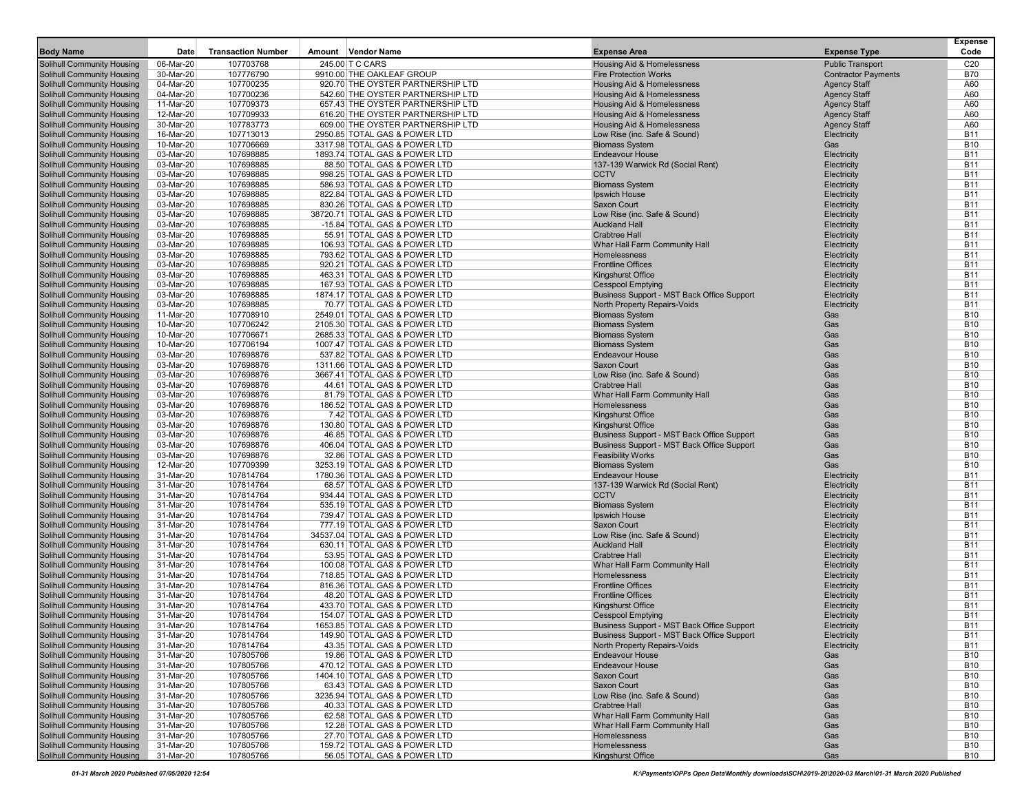| <b>Body Name</b>                                                       | Date                   | <b>Transaction Number</b> | Amount Vendor Name                                                 | <b>Expense Area</b>                                   | <b>Expense Type</b>        | <b>Expense</b><br>Code   |
|------------------------------------------------------------------------|------------------------|---------------------------|--------------------------------------------------------------------|-------------------------------------------------------|----------------------------|--------------------------|
| <b>Solihull Community Housing</b>                                      | 06-Mar-20              | 107703768                 | 245.00 T C CARS                                                    | Housing Aid & Homelessness                            | <b>Public Transport</b>    | C <sub>20</sub>          |
| Solihull Community Housing                                             | 30-Mar-20              | 107776790                 | 9910.00 THE OAKLEAF GROUP                                          | <b>Fire Protection Works</b>                          | <b>Contractor Payments</b> | <b>B70</b>               |
| <b>Solihull Community Housing</b>                                      | 04-Mar-20              | 107700235                 | 920.70 THE OYSTER PARTNERSHIP LTD                                  | <b>Housing Aid &amp; Homelessness</b>                 | <b>Agency Staff</b>        | A60                      |
| Solihull Community Housing                                             | 04-Mar-20              | 107700236                 | 542.60 THE OYSTER PARTNERSHIP LTD                                  | Housing Aid & Homelessness                            | <b>Agency Staff</b>        | A60                      |
| <b>Solihull Community Housing</b>                                      | 11-Mar-20              | 107709373                 | 657.43 THE OYSTER PARTNERSHIP LTD                                  | <b>Housing Aid &amp; Homelessness</b>                 | <b>Agency Staff</b>        | A60                      |
| Solihull Community Housing                                             | 12-Mar-20              | 107709933                 | 616.20 THE OYSTER PARTNERSHIP LTD                                  | Housing Aid & Homelessness                            | <b>Agency Staff</b>        | A60                      |
| <b>Solihull Community Housing</b>                                      | 30-Mar-20<br>16-Mar-20 | 107783773<br>107713013    | 609.00 THE OYSTER PARTNERSHIP LTD<br>2950.85 TOTAL GAS & POWER LTD | <b>Housing Aid &amp; Homelessness</b>                 | <b>Agency Staff</b>        | A60<br><b>B11</b>        |
| <b>Solihull Community Housing</b><br><b>Solihull Community Housing</b> | 10-Mar-20              | 107706669                 | 3317.98 TOTAL GAS & POWER LTD                                      | Low Rise (inc. Safe & Sound)<br><b>Biomass System</b> | Electricity<br>Gas         | <b>B10</b>               |
| <b>Solihull Community Housing</b>                                      | 03-Mar-20              | 107698885                 | 1893.74 TOTAL GAS & POWER LTD                                      | <b>Endeavour House</b>                                | Electricity                | <b>B11</b>               |
| Solihull Community Housing                                             | 03-Mar-20              | 107698885                 | 88.50 TOTAL GAS & POWER LTD                                        | 137-139 Warwick Rd (Social Rent)                      | Electricity                | <b>B11</b>               |
| Solihull Community Housing                                             | 03-Mar-20              | 107698885                 | 998.25 TOTAL GAS & POWER LTD                                       | <b>CCTV</b>                                           | Electricity                | <b>B11</b>               |
| <b>Solihull Community Housing</b>                                      | 03-Mar-20              | 107698885                 | 586.93 TOTAL GAS & POWER LTD                                       | <b>Biomass System</b>                                 | Electricity                | <b>B11</b>               |
| <b>Solihull Community Housing</b>                                      | 03-Mar-20              | 107698885                 | 822.84 TOTAL GAS & POWER LTD                                       | Ipswich House                                         | Electricity                | <b>B11</b>               |
| <b>Solihull Community Housing</b>                                      | 03-Mar-20              | 107698885                 | 830.26 TOTAL GAS & POWER LTD                                       | <b>Saxon Court</b>                                    | Electricity                | <b>B11</b>               |
| <b>Solihull Community Housing</b>                                      | 03-Mar-20              | 107698885                 | 38720.71 TOTAL GAS & POWER LTD                                     | Low Rise (inc. Safe & Sound)                          | Electricity                | <b>B11</b>               |
| <b>Solihull Community Housing</b>                                      | 03-Mar-20              | 107698885                 | -15.84 TOTAL GAS & POWER LTD                                       | <b>Auckland Hall</b>                                  | Electricity                | <b>B11</b>               |
| <b>Solihull Community Housing</b>                                      | 03-Mar-20              | 107698885                 | 55.91 TOTAL GAS & POWER LTD                                        | <b>Crabtree Hall</b>                                  | Electricity                | <b>B11</b>               |
| <b>Solihull Community Housing</b><br><b>Solihull Community Housing</b> | 03-Mar-20<br>03-Mar-20 | 107698885<br>107698885    | 106.93 TOTAL GAS & POWER LTD<br>793.62 TOTAL GAS & POWER LTD       | Whar Hall Farm Community Hall<br>Homelessness         | Electricity                | <b>B11</b><br><b>B11</b> |
| <b>Solihull Community Housing</b>                                      | 03-Mar-20              | 107698885                 | 920.21 TOTAL GAS & POWER LTD                                       | <b>Frontline Offices</b>                              | Electricity<br>Electricity | <b>B11</b>               |
| Solihull Community Housing                                             | 03-Mar-20              | 107698885                 | 463.31 TOTAL GAS & POWER LTD                                       | <b>Kingshurst Office</b>                              | Electricity                | <b>B11</b>               |
| <b>Solihull Community Housing</b>                                      | 03-Mar-20              | 107698885                 | 167.93 TOTAL GAS & POWER LTD                                       | <b>Cesspool Emptying</b>                              | Electricity                | <b>B11</b>               |
| <b>Solihull Community Housing</b>                                      | 03-Mar-20              | 107698885                 | 1874.17 TOTAL GAS & POWER LTD                                      | <b>Business Support - MST Back Office Support</b>     | Electricity                | <b>B11</b>               |
| <b>Solihull Community Housing</b>                                      | 03-Mar-20              | 107698885                 | 70.77 TOTAL GAS & POWER LTD                                        | North Property Repairs-Voids                          | Electricity                | <b>B11</b>               |
| <b>Solihull Community Housing</b>                                      | 11-Mar-20              | 107708910                 | 2549.01 TOTAL GAS & POWER LTD                                      | <b>Biomass System</b>                                 | Gas                        | <b>B10</b>               |
| <b>Solihull Community Housing</b>                                      | 10-Mar-20              | 107706242                 | 2105.30 TOTAL GAS & POWER LTD                                      | <b>Biomass System</b>                                 | Gas                        | <b>B10</b>               |
| <b>Solihull Community Housing</b>                                      | 10-Mar-20              | 107706671                 | 2685.33 TOTAL GAS & POWER LTD                                      | <b>Biomass System</b>                                 | Gas                        | <b>B10</b>               |
| Solihull Community Housing                                             | 10-Mar-20              | 107706194                 | 1007.47 TOTAL GAS & POWER LTD                                      | <b>Biomass System</b>                                 | Gas                        | <b>B10</b>               |
| <b>Solihull Community Housing</b>                                      | 03-Mar-20              | 107698876                 | 537.82 TOTAL GAS & POWER LTD                                       | <b>Endeavour House</b>                                | Gas                        | <b>B10</b>               |
| Solihull Community Housing<br><b>Solihull Community Housing</b>        | 03-Mar-20<br>03-Mar-20 | 107698876<br>107698876    | 1311.66 TOTAL GAS & POWER LTD<br>3667.41 TOTAL GAS & POWER LTD     | <b>Saxon Court</b><br>Low Rise (inc. Safe & Sound)    | Gas<br>Gas                 | <b>B10</b><br><b>B10</b> |
| <b>Solihull Community Housing</b>                                      | 03-Mar-20              | 107698876                 | 44.61 TOTAL GAS & POWER LTD                                        | <b>Crabtree Hall</b>                                  | Gas                        | <b>B10</b>               |
| <b>Solihull Community Housing</b>                                      | 03-Mar-20              | 107698876                 | 81.79 TOTAL GAS & POWER LTD                                        | Whar Hall Farm Community Hall                         | Gas                        | <b>B10</b>               |
| <b>Solihull Community Housing</b>                                      | 03-Mar-20              | 107698876                 | 186.52 TOTAL GAS & POWER LTD                                       | Homelessness                                          | Gas                        | <b>B10</b>               |
| Solihull Community Housing                                             | 03-Mar-20              | 107698876                 | 7.42 TOTAL GAS & POWER LTD                                         | <b>Kingshurst Office</b>                              | Gas                        | <b>B10</b>               |
| Solihull Community Housing                                             | 03-Mar-20              | 107698876                 | 130.80 TOTAL GAS & POWER LTD                                       | <b>Kingshurst Office</b>                              | Gas                        | <b>B10</b>               |
| <b>Solihull Community Housing</b>                                      | 03-Mar-20              | 107698876                 | 46.85 TOTAL GAS & POWER LTD                                        | Business Support - MST Back Office Support            | Gas                        | <b>B10</b>               |
| <b>Solihull Community Housing</b>                                      | 03-Mar-20              | 107698876                 | 406.04 TOTAL GAS & POWER LTD                                       | Business Support - MST Back Office Support            | Gas                        | <b>B10</b>               |
| <b>Solihull Community Housing</b>                                      | 03-Mar-20              | 107698876                 | 32.86 TOTAL GAS & POWER LTD                                        | <b>Feasibility Works</b>                              | Gas                        | <b>B10</b>               |
| <b>Solihull Community Housing</b>                                      | 12-Mar-20              | 107709399<br>107814764    | 3253.19 TOTAL GAS & POWER LTD<br>1780.36 TOTAL GAS & POWER LTD     | <b>Biomass System</b><br><b>Endeavour House</b>       | Gas                        | <b>B10</b><br><b>B11</b> |
| <b>Solihull Community Housing</b><br><b>Solihull Community Housing</b> | 31-Mar-20<br>31-Mar-20 | 107814764                 | 68.57 TOTAL GAS & POWER LTD                                        | 137-139 Warwick Rd (Social Rent)                      | Electricity<br>Electricity | <b>B11</b>               |
| <b>Solihull Community Housing</b>                                      | 31-Mar-20              | 107814764                 | 934.44 TOTAL GAS & POWER LTD                                       | <b>CCTV</b>                                           | Electricity                | <b>B11</b>               |
| <b>Solihull Community Housing</b>                                      | 31-Mar-20              | 107814764                 | 535.19 TOTAL GAS & POWER LTD                                       | <b>Biomass System</b>                                 | Electricity                | <b>B11</b>               |
| <b>Solihull Community Housing</b>                                      | 31-Mar-20              | 107814764                 | 739.47 TOTAL GAS & POWER LTD                                       | Ipswich House                                         | Electricity                | <b>B11</b>               |
| Solihull Community Housing                                             | 31-Mar-20              | 107814764                 | 777.19 TOTAL GAS & POWER LTD                                       | <b>Saxon Court</b>                                    | Electricity                | <b>B11</b>               |
| <b>Solihull Community Housing</b>                                      | 31-Mar-20              | 107814764                 | 34537.04 TOTAL GAS & POWER LTD                                     | Low Rise (inc. Safe & Sound)                          | Electricity                | <b>B11</b>               |
| <b>Solihull Community Housing</b>                                      | 31-Mar-20              | 107814764                 | 630.11 TOTAL GAS & POWER LTD                                       | <b>Auckland Hall</b>                                  | Electricity                | <b>B11</b>               |
| <b>Solihull Community Housing</b>                                      | 31-Mar-20              | 107814764                 | 53.95 TOTAL GAS & POWER LTD                                        | <b>Crabtree Hall</b>                                  | Electricity                | <b>B11</b>               |
| <b>Solihull Community Housing</b>                                      | 31-Mar-20              | 107814764                 | 100.08 TOTAL GAS & POWER LTD                                       | Whar Hall Farm Community Hall                         | Electricity                | <b>B11</b>               |
| Solihull Community Housing                                             | 31-Mar-20              | 107814764                 | 718.85 TOTAL GAS & POWER LTD                                       | Homelessness                                          | Electricity                | <b>B11</b><br><b>B11</b> |
| <b>Solihull Community Housing</b><br>Solihull Community Housing        | 31-Mar-20<br>31-Mar-20 | 107814764<br>107814764    | 816.36 TOTAL GAS & POWER LTD<br>48.20 TOTAL GAS & POWER LTD        | <b>Frontline Offices</b><br><b>Frontline Offices</b>  | Electricity<br>Electricity | <b>B11</b>               |
| <b>Solihull Community Housing</b>                                      | 31-Mar-20              | 107814764                 | 433.70 TOTAL GAS & POWER LTD                                       | <b>Kingshurst Office</b>                              | Electricity                | <b>B11</b>               |
| <b>Solihull Community Housing</b>                                      | 31-Mar-20              | 107814764                 | 154.07 TOTAL GAS & POWER LTD                                       | <b>Cesspool Emptying</b>                              | Electricity                | <b>B11</b>               |
| Solihull Community Housing                                             | 31-Mar-20              | 107814764                 | 1653.85 TOTAL GAS & POWER LTD                                      | <b>Business Support - MST Back Office Support</b>     | Electricity                | <b>B11</b>               |
| <b>Solihull Community Housing</b>                                      | 31-Mar-20              | 107814764                 | 149.90 TOTAL GAS & POWER LTD                                       | Business Support - MST Back Office Support            | Electricity                | <b>B11</b>               |
| <b>Solihull Community Housing</b>                                      | 31-Mar-20              | 107814764                 | 43.35 TOTAL GAS & POWER LTD                                        | North Property Repairs-Voids                          | Electricity                | <b>B11</b>               |
| <b>Solihull Community Housing</b>                                      | 31-Mar-20              | 107805766                 | 19.86 TOTAL GAS & POWER LTD                                        | <b>Endeavour House</b>                                | Gas                        | <b>B10</b>               |
| <b>Solihull Community Housing</b>                                      | 31-Mar-20              | 107805766                 | 470.12 TOTAL GAS & POWER LTD                                       | <b>Endeavour House</b>                                | Gas                        | <b>B10</b>               |
| Solihull Community Housing                                             | 31-Mar-20              | 107805766                 | 1404.10 TOTAL GAS & POWER LTD                                      | <b>Saxon Court</b>                                    | Gas                        | <b>B10</b>               |
| <b>Solihull Community Housing</b>                                      | 31-Mar-20              | 107805766                 | 63.43 TOTAL GAS & POWER LTD                                        | Saxon Court                                           | Gas                        | <b>B10</b>               |
| Solihull Community Housing<br>Solihull Community Housing               | 31-Mar-20<br>31-Mar-20 | 107805766<br>107805766    | 3235.94 TOTAL GAS & POWER LTD<br>40.33 TOTAL GAS & POWER LTD       | Low Rise (inc. Safe & Sound)<br><b>Crabtree Hall</b>  | Gas<br>Gas                 | <b>B10</b><br><b>B10</b> |
| <b>Solihull Community Housing</b>                                      | 31-Mar-20              | 107805766                 | 62.58 TOTAL GAS & POWER LTD                                        | Whar Hall Farm Community Hall                         | Gas                        | <b>B10</b>               |
| Solihull Community Housing                                             | 31-Mar-20              | 107805766                 | 12.28 TOTAL GAS & POWER LTD                                        | Whar Hall Farm Community Hall                         | Gas                        | <b>B10</b>               |
| Solihull Community Housing                                             | 31-Mar-20              | 107805766                 | 27.70 TOTAL GAS & POWER LTD                                        | Homelessness                                          | Gas                        | <b>B10</b>               |
| <b>Solihull Community Housing</b>                                      | 31-Mar-20              | 107805766                 | 159.72 TOTAL GAS & POWER LTD                                       | Homelessness                                          | Gas                        | <b>B10</b>               |
| <b>Solihull Community Housing</b>                                      | 31-Mar-20              | 107805766                 | 56.05 TOTAL GAS & POWER LTD                                        | Kingshurst Office                                     | Gas                        | <b>B10</b>               |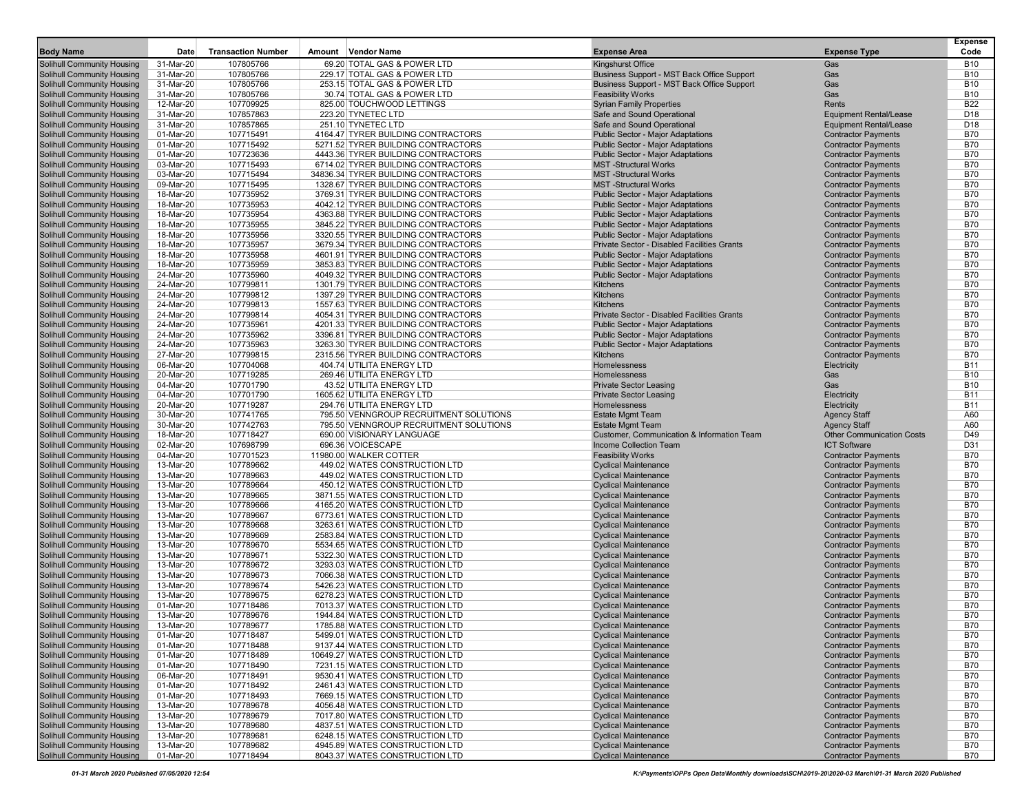| <b>Body Name</b>                                                       | Date                   | <b>Transaction Number</b> | Amount Vendor Name                                                       | <b>Expense Area</b>                                                           | <b>Expense Type</b>                                            | <b>Expense</b><br>Code             |
|------------------------------------------------------------------------|------------------------|---------------------------|--------------------------------------------------------------------------|-------------------------------------------------------------------------------|----------------------------------------------------------------|------------------------------------|
| <b>Solihull Community Housing</b>                                      | 31-Mar-20              | 107805766                 | 69.20 TOTAL GAS & POWER LTD                                              | <b>Kingshurst Office</b>                                                      | Gas                                                            | <b>B10</b>                         |
| <b>Solihull Community Housing</b>                                      | 31-Mar-20              | 107805766                 | 229.17 TOTAL GAS & POWER LTD                                             | Business Support - MST Back Office Support                                    | Gas                                                            | <b>B10</b>                         |
| Solihull Community Housing                                             | 31-Mar-20              | 107805766                 | 253.15 TOTAL GAS & POWER LTD                                             | Business Support - MST Back Office Support                                    | Gas                                                            | <b>B10</b>                         |
| <b>Solihull Community Housing</b>                                      | 31-Mar-20              | 107805766                 | 30.74 TOTAL GAS & POWER LTD                                              | <b>Feasibility Works</b>                                                      | Gas                                                            | <b>B10</b>                         |
| <b>Solihull Community Housing</b>                                      | 12-Mar-20              | 107709925                 | 825.00 TOUCHWOOD LETTINGS                                                | <b>Syrian Family Properties</b>                                               | <b>Rents</b>                                                   | <b>B22</b>                         |
| <b>Solihull Community Housing</b><br><b>Solihull Community Housing</b> | 31-Mar-20<br>31-Mar-20 | 107857863<br>107857865    | 223.20 TYNETEC LTD<br>251.10 TYNETEC LTD                                 | Safe and Sound Operational<br>Safe and Sound Operational                      | <b>Equipment Rental/Lease</b><br><b>Equipment Rental/Lease</b> | D <sub>18</sub><br>D <sub>18</sub> |
| <b>Solihull Community Housing</b>                                      | 01-Mar-20              | 107715491                 | 4164.47 TYRER BUILDING CONTRACTORS                                       | <b>Public Sector - Major Adaptations</b>                                      | <b>Contractor Payments</b>                                     | <b>B70</b>                         |
| <b>Solihull Community Housing</b>                                      | 01-Mar-20              | 107715492                 | 5271.52 TYRER BUILDING CONTRACTORS                                       | Public Sector - Major Adaptations                                             | <b>Contractor Payments</b>                                     | <b>B70</b>                         |
| <b>Solihull Community Housing</b>                                      | 01-Mar-20              | 107723636                 | 4443.36 TYRER BUILDING CONTRACTORS                                       | <b>Public Sector - Major Adaptations</b>                                      | <b>Contractor Payments</b>                                     | <b>B70</b>                         |
| <b>Solihull Community Housing</b>                                      | 03-Mar-20              | 107715493                 | 6714.02 TYRER BUILDING CONTRACTORS                                       | <b>MST-Structural Works</b>                                                   | <b>Contractor Payments</b>                                     | <b>B70</b>                         |
| <b>Solihull Community Housing</b>                                      | 03-Mar-20              | 107715494                 | 34836.34 TYRER BUILDING CONTRACTORS                                      | <b>MST-Structural Works</b>                                                   | <b>Contractor Payments</b>                                     | <b>B70</b>                         |
| <b>Solihull Community Housing</b>                                      | 09-Mar-20              | 107715495                 | 1328.67 TYRER BUILDING CONTRACTORS                                       | <b>MST-Structural Works</b>                                                   | <b>Contractor Payments</b>                                     | <b>B70</b>                         |
| <b>Solihull Community Housing</b>                                      | 18-Mar-20              | 107735952                 | 3769.31 TYRER BUILDING CONTRACTORS                                       | Public Sector - Major Adaptations                                             | <b>Contractor Payments</b>                                     | <b>B70</b>                         |
| <b>Solihull Community Housing</b>                                      | 18-Mar-20              | 107735953                 | 4042.12 TYRER BUILDING CONTRACTORS                                       | <b>Public Sector - Major Adaptations</b>                                      | <b>Contractor Payments</b>                                     | <b>B70</b>                         |
| <b>Solihull Community Housing</b>                                      | 18-Mar-20              | 107735954                 | 4363.88 TYRER BUILDING CONTRACTORS                                       | Public Sector - Major Adaptations                                             | <b>Contractor Payments</b>                                     | <b>B70</b>                         |
| <b>Solihull Community Housing</b><br><b>Solihull Community Housing</b> | 18-Mar-20<br>18-Mar-20 | 107735955<br>107735956    | 3845.22 TYRER BUILDING CONTRACTORS<br>3320.55 TYRER BUILDING CONTRACTORS | Public Sector - Major Adaptations<br><b>Public Sector - Major Adaptations</b> | <b>Contractor Payments</b><br><b>Contractor Payments</b>       | <b>B70</b><br><b>B70</b>           |
| <b>Solihull Community Housing</b>                                      | 18-Mar-20              | 107735957                 | 3679.34 TYRER BUILDING CONTRACTORS                                       | Private Sector - Disabled Facilities Grants                                   | <b>Contractor Payments</b>                                     | <b>B70</b>                         |
| <b>Solihull Community Housing</b>                                      | 18-Mar-20              | 107735958                 | 4601.91 TYRER BUILDING CONTRACTORS                                       | <b>Public Sector - Major Adaptations</b>                                      | <b>Contractor Payments</b>                                     | <b>B70</b>                         |
| <b>Solihull Community Housing</b>                                      | 18-Mar-20              | 107735959                 | 3853.83 TYRER BUILDING CONTRACTORS                                       | Public Sector - Major Adaptations                                             | <b>Contractor Payments</b>                                     | <b>B70</b>                         |
| <b>Solihull Community Housing</b>                                      | 24-Mar-20              | 107735960                 | 4049.32 TYRER BUILDING CONTRACTORS                                       | Public Sector - Major Adaptations                                             | <b>Contractor Payments</b>                                     | <b>B70</b>                         |
| <b>Solihull Community Housing</b>                                      | 24-Mar-20              | 107799811                 | 1301.79 TYRER BUILDING CONTRACTORS                                       | Kitchens                                                                      | <b>Contractor Payments</b>                                     | <b>B70</b>                         |
| <b>Solihull Community Housing</b>                                      | 24-Mar-20              | 107799812                 | 1397.29 TYRER BUILDING CONTRACTORS                                       | Kitchens                                                                      | <b>Contractor Payments</b>                                     | <b>B70</b>                         |
| <b>Solihull Community Housing</b>                                      | 24-Mar-20              | 107799813                 | 1557.63 TYRER BUILDING CONTRACTORS                                       | Kitchens                                                                      | <b>Contractor Payments</b>                                     | <b>B70</b>                         |
| <b>Solihull Community Housing</b>                                      | 24-Mar-20              | 107799814                 | 4054.31 TYRER BUILDING CONTRACTORS                                       | Private Sector - Disabled Facilities Grants                                   | <b>Contractor Payments</b>                                     | <b>B70</b>                         |
| <b>Solihull Community Housing</b>                                      | 24-Mar-20              | 107735961                 | 4201.33 TYRER BUILDING CONTRACTORS                                       | <b>Public Sector - Major Adaptations</b>                                      | <b>Contractor Payments</b>                                     | <b>B70</b>                         |
| Solihull Community Housing                                             | 24-Mar-20              | 107735962                 | 3396.81 TYRER BUILDING CONTRACTORS                                       | <b>Public Sector - Major Adaptations</b>                                      | <b>Contractor Payments</b>                                     | <b>B70</b>                         |
| <b>Solihull Community Housing</b><br><b>Solihull Community Housing</b> | 24-Mar-20<br>27-Mar-20 | 107735963<br>107799815    | 3263.30 TYRER BUILDING CONTRACTORS<br>2315.56 TYRER BUILDING CONTRACTORS | Public Sector - Major Adaptations<br><b>Kitchens</b>                          | <b>Contractor Payments</b><br><b>Contractor Payments</b>       | <b>B70</b><br><b>B70</b>           |
| <b>Solihull Community Housing</b>                                      | 06-Mar-20              | 107704068                 | 404.74 UTILITA ENERGY LTD                                                | Homelessness                                                                  | Electricity                                                    | <b>B11</b>                         |
| <b>Solihull Community Housing</b>                                      | 20-Mar-20              | 107719285                 | 269.46 UTILITA ENERGY LTD                                                | Homelessness                                                                  | Gas                                                            | <b>B10</b>                         |
| <b>Solihull Community Housing</b>                                      | 04-Mar-20              | 107701790                 | 43.52 UTILITA ENERGY LTD                                                 | <b>Private Sector Leasing</b>                                                 | Gas                                                            | <b>B10</b>                         |
| <b>Solihull Community Housing</b>                                      | 04-Mar-20              | 107701790                 | 1605.62 UTILITA ENERGY LTD                                               | <b>Private Sector Leasing</b>                                                 | Electricity                                                    | <b>B11</b>                         |
| <b>Solihull Community Housing</b>                                      | 20-Mar-20              | 107719287                 | 294.76 UTILITA ENERGY LTD                                                | Homelessness                                                                  | Electricity                                                    | <b>B11</b>                         |
| <b>Solihull Community Housing</b>                                      | 30-Mar-20              | 107741765                 | 795.50 VENNGROUP RECRUITMENT SOLUTIONS                                   | <b>Estate Mgmt Team</b>                                                       | <b>Agency Staff</b>                                            | A60                                |
| <b>Solihull Community Housing</b>                                      | 30-Mar-20              | 107742763                 | 795.50 VENNGROUP RECRUITMENT SOLUTIONS                                   | <b>Estate Mgmt Team</b>                                                       | <b>Agency Staff</b>                                            | A60                                |
| <b>Solihull Community Housing</b>                                      | 18-Mar-20              | 107718427                 | 690.00 VISIONARY LANGUAGE                                                | Customer, Communication & Information Team                                    | <b>Other Communication Costs</b>                               | D49                                |
| <b>Solihull Community Housing</b><br><b>Solihull Community Housing</b> | 02-Mar-20<br>04-Mar-20 | 107698799<br>107701523    | 696.36 VOICESCAPE<br>11980.00 WALKER COTTER                              | Income Collection Team<br><b>Feasibility Works</b>                            | <b>ICT Software</b><br><b>Contractor Payments</b>              | D31<br><b>B70</b>                  |
| <b>Solihull Community Housing</b>                                      | 13-Mar-20              | 107789662                 | 449.02 WATES CONSTRUCTION LTD                                            | <b>Cyclical Maintenance</b>                                                   | <b>Contractor Payments</b>                                     | <b>B70</b>                         |
| <b>Solihull Community Housing</b>                                      | 13-Mar-20              | 107789663                 | 449.02 WATES CONSTRUCTION LTD                                            | <b>Cyclical Maintenance</b>                                                   | <b>Contractor Payments</b>                                     | <b>B70</b>                         |
| <b>Solihull Community Housing</b>                                      | 13-Mar-20              | 107789664                 | 450.12 WATES CONSTRUCTION LTD                                            | <b>Cyclical Maintenance</b>                                                   | <b>Contractor Payments</b>                                     | <b>B70</b>                         |
| <b>Solihull Community Housing</b>                                      | 13-Mar-20              | 107789665                 | 3871.55 WATES CONSTRUCTION LTD                                           | <b>Cyclical Maintenance</b>                                                   | <b>Contractor Payments</b>                                     | <b>B70</b>                         |
| <b>Solihull Community Housing</b>                                      | 13-Mar-20              | 107789666                 | 4165.20 WATES CONSTRUCTION LTD                                           | <b>Cyclical Maintenance</b>                                                   | <b>Contractor Payments</b>                                     | <b>B70</b>                         |
| <b>Solihull Community Housing</b>                                      | 13-Mar-20              | 107789667                 | 6773.61 WATES CONSTRUCTION LTD                                           | <b>Cyclical Maintenance</b>                                                   | <b>Contractor Payments</b>                                     | <b>B70</b>                         |
| <b>Solihull Community Housing</b>                                      | 13-Mar-20              | 107789668                 | 3263.61 WATES CONSTRUCTION LTD                                           | <b>Cyclical Maintenance</b>                                                   | <b>Contractor Payments</b>                                     | <b>B70</b>                         |
| <b>Solihull Community Housing</b>                                      | 13-Mar-20              | 107789669                 | 2583.84 WATES CONSTRUCTION LTD                                           | <b>Cyclical Maintenance</b>                                                   | <b>Contractor Payments</b>                                     | <b>B70</b>                         |
| <b>Solihull Community Housing</b>                                      | 13-Mar-20              | 107789670                 | 5534.65 WATES CONSTRUCTION LTD                                           | <b>Cyclical Maintenance</b>                                                   | <b>Contractor Payments</b>                                     | <b>B70</b>                         |
| <b>Solihull Community Housing</b><br><b>Solihull Community Housing</b> | 13-Mar-20<br>13-Mar-20 | 107789671<br>107789672    | 5322.30 WATES CONSTRUCTION LTD<br>3293.03 WATES CONSTRUCTION LTD         | <b>Cyclical Maintenance</b><br><b>Cyclical Maintenance</b>                    | <b>Contractor Payments</b><br><b>Contractor Payments</b>       | <b>B70</b><br><b>B70</b>           |
| <b>Solihull Community Housing</b>                                      | 13-Mar-20              | 107789673                 | 7066.38 WATES CONSTRUCTION LTD                                           | <b>Cyclical Maintenance</b>                                                   | <b>Contractor Payments</b>                                     | <b>B70</b>                         |
| Solihull Community Housing                                             | 13-Mar-20              | 107789674                 | 5426.23 WATES CONSTRUCTION LTD                                           | <b>Cyclical Maintenance</b>                                                   | <b>Contractor Payments</b>                                     | <b>B70</b>                         |
| <b>Solihull Community Housing</b>                                      | 13-Mar-20              | 107789675                 | 6278.23 WATES CONSTRUCTION LTD                                           | <b>Cyclical Maintenance</b>                                                   | <b>Contractor Payments</b>                                     | <b>B70</b>                         |
| <b>Solihull Community Housing</b>                                      | 01-Mar-20              | 107718486                 | 7013.37 WATES CONSTRUCTION LTD                                           | <b>Cyclical Maintenance</b>                                                   | <b>Contractor Payments</b>                                     | <b>B70</b>                         |
| <b>Solihull Community Housing</b>                                      | 13-Mar-20              | 107789676                 | 1944.84 WATES CONSTRUCTION LTD                                           | <b>Cyclical Maintenance</b>                                                   | <b>Contractor Payments</b>                                     | <b>B70</b>                         |
| <b>Solihull Community Housing</b>                                      | 13-Mar-20              | 107789677                 | 1785.88 WATES CONSTRUCTION LTD                                           | <b>Cyclical Maintenance</b>                                                   | <b>Contractor Payments</b>                                     | <b>B70</b>                         |
| <b>Solihull Community Housing</b>                                      | 01-Mar-20              | 107718487                 | 5499.01 WATES CONSTRUCTION LTD                                           | <b>Cyclical Maintenance</b>                                                   | <b>Contractor Payments</b>                                     | <b>B70</b>                         |
| <b>Solihull Community Housing</b>                                      | 01-Mar-20              | 107718488                 | 9137.44 WATES CONSTRUCTION LTD                                           | <b>Cyclical Maintenance</b>                                                   | <b>Contractor Payments</b>                                     | <b>B70</b>                         |
| <b>Solihull Community Housing</b>                                      | 01-Mar-20              | 107718489                 | 10649.27 WATES CONSTRUCTION LTD                                          | <b>Cyclical Maintenance</b>                                                   | <b>Contractor Payments</b>                                     | <b>B70</b>                         |
| <b>Solihull Community Housing</b><br><b>Solihull Community Housing</b> | 01-Mar-20<br>06-Mar-20 | 107718490<br>107718491    | 7231.15 WATES CONSTRUCTION LTD<br>9530.41 WATES CONSTRUCTION LTD         | <b>Cyclical Maintenance</b><br><b>Cyclical Maintenance</b>                    | <b>Contractor Payments</b><br><b>Contractor Payments</b>       | <b>B70</b><br><b>B70</b>           |
| <b>Solihull Community Housing</b>                                      | 01-Mar-20              | 107718492                 | 2461.43 WATES CONSTRUCTION LTD                                           | <b>Cyclical Maintenance</b>                                                   | <b>Contractor Payments</b>                                     | <b>B70</b>                         |
| <b>Solihull Community Housing</b>                                      | 01-Mar-20              | 107718493                 | 7669.15 WATES CONSTRUCTION LTD                                           | <b>Cyclical Maintenance</b>                                                   | <b>Contractor Payments</b>                                     | <b>B70</b>                         |
| <b>Solihull Community Housing</b>                                      | 13-Mar-20              | 107789678                 | 4056.48 WATES CONSTRUCTION LTD                                           | <b>Cyclical Maintenance</b>                                                   | <b>Contractor Payments</b>                                     | <b>B70</b>                         |
| <b>Solihull Community Housing</b>                                      | 13-Mar-20              | 107789679                 | 7017.80 WATES CONSTRUCTION LTD                                           | <b>Cyclical Maintenance</b>                                                   | <b>Contractor Payments</b>                                     | <b>B70</b>                         |
| <b>Solihull Community Housing</b>                                      | 13-Mar-20              | 107789680                 | 4837.51 WATES CONSTRUCTION LTD                                           | <b>Cyclical Maintenance</b>                                                   | <b>Contractor Payments</b>                                     | <b>B70</b>                         |
| <b>Solihull Community Housing</b>                                      | 13-Mar-20              | 107789681                 | 6248.15 WATES CONSTRUCTION LTD                                           | <b>Cyclical Maintenance</b>                                                   | <b>Contractor Payments</b>                                     | <b>B70</b>                         |
| <b>Solihull Community Housing</b>                                      | 13-Mar-20              | 107789682                 | 4945.89 WATES CONSTRUCTION LTD                                           | <b>Cyclical Maintenance</b>                                                   | <b>Contractor Payments</b>                                     | <b>B70</b>                         |
| <b>Solihull Community Housing</b>                                      | 01-Mar-20              | 107718494                 | 8043.37 WATES CONSTRUCTION LTD                                           | <b>Cyclical Maintenance</b>                                                   | <b>Contractor Payments</b>                                     | <b>B70</b>                         |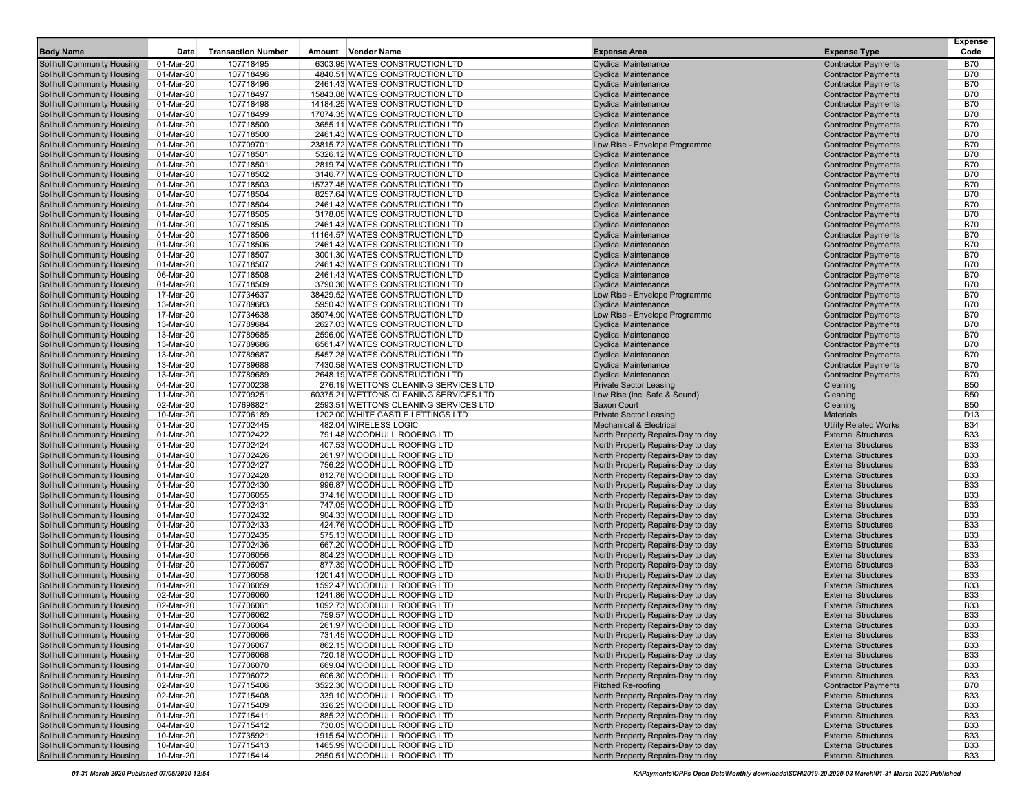| <b>Body Name</b>                                                       | Date                   | <b>Transaction Number</b> | <b>Vendor Name</b><br>Amount                                       | <b>Expense Area</b>                                                    | <b>Expense Type</b>                                      | <b>Expense</b><br>Code   |
|------------------------------------------------------------------------|------------------------|---------------------------|--------------------------------------------------------------------|------------------------------------------------------------------------|----------------------------------------------------------|--------------------------|
| <b>Solihull Community Housing</b>                                      | 01-Mar-20              | 107718495                 | 6303.95 WATES CONSTRUCTION LTD                                     | <b>Cyclical Maintenance</b>                                            | <b>Contractor Payments</b>                               | <b>B70</b>               |
| <b>Solihull Community Housing</b>                                      | 01-Mar-20              | 107718496                 | 4840.51 WATES CONSTRUCTION LTD                                     | <b>Cyclical Maintenance</b>                                            | <b>Contractor Payments</b>                               | <b>B70</b>               |
| <b>Solihull Community Housing</b>                                      | 01-Mar-20              | 107718496                 | 2461.43 WATES CONSTRUCTION LTD                                     | <b>Cyclical Maintenance</b>                                            | <b>Contractor Payments</b>                               | <b>B70</b>               |
| <b>Solihull Community Housing</b>                                      | 01-Mar-20              | 107718497                 | 15843.88 WATES CONSTRUCTION LTD                                    | <b>Cyclical Maintenance</b><br><b>Cyclical Maintenance</b>             | <b>Contractor Payments</b>                               | <b>B70</b><br><b>B70</b> |
| <b>Solihull Community Housing</b><br><b>Solihull Community Housing</b> | 01-Mar-20<br>01-Mar-20 | 107718498<br>107718499    | 14184.25 WATES CONSTRUCTION LTD<br>17074.35 WATES CONSTRUCTION LTD | <b>Cyclical Maintenance</b>                                            | <b>Contractor Payments</b><br><b>Contractor Payments</b> | <b>B70</b>               |
| <b>Solihull Community Housing</b>                                      | 01-Mar-20              | 107718500                 | 3655.11 WATES CONSTRUCTION LTD                                     | <b>Cyclical Maintenance</b>                                            | <b>Contractor Payments</b>                               | <b>B70</b>               |
| <b>Solihull Community Housing</b>                                      | 01-Mar-20              | 107718500                 | 2461.43 WATES CONSTRUCTION LTD                                     | <b>Cyclical Maintenance</b>                                            | <b>Contractor Payments</b>                               | <b>B70</b>               |
| <b>Solihull Community Housing</b>                                      | 01-Mar-20              | 107709701                 | 23815.72 WATES CONSTRUCTION LTD                                    | Low Rise - Envelope Programme                                          | <b>Contractor Payments</b>                               | <b>B70</b>               |
| <b>Solihull Community Housing</b>                                      | 01-Mar-20              | 107718501                 | 5326.12 WATES CONSTRUCTION LTD                                     | <b>Cyclical Maintenance</b>                                            | <b>Contractor Payments</b>                               | <b>B70</b>               |
| <b>Solihull Community Housing</b>                                      | 01-Mar-20              | 107718501                 | 2819.74 WATES CONSTRUCTION LTD                                     | <b>Cyclical Maintenance</b>                                            | <b>Contractor Payments</b>                               | <b>B70</b>               |
| <b>Solihull Community Housing</b>                                      | 01-Mar-20              | 107718502                 | 3146.77 WATES CONSTRUCTION LTD                                     | <b>Cyclical Maintenance</b>                                            | <b>Contractor Payments</b><br><b>Contractor Payments</b> | <b>B70</b>               |
| <b>Solihull Community Housing</b><br><b>Solihull Community Housing</b> | 01-Mar-20<br>01-Mar-20 | 107718503<br>107718504    | 15737.45 WATES CONSTRUCTION LTD<br>8257.64 WATES CONSTRUCTION LTD  | <b>Cyclical Maintenance</b><br><b>Cyclical Maintenance</b>             | <b>Contractor Payments</b>                               | <b>B70</b><br><b>B70</b> |
| <b>Solihull Community Housing</b>                                      | 01-Mar-20              | 107718504                 | 2461.43 WATES CONSTRUCTION LTD                                     | <b>Cyclical Maintenance</b>                                            | <b>Contractor Payments</b>                               | <b>B70</b>               |
| <b>Solihull Community Housing</b>                                      | 01-Mar-20              | 107718505                 | 3178.05 WATES CONSTRUCTION LTD                                     | <b>Cyclical Maintenance</b>                                            | <b>Contractor Payments</b>                               | <b>B70</b>               |
| <b>Solihull Community Housing</b>                                      | 01-Mar-20              | 107718505                 | 2461.43 WATES CONSTRUCTION LTD                                     | <b>Cyclical Maintenance</b>                                            | <b>Contractor Payments</b>                               | <b>B70</b>               |
| <b>Solihull Community Housing</b>                                      | 01-Mar-20              | 107718506                 | 11164.57 WATES CONSTRUCTION LTD                                    | <b>Cyclical Maintenance</b>                                            | <b>Contractor Payments</b>                               | <b>B70</b>               |
| <b>Solihull Community Housing</b>                                      | 01-Mar-20              | 107718506                 | 2461.43 WATES CONSTRUCTION LTD                                     | <b>Cyclical Maintenance</b>                                            | <b>Contractor Payments</b>                               | <b>B70</b>               |
| <b>Solihull Community Housing</b>                                      | 01-Mar-20              | 107718507                 | 3001.30 WATES CONSTRUCTION LTD                                     | <b>Cyclical Maintenance</b>                                            | <b>Contractor Payments</b>                               | <b>B70</b>               |
| <b>Solihull Community Housing</b>                                      | 01-Mar-20<br>06-Mar-20 | 107718507<br>107718508    | 2461.43 WATES CONSTRUCTION LTD<br>2461.43 WATES CONSTRUCTION LTD   | <b>Cyclical Maintenance</b><br><b>Cyclical Maintenance</b>             | <b>Contractor Payments</b>                               | <b>B70</b><br><b>B70</b> |
| <b>Solihull Community Housing</b><br><b>Solihull Community Housing</b> | 01-Mar-20              | 107718509                 | 3790.30 WATES CONSTRUCTION LTD                                     | <b>Cyclical Maintenance</b>                                            | <b>Contractor Payments</b><br><b>Contractor Payments</b> | <b>B70</b>               |
| <b>Solihull Community Housing</b>                                      | 17-Mar-20              | 107734637                 | 38429.52 WATES CONSTRUCTION LTD                                    | Low Rise - Envelope Programme                                          | <b>Contractor Payments</b>                               | <b>B70</b>               |
| <b>Solihull Community Housing</b>                                      | 13-Mar-20              | 107789683                 | 5950.43 WATES CONSTRUCTION LTD                                     | <b>Cyclical Maintenance</b>                                            | <b>Contractor Payments</b>                               | <b>B70</b>               |
| <b>Solihull Community Housing</b>                                      | 17-Mar-20              | 107734638                 | 35074.90 WATES CONSTRUCTION LTD                                    | Low Rise - Envelope Programme                                          | <b>Contractor Payments</b>                               | <b>B70</b>               |
| <b>Solihull Community Housing</b>                                      | 13-Mar-20              | 107789684                 | 2627.03 WATES CONSTRUCTION LTD                                     | <b>Cyclical Maintenance</b>                                            | <b>Contractor Payments</b>                               | <b>B70</b>               |
| <b>Solihull Community Housing</b>                                      | 13-Mar-20              | 107789685                 | 2596.00 WATES CONSTRUCTION LTD                                     | <b>Cyclical Maintenance</b>                                            | <b>Contractor Payments</b>                               | <b>B70</b>               |
| <b>Solihull Community Housing</b>                                      | 13-Mar-20              | 107789686                 | 6561.47 WATES CONSTRUCTION LTD                                     | <b>Cyclical Maintenance</b>                                            | <b>Contractor Payments</b>                               | <b>B70</b>               |
| <b>Solihull Community Housing</b><br><b>Solihull Community Housing</b> | 13-Mar-20<br>13-Mar-20 | 107789687<br>107789688    | 5457.28 WATES CONSTRUCTION LTD<br>7430.58 WATES CONSTRUCTION LTD   | <b>Cyclical Maintenance</b><br><b>Cyclical Maintenance</b>             | <b>Contractor Payments</b><br><b>Contractor Payments</b> | <b>B70</b><br><b>B70</b> |
| <b>Solihull Community Housing</b>                                      | 13-Mar-20              | 107789689                 | 2648.19 WATES CONSTRUCTION LTD                                     | <b>Cyclical Maintenance</b>                                            | <b>Contractor Payments</b>                               | <b>B70</b>               |
| <b>Solihull Community Housing</b>                                      | 04-Mar-20              | 107700238                 | 276.19 WETTONS CLEANING SERVICES LTD                               | <b>Private Sector Leasing</b>                                          | Cleaning                                                 | <b>B50</b>               |
| <b>Solihull Community Housing</b>                                      | 11-Mar-20              | 107709251                 | 60375.21 WETTONS CLEANING SERVICES LTD                             | Low Rise (inc. Safe & Sound)                                           | Cleaning                                                 | <b>B50</b>               |
| <b>Solihull Community Housing</b>                                      | 02-Mar-20              | 107698821                 | 2593.51 WETTONS CLEANING SERVICES LTD                              | <b>Saxon Court</b>                                                     | Cleaning                                                 | <b>B50</b>               |
| <b>Solihull Community Housing</b>                                      | 10-Mar-20              | 107706189                 | 1202.00 WHITE CASTLE LETTINGS LTD                                  | <b>Private Sector Leasing</b>                                          | <b>Materials</b>                                         | D <sub>13</sub>          |
| <b>Solihull Community Housing</b>                                      | 01-Mar-20              | 107702445                 | 482.04 WIRELESS LOGIC                                              | <b>Mechanical &amp; Electrical</b>                                     | <b>Utility Related Works</b>                             | <b>B34</b>               |
| <b>Solihull Community Housing</b><br><b>Solihull Community Housing</b> | 01-Mar-20<br>01-Mar-20 | 107702422<br>107702424    | 791.48 WOODHULL ROOFING LTD<br>407.53 WOODHULL ROOFING LTD         | North Property Repairs-Day to day<br>North Property Repairs-Day to day | <b>External Structures</b><br><b>External Structures</b> | <b>B33</b><br><b>B33</b> |
| <b>Solihull Community Housing</b>                                      | 01-Mar-20              | 107702426                 | 261.97 WOODHULL ROOFING LTD                                        | North Property Repairs-Day to day                                      | <b>External Structures</b>                               | <b>B33</b>               |
| <b>Solihull Community Housing</b>                                      | 01-Mar-20              | 107702427                 | 756.22 WOODHULL ROOFING LTD                                        | North Property Repairs-Day to day                                      | <b>External Structures</b>                               | <b>B33</b>               |
| <b>Solihull Community Housing</b>                                      | 01-Mar-20              | 107702428                 | 812.78 WOODHULL ROOFING LTD                                        | North Property Repairs-Day to day                                      | <b>External Structures</b>                               | <b>B33</b>               |
| <b>Solihull Community Housing</b>                                      | 01-Mar-20              | 107702430                 | 996.87 WOODHULL ROOFING LTD                                        | North Property Repairs-Day to day                                      | <b>External Structures</b>                               | <b>B33</b>               |
| <b>Solihull Community Housing</b>                                      | 01-Mar-20              | 107706055                 | 374.16 WOODHULL ROOFING LTD                                        | North Property Repairs-Day to day                                      | <b>External Structures</b>                               | <b>B33</b>               |
| <b>Solihull Community Housing</b>                                      | 01-Mar-20              | 107702431                 | 747.05 WOODHULL ROOFING LTD                                        | North Property Repairs-Day to day                                      | <b>External Structures</b>                               | <b>B33</b>               |
| <b>Solihull Community Housing</b><br><b>Solihull Community Housing</b> | 01-Mar-20<br>01-Mar-20 | 107702432<br>107702433    | 904.33 WOODHULL ROOFING LTD<br>424.76 WOODHULL ROOFING LTD         | North Property Repairs-Day to day<br>North Property Repairs-Day to day | <b>External Structures</b><br><b>External Structures</b> | <b>B33</b><br><b>B33</b> |
| <b>Solihull Community Housing</b>                                      | 01-Mar-20              | 107702435                 | 575.13 WOODHULL ROOFING LTD                                        | North Property Repairs-Day to day                                      | <b>External Structures</b>                               | <b>B33</b>               |
| <b>Solihull Community Housing</b>                                      | 01-Mar-20              | 107702436                 | 667.20 WOODHULL ROOFING LTD                                        | North Property Repairs-Day to day                                      | <b>External Structures</b>                               | <b>B33</b>               |
| <b>Solihull Community Housing</b>                                      | 01-Mar-20              | 107706056                 | 804.23 WOODHULL ROOFING LTD                                        | North Property Repairs-Day to day                                      | <b>External Structures</b>                               | <b>B33</b>               |
| <b>Solihull Community Housing</b>                                      | 01-Mar-20              | 107706057                 | 877.39 WOODHULL ROOFING LTD                                        | North Property Repairs-Day to day                                      | <b>External Structures</b>                               | <b>B33</b>               |
| <b>Solihull Community Housing</b>                                      | 01-Mar-20              | 107706058                 | 1201.41 WOODHULL ROOFING LTD                                       | North Property Repairs-Day to day                                      | <b>External Structures</b>                               | <b>B33</b>               |
| <b>Solihull Community Housing</b>                                      | 01-Mar-20              | 107706059                 | 1592.47 WOODHULL ROOFING LTD                                       | North Property Repairs-Day to day                                      | <b>External Structures</b>                               | <b>B33</b>               |
| <b>Solihull Community Housing</b><br><b>Solihull Community Housing</b> | 02-Mar-20<br>02-Mar-20 | 107706060<br>107706061    | 1241.86 WOODHULL ROOFING LTD<br>1092.73 WOODHULL ROOFING LTD       | North Property Repairs-Day to day<br>North Property Repairs-Day to day | <b>External Structures</b><br><b>External Structures</b> | <b>B33</b><br><b>B33</b> |
| <b>Solihull Community Housing</b>                                      | 01-Mar-20              | 107706062                 | 759.57 WOODHULL ROOFING LTD                                        | North Property Repairs-Day to day                                      | <b>External Structures</b>                               | <b>B33</b>               |
| <b>Solihull Community Housing</b>                                      | 01-Mar-20              | 107706064                 | 261.97 WOODHULL ROOFING LTD                                        | North Property Repairs-Day to day                                      | <b>External Structures</b>                               | <b>B33</b>               |
| <b>Solihull Community Housing</b>                                      | 01-Mar-20              | 107706066                 | 731.45 WOODHULL ROOFING LTD                                        | North Property Repairs-Day to day                                      | <b>External Structures</b>                               | <b>B33</b>               |
| <b>Solihull Community Housing</b>                                      | 01-Mar-20              | 107706067                 | 862.15 WOODHULL ROOFING LTD                                        | North Property Repairs-Day to day                                      | <b>External Structures</b>                               | <b>B33</b>               |
| <b>Solihull Community Housing</b>                                      | 01-Mar-20              | 107706068                 | 720.18 WOODHULL ROOFING LTD                                        | North Property Repairs-Day to day                                      | <b>External Structures</b>                               | <b>B33</b>               |
| <b>Solihull Community Housing</b>                                      | 01-Mar-20              | 107706070                 | 669.04 WOODHULL ROOFING LTD                                        | North Property Repairs-Day to day                                      | <b>External Structures</b>                               | <b>B33</b>               |
| <b>Solihull Community Housing</b>                                      | 01-Mar-20              | 107706072                 | 606.30 WOODHULL ROOFING LTD                                        | North Property Repairs-Day to day                                      | <b>External Structures</b>                               | <b>B33</b>               |
| <b>Solihull Community Housing</b><br>Solihull Community Housing        | 02-Mar-20<br>02-Mar-20 | 107715406<br>107715408    | 3522.30 WOODHULL ROOFING LTD<br>339.10 WOODHULL ROOFING LTD        | <b>Pitched Re-roofing</b><br>North Property Repairs-Day to day         | <b>Contractor Payments</b><br><b>External Structures</b> | <b>B70</b><br><b>B33</b> |
| <b>Solihull Community Housing</b>                                      | 01-Mar-20              | 107715409                 | 326.25 WOODHULL ROOFING LTD                                        | North Property Repairs-Day to day                                      | <b>External Structures</b>                               | <b>B33</b>               |
| <b>Solihull Community Housing</b>                                      | 01-Mar-20              | 107715411                 | 885.23 WOODHULL ROOFING LTD                                        | North Property Repairs-Day to day                                      | <b>External Structures</b>                               | <b>B33</b>               |
| <b>Solihull Community Housing</b>                                      | 04-Mar-20              | 107715412                 | 730.05 WOODHULL ROOFING LTD                                        | North Property Repairs-Day to day                                      | <b>External Structures</b>                               | <b>B33</b>               |
| <b>Solihull Community Housing</b>                                      | 10-Mar-20              | 107735921                 | 1915.54 WOODHULL ROOFING LTD                                       | North Property Repairs-Day to day                                      | <b>External Structures</b>                               | <b>B33</b>               |
| <b>Solihull Community Housing</b>                                      | 10-Mar-20              | 107715413                 | 1465.99 WOODHULL ROOFING LTD                                       | North Property Repairs-Day to day                                      | <b>External Structures</b>                               | <b>B33</b>               |
| Solihull Community Housing                                             | 10-Mar-20              | 107715414                 | 2950.51 WOODHULL ROOFING LTD                                       | North Property Repairs-Day to day                                      | <b>External Structures</b>                               | <b>B33</b>               |